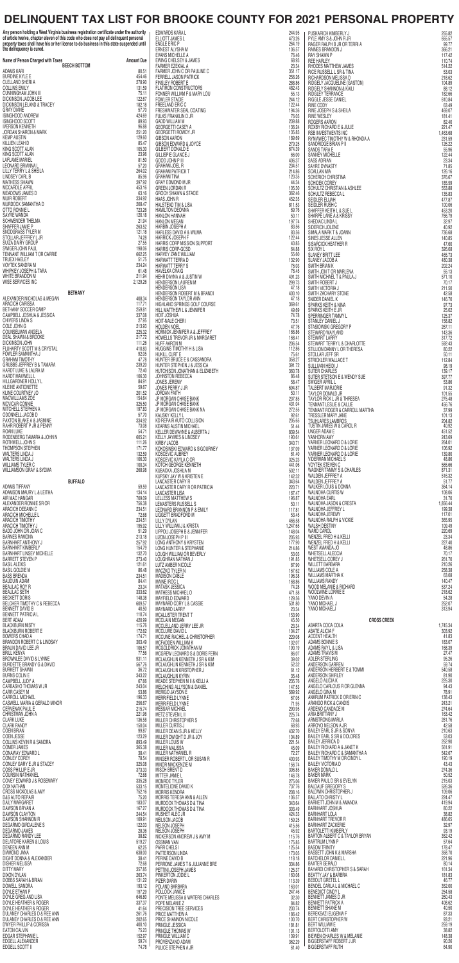## **DELINQUENT TAX LIST FOR BROOKE COUNTY FOR 2021 PERSONAL PROPERTY**

**Any person holding a West Virginia business registration certificate under the authority of article twelve, chapter eleven of this code who does not pay all delinquent personal property taxes shall have his or her license to do business in this state suspended until the delinquency is cured.**

EDWARDS KARA L 244.95 ELLIOTT JAMES L 473.26 ENGLE ERIC P 264.19 ERNEST ALYSHA M 106.57 PUSKARICH KIMBERLY J 255.82 PYLE AMY S & JOHN R JR 655.57 RAGER RALPH B JR OR TERRI A 99.77 RAINES BRANDON JUNIOR 2006.21

| Name of Person Charged with Taxes<br><b>BEECH BOTTOM</b>                                                                         | <b>Amount Due</b>                                                                                                               | EVANS MICHELLE A<br>EWING CHELSEY & JAMES<br>FARMER EZEKIAL A                                                                                                                                                                                                                                                                                                 | 76.46<br>68.93<br>23.34    | RAY SHAWN P<br><b>REE HARLEY</b><br>RHODES MATTHEW JAMES                                                                                                                                                                                           | 117.42<br>110.74<br>514.22  |
|----------------------------------------------------------------------------------------------------------------------------------|---------------------------------------------------------------------------------------------------------------------------------|---------------------------------------------------------------------------------------------------------------------------------------------------------------------------------------------------------------------------------------------------------------------------------------------------------------------------------------------------------------|----------------------------|----------------------------------------------------------------------------------------------------------------------------------------------------------------------------------------------------------------------------------------------------|-----------------------------|
| <b>ADAMS KARI</b><br>$\sim$<br><b>BURDINE KYLE E</b>                                                                             | 80.51<br>454.46                                                                                                                 | FARMER JOHN C OR PAULINE C<br>FERRELL JASON PATRICK                                                                                                                                                                                                                                                                                                           | 351.17<br>256.26           | HIDDES WATTILEW JAMES<br>RICE RUSSELL L SR & TINA<br>RICHARDSON MELISSA D<br>RIDGELY JACQUELINE (GASTON)<br>RIDGELY SHANNON & KAILI<br>RIGGLE JESSE DANIEL<br>RIGGLE JESSE DANIEL                                                                  | 53.03<br>218.62             |
| CLELLAND SHERI A<br><b>COLLINS EMILY</b>                                                                                         | 278.90<br>131.59                                                                                                                | <b>FINSLEY ROBERT E</b><br>FLATIRON CONSTRUCTORS                                                                                                                                                                                                                                                                                                              | 288.86<br>482.43           |                                                                                                                                                                                                                                                    | 104.89<br>88.12             |
| CUNNINGHAM JOHN III<br><b>DICKINSON JACOB LEE</b><br>DICKINSON LELAND & TRACEY                                                   | 75.11<br>122.67                                                                                                                 | FONNER WILLIAM F & MARY LOU<br>FOWLER STACIE<br>FREELAND ERIC C                                                                                                                                                                                                                                                                                               | 55.13<br>244.12            |                                                                                                                                                                                                                                                    | 182.66<br>610.84            |
| <b>GRAY DIANE</b><br>ISINGHOOD ANDREW                                                                                            | 182.18<br>57.70<br>424.69                                                                                                       | FRESHWATER SEAL COATING<br>FULKS FRANKLIN D JR                                                                                                                                                                                                                                                                                                                | 122.44<br>194.36<br>76.03  | <b>RINE CODY</b><br>RINE JOSEPH S & SHEILA<br><b>RINE WESLEY</b>                                                                                                                                                                                   | 63.49<br>469.07<br>181.41   |
| <b>ISINGHOOD SCOTT</b><br><b>IVERSON KENNETH</b>                                                                                 | 89.93<br>96.88                                                                                                                  | <b>GADD WILLIAM M</b><br><b>GEORGETTI CASEY A</b>                                                                                                                                                                                                                                                                                                             | 239.88<br>136.24           | ROGERS AARON<br>ROXBY RICHARD E & JULIE                                                                                                                                                                                                            | 82.40<br>221.47             |
| JORDAN SHARON & MARK<br><b>KEMP AUSTIN</b>                                                                                       | 251.20<br>129.60                                                                                                                | GEORGETTI ROWDY JR<br><b>GIBSON AARON</b>                                                                                                                                                                                                                                                                                                                     | 135.83<br>189.69           | RSB INVESTMENTS INC<br>RYNIAWEC TIMOTHY W & RHONDA A                                                                                                                                                                                               | 1,463.68<br>231.59          |
| KILLIEN LEAH D<br>KING SCOTT ALAN                                                                                                | 85.47<br>105.30                                                                                                                 | <b>GIBSON EDWARD &amp; JOYCE</b><br>GILBERT DONALD E                                                                                                                                                                                                                                                                                                          | 279.25<br>674.39           | SANDRIDGE BRIAN P II<br>SANDS TARA E                                                                                                                                                                                                               | 126.22<br>55.96             |
| KING SCOTT ALAN<br><b>LAFLAME MARIEL</b><br>LEONARD BRIANNA L                                                                    | 23.96<br>81.50<br>57.20                                                                                                         | <b>GILLISPIE GLANCE J</b><br>GOOD JOHN P III                                                                                                                                                                                                                                                                                                                  | 66.00<br>406.37            | <b>SANNEY MICHELLE</b><br><b>SASS ADRIAN</b>                                                                                                                                                                                                       | 122.44<br>23.34             |
| LILLY TERRY L & SHEILA<br><b>LINDSEY CARL B</b>                                                                                  | 264.02<br>85.96                                                                                                                 | <b>GRAHAM JOEL R</b><br><b>GRAHAM PATRICK T</b><br><b>GRAHAM TINA</b>                                                                                                                                                                                                                                                                                         | 234.51<br>214.86<br>120.35 | SAYRE DYNASTY<br><b>SCALLAN MIA</b><br>SCHERICH CHRISTINA                                                                                                                                                                                          | 71.85<br>126.16<br>376.67   |
| <b>MATHESS SHAWN</b><br>MCCARDLE APRIL                                                                                           | 397.92<br>453.16                                                                                                                | GRAY EDMOND M JR<br><b>GREEN JORDAN R</b>                                                                                                                                                                                                                                                                                                                     | 44.34<br>105.30            | SCHIDEK COREY<br>SCHULTZ CHRISTIAN & ASHLEE                                                                                                                                                                                                        | 185.59<br>553.88            |
| MEADOWS JAMES D<br><b>MUIR ROBERT</b>                                                                                            | 63.16<br>334.92                                                                                                                 | <b>GROCH SHAWN &amp; STACIE</b><br>HAAS JOHN R                                                                                                                                                                                                                                                                                                                | 362.46<br>452.35           | SCHULTZ REBECCA L<br>SEIDLER ELIJAH                                                                                                                                                                                                                | 135.83<br>477.87            |
| MURDOCK SAMANTHA D<br>OTTO RONNIE L                                                                                              | 208.47<br>723.26                                                                                                                | HALSTEAD TIM & LISA<br>HAMILTON DEONNA                                                                                                                                                                                                                                                                                                                        | 811.53<br>69.76            | SEIDLER RUSH C<br>SHAFFER KEITH L & SUE L                                                                                                                                                                                                          | 100.06<br>453.20            |
| SAYRE WANDA<br>SCHWENDER THELMA<br>SHAFFER JAMIE P                                                                               | 120.18<br>21.94<br>263.52                                                                                                       | <b>HANLON MEGAN</b><br>HARBIN JOSEPH A                                                                                                                                                                                                                                                                                                                        | 50.11<br>197.74<br>83.56   | SHARPE LANE A & KRISSY<br>SHEDIAC LINDA L<br>SIDERICH JOLENE                                                                                                                                                                                       | 766.79<br>32.97<br>40.92    |
| SNODGRASS TYLER M<br>STOLLAR JEFFREY L JR                                                                                        | 121.18<br>74.28                                                                                                                 | HARLESS DAVID A & WILMA<br><b>HARRICK JOSEPH F</b>                                                                                                                                                                                                                                                                                                            | 83.56<br>122.44            | SIMALA MARK T & JOANN<br>SINES JESSE ALLEN                                                                                                                                                                                                         | 736.68<br>140.85            |
| SUIZA DAIRY GROUP<br>SWIGER JOHN PAUL                                                                                            | 27.55<br>198.06                                                                                                                 | HARRIS CORP MISSION SUPPORT<br>HARRIS CORP-GCSD                                                                                                                                                                                                                                                                                                               | 40.85<br>64.88             | SISARCICK HEATHER R<br>SIX ROY L                                                                                                                                                                                                                   | 47.60<br>326.08             |
| TENNANT WILLIAM T OR CARRIE<br><b>TRUEX HAELEY</b>                                                                               | 662.25<br>51.75                                                                                                                 | HARVEY ZANE WILLIAM<br>HARWATT TERRA D                                                                                                                                                                                                                                                                                                                        | 55.60<br>132.90            | SLANEY BRITT LEE<br>SLANEY JACOB A                                                                                                                                                                                                                 | 465.73<br>480.38            |
| VOYTEK SANDRA M<br>WHIPKEY JOSEPH & TARA<br>WHITE BRANDON M                                                                      | 234.24<br>61.48<br>211.94                                                                                                       | <b>HARWATT TERRY S</b><br><b>HAVELKA CRAIG</b><br>HEHR DAYNA A & JUSTIN W                                                                                                                                                                                                                                                                                     | 76.03<br>76.45<br>491.23   | SMITH BRIAN K<br>SMITH JON T OR MARLENA<br>SMITH MICHAEL T & PAULA J                                                                                                                                                                               | 202.24<br>55.13<br>571.10   |
| WISE SERVICES INC                                                                                                                | 2,129.26                                                                                                                        | HENDERSON LAUREN M                                                                                                                                                                                                                                                                                                                                            | 299.73<br>47.18            | SMITH ROBERT J<br>SMITH VICTORIA J                                                                                                                                                                                                                 | 70.17<br>211.50             |
| <b>BETHANY</b><br>ALEXANDER NICHOLAS & MEGAN                                                                                     | 408.34                                                                                                                          | HENDERSON LISA<br>HENDERSON ROBERT M & BRANDI<br>HENDERSON TAYLOR ANN                                                                                                                                                                                                                                                                                         | 400.10<br>47.18            | SMITH ZACHARY STONE<br>SNIDER DANIEL K                                                                                                                                                                                                             | 42.58<br>146.70             |
| <b>ARACICH CARISSA</b><br>BETHANY SOCCER CAMP                                                                                    | 117.71<br>259.81                                                                                                                | HIGHLAND SPRINGS GOLF COURSE<br>HILL MATTHEW L & JENNIFER                                                                                                                                                                                                                                                                                                     | 369.61<br>49.69            | SPARKS KEITH & NINA<br>SPARKS KEITH E JR                                                                                                                                                                                                           | 97.73<br>25.02              |
| CAMPBELL JOSHUA & JESSICA<br>CHIVERS LINDA S<br>COLE JOHN G                                                                      | 337.08<br>27.95<br>213.93                                                                                                       | ES<br>ILINE C<br>K<br>TING<br>TING<br>E<br>2ORT<br>2ORT<br>2ORT<br>LINE<br>EY<br>ARFT<br>HOIT JOSHUA<br>HOIT-NALE CHERI<br><b>HOLDEN NOEL</b>                                                                                                                                                                                                                 | 74.78<br>73.51<br>47.76    | SPERRINGER TAMMY L<br>STANLEY DANIEL J<br>STASIOWSKI GREGORY P                                                                                                                                                                                     | 125.37<br>158.82            |
| COUNSELMAN ANGELA<br>DEAL SHAWN & BROOKE                                                                                         | 225.32<br>217.72                                                                                                                | HORNICK JENNIFER A & JEFFREY<br>HOWELLS TREVOR JR & MARGARET                                                                                                                                                                                                                                                                                                  | 166.86<br>168.41           | STEWARD WAYLAND<br>STEWART LARRY                                                                                                                                                                                                                   | 267.11<br>143.36<br>317.72  |
| DICKINSON JOHN<br>FLUHARTY SCOTT M & CRYSTAL                                                                                     | 111.26<br>410.83                                                                                                                |                                                                                                                                                                                                                                                                                                                                                               | 206.54<br>112.86           |                                                                                                                                                                                                                                                    | 592.43<br>80.22             |
| FOWLER SAMANTHA J<br><b>GRAHAM TIMOTHY</b>                                                                                       | 92.05<br>47.78                                                                                                                  |                                                                                                                                                                                                                                                                                                                                                               | 75.61<br>358.27            |                                                                                                                                                                                                                                                    | 50.11<br>112.84             |
| PARTAL<br>MARA<br>INNE<br>JOHN N<br>JOHN N<br>DMA<br>GRUBBS JEFFREY B & TAMARA<br>HARDT LUKE & LAURA M<br><b>HARDT MAXWELL L</b> | 239.20<br>72.40<br>106.30                                                                                                       | HOUGEN MORE THE MANUAL CONTRACT CONTRACT CONTRACT CONTRACT AND MANUAL THREE HOMES THREE HOMES TO THE MANUAL CONTRACT CONTRACT CONTRACT CONTRACT CONTRACT CONTRACT CONTRACT CONTRACT CONTRACT CONTRACT CONTRACT CONTRACT CONTRA                                                                                                                                | 391.72<br>360.78<br>86.48  | STEWARD WAYLAND<br>STEWARD WAYLAND<br>STEWART LARRY<br>STEWART TERRY L & CHARLOTTE<br>STELLAN DANNY L OR THERESA<br>STOLLAN HEIDI J<br>SUILER CHARLES<br>STERCKLER WALLACE T<br>SUILER ATENSING ENGERAPING<br>THERCK STERCK ENGERAPING<br>THERCK T | 98.19<br>139.17             |
| HILLGARDNER HOLLY L<br><b>KLEINE ANTIONETTE</b>                                                                                  | 84.91<br>59.67                                                                                                                  |                                                                                                                                                                                                                                                                                                                                                               | 58.47<br>694.87            |                                                                                                                                                                                                                                                    | 397.77<br>53.86<br>91.32    |
| KLINE COURTNEY JO<br>MACWILLIAMS ZOE                                                                                             | 201.52<br>154.64                                                                                                                |                                                                                                                                                                                                                                                                                                                                                               | 50.11<br>237.85            |                                                                                                                                                                                                                                                    | 101.55<br>275.48            |
| MCVICAR CONNIE<br>MITCHELL STEPHEN A                                                                                             | 325.50<br>197.83                                                                                                                |                                                                                                                                                                                                                                                                                                                                                               | 431.04<br>272.55           |                                                                                                                                                                                                                                                    | 456.76<br>37,99             |
| ODONNELL JACOB D<br>PAXTON BLAKE A & JASMINE<br>RAHR ROBERT P JR & PENNY                                                         | 57.70<br>334.92                                                                                                                 |                                                                                                                                                                                                                                                                                                                                                               | 92.61<br>205.65            |                                                                                                                                                                                                                                                    | 101.13<br>204.82<br>40.92   |
| <b>ROAN LUKE</b><br>RODENBERG TAMARA & JOHN N                                                                                    | 73.08<br>54.71<br>605.21                                                                                                        |                                                                                                                                                                                                                                                                                                                                                               | 51.44<br>839.54<br>190.61  |                                                                                                                                                                                                                                                    | 451.52<br>243.69            |
| ROTHWELL JOHN S<br>THOMPSON STEPHEN                                                                                              | 111.26<br>171.77                                                                                                                |                                                                                                                                                                                                                                                                                                                                                               | 340.71<br>137.09           |                                                                                                                                                                                                                                                    | 264.01<br>106.92            |
| WALTERS LINDA J<br>WALTERS LINDA J                                                                                               | 132.59<br>106.30                                                                                                                |                                                                                                                                                                                                                                                                                                                                                               | 61.40<br>325.23            |                                                                                                                                                                                                                                                    | 139.80<br>48.86             |
| WILLIAMS TYLER C<br><b>WILLIAMSON GRAY &amp; SYDMA</b>                                                                           | 100.34<br>268.98                                                                                                                |                                                                                                                                                                                                                                                                                                                                                               | 441.06<br>502.11           |                                                                                                                                                                                                                                                    | 565.66<br>871.31            |
| <b>BUFFALO</b><br>ADAMS TIFFANY                                                                                                  | 59.59                                                                                                                           |                                                                                                                                                                                                                                                                                                                                                               | 142.32<br>343.64           |                                                                                                                                                                                                                                                    | 516.32<br>51.77<br>364.14   |
| ADAMSON MAURY L & LEITHA<br>AIR MAC HANGAR                                                                                       | 134.14<br>709.09                                                                                                                |                                                                                                                                                                                                                                                                                                                                                               | 220.71<br>167.47<br>196.87 |                                                                                                                                                                                                                                                    | 108.06<br>31.70             |
| ALEXANDER RONNIE SR OR<br>ARACICH DEEANN C                                                                                       | 756.38<br>234.51                                                                                                                |                                                                                                                                                                                                                                                                                                                                                               | 50.11<br>117.81            |                                                                                                                                                                                                                                                    | 1,856.44<br>199.38          |
| <b>ARACICH MICHELLE L</b><br><b>ARACICH TIMOTHY</b>                                                                              | 72.68<br>234.51                                                                                                                 |                                                                                                                                                                                                                                                                                                                                                               | 53.45<br>466.58            |                                                                                                                                                                                                                                                    | 117.01<br>365.95            |
| ARACICH TIMOTHY J<br>BADO JOHN OR JOAN C                                                                                         | 195.92<br>51.29                                                                                                                 |                                                                                                                                                                                                                                                                                                                                                               | 1,247.65<br>148.04         | <b>WARD CAROL</b>                                                                                                                                                                                                                                  | 109.49<br>220.69            |
| <b>BARNES RAMONA</b><br><b>BARNHART ANTHONY J</b><br><b>BARNHART KIMBERLY</b>                                                    | 213.18<br>257.92<br>154.79                                                                                                      |                                                                                                                                                                                                                                                                                                                                                               | 205.93<br>177.90<br>214.86 | WENZEL FRED H & KELLI<br>WENZEL FRED H & KELLI<br><b>WEST AMANDA JO</b>                                                                                                                                                                            | 23.34<br>227.40<br>48.86    |
| <b>BARNHART LINSEY MICHELLE</b><br><b>BARRETT STEVEN P</b>                                                                       | 132.70<br>273.40                                                                                                                |                                                                                                                                                                                                                                                                                                                                                               | 53.03<br>191.85            | <b>WHETSELL ALECCIA</b><br>WHETSELL COREY J                                                                                                                                                                                                        | 70.17<br>261.70             |
| <b>BASIL ALEXIS</b><br><b>BASIL GOLDIE M</b>                                                                                     | 121.61<br>86.48                                                                                                                 |                                                                                                                                                                                                                                                                                                                                                               | 87.90<br>167.62            | <b>WILLETT BARBARA</b><br>WILLIAMS COLE A                                                                                                                                                                                                          | 210.26<br>258.38            |
| <b>BASS BRENDA</b><br><b>BAUDUIN ADAM</b><br><b>BEAULAC ROY R</b>                                                                | 234.51<br>84.41<br>23.34                                                                                                        |                                                                                                                                                                                                                                                                                                                                                               | 196.38<br>168.86           | WILLIAMS MARTHA K<br><b>WILLIAMS RANDY</b>                                                                                                                                                                                                         | 63.08<br>140.47             |
| <b>BEAULAC SETH</b><br><b>BECKETT DORIS</b>                                                                                      | 333.62<br>148.38                                                                                                                |                                                                                                                                                                                                                                                                                                                                                               | 74.28<br>471.58<br>129.56  | WOOD MELANIE & RICHARD<br>WOOLWINE LORRIE E<br>YANO DEVIN A                                                                                                                                                                                        | 537.24<br>218.62<br>54.28   |
| BELCHER TIMOTHY C & REBECCA<br><b>BENNETT DAVID B</b>                                                                            | 609.57<br>40.50                                                                                                                 |                                                                                                                                                                                                                                                                                                                                                               | 531.80<br>23.34            | YANO MICHAEL J<br>YANO MICHAELJ                                                                                                                                                                                                                    | 252.07<br>313.94            |
| <b>BENNETT PATRICIA L</b><br><b>BERT ADAM</b>                                                                                    | 110.74<br>420.99                                                                                                                |                                                                                                                                                                                                                                                                                                                                                               | 153.90<br>45.50            | <b>CROSS CREEK</b>                                                                                                                                                                                                                                 |                             |
| <b>BLACKBURN MISTY</b><br><b>BLACKBURN ROBERT E</b><br><b>BOWERS CHAD A</b>                                                      | 115.76<br>172.62<br>174.71                                                                                                      | MCCLELLAND JERRY LEE JR<br>MCCLURE DAVID L<br>MCCUNE RACHEL & CHRISTOPHER                                                                                                                                                                                                                                                                                     | 23.34<br>104.27<br>229.08  | ABARTA COCA COLA<br><b>ABATE ALICIA F</b><br><b>ACCENT HEALTH</b>                                                                                                                                                                                  | 1,745.34<br>303.92<br>41.83 |
| BRANDON ROBERT C & LINDSAY<br>BRAUN DAVID LEE JR                                                                                 | 303.49<br>106.57                                                                                                                | MCFADDEN WILLIAM K<br>MCGOLDRICK JONATHAN M                                                                                                                                                                                                                                                                                                                   | 132.07<br>190.19           | ADAMS BONNIE S<br>ADAMS RAY L & LISA                                                                                                                                                                                                               | 183.07<br>168.39            |
| <b>BRILL KENYA</b><br>BROWNLEE DAVID & LYNNE                                                                                     | 77.56<br>931.11                                                                                                                 | MCGREW LEONARD S & DORIS FERN<br>MCLAUGHLIN KENNETH J SR & KIM                                                                                                                                                                                                                                                                                                | 86.07<br>39.02             | ADAMS TRAVIS M<br>ADLER STERLING                                                                                                                                                                                                                   | 27.47<br>95.26              |
| BURDETTE BRANDY G & DAVID<br><b>BURKETT SHAWN</b>                                                                                | 567.76<br>36.72                                                                                                                 | MCLAUGHLIN KENNETH J SR & KIM<br>MCLAUGHLIN KENNETH J SR & KIM<br>MCLAUGHLIN KRISTOPHER J                                                                                                                                                                                                                                                                     | 52.32<br>61.12             | ANDERSON GARREN<br>ANDERSON HERBERT E & TOMMI                                                                                                                                                                                                      | 59.74<br>540.58             |
| <b>BURNS COLIN E</b><br>CAMPBELL JUDY A<br>CARBASHO THOMAS W JR                                                                  | 343.22<br>67.66<br>243.04                                                                                                       | MCLAUGHLIN KYRIN<br>MEADE STEPHEN M II & KELLI A<br>MELCHING ALLYSON & DANIEL                                                                                                                                                                                                                                                                                 | 35.48<br>235.76<br>147.53  | ANDERSON SHIRLEY<br>ANGELO ALICIA K<br>ANGELO CARLOUS R OR GLENNA                                                                                                                                                                                  | 81,90<br>225.30<br>94.43    |
| CARR CASEY M<br><b>CARROLL MICHAEL</b>                                                                                           | 53.86<br>196.33                                                                                                                 | MERIGO JAYSON E<br><b>MERRIFIELD LYNNE</b>                                                                                                                                                                                                                                                                                                                    | 589.92<br>67.05            | ANGELO GINA M<br>ANKRUM PATRICK D OR ERIN C                                                                                                                                                                                                        | 78.91<br>138.43             |
| CASWELL MARIA & GERALD MINOR<br><b>CERVENAK PAUL E</b>                                                                           | 256.67<br>215.74                                                                                                                | MERRIFIELD LYNNE<br><b>MESSAR MICHAEL</b>                                                                                                                                                                                                                                                                                                                     | 71.95<br>290.95            | ARANGO RICK & CANDIS<br>ARDENO CANDACE M                                                                                                                                                                                                           | 243.21<br>274.64            |
| CHRISTMAN JOHN A<br><b>CLARK LUKE</b>                                                                                            | 221.96<br>136.58                                                                                                                | <b>METZ STEVEN L II</b><br>MILLER CHRISTOPHER S                                                                                                                                                                                                                                                                                                               | 225.74<br>72.68            | ARIA BRITTANY J<br>ARMSTRONG MARLA                                                                                                                                                                                                                 | 163.42<br>281.76            |
| <b>CLARK RANDY</b><br><b>COEN BRIAN</b><br>COEN JESSE                                                                            | 150.04<br>99.87<br>123.29                                                                                                       | MILLER CURTIS J<br>MILLER DEAN S JR & KELLY<br>MILLER DWIGHT D JR & JOY                                                                                                                                                                                                                                                                                       | 68.93<br>432.70            | ARROYO NELSON A JR<br>BAILEY EARL S JR & SONYA<br>BAILEY EARL S SR & DOLORES                                                                                                                                                                       | 42.58<br>210.63<br>53.03    |
| COLLINS KEVIN R & SANDRA<br><b>COMER JAMES</b>                                                                                   | )SAY<br>:<br>:<br>UNINOR<br>DMINOR<br>RA<br>ACEY<br>:<br>SEMARY<br>(<br>S<br>NUIS<br>NDER<br>N<br>N<br>ACER<br>893.49<br>365,38 | LEE JR<br>HRISTOPHER<br>K<br>HAN M<br>TH J SR & KIM<br>TH J SR & KIM<br>TH J SR & KIM<br>PHER J<br>8 KELLI A<br>& DANIEL<br>R S<br>S<br>SR S<br>S<br>SR S<br>S<br>SANIEL<br>R & JOY<br>R SUSAN R<br>C<br>J & MINA<br>& JOY<br>R SUSAN R<br>J & ALLEN<br>& TINA<br>J & AMY M<br>J & AMY M<br>J & AMY M<br>J & AMY M<br>MILLER LOUIS W<br><b>MILLER MALISSA</b> | 104.89<br>221.54<br>45.09  | MMINI<br>IC<br>ISBN 44<br>ITHA A<br>IR BRYAN<br>ISBN YAN<br>SARAH<br><b>BAILEY JERRICA D</b><br>BAILEY RICHARD A & JANET K                                                                                                                         | 252.90<br>561.91            |
| CONAWAY EDWARD L<br><b>CONLEY COREY</b>                                                                                          | 38.41<br>78.54                                                                                                                  | MILLER NATHANIEL R<br>MINGER ROBERT L OR SUSAN R                                                                                                                                                                                                                                                                                                              | 72.27<br>400.93            | <b>BAILEY RICHARD C &amp; SAMANTHA A<br/>BAILEY TIMOTHY M OR CINDY L</b>                                                                                                                                                                           | 542.67<br>190.19            |
| CONLEY GARY E JR & STACEY<br>COSS PHILLIP E JR                                                                                   | 325.08<br>373.33                                                                                                                | MINOR MACKENZIE M<br>MISCH BRENT D                                                                                                                                                                                                                                                                                                                            | 156.74<br>306.85           | <b>BAILEY VICTORIA D</b><br><b>BAKER DONALD L</b>                                                                                                                                                                                                  | 43.43<br>274.36             |
| <b>COURSIN NATHANIEL</b><br>COVEY EDWARD J & ROSEMARY<br><b>COX NATHAN</b>                                                       | 72.68<br>335.28                                                                                                                 | MITTER JAMIE L<br>MONROE TYLER                                                                                                                                                                                                                                                                                                                                | 146.78<br>275.06           | <b>BAKER MARK</b><br>BAKER PAUL D SR & EVELYN                                                                                                                                                                                                      | 50.52<br>215.03             |
| CROSS NICKOLAS & AMY<br>D&S AUTO REPAIR                                                                                          | 533.15<br>752.16<br>75.20                                                                                                       | MONTELIONE DAVID K<br><b>MORRIS KENDRA</b><br>MORRIS TERESA ANN & ALLEN                                                                                                                                                                                                                                                                                       | 737.76<br>208.16<br>106.57 | <b>BALDAUF GREGORY S</b><br><b>BALDWIN CHRISTOPHER J</b><br><b>BALLATO CHRISTY L</b>                                                                                                                                                               | 526.36<br>109.06<br>224.47  |
| DAILY MARGARET<br>DAWSON BRYAN A                                                                                                 | 183.07<br>167.27                                                                                                                | MURDOCK THOMAS D & TINA<br>MURDOCK THOMAS D & TINA                                                                                                                                                                                                                                                                                                            | 343.64<br>303.49           | BARNETT JOHN M & AMANDA<br><b>BARNHART JOSHUA</b>                                                                                                                                                                                                  | 419.94<br>80.22             |
| <b>DAWSON CLAYTON</b><br>DAWSON SHANNON R                                                                                        | 244.54<br>109.91                                                                                                                | MUSHET ALEC JR<br><b>NEILSON JACOB</b>                                                                                                                                                                                                                                                                                                                        | 424.33<br>159.25           | <b>BARNHART LOLA</b><br><b>BARNHART TREVOR R</b>                                                                                                                                                                                                   | 38.82<br>486.65             |
| DEGARMO GIRDALENE S<br>DEGARMO JAMES                                                                                             | 122.03<br>28.36                                                                                                                 | NELSON JOSEPH<br>NELSON JOSEPH                                                                                                                                                                                                                                                                                                                                | 415.56<br>45.92            | <b>BARNHART ZACKERIE</b><br><b>BARTOLETTI KIMBERLY</b>                                                                                                                                                                                             | 32.97<br>93.19              |
| DEGARMO RANDY LEE<br>DELATORE KAREN & LOUIS<br>DENEEN ANN M                                                                      | 38.82<br>519.27<br>62.25                                                                                                        | NICKERSON ANDREW J & AMY M<br><b>OSSMAN VAN</b><br>PARR CHELSI                                                                                                                                                                                                                                                                                                | 115.76<br>175.85<br>125.54 | BARTON ALBERT C & TAYLOR BRYAN<br><b>BARTRUM LYNN P</b><br><b>BASOM TRINITY</b>                                                                                                                                                                    | 352.42<br>57.64<br>178.47   |
| DIAMOND JANA<br>DIGHT DONNA & ALEXANDER                                                                                          | 638.00<br>38.41                                                                                                                 | PATTERSON LINDA<br>PERINE DAVID B                                                                                                                                                                                                                                                                                                                             | 173.05<br>118.18           | <b>BASSETT JOHN K &amp; MARSHA</b><br><b>BATCHELOR DANIEL L</b>                                                                                                                                                                                    | 358.70<br>221.96            |
| <b>DISHER MELISSA</b><br><b>DITTY MARY</b>                                                                                       | 72.68<br>357.85                                                                                                                 | PERRONE JAMES T & JULIANNE BRE<br>PETTINI JOSEPH JAMES                                                                                                                                                                                                                                                                                                        | 334.86<br>125.37           | <b>BAXTER GERALD</b><br>BAYARDI CHRISTOPHER S & SARAH                                                                                                                                                                                              | 80.14<br>161.34             |
| <b>DIXON DYLAN</b><br>DOBBS SARAH & BRIAN                                                                                        | 263.74<br>131.22                                                                                                                | PINKERTON JODIE L<br>PIZER DARIN                                                                                                                                                                                                                                                                                                                              | 160.08<br>113.39           | BEATTY JAY & BARBRA<br><b>BEBOUT GRETEL L</b>                                                                                                                                                                                                      | 181.83<br>46.77             |
| DOWELL SANDRA<br>DOYLE ETHAN P<br>DOYLE GREG AND LISA                                                                            | 193.12<br>197.29<br>646.80                                                                                                      | POLAND BARBARA<br>POLLOCK JANICE<br>PONTE MELISSA & WATERS CHARLES                                                                                                                                                                                                                                                                                            | 163.01<br>247.46           | BENDEL CARLA L & MICHAEL C<br><b>BENEDICT CINDY L</b><br>BENNETT JAMES D JR                                                                                                                                                                        | 352.00<br>254.58<br>260.43  |
| DOYLE HEATHER & ROGER<br>DOYLE HEATHER & ROGER                                                                                   | 337.37<br>41.64                                                                                                                 | POPE MELANIE Z                                                                                                                                                                                                                                                                                                                                                | 32.30<br>84.82<br>230.74   | <b>BENNETT PATRICK A</b><br>BENNETT SHANE M                                                                                                                                                                                                        | 408.62<br>40.50             |
| DULANEY CHARLES D & REE ANN                                                                                                      |                                                                                                                                 |                                                                                                                                                                                                                                                                                                                                                               |                            |                                                                                                                                                                                                                                                    |                             |
| DULANEY CHARLES D & REE ANN                                                                                                      | 261.76<br>202.65                                                                                                                | PRECISION TREE SERVICES<br>PRICE MATTHEW A<br><b>PRICE SHANNON NICOLE</b>                                                                                                                                                                                                                                                                                     | 186.42<br>100.70           | BEREKSAZI EUGENIA F<br><b>BERT CHRISTOPHER W</b>                                                                                                                                                                                                   | 87.33<br>93.21              |
| <b>DWYER PHILLIP &amp; CORISSA</b><br><b>EATON CALVIN</b>                                                                        | 400.10<br>75.23                                                                                                                 | <b>PRINGLE JESSICA</b><br>PRINGLE THOMAS W                                                                                                                                                                                                                                                                                                                    | 181.81<br>101.13           | <b>BERT WILLIAM E</b><br>BERTOLOTTI AMY                                                                                                                                                                                                            | 259.19<br>38.82             |
| EDGAR STEPHANIE L<br>EDGELL ALEXANDER<br>EDGELL SCOTT II                                                                         | 152.97<br>59.74<br>74.78                                                                                                        | PRINGLE WILLIAM C<br>PROVENZANO ADAM<br>PULICE STEPHEN A JR                                                                                                                                                                                                                                                                                                   | 109.91<br>362.29<br>61.40  | <b>BIEWEN CHARLES W &amp; MELANIE</b><br><b>BIGGERSTAFF ROBERT J JR</b><br><b>BIGGERSTAFF RUTH</b>                                                                                                                                                 | 148.38<br>90.26<br>64.90    |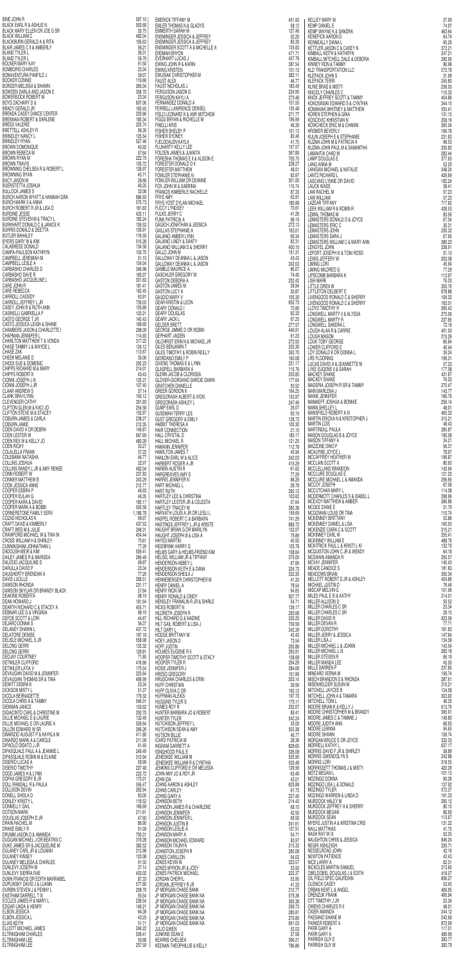| DAUGHERTY BRENDAN A                                                                                              | 77.29            |
|------------------------------------------------------------------------------------------------------------------|------------------|
| DAVIS LUCILLE<br>BLACK<br>A<br>ER<br>A<br>A<br>A<br>M<br>IEL<br>E<br>E<br>E<br>E<br>E<br>E<br>E<br>DAWSON RHONDA | 268.51<br>231.17 |
| DAWSON SKYLAR OR BRANDY BLACK                                                                                    | 57.64            |
| DEAKINS ROBERTA                                                                                                  | 98.19            |
| DEAN HOWARD J                                                                                                    | 181.64           |
| DEARTH RICHARD C & STACEY A                                                                                      | 455.71           |
| DEBNAR LEE G & VIRGINIA                                                                                          | 98.19            |
| DEFOE SCOTT & LORI                                                                                               | 44.67            |
| DEJARO DONNA S                                                                                                   | 56.37            |
| DELANEY SHAWN L                                                                                                  | 437.72           |
| DELATORE DENISE<br>DELISLE MICHAEL S JR                                                                          | 167.18<br>558.98 |
| DELONG GERRI                                                                                                     | 133.32           |
| DELONG GERRI                                                                                                     | 129.81           |
| DEOJAY COURTNEY                                                                                                  | 71.85            |
| DETWILER CLIFFORD                                                                                                | 416.66           |
| DETWILER LATIA V                                                                                                 | 175.54           |
| DEVAUGHN DAVID M & JENNIFER                                                                                      | 223.64           |
| DEVAUGHN THOMAS SR & TINA                                                                                        | 489.99           |
| DEWITT DEBRA K                                                                                                   | 23.34            |
| DICKSON MISTY L<br>DICOLA BERNADETTE                                                                             | 51.37<br>179.32  |
| DICOLA CHRIS A & TAMMY                                                                                           | 546.01           |
| DIEKMAN JANICE                                                                                                   | 103.62           |
| DIGIACINTO CARL & CHRISTINE M                                                                                    | 250.70           |
| DILLIE MICHAEL E & LAURIE                                                                                        | 132.49           |
| DILLIE MICHAEL E OR LAURIE A                                                                                     | 529.64           |
| DILLON EDWARD W SR                                                                                               | 266.26           |
| DIMARZIO AUGUST P & KAYKLA M                                                                                     | 411.80           |
| DINARDO MARK A & CAROLE                                                                                          | 211.09           |
| DIPAOLO DIDATO J JR                                                                                              | 61.40            |
| DIPASQUALE PAUL A & JEANNIE L<br>DIPASQUALE ROBIN M & ELAINE                                                     | 249.49           |
| DISERIO LUCAS A                                                                                                  | 313.94<br>59.99  |
| DISERIO TIMOTHY                                                                                                  | 227.48           |
| DODD JAMES H & LYNN                                                                                              | 223.72           |
| DOFKA GREGORY B JR                                                                                               | 173.01           |
| DOLL RANDALL R & PAULA                                                                                           | 556.47           |
| DOLLISON DEVIN                                                                                                   | 262.94           |
| DONELL SHEILA D                                                                                                  | 83.00            |
| DONLEY KRISTY L                                                                                                  | 119.52           |
| DONNELLY GAIL                                                                                                    | 169.69           |
| DOTSON MARK<br>DOUGLAS JOSEPH D JR                                                                               | 211.61<br>47.60  |
| <b>DRAIN RACHEL M</b>                                                                                            | 86.90            |
| drake emily r                                                                                                    | 91.09            |
| DRUMM JASON D & AMANDA                                                                                           | 700.31           |
| DUGGAN MICHAEL J OR BEATRIX C                                                                                    | 319.28           |
| DUKE JAMES SR & JACQUELINE M                                                                                     | 382.52           |
| DULANEY CARL JR & LOUANN                                                                                         | 213.98           |
| DULANEY KINSEY                                                                                                   | 123.08           |
| DULANEY MELISSA & CHARLES                                                                                        | 91.50            |
| DUNLEVY JOSEPH W<br><b>DUNLEVY SIERRA RAE</b>                                                                    | 37.14<br>403.02  |
| DUNN FRANCIS OR EDITH MARRABEL                                                                                   | 87.33            |
| DUPLINSKY DAVID J & LUANN                                                                                        | 577.80           |
| DURBIN STEVEN J & PENNY L                                                                                        | 208.79           |
| EASTHAM DARRELL T III                                                                                            | 55.54            |
| ECCLES JAMES R & MARY L                                                                                          | 239.54           |
| EDGAR LINDA & HENRY                                                                                              | 149.21           |
| <b>ELBON JESSICA</b>                                                                                             | 64.39            |
| ELBON JESSICA L                                                                                                  | 40.25            |
| ELIAS KEITH                                                                                                      | 51.71            |
| ELLIOTT MICHAEL JAMES<br>ELTRINGHAM CHARLES                                                                      | 246.22<br>509.41 |
| ELTRINGHAM LEE                                                                                                   | 50.68            |
| ELTRINGHAM LEE                                                                                                   | 257.59           |
|                                                                                                                  |                  |

BINE JOHN R 597.10 BLACK EARL R & ASHLIE N 593.68 BLACK MARY ELLEN OR JOE G SR<br>BLACK WILLIAM C 482.04 BLACK WILLIAM C<br>BLACKBURN GERALD A & RITA BLACKBURN GERALD A & RITA 195.63<br>BLAIR JAMES C II & AMBERLY 195.631 BLAIR JAMES C II & AMBERLY 56.21<br>BLAND TYLER L 36.31 BLAND TYLER L<br>BLAND TYLER L<br>56.79 BLAND TYLER LETTER AND TYLER A 1999 SO 2008 A 1999 SO 2009 SO 2009 SO 2009 SO 2009 SO 2009 SO 2009 SO 2009 SO 2009 SO 2009 SO 2009 SO 2009 SO 2009 SO 2009 SO 2009 SO 2009 SO 2009 SO 2009 SO 2009 SO 2009 SO 2009 SO 2009 SO BOLNER MARY KAY 81.50 BOMBORIS CHARLES 23.34 BONAVENTURA PANFILO JUNISIPADA EN 1990.07 BOOKER CONNIE 119.66 BORDER MELISSA & SHAWN 265.04 BOWDEN DARLA AND JASON E 358.70<br>BOWERSOCK ROBERT M 33.34 BOWERSOCK ROBERT M<br>BOYD ZACHARY D & 607.06 BOYD ZACHARY D & 607.06 BRADY GERALD JR<br>BRENDA CASEY DANCE CENTER 1999 1999 1999 1999 1999 1999 233.66 BRENDA CASEY DANCE CENTER 233.66 BRENNAN ROBERT & DARLENE 185.34 BRESS VALERIE ET ALEMENT AUCTORITY (STATE AND ALEXANDRE 225.74 PRETTELL ASHLEY R BRETTELL ASHLEY R 96.30 BRINDLEY NANCY L<br>125.54 BRINDLEY RYAN 527.46<br>BROWN DOMONIQUE 40.92 BROWN DOMONIQUE 40.92<br>BROWN REBECA M 40.92 BROWN REBECA M 57.64<br>BROWN RYAN M 5222.79 BROWN RYAN M<br>BROWN TRAVIS 105.72 BROWN TRAVIS 105.72<br>BROWNING CHELSEA R & ROBERT L BROWNING CHELSEA R & ROBERT L 126.97 BROWNING RYAN 45.71 BUCY JASON M 26.68 BUERSTETTA JOSHUA 46.35 BULLOCK JAMES S 32.08 BURCH AARON WYATT & HANNAH GRA<br>BURCH MARK II & ANNA 686.93 BURCH MARK II & ANNA<br>BURCH ROBERT R JR & LISA D<br>181.83 BURCH ROBERT R JR & LISA D<br>BURDINE JESSE 183.11 BURDINE JESSE 433.11 BURDINE STEVEN M & TRACY L<br>182.24 BURKHART DONALD C & JANICE K 106.53 BURRIS DONALD & DEETTA 109.91 BUTLER BAHALEY 116.59 BYERS GARY W & KIM 510.28 CALABRESE DONALD 134.58 CAMPA‐PAULSON KATHRYN 100.70 CAMPBELL JEREMIAH M<br>CAMPBELL LESLE A 61.10 CAMPBELL LESLE A 104.04<br>
CARBASHO CHARLES D<br>
346.98 CARBASHO CHARLES D 346.98 CARBASHO DAVE R 183.07 CARBASHO JACQUELINE L<br>CARE JOHN R 301.83 CARE JOHN R 181.41 CARE REBECCA 162.45 CARROLL CASSIDY 63.91 CARROLL JEFFREY L JR 739.03 CASEY JOHN R & RUTH ANN 155.89<br>CASINELLI GABRIELLA P 103.21 CASINELLI GABRIELLA P 103.21<br>CASTO GEORGE T JR 140.43 CASTO GEORGE TURK AND THE SERVICE OF SALE AND THE STATE OF STATE OF STATE OF STATE OF STATE OF STATE OF STATE O CASTO JESSICA LEIGH & SHANE 169.69 CASTO JESSICA LEIGH & SHANE<br>CHAMBERS JASON & CHARLOTTE I<br>CHAPMAN JENNIFER L CHAPMAN JENNIFER L<br>CHARLTON MATTHEW T & VONDA 114.93 317.22 CHARLTON MATTHEW T & VONDA 317.22 CHASE TAMMY J & WAYDE L 124.12 CHASE ZAK 113.67 CHEEK MELANIE D 35.06 CHIODI SUE & DOMENIC<br>CHIPPS RICHARD M & MARY 214.01 CHIPPS RICHARD M & MARY 214.01<br>CHIPPS ROBERT K 2008 214.01 CHIPPS ROBERT K 43.43<br>CIONNI JOSEPH J III 125.37 CIONNI JOSEPH J III 125.37<br>CIONNI JOSEPH J JR CLONNI JOSEPH J JR 107.40<br>CLAAR ANDREW S 37.14 CLAAR ANDREW S 37.14<br>CLARK BRAYLYNN 193.12 CLARK BRAYLYNN 193.12<br>CLEVENGER CATHY 1938 1939 1939 1931.83 CLEVENGER CATHY 301.83 CLIFTON GLEN M & KACI JO 254.58 CLIFTON STEVE M & STACEY 152.97 COBURN JAMES & CARLA 238.27<br>COBURN JAME<br>212.35 221.35 COBURN JAMIE 212.35<br>COEN DAVID A OR DEBRA 2135 2212.35 COEN DAVID A OR DEBRA 149.87<br>
COEN LESTER W 667.69 COEN LESTER W 667.69<br>
COEN REX W & KELLY JO COEN REX W & KELLY JO 480.28<br>COEN RICKY 30.27 COEN RICKY 30.27<br>COLALELLA FRANK 37.22 COLALELLA FRANK 37.22<br>COLEBANK NATASHA 37.22 COLEBANK NATASHA 46.77<br>COLEBANK NATASHA 46.77 COLLINS JOSHUA 32.97<br>COLLINS RANDY L JR & AMY RENEE 482.04 COLLINS RANDY L JR & AMY RENEE<br>
CONN ROBERT W<br>
237.83 CONN ROBERT W 237.83<br>
CONNER MATTHEW B 243.29 CONNER MATTHEW B<br>COOK JESSICA ANNE 212.77 COOK JESSICA ANNE 212.77<br>COOPER DEBRA P 21.277 COOPER DEBRA P 46.93<br>COOPER EULAH G 46.35 COOPER EULAH G<br>COOPER KARA & DAVID<br>185.17 COOPER KARA & DAVID 185.17 COOPER MARK A & BOBBI 592.58 CORNERSTONE FAMILY SERV 1,186.78 COZAD NICHOLAS K 99.97 CRAFT DAVID & KIMBERLY 437.53 CRAFT WES M & JULIE<br>
CRAFT WES M & JULIE<br>
CRAWFORD MICHAEL W & TINA M CRAWFORD MICHAEL W & TINA M<br>CROSS WILLIAM H & SHIRLEY 75.61 2022 CROSS WILLIAM H & SHIRLEY 75.61<br>CUNNINGHAM JOHNATHAN L CUNNINGHAM JOHNATHAN L 77.29 DADOUSH MEIR & KIM 929.41 DAILEY JAMES R & MARISSA<br>DALESIO JACQUILINE D<br>99.87 DALESIO JACQUILINE D 99.87 DARULLA DAVID P

EMERICK TIFFANY M 451.93 EMLER THOMAS N & GLADYS 58.12 EMMERTH SARAH M 127.46 ENSMINGER JESSICA & JEFFREY 52.20 ENSMINGER JESSICA & JEFFREY 85.30<br>ENSMINGER SCOTT A & MICHELLE A 85.30 85.30 ENSMINGER SCOTT A & MICHELLE A 135.83<br>ERDMAN BRYON 171.71 ERDMAN BRYON 471.71<br>EVERHART LUCAS J EVERHART LUCAS J<br>EWING JOHN R & KARIN 387.54 EWING JOHN R & KARIN 387.54<br>EWING KRISTEN 2000 2000 2000 387.54 EWING KRISTEN 101.13 EWUSIAK CHRISTOPHER M 382.11 FAUST ALEX 46.77 FAUST NICHOLAS J 183.49 FERGUSON JASON G 224.95 FERGUSON KAYLI A 273.48 FERNANDEZ DONALD A 101.55 FERRELL LAWRENCE DENSEL 155.48 FIELD LEONARD K & AMY MITCHEM 271.77 FIGGS BRYAN & RICHELLE M<br>FINELLI KRIS<br>46.39 199.99 FINELLI KRIS 46.39 FISHER SHELBY P 101.13 FISHER SYDNEY 82.46 FJELDDALEN KAYLA 41.75 FLUHARTY KELLY LEE<br>FOLDEN JAMES & JUANITA FOLDEN JAMES & JUANITA 367.89 FORESHA THOMAS E II & ALISON E<br>FORESTER DONALD D II FORESTER DONALD D II<br>FORESTER MATTHEW 48.01 FORESTER MATTHEW 48.01 FOWLER STEPHANIE N 83.97<br>FOWLER WILLIAM OR DEANNE 801.00 FOWLER WILLIAM OR DEANNE 301.00 FOX JOHN W & SABRINA 110.74 FRANCIS KIMBERLE RACHELLE **AUGUST 1999** 87.33 FRYE AMY 63.91<br>FRYE-YOST DYLAN MICHAEL 63.91 180.98 FRYE‐YOST DYLAN MICHAEL 180.98<br>FUCCY LYNDSEY 180.98 FUCCY LYNDSEY 70.61<br>FULKS JERRY C 41.26 FULKS JERRY C 41.26<br>FUNK PATRICIA A 498.19 FUNK PATRICIA A 98.19<br>GAGICH JONATHAN & JESSICA 272.13 GAGICH JONATHAN & JESSICA 272.13 GAILLAS STEPHANIE A 163.01 GALIANO AMBER LYNN 69.34 GALIANO LINDY & SANTY 82.31 GALIANO WILLIAM D & SHERRY 400.10 GALIANO WILLIAM D & SHERRY<br>GALLO JOHN M<br>GALLOWAY DEANNA L & JASON GALLOWAY DEANNA L & JASON GALLOWAY DEANNA L & JASON 43.43<br>GALLOWAY DEANNA L & JASON 43.43 242.03 GALLOWAY DEANNA L & JASON 242.03<br>GAMBLE MAURICE A 26.07 GAMBLE MAURICE A 86.07<br>GASCHLER GREGORY M GASCHLER GREGORY M<br>GASTON DEBORA A 232.42 GASTON DEBORA A 232.42<br>GASTON JAMES M 239.94 GASTON JAMES M<br>GASTON LUCY A 30.87 GASTON LUCY A 30.87 GAUDIO MARY V 105.30 GEAR KRISTIN & LEON 652.73 GEARY DONALD I 72.66 GEARY DOUGLAS 82.33 GEARY JACK LETTER STATES AND RESERVE TO A STRUCK A STRUCK OF STATES AND RESERVE TO A 277.57 GELDER BRETT 277.57<br>GEORGE JIMMIE D OR ROBIN 2009 2009 2009 2009 2446.91 GEORGE JIMMIE D OR ROBIN 446.91 (1995) 446.91 (1995) 446.91 (1996) 446.91 (1996) 446.91 (1997) 446.91 (1997) 446.91 (1997) 446.91 (1997) 446.91 (1997) 446.91 (1997) 451.23 GEPHART JAIDEN 61.23 GILCHRIST ERIN N & MICHAEL JR<br>GILES BENJAMIN T GILES BENJAMIN T 225.30 GILES TIMOTHY & ROBIN REILLY 363.70 GIORDANO EMILY P
160.08 GIVENS THOMAS E & LYNN 231.17 GLASPELL BARBARA A 115.76 GLENN JACOB & CLORISSA 253.85 GLOVER-GIORDANO DARCIE DAWN 177.64 GRATCHEN DANIELLE 50.52<br>GREER GORDON K GREER GORDON K 164.25 GREGORASH ALBERT & VICKI 153.97 GREGORASH ASHLEY L 247.46 GUMP EARL D 29.07 GUSEMAN TERRY LEE 93.19 GUST GREGORY & EMILY 28.73 HABBIT THERESA A 105.30 HAIR CONNECTION 21.10<br>
HALL CRYSTAL D 185.17 HALL CRYSTAL D<br>
HALL MICHAEL R<br>
121.25 HALL MICHAEL R<br>HAMANN JENNIFER 112.78 (1999) HAMANN JENNIFER<br>HAMILTON JAMES T HAMILTON JAMES T<br>HANLON EARL W & ALICE 45.94 HANLON EARL W & ALICE 242.03<br>
HARBERT ROGER A JR HARBERT ROGER A JR 415.29 HARBIN AUSTIN R 61.62 HARGREAVES AMY STATE AND THE SERVICE STATES AND THE STATES AND THE STATES AND THE STATES AND THE STATES AND THE STATES AND THE STATES AND THE STATES AND THE STATES AND THE STATES AND THE STATES AND THE STATES AND THE STATE HARRIS JENNIFER N 88.28 HART MICHAEL L 28.78 HART RUTH 290.12 HARTLEY LEE & CHRISTINA 103.62 HARTLEY LESTER JR & CELESTA 57.64 HARTLEY TRACEY M 360.36 HARVATH LOUIS A JR OR LESLI L<br>159.69 HASPEL ROBERT C & BARBARA 741.29 HASTINGS JEFFREY L JR & KRISTE 889.72 HAUGHT BRIAN G OR MARILYN 132.07 HAUGHT JOSEPH B & LISA A 79.89 HAYES MARTIN A CHANNEL CHANNEL AND ACTUAL AND ACTUAL ACTION AND ACTUAL ACTION AND ACTUAL ACTION AND ACTUAL ACTION AND ACTION AND ACTION AND ACTION AND ACTION AND ACTION AND ACTION AND ACTION AND ACTION AND ACTION AND ACTIO HEIDBRINK HARRY G<br>HELMS GARY & HELMS-FRIEND KIM 125.78 125.78 108.64 HELMS GARY & HELMS-FRIEND KIM 108.64<br>HELSEL WILLIAM JR & TIFFANY 108.64 HELSEL WILLIAM JR & TIFFANY 375.05<br>HENDERSON ABBEY LASH AND THE STATE STATES 375.05 HENDERSON ABBEY LAST MET A STREET A STREET A STREET A STREET A STREET A STREET A STREET A STREET A STREET A ST HENDERSON KEITH E & DANA 324.73

KELLEY MARY M 37.99 KEMP DANIEL E 74.97 KEMP WAYNE K & SANDRA 463.64 KENEFICK AARON D KENNEALLY DIANA L $_{95.26}$ KETTLER JASON C & CASEY N 372.21 KIMBALL KEITH & KATHRYN 247.21 KIMBALL MITCHELL DALE & DEBORA 290.95 KINNEY RON & TAMMY 86.98 KLD TRANSPORTATION LLC 672.78 KLEPACK JOHN S 31.99 KLEPACK TERRI 245.80 KLINE BRAD & MISTY 236.05 KNICELY CHARLES C 110.32 KNOX JEFFREY SCOTT & TAMMY 454.86 KOKOSINSKI EDWARD S & CYNTHIA<br>
KOMANIAK WHITNEY & MATTHEW KOMANIAK WHITNEY & MATTHEW 555.41 KOREN STEPHEN & GINA 131.13 KOSCEVIC KHRISTIAN N 208.16 KOSCEVIC KHRISTIAN N<br>KOWCHECK ERIC M & CHANIN<br>KROMER BEVERLY 265.04 KROMER BEVERLY<br>KULIN JOSEPH E & STEPHANIE<br>231.83 KULIN JOSEPH E & STEPHANIE 231.83 KUZMA JOHN M & PATRICIA A 96.53 KUZMA JOHN PAUL M & SAMANTHA 230.82 LAMANTIA CHAD M 283.44 LAMP DOUGLAS E 377.63<br>LANG ANNA M 32.20 LANG ANNA M 52.20<br>
LANGAN MICHAEL & NATALIE<br>
348.24 LANIGAN MICHAEL & NATALIE<br>LANTZ RICHARD L<br>429.69 LANTZ RICHARD L<br>LASCANO LYNNE OR DAVID LASCANO LYNNE OR DAVID<br>LAUCK WADE 182.24<br>38.41 LAUCK WADE 38.41 2002 12:00 2012 12:00 2012 12:00 38.41 38.41 39.41 LAW RACHEL M 57.23 LAW WILLIAM 57.23 LAZEAR TIFFANY 717.82 LEEK WILLIAM R & ROBIN R 428.53 LEMAL THOMAS M<br>
LEMASTERS DONALD D & JOYCE 67.04 LEMASTERS DONALD D & JOYCE 67.04 67.04 67.04 67.04 LEMASTERS ERIC C 30.31<br>LEMASTERS JOHN 230.32 LEMASTERS JOHN 230.32<br>LEMASTERS SARA JUNEAU AREA EN 2009 230.32 LEMASTERS SARA JUNISIAN SARA SERI SERI SERI SERI SARA SERI SASI SERI SASI SERI SASI SI SI SI SI SI SI SI SI SI<br>LEMASTERS WILLIAM C & MARY ANN LEMASTERS WILLIAM C & MARY ANN 389.23 LENGYEL JOHN 338.91 LEPORT JOSEPH III & TONI ROSS 51.10 LEWIS JEFFERY W 203.58 LIMING LORI 11 11 12 15.94<br>LIMING MILDRED G 77.29 LIMING MILDRED G 77.29<br>LIPSCOMB BARBARA K 113.67 LIPSCOMB BARBARA K 113.67<br>LISH MARK 113.67 113.67 LISH MARK 76.03<br>LITTLE OREN W 350.76 LITTLE OREN W 350.76<br>LITTLETON DELBERT E 2000 2000 2000 2000 378.88 LITTLETON DELBERT E 978.88 LIVENGOOD RONALD C & SHERRY 106.32<br>LIVENGOOD RONALD C & SHERRY 163.01 LIVENGOOD RONALD C & SHERRY 163.01 LLOYD TIMOTHY R 260.43 LONGWELL MARTY II & ALYSSA 275.06 LONGWELL MARTY R 237.85 LONGWELL SANDRA L<br>
LOUGH ALAN R & CARRIE LOUGH ALAN R & CARRIE 451.93<br>
LOUGH MASON 210.26 LOUGH MASON 210.26<br>LOUK TOBY GEORGE 200206 20020 210.26 200304 LOUK TOBY GEORGE 66.84<br>LOWER CLIFFORD E 40.44 LOWER CLIFFORD E 40.44<br>LOY DONALD K OR DONNA L LOY DONALD K OR DONNA L<br>
LRS FLOORING 196.31 LRS FLOORING 196.31 LUCAS DAVID A & JEANNETTE M 57.23 LYKE EUGENE II & SARAH 177.08 MACKEY SHANE 431.87 MACKEY SHANE 76.03 MADERIA JOSEPH R SR & TAMMY 270.47<br>MAIN MARLENA J 143.77 MAIN MARLENA J 143.77 MAINE JENNIFER 166.76 MAMAEFF JOSHUA & BONNIE<br>MANN SHELLEY LAND ASSAMENT AND ASSAMENT AND ASSAMENT ASSAMENT ASSAMENT ASSAMENT ASSAMENT ASSAMENT ASSAMENT ASSAMENT ASSAMENT ASSAMENT ASSAMENT ASSAMENT ASSAMENT ASSAMENT ASSAMENT ASSAMENT ASSAMENT A MANN SHELLEY L 48.01 MANSFIELD ROBERT A III 465.32<br>MARTIN ERICKA N & KRISTOPHER J MARTIN ERICKA N & KRISTOPHER J<br>MARTIN LOIS 48.43 MARTIN LOIS 48.43<br>MARTINDILL PAULA 285.87 MARTINDILL PAULA<br>MASON DOUGLAS B & JOYCE 190.58 MASON DOUGLAS B & JOYCE 190.58<br>MASON TIFFANY A 190.58 MASON TIFFANY A 34.21<br>MAZZONE DINO P 56.37 MAZZONE DINO P 56.37 MCALPINE JOYCE L 78.97 MCCAFFREY HEATHER M 196.87 MCCLAIN SCOTT A 80.63 MCCLELLAND BRANDON 142.94 MCCLURE DOUGLAS E<br>MCCLURE MICHAEL L & AMANDA<br>256.65 MCCLURE MICHAEL L & AMANDA 256.65 MCCOY JOSEPH 67.06<br>MCCUTCHAN MARY L MCCUTCHAN MARY L<br>114.08 MCDERMOTT CHARLES S & ISABEL L 298.96 MCEVOY MATTHEW & AMBER 366.86 MCGEE DIANE E 51.79 MCGOWAN LOUIS OR TINA 110.74 MCKENNEY BRITTANY 53.86 MCKENNEY DANIEL & LISA 160.50 MCKENZIE CIARA C & SCOTT<br>MCKINNEY EARL W<br>MCKINNEY EARL W MCKINNEY EARL WAS CONTROLLED FOR A 255.41 FOR A 255.41 FOR A 255.41 FOR A 255.41 FOR A 255.41 FOR A 255.41 FOR A 256.41 FOR A 256.41 FOR A 256.76 FOR A 256.76 FOR A 256.76 FOR A 256.76 FOR A 256.76 FOR A 256.76 FOR A 256.7 MCKINNEY WILLIAM E<br>MCKITRICK PAUL L & KRISTI L KI MCKITRICK PAUL L & KRISTI L KI 132.70 MCQUISTON JOHN C JR & WENDY 64.18 MCSWAIN AMANDA R 250.57 MCVAY JENNIFER 140.43 MEADE CANDICE S

| 7.29         | <b>HENDERSON SHEILA J</b>                                     | 332.35           |
|--------------|---------------------------------------------------------------|------------------|
| 8.51         | HENNEBERGER CHRISTOPHER M                                     | 41.33            |
| 1.17<br>7.64 | <b>HENRY DANIEL A</b>                                         | 78.54            |
| 8.19         | <b>HENRY RICKI M</b><br><b>HENRY RONALD &amp; CINDY</b>       | 94.65<br>507.77  |
| 1.64         | HENSLEY FRANKLIN R JR & SHIRLE                                | 54.71            |
| 5.71         | <b>HICKS ROBERT N</b>                                         | 139.17           |
| 8.19         | HILDRETH JOSEPH R                                             | 292.68           |
| 4.67         | HILL RICHARD G & NADINE                                       | 330.25           |
| 6.37         | HILT GAIL ROBERT & LISA J                                     | 709.58           |
| 7.72         | <b>HILT GARY L</b>                                            | 342.39           |
| 7.18         | <b>HODGE BRITTANY M</b>                                       | 43.43            |
| 8.98         | <b>HOEY JASON D</b>                                           | 73.54            |
| 3,32         | <b>HOFF JUSTIN</b>                                            | 293.88           |
| 9.81<br>1.85 | HOLMES EUGENE R II<br><b>HOOPER TIMOTHY SCOTT &amp; STACY</b> | 250.91<br>158.68 |
| 6.66         | <b>HOOPER TYLER R</b>                                         | 294.29           |
| 5.54         | HOSIE JENNIFER J                                              | 284.69           |
| 3.64         | HRESO GREGORY                                                 | 101.96           |
| 9.99         | <b>HRUSCHAK CHARLES &amp; ERIN</b>                            | 203.14           |
| 3.34         | HUFF CHRISTIAN                                                | 36,56            |
| 1.37         | HUFF OLIVIA C OR                                              | 193.12           |
| 9.32         | <b>HUFFMAN ALEXIS</b>                                         | 197.70           |
| 6.01         | <b>HUGGINS TYLER S</b>                                        | 175.11           |
| 3.62<br>0.70 | <b>HUMES ROY R</b><br>HUNTER BARBARA JO & ROBERT              | 252.07<br>89.41  |
| 2.49         | <b>HUNTER TYLER</b>                                           | 542.24           |
| 9.64         | <b>HUTCHISON JEFFREY L</b>                                    | 35.00            |
| 6.26         | <b>HUTCHISON SEAN &amp; AMY</b>                               | 553.38           |
| 1.80         | <b>HUTSON BILLIE</b>                                          | 46.77            |
| 1.09         | ICARD PATRICIA M                                              | 28.36            |
| 1.40         | <b>INGRAM GARRETT A</b>                                       | 828.65           |
| 9.49         | <b>ISINGHOOD PAUL E</b>                                       | 326.08           |
| 3.94<br>9.99 | JENESKEE WILLIAM M<br>JENESKEE WILLIAM R & CYNTHIA            | 525.95<br>533.48 |
| 7.48         | JENKINS CLIFFORD E OR MELISSA                                 | 129.56           |
| 3.72         | JOHN AMY JO & ROY JR                                          | 63.49            |
| 3.01         | JOHN IDA                                                      | 43.01            |
| 6.47         | JOHNS AARON & ASHLEY                                          | 625.88           |
| 2.94         | <b>JOHNS CARLEY</b>                                           | 61.73            |
| 3.00         | JOHNS GARY A                                                  | 227.40           |
| 9.52         | JOHNSON BETH                                                  | 214.43           |
| 9.69<br>1.61 | JOHNSON JAMES R & CHARLENE<br>JOHNSON JENNIFER                | 68.10<br>42.50   |
| 7.60         | <b>JOHNSON JENNIFER L</b>                                     | 69.50            |
| 6.90         | <b>JOHNSON JUSTIN B</b>                                       | 241.61           |
| 1.09         | <b>JOHNSON LESLIE A</b>                                       | 137.51           |
| 0.31         | JOHNSON MARY A                                                | 54.71            |
| 9.28         | JOHNSON MICHAEL EDWARD                                        | 83.97            |
| 2.52         | <b>JOHNSON TAUNYA</b>                                         | 215.33           |
| 3.98<br>3.08 | <b>JOHNSTON JOSEPH R</b>                                      | 280.08           |
| 1.50         | <b>JONES CARILLON</b><br>JONES KEVIN W                        | 94.02<br>323.57  |
| 7.14         | JONES MYRON JR & JOEY                                         | 33.92            |
| 3.02         | JONES PATRICK MICHAEL                                         | 222.37           |
| 7.33         | JORDAN CHERYL                                                 | 53.95            |
| 7.80         | JORDAN JEFFREY R JR                                           | 41.33            |
| 8.79         | JP MORGAN CHASE BANK                                          | 212.77           |
| 5.54         | JP MORGAN CHASE BANK NA                                       | 579.36           |
| 9.54         | JP MORGAN CHASE BANK NA                                       | 365.38           |
| 9.21<br>4.39 | JP MORGAN CHASE BANK NA<br>JP MORGAN CHASE BANK NA            | 299.73<br>285.81 |
| 0.25         | JP MORGAN CHASE BANK NA                                       | 270.89           |
| 1.71         | JP MORGAN CHASE BANK NA                                       | 691.03           |
| 6.22         | <b>JULIO GWEN</b>                                             | 53.03            |
| 9.41         | <b>JUNKINS SEAN E</b>                                         | 37.58            |
| 0.68         | <b>KEARNS CHELSEA</b>                                         | 366.21           |
| 7.59         | KEENAN THEOPHILUS & KELLY                                     | 786.86           |

| 35                    | <b>MEADOWS BRIAN</b>                                            | 350.34           |
|-----------------------|-----------------------------------------------------------------|------------------|
| 33                    | MELLOTT ROBERT D JR & ASHLEY                                    | 454.86           |
| 54                    | MICHAEL JUSTIN D                                                | 76.46            |
| 65                    | <b>MIDCAP MELVING</b>                                           | 101.96           |
| 77                    | MILES PAUL E III & KATHY                                        | 214.01           |
| 71                    | <b>MILLER ALLISON D</b><br>MILLER CHARLES C SR                  | 50.52<br>23.34   |
| 17                    | <b>MILLER CHARLES C SR</b>                                      | 28.15            |
| 68<br>25              | MILLER DAVID R                                                  | 923.56           |
| 58                    | <b>MILLER DEVAN R</b>                                           | 77.71            |
| 39                    | <b>MILLER DOROTHY</b>                                           | 181.83           |
| 43                    | MILLER JERRY & JESSICA                                          | 147.84           |
| 54                    | <b>MILLER LISA J</b>                                            | 134.58           |
| 88                    | MILLER MICHAEL L & JOANN                                        | 143.54           |
| 91                    | <b>MILLER MICHAEL L III</b>                                     | 282.18           |
| 68                    | <b>MILLER STEVEN R</b>                                          | 66.19            |
| 29                    | MILLER WANDA LEE                                                | 45.50            |
| 69                    | <b>MILLS DARREN P</b>                                           | 237.85           |
| 96<br>14              | MINEARD VERNA M<br><b>MISCH BRANDON S &amp; RHONDA</b>          | 156.74<br>287.61 |
| 56                    | <b>MISENHELDER SUSAN M</b>                                      | 310.21           |
| 12                    | <b>MITCHELL JAYCEE B</b>                                        | 134.58           |
| 70                    | MITCHELL JOHN A & TAMARA                                        | 303.92           |
| 11                    | MITCHELL TONI L                                                 | 46,35            |
| 07                    | MOORE BRIAN K & KELLY J                                         | 613.76           |
| 41                    | <b>MOORE CHRISTOPHER M &amp; BRANDY</b>                         | 395.91           |
| 24                    | MOORE JAMES C & TAMMIE J                                        | 148.80           |
| 00                    | MOORE JUDITH ANN                                                | 68.93            |
| 38                    | <b>MOORE LEANNA</b>                                             | 94.65            |
| 77                    | <b>MOORE SHAWN</b>                                              | 156.74           |
| 36                    | <b>MORGAN BRUCE E OR JOYCE</b><br>MORRELL KATHY L               | 332.33<br>637.17 |
| 65<br>08              | MORRIS DAVID F JR & SHIRLEY                                     | 58.89            |
| 95                    | <b>MORRIS GWENDOLYN S</b>                                       | 242.88           |
| 48                    | Morris Lori                                                     | 318.55           |
| 56                    | <b>MORRISSETT THOMAS J &amp; MISTY</b>                          | 420.29           |
| 49                    | MOTZ MEGAN L                                                    | 101.13           |
| 01                    | MOZINGO DONNA                                                   | 90.26            |
| 88                    | <b>MOZINGO LISA L &amp; DONALD</b>                              | 137.92           |
| 73                    | MOZINGO TYLER                                                   | 572.37           |
| 40                    | <b>MOZINGO WARREN &amp; LINDA D</b>                             | 191.33           |
| 43                    | <b>MURDOCK HALEY M</b><br><b>MURDOCK JEFFREY A &amp; SHERRY</b> | 290.12<br>80.15  |
| 10<br>50              | <b>MURDOCK MEGAN</b>                                            | 86,90            |
| 50                    | <b>MURDOCK SEAN</b>                                             | 113.67           |
| 61                    | <b>MYERS JUSTIN A &amp; KRISTINA CRIS</b>                       | 131.22           |
| 51                    | <b>NAILL MATTHIAS</b>                                           | 41.75            |
| 71                    | NASH RAY W III                                                  | 52.35            |
| 97                    | <b>NAUGHTON CHRIS &amp; JESSICA</b>                             | 846.24           |
| 33                    | <b>NEGRI ASHLEIGH</b>                                           | 220.71           |
| 08                    | NESSELROAD JOHN                                                 | 42.16            |
| 02                    | <b>NEWTON PATIENCE</b>                                          | 43.43            |
| 57                    | NICE LARRY A<br>NICKOLES MARTIN SAMUEL                          | 82.31<br>213.60  |
| 92<br>$\overline{37}$ | OBELDOBEL DOUGLAS J & EDITH                                     | 418.07           |
| 95                    | OIL FIELD SPEC GAURDIAN                                         | 856.27           |
|                       | <b>OLENICK CASEY</b>                                            | 53.45            |
| 33<br>77              | ORBAN KENT L & ANGEL                                            | 406.95           |
| 36                    | ORENZUK FRANK                                                   | 495.94           |
| --<br>38<br>73        | OTT TIMOTHY J JR                                                | 23.34            |
|                       | <b>OWENS CHARLES R II</b>                                       | 48.01            |
| 81<br>89              | <b>OXIER AMANDA</b>                                             | 244.12           |
|                       | PAESANO SHANE M                                                 | 243.69           |
| 03                    | PARKER ROBERT A                                                 | 872.99           |
| 03                    | PARR GARY A                                                     | 117.01<br>489.99 |
| 58<br>21              | PARR GARY A<br><b>PARRISH GUY E</b>                             | 383.77           |
| 86                    | PARRISH GUY M                                                   | 383.79           |
|                       |                                                                 |                  |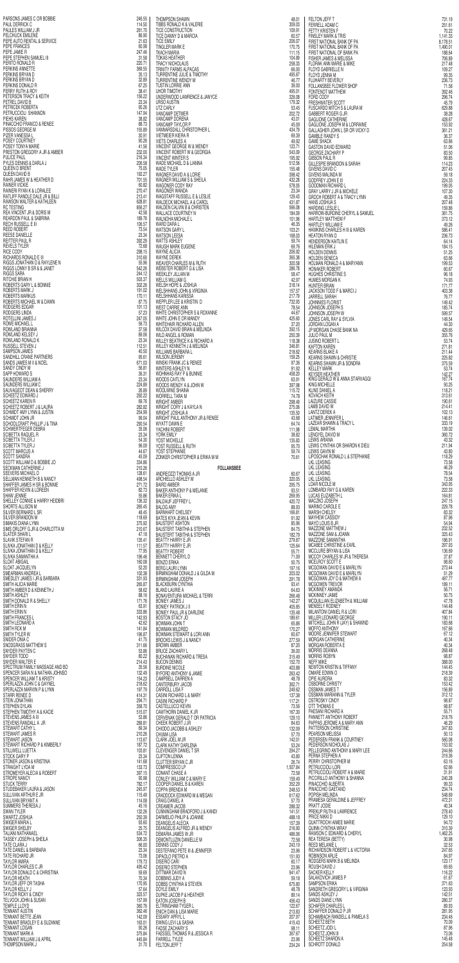| PARSONS JAMES C OR BOBBIE                      | 246.55           |
|------------------------------------------------|------------------|
| PAUL DERRICK C                                 | 114.50           |
| PAULES WILLIAM J JR                            | 261.70           |
| PELCHUCK EMILENE                               | 86.90            |
| PEPE AUTO RENTAL & SERVICE                     | 21.63            |
| PEPE FRANCES                                   | 60.98            |
| PEPE JAMIE R                                   | 247.46           |
| PEPE STEPHEN SAMUEL III                        | 31.58            |
| PERITO RONALD R                                | 220.71           |
| PERKINS ANNETTE                                | 369.55           |
| PERKINS BRYAN D                                | 35.13            |
| PERKINS BRYAN D                                | 32.89            |
| PERKINS DONALD R                               | 67.25            |
| PERRY RUTH & ROY                               | 38.41            |
| PETERSON TRACY & KEITH                         | 156.22           |
| PETREL DAVID B                                 | 23.34            |
| PETRICEK ROBERTA                               | 90.26            |
| PETRUCCIOLI SHANNON                            | 147.94           |
| PIEHS KAREN                                    | 38.82            |
| PINACCHIO FRANCO & RENEE                       | 88.73            |
| PISSOS GEORGE M                                | 155.89           |
| PIZER VANESSA L                                | 30.91            |
| POSEY COURTNEY                                 | 90.26            |
| POSEY TONYA MARIE                              | 41.56            |
| PRESTON GREGORY A JR & AMBER                   | 232.00           |
| PULICE PAUL                                    | 216.34           |
| PYLES DENNIS & DARLA J                         | 206.58           |
| QUEEN D BRENT                                  | 75.05            |
| QUEEN DAVID B                                  | 192.27           |
| RAHR JAMES W & HEATHER D                       | 701.55           |
| RAINER VICKIE                                  | 60.82            |
| RAINERI RYAN K & LORALEE                       | 270.47           |
| RATLIFF RANDLE DALE JR & BILLI                 | 213.41           |
| RAWSON WALTER & KATHLEEN                       | 628.81           |
| RC TESTING                                     | 856.27           |
| REA VINCENT JR & DORIS M                       | 42.58            |
| REARDON PAUL & SABRINA                         | 189.76           |
| RECH RUSSELL E III                             | 106.57           |
| REED ROBERT                                    | 73.54            |
| REESE DANIELLE                                 | 23.34            |
| REITTER PAUL R                                 | 392.29           |
| <b>REVELS TYLER</b>                            | 72.68            |
| RICE CODY                                      | 298.15           |
| RICHARDS RONALD E III                          | 310.60           |
| RIGGS JONATHAN D & RAYLENE N                   | 55,96            |
| RIGGS LONNY B SR & & JANET                     | 542.26           |
| RIGGS SARA                                     | 244.12           |
| RITCHIE BRIAN H                                | 503.37           |
| ROBERTS GARY L & BONNIE                        | 302.26           |
| ROBERTS MARK J                                 | 191.02           |
| ROBERTS MARKUS                                 | 170.11           |
| ROBERTS MICHAEL W & DAWN                       | 87.75            |
| RODGERS EDGAR                                  | 101.13           |
| RODGERS LINDA                                  | 57.23            |
| ROTELLINI JAMES J                              | 247.05           |
| <b>ROWE MICHAEL L</b>                          | 56.73            |
| ROWLAND BRIANNA                                | 37.58            |
| ROWLAND KELSEY J<br>ROWLAND RONALD K           | 89.06            |
| RUSSELL STEVEN J                               | 23.34<br>112.51  |
| SAMPSON JAMES                                  | 40.50            |
| SANDHILL CRANE PARTNERS                        | 95.61            |
| SANDS JAMES M II & NOEL                        | 671.03           |
| SANDY CINDY M                                  | 56.81            |
| SAPP HOWARD S                                  | 36.31            |
| SAUNDERS WILLIAM A                             | 23.34            |
| SAUNDERS WILLIAM C                             | 224.89           |
| SAUVAGEOT DEAN & SHERRY                        | 26.89            |
| SCHEETZ EDWARD J                               | 292.22           |
| SCHEETZ KAREN R                                | 69.76            |
| SCHEETZ ROBERT J & LAURA                       | 282.82           |
| SCHMIDT AMY LYNN & JUSTIN                      | 254.99           |
| SCHMIDT JOHN JR                                | 99.04            |
| SCHOOLCRAFT PHILLIP J & TINA                   | 290.54           |
| SCHWERTFEGER DEBRA                             | 35.06            |
| SCIBETTA RAQUEL R                              | 23.34            |
| SCIBETTA TYLER J                               | 54.30            |
| SCIBETTA TYLER J                               | 96.09            |
| SCOTT MARCUS A                                 | 44.67            |
| SCOTT SANDRA                                   | 45.09            |
| SCOTT WILLIAM D & BOBBIE JO                    | 334.86           |
| SECKMAN CATHERINE J                            | 210.26           |
| <b>SEEVERS MICHAEL D</b>                       | 128.61           |
| <b>SELLMAN KENNETH B &amp; NANCY</b>           | 498.54           |
| SHAFFER JAMES H SR & BONNIE                    | 271.72           |
| SHAFFER KEVIN & LOREEN                         | 82.73            |
| SHAW JENNIE                                    | 55.86            |
| SHELLEY CONNIE & HARRY HEIDBRI                 | 136.32           |
| SHORTS ALLISON M                               | 265.45           |
| SILVER BERNARD L SR                            | 48.45            |
| SILVER BRANDON M                               | 118.69           |
| <b>SIMAKIS DIANA LYNN</b>                      | 375.92           |
| SIMS ORLOFF G JR & CHARLOTTA M                 | 210.67           |
| SLATER SHARI L                                 | 47.18            |
| <b>SLAVIK STEFAN R</b>                         | 135.41           |
| SLIVKA JONATHAN D & KELLY                      | 111.57           |
| SLIVKA JONATHAN D & KELLY<br>SLIVKA SAMANTHA A | 77.95            |
| <b>SLOAT ABIGAIL</b>                           | 196.46<br>160.08 |
| SLOAT JACQUELYN                                | 52.20            |
| SMEARMAN ANDREA L                              | 102.38           |
| SMEDLEY JAMES I JR & BARBARA                   | 331.93           |
| SMITH ALICIA MARIE                             | 265.87           |
| SMITH AMBER D & KENNETH J                      | 58.62            |
| SMITH ASHLEY                                   | 88.16            |
| SMITH DONALD R & SHELLY                        | 171.76           |
| SMITH ERIN N                                   | 63.91            |
| SMITH ERIN N                                   | 333.86           |
| SMITH FRANCES L                                | 142.93           |
| SMITH LEONARD A                                | 42.62            |
| SMITH RCK M                                    | 141.84           |
| SMITH TYLER W                                  | 196.87           |
| SNIDER ONIA C                                  | 41.75            |
| SNODGRASS MATTHEW S                            | 311.66           |
| SNYDER PAYTEN C                                | 53.86            |
| SNYDER TODD                                    | 80.22            |
| SNYDER WALTER E                                | 214.43           |
| SPECTRUM FAMILY MASSAGE AND BO                 | 35.56            |
| SPENCER SARA N & NATHAN JOHNSO                 | 132.49           |
| SPENCER WILLIAM T & KRISTY                     | 154.23           |
| SPERLAZZA JOHN C & GAYNEL                      | 218.62           |
| SPERLAZZA MARVIN P & LYNN                      | 197.79           |
| <b>STARR RENEE D</b>                           | 414.31           |
| STEIN JONATHAN                                 | 294.71           |
| STEPHEN DYLAN                                  | 358.70           |
| STEPHEN TIMOTHY A & KACIE                      | 515.07           |
| STEVENS JAMES A III                            | 53.86            |
| STEVENS RANDALL A JR                           | 289.81           |
| STEWART CATHY L                                | 69.34            |
| STEWART JAMES R                                | 210.26           |
| STEWART JASON                                  | 113.67           |
| STEWART RICHARD P & KIMBERLY                   | 187.72           |
| STILLWELL LUETTA                               | 103.81           |
| STOCK GARY P                                   | 23.34            |
| STONER JASON & KRISTINA                        | 141.68           |
| STRAIGHT LYDA M                                | 133.73           |
| STROMEYER ALECIA & ROBERT                      | 397.15           |
| <b>STROPE NANCY</b>                            | 90.98            |
| STUCK TERRY                                    | 782.17           |
| STUDEBAKER LAURA & JASON                       | 245.97           |
| SULLIVAN ARTHUR E JR                           | 115.49           |
| SULLIVAN BRYANT A                              | 114.08           |
| SUMMERS THERESA J                              | 45.16            |
| SWAN TYLER                                     | 132.26           |
| SWARTZ JOSHUA                                  | 250,39           |
| SWIGER MARIA L                                 | 93.60            |
| SWIGER SHELBY                                  | 25.75            |
| TALIANI NATHANAEL                              | 534.72           |
| TASSEY JOSEPH & SHEILA                         | 306.35           |
| TATE CLARA J                                   | 66.00            |
| TATE DANIEL & BARBARA                          | 23.34            |
| TATE RICHARD JR                                | 73.06            |
| TAYLOR AMIRA                                   | 179.73           |
| TAYLOR CHARLES C JR                            | 495.42           |
| TAYLOR DONALD C & CHRISTINA                    | 59.69            |
| TAYLOR HEATH                                   | 70.34            |
| TAYLOR JEFF OR TASHA                           | 170.95           |
| TAYLOR KELLY J                                 | 57.64            |
| <b>TAYLOR RICKY &amp; CINDY</b>                | 323.57           |
| TELVOCK JOHN & SUSAN<br>TEMPLE LLOYD           | 157.99           |
| TENNANT AUSTIN                                 | 360.76<br>362.46 |
| TENNANT BETTE JEAN                             | 142.09           |
| TENNANT BRADLEY E & SUZANNE                    | 163.01           |
| <b>TENNANT LOGAN</b>                           | 90.26            |
| TENNANT MARK A                                 | 375.84           |
| TENNANT WILLIAM J & APRIL                      | 445.84           |
| THOMPSON MARK J                                | 31.70            |

| 6.55                                         | <b>THOMPSON SHAWN</b>                                                                     | 48.01                    |
|----------------------------------------------|-------------------------------------------------------------------------------------------|--------------------------|
| 4.50                                         | TIBBS RONALD K & VALERIE                                                                  | 309.03                   |
| 1.70                                         | <b>TICE CONSTRUCTION</b>                                                                  | 109.91                   |
| 6.90                                         | TICE DANNY D & MARCIA                                                                     | 60.57                    |
| 1.63                                         | <b>TICE EMILY</b>                                                                         | 206.07                   |
| 0.98                                         | TINGLER MARK E                                                                            | 170.75                   |
| 7.46                                         | TKACH MARIA                                                                               | 111.15                   |
| 1.58                                         | <b>TOKAS HEATHER</b>                                                                      | 104.89                   |
| 0.71                                         | <b>TRACY NICHOLAUS</b>                                                                    | 258.33                   |
| 9.55                                         | TRINITY FARMS ALPACAS                                                                     | 66.00                    |
| 5.13                                         | TURRENTINE JULIE & TIMOTHY                                                                | 495.67                   |
| 2.89                                         | TURRENTINE WENDY M                                                                        | 46.77                    |
| 7.25                                         | <b>TUSTIN LORRIE ANN</b>                                                                  | 36.00                    |
| 8.41                                         | <b>UHOR TIMOTHY</b>                                                                       | 495.01                   |
| 6.22                                         | UNDERWOOD LAWRENCE & JANYCE                                                               | 326.08                   |
| 3.34                                         | URSO AUSTIN                                                                               | 179.32                   |
| 0.26                                         | UTZ CARLY                                                                                 | 53.45                    |
| 7.94                                         | <b>VANCAMP DETMER</b>                                                                     | 202.72                   |
| 8.82                                         | VANCAMP DORENA                                                                            | 43.01                    |
| 8.73                                         | VANCAMP TAYLOR P                                                                          | 45.09                    |
| 5.89                                         | VANNARSDALL CHRISTOPHER L                                                                 | 434.79                   |
| 0.91                                         | VIETMEIER KIERA R                                                                         | 69.39                    |
| 0.26                                         | VIETS CHARLES A                                                                           | 49.92                    |
| 1.56                                         | VINCENT GEORGE W & WENDY                                                                  | 123.71                   |
| 2.00                                         | VINCENT ROBERT W & GEORGIA                                                                | 543.09                   |
| 6.34                                         | <b>VINCENT WINTER S</b>                                                                   | 195.92                   |
| 6.58                                         | WADE MICHAEL D & LIANNA                                                                   | 512.56                   |
| 5.05                                         | <b>WADE TYLER</b>                                                                         | 155.48                   |
| 2.27                                         | WAGNER DAVID A & LORIE                                                                    | 398.42                   |
| 1.55                                         | WAGNER WILLIAM S & SHEILA                                                                 | 432.28                   |
| 0.82                                         | WAGONER CODY RAY                                                                          | 578.05                   |
| 0.47                                         | <b>WAGONER WANDA</b>                                                                      | 23.34                    |
| 3.41                                         | <b>WAGSTAFF RUSSELL E &amp; LESLIE</b>                                                    | 129.43                   |
| 8.81                                         | <b>WALDECK MICHAEL A &amp; CAROL</b>                                                      | 431.87                   |
| 6.27                                         | <b>WALDEN CALVIN B &amp; CHRISTEN</b>                                                     | 566.08                   |
| 2.58                                         | <b>WALLACE COURTNEY N</b>                                                                 | 184.09                   |
| 9.76                                         | WALNOHA MICHALE L                                                                         | 101.96                   |
| 6.57                                         | WARD DARA L                                                                               | 46,35                    |
| 3.54                                         | <b>WATSON GARY L</b>                                                                      | 103.21                   |
| 3.34                                         | <b>WATSON LEESA</b>                                                                       | 168.03                   |
| 2.29                                         | WATTS ASHLEY                                                                              | 59.74                    |
| 2.68                                         | WAUGH MARK EUGENE                                                                         | 69.76                    |
| 8.15                                         | <b>WAYNE ALICIA</b>                                                                       | 206.92                   |
| 0.60                                         | <b>WAYNE DEREK</b>                                                                        | 365,38                   |
| 5.96                                         | <b>WEAVER CHARLES M &amp; RUTH</b>                                                        | 300.58                   |
| 2.26                                         | <b>WEBSTER ROBERT G &amp; LISA</b>                                                        | 286.78                   |
| 4.12                                         | <b>WEEKLEY JILLIAN M</b>                                                                  | 58.47                    |
| 3.37                                         | <b>WELLS WILLIAM G</b>                                                                    | 42.97                    |
| 2.26                                         | WELSH HOPE & JOSHUA                                                                       | 318.14                   |
| 1.02                                         | <b>WELSHHANS JOHN &amp; VIRGINIA</b>                                                      | 157.57                   |
| 0.11                                         | WELSHHANS KAHISSA                                                                         | 217.79                   |
| 7.75                                         | WEPPLER LEE & KRISTIN D                                                                   | 732.93                   |
| 1.13                                         | <b>WEST CARRIE ANN</b>                                                                    | 78.54                    |
| 7.23                                         | WHITE CHRISTOPHER S & ROXANNE                                                             | 44.67                    |
| 7.05                                         | WHITE JOHN E OR MANDY                                                                     | 425.60                   |
| 6.73                                         | WHITEHAIR RICHARD ALLEN                                                                   | 37.20                    |
| 7.58                                         | WILCOX DAVID BRIAN & MELINDA                                                              | 392.15                   |
| 9.06                                         | <b>WILD ANGEL &amp; ROMAN</b>                                                             | 250.39                   |
| 3.34                                         | <b>WILLEY BEATRICE K &amp; RICHARD A</b>                                                  | 118.38                   |
| 2.51                                         | WILLEY KENNETH J & MELINDA                                                                | 346.81                   |
| 0.50                                         | WILLIAMS BARBARA L                                                                        | 218.62                   |
| 5.61                                         | WILSON JEREMY                                                                             | 159.25                   |
| 1.03<br>6.81                                 | WINSKI FRANK JC & RENEE<br><b>WINTERS ASHLEY N</b>                                        | 97.36                    |
| 6.31                                         | <b>WOHNHAS RAY P &amp; BUNNIE</b>                                                         | 91.92<br>458.20          |
| 3.34                                         | <b>WOODS CAITLYN</b>                                                                      | 63.91                    |
| 4.89                                         | WOODS WENDY A & JOHN W                                                                    | 397.98                   |
| 6.89                                         | WOOLWINE SHAINA                                                                           | 115.72                   |
| 2.22                                         | <b>WORRELL TARA M</b>                                                                     | 74.78                    |
| 9.76                                         | <b>WRIGHT AMBER</b>                                                                       | 298.49                   |
| 2.82                                         | WRIGHT CORY J & KAYLA N                                                                   | 275.06                   |
| 4.99                                         | WRIGHT JOSHUA A                                                                           | 135.50                   |
| 9.04                                         | WRIGHT PAUL ANTHONY JR & RENEE                                                            | 43,68                    |
| 0.54                                         | WYATT DAWN E                                                                              | 64.74                    |
| 5.06                                         | YACHINI ROBERT                                                                            | 111.98                   |
| 3.34                                         | YORK EMILY                                                                                | 38.82                    |
| 4.30                                         | <b>YOST MICHELLE</b>                                                                      | 135.83                   |
| 6.09                                         | YOST RUSSELL & RUTH                                                                       | 95.70                    |
| 4.67                                         | YOST STEPHANIE                                                                            | 59.74                    |
| 5.09<br>4.86                                 | ZONKER CHRISTOPHER & ERIKA M M                                                            | 70.61                    |
| 0.26<br>8.61                                 | <b>FOLLANSBEE</b><br>ANDREOZZI THOMAS A JR                                                | 60.67                    |
| 8.54                                         | ARCHIELLO ASHLEY M                                                                        | 320.05                   |
| 1.72                                         | <b>BAIRD AMBER</b>                                                                        | 295.75                   |
| 2.73<br>5.86                                 | BAKER ANTHONY P & MELANIE<br>BAKER ERIKA L                                                | 93.51                    |
|                                              |                                                                                           |                          |
| 6.32                                         | <b>BALDAUF JEFFREY L</b>                                                                  | 269.95<br>420.72         |
| 5.45                                         | <b>BALOG AMY</b>                                                                          | 88,93                    |
| 8.45                                         | <b>BARNHART CHELSEY</b>                                                                   | 166.81                   |
| 8.69                                         | <b>BATES KIYA JEAN &amp; KEVIN</b>                                                        | 91.92                    |
| 5.92                                         | <b>BAUSTERT ASHTON</b>                                                                    | 85.96                    |
| 0.67                                         | <b>BAUSTERT TABITHA &amp; STEPHEN</b>                                                     | 84.75                    |
| 7.18                                         | <b>BAUSTERT TABITHA &amp; STEPHEN</b>                                                     | 182.79                   |
| 5.41                                         | <b>BEATTY HARRY E JR</b>                                                                  | 279.87                   |
| 1.57                                         | <b>BEATTY HARRY E JR</b>                                                                  | 125.64                   |
| 7.95                                         | BEATTY ROBERT                                                                             | 55.71                    |
| 6.46<br>0.08                                 | <b>BENNETT CHERYL D</b>                                                                   | 71.09                    |
| 2.20                                         | <b>BENZO ERIKA</b><br><b>BERG LAURI LYNN</b>                                              | 50.75<br>197.16          |
| 2.38                                         | BIRMINGHAM DONALD J & GILDA M                                                             | 203.02                   |
| 1.93                                         | <b>BIRMINGHAM JOSEPH</b>                                                                  | 291.78                   |
| 5.87                                         | <b>BLACKBURN CYNTHIA</b>                                                                  | 93.41                    |
| 8.62                                         | BLAND LAURIE A                                                                            | 64.63                    |
| 8.16<br>1.76                                 | <b>BONAVENTURA MICHAEL &amp; TERRI</b>                                                    | 266.48<br>142.27         |
| 3.91                                         | <b>BONIEY JAMES J</b><br><b>BONIEY PATRICK J II</b>                                       | 405.85                   |
| 3.86                                         | BONIEY PAUL JR & DARLENE                                                                  | 135.48                   |
| 2.93                                         | <b>BOSTON STACY JO</b>                                                                    | 189.61                   |
| 2.62                                         | <b>BOWMAN JOHN T</b>                                                                      | 65.86                    |
| 1.84                                         | <b>BOWMAN MILDRED</b>                                                                     | 170.27                   |
| 6.87<br>1.75                                 | <b>BOWMAN STEWART &amp; LORI ANN</b>                                                      | 60.67<br>277.59          |
| 1.66                                         | <b>BROOKS LEWIS J &amp; NANCY</b><br><b>BROWN AMBER</b>                                   | 87.20                    |
| 3.86                                         | <b>BRUCE ZACHARY L</b>                                                                    | 36.00                    |
| 0.22                                         | <b>BUCHANAN RICHARD &amp; TRESA</b>                                                       | 315.49                   |
| 4.43                                         | <b>BUCON DENNIS</b>                                                                       | 152.70                   |
| 5.56                                         | <b>BURDINE NICOLE</b>                                                                     | 403.88                   |
| 2.49                                         | <b>BYFORD ANTHONY &amp; JAMIE</b>                                                         | 263.42                   |
| 4.23                                         | CAMPBELL DARREN A                                                                         | 48.78                    |
| 8.62<br>7.79                                 | CANTERBURY JACOB                                                                          | 362.71                   |
| 4.31                                         | CARROLL LISA F<br>CASINI RICHARD L & MARY                                                 | 249.62<br>137.38         |
| 4.71                                         | CASINI RICHARD P                                                                          | 117.21                   |
| 8.70                                         | <b>CASTELLUCCI KEVIN</b>                                                                  | 73.56                    |
| 5.07                                         | CAWTHORN DANIEL K JR                                                                      | 167.30                   |
| 3.86                                         | CERVENAK GERALD T OR PATRICIA                                                             | 129.10                   |
| 9.81                                         | CHEEK ROBERT J JR                                                                         | 84.63                    |
| 9.34                                         | CHIODO JACOBB & ASHLEY                                                                    | 132.09                   |
| 0.26                                         | CHUMA LISA                                                                                | 57.70                    |
| 3.67                                         | <b>CLARK JOEL M JR</b>                                                                    | 142.01                   |
| 7.72                                         | <b>CLARK KATHY DARLENA</b>                                                                | 53.24                    |
| 3.81                                         | CLEVENGER DANIEL T SR                                                                     | 294.27                   |
| 3.34                                         | <b>CLIFTON LENNA</b>                                                                      | 43.80                    |
| 1.68                                         | <b>CLUTTER BRYAN C JR</b>                                                                 | 26.74                    |
| 3.73                                         | <b>COMPRESSCO LP</b>                                                                      | 1,507.84                 |
| 7.15                                         | CONANT CHASE A                                                                            | 72.58                    |
| 0.98                                         | <b>CONLEY WILLIAM C &amp; MARY E</b>                                                      | 159.49                   |
| 2.17                                         | COOPER DANIEL B & KAREN                                                                   | 352.29                   |
| 5.97                                         | COPPA BRENDA M                                                                            | 248.53                   |
| 5.49                                         | CRADDOCK EDWARD M & MEGAN                                                                 | 617.62                   |
| 4.08                                         | <b>CRAIG DANIEL A</b>                                                                     | 57.70                    |
| 5.16                                         | <b>CREAMER JACOB</b>                                                                      | 288.32                   |
| 2.26                                         | CUNNINGHAM BRADFORD J & KANDI                                                             | 141.51                   |
| 0.39                                         | DARMELIO PHILIP & JOANNE                                                                  | 488.18                   |
| 3.60                                         | <b>DEANGELIS ALECIA</b>                                                                   | 157.39                   |
| 5.75                                         | DEANGELIS ALFRED JR & WENDY                                                               | 216.90                   |
| 4.72                                         | DEMARIA JAMES W JR                                                                        | 486.06                   |
| 6.35                                         | DEMONTLUZIN DANIELLE M                                                                    | 72.58                    |
| 6.00                                         | <b>DENNIS CODY J</b>                                                                      | 243.19                   |
| 3.34                                         | <b>DESTEFANO PETE III &amp; JENNIFER</b>                                                  | 23,96                    |
| 3.06                                         | DIPAOLO PIETRO A                                                                          | 151.93                   |
| 9.73                                         | <b>DISERIO CARI</b>                                                                       | 60.17                    |
| 5.42                                         | <b>DISERIO STEPHEN</b>                                                                    | 23.96                    |
| 9.69                                         | DITTMAR DAVID N                                                                           | 941.47                   |
| 0.34                                         | DOBBINS JUDY A                                                                            | 59.18                    |
| 0.95                                         | DOBBS CYNTHIA & STEVEN                                                                    | 675.80                   |
| 7.64                                         | DOYLE EMILY                                                                               | 48.78                    |
| 3.57                                         | DUPKE JACOB P & HEATHER                                                                   | 89.14                    |
| 7.99                                         | <b>EATON JOSEPH B</b>                                                                     | 456.43                   |
| 0.76                                         | ELTRINGHAM TYGER L                                                                        | 122.67                   |
|                                              | ENICH DAN & LISA MARIE<br>ESSARY APRYL L                                                  | 213.83<br>207.97         |
|                                              | EWING LEVI L& SASHA                                                                       | 415.43                   |
| 2.46<br>2.09<br>3.01<br>0.26<br>5.84<br>5.84 | <b>FADSE ZACHARY S</b><br><b>FAESSEL THOMAS R &amp; JESSICA R</b><br><b>FARRELL TYLEE</b> | 98.11<br>367.67<br>23.96 |

| 01             | <b>FELTON JEFF T</b>                                                                        | 731.19                     |
|----------------|---------------------------------------------------------------------------------------------|----------------------------|
| 03             | FERRELL ADAM C                                                                              | 251.61                     |
| 91             | <b>FETTY KRISTEN F</b>                                                                      | 70.22                      |
| 57             | <b>FINSLEY MARK &amp; TRIS</b>                                                              | 1,141.33                   |
| 07             | FIRST NATIONAL BANK OF PA                                                                   | 8,178.51                   |
| 75             | FIRST NATIONAL BANK OF PA                                                                   | 1,490.01                   |
| 15             | FIRST NATIONAL OF BANK PA                                                                   | 188.64                     |
| 89             | <b>FISHER JAMES &amp; MELISSA</b>                                                           | 706.89                     |
| 33             | FLORAK ANN MARIE & MIKE                                                                     | 217.48                     |
| 00             | FLOYD GABRIELLE N                                                                           | 109.27                     |
| 67             | FLOYD JENNA M                                                                               | 99.35                      |
| 77             | <b>FLUHARTY BEVERLY</b>                                                                     | 236.73                     |
| 00             | <b>FOLLANSBEE FLOWER SHOP</b>                                                               | 71.58                      |
| 01             | <b>FONTENOT MATTHEW</b>                                                                     | 392.46                     |
| 08             | FORD CODY                                                                                   | 296.74                     |
| 32             | <b>FRESHWATER SCOTT</b>                                                                     | 45.79                      |
| 45             | <b>FUSCARDO MITCH S &amp; LAURA M</b>                                                       | 629.88                     |
| 72             | GABBERT ROGER G JR                                                                          | 38.28                      |
| 01             | <b>GAGLIONE CATHERINE</b>                                                                   | 428.67                     |
| 09             | GAGLIONE JOSEPH M & LORRAINE                                                                | 153.92                     |
| 79             | GALLAGHER JOHN L SR OR VICKY D                                                              | 361.21                     |
| 39<br>92<br>71 | GAMBLE RANDY S<br><b>GAME SHACK</b><br><b>GASTON DAVID EDWARD</b>                           | 36.37<br>63.66             |
| 09<br>92       | GEORGE ZACHARY P<br><b>GIBSON PAUL R</b>                                                    | 51.06<br>83.50<br>99.85    |
| 56             | <b>GILLESPIE BRANDON &amp; SARAH</b>                                                        | 114.23                     |
| 48             | <b>GIVENS DAVID C</b>                                                                       | 207.45                     |
| 42             | GIVENS MALINDA M                                                                            | 59.18                      |
| 28             | <b>GODFREY JOHN E III</b>                                                                   | 224.33                     |
| 05             | GOODMAN RICHARD L                                                                           | 199.05                     |
| 34             | <b>GRAY LARRY J JR &amp; MICHELE</b>                                                        | 107.30                     |
| 43             | <b>GROCH ROBERT A &amp; TRACY LYNN</b>                                                      | 49.35                      |
| 87             | HANS JOSHUA S                                                                               | 207.48                     |
| 08             | HARDING LESLIE L                                                                            | 159.86                     |
| 09             | HARROW-BURDINE CHERYL & SAMUEL                                                              | 361.75                     |
| 96             | <b>HARTLEY MATTHEW F</b>                                                                    | 373.12                     |
| 35             | <b>HARTLEY WILLIAM E</b>                                                                    | 49.26                      |
| 21             | HAWKINS CHARLES H III & KAREN                                                               | 586.41                     |
| 03             | HEATON RYAN D                                                                               | 236.73                     |
| 74             | HENDERSON KAITLIN E                                                                         | 64.14                      |
| 76             | HILEMAN ERIK J                                                                              | 184.15                     |
| 92             | <b>HOLDEN DENNIS</b>                                                                        | 51.25                      |
| 38             | <b>HOLDEN SENECA</b>                                                                        | 63.66                      |
| 58             | HOLMAN RONALD A & MARYANN                                                                   | 199.53                     |
| 78             | <b>HONAKER ROBERT</b>                                                                       | 60.67                      |
| 47             | <b>HUGHES CHRISTINE S</b>                                                                   | 96.18                      |
| 97             | <b>HUMES MORGAN K</b>                                                                       | 74.93                      |
| 14             | HUNTER BRIAN                                                                                | 171.77                     |
| 57             | JACKSON TODD F & MARCI J                                                                    | 403.38                     |
| 79             | JARRELL SARAH                                                                               | 76.77                      |
| 93             | <b>JOHNNIES FLORIST</b>                                                                     | 149.42                     |
| 54             | <b>JOHNSON JOSEPH S</b>                                                                     | 185.74                     |
| 67             | JOHNSON JOSEPH W                                                                            | 599.57                     |
| 60             | JONES CARL RAY & SYLVIA                                                                     | 149.54                     |
| 20             | JORDAN LOGAN A                                                                              | 44.30                      |
| 15             | JP MORGAN CHASE BANK NA                                                                     | 429.65                     |
| 39             | <b>JULIO PAUL M</b>                                                                         | 355.76                     |
| 38<br>81<br>62 | <b>JUSINO ROBERT L</b><br>KAFTON KAREN                                                      | 53.74<br>271.81<br>211.44  |
| 25<br>36       | KEARNS BLAKE A<br><b>KEARNS SHAWN &amp; CHRISTIE</b><br><b>KEARNS SHAWN JR &amp; SONDRA</b> | 225.82<br>375.59           |
| 92             | <b>KELLEY MARK</b>                                                                          | 53.74                      |
| 20             | KEYSER HEATHER                                                                              | 142.27                     |
| 91             | KING GERALD W & ANNA STARVAGGI                                                              | 167.74                     |
| 98             | KING MICHELLE                                                                               | 50.25                      |
| 72             | KLINE DANIEL A                                                                              | 118.21                     |
| 78             | <b>KOVACH KEITH</b>                                                                         | 313.61                     |
| 49             | <b>LAIZURE CASSIE</b>                                                                       | 190.61                     |
| 06             | LAMB DAVID W                                                                                | 214.41                     |
| 50             | <b>LANTZ DEREK A</b>                                                                        | 102.13                     |
| 68             | <b>LATIMER JENNIFER L</b>                                                                   | 146.61                     |
| 74             | LAZEAR SHAWN & TRACY L                                                                      | 333.19                     |
| 98             | LEMAL MARTHA                                                                                | 139.02                     |
| 82             | LENGYEL DAVID M                                                                             | 360.72                     |
| 83             | LEWIS ARIANA                                                                                | 43.32                      |
| 70             | LEWIS CYNTHIA OR SHARON K DIEU                                                              | 211.94                     |
| 74             | LEWIS GAVIN M                                                                               | 43.80                      |
| 61             | LIPOSCHAK RONALD L & STEPHANIE<br><b>LKL LEASING</b><br><b>LKL LEASING</b>                  | 118.29<br>73.58            |
| 67<br>05       | <b>LKL LEASING</b><br><b>LKL LEASING</b>                                                    | 46.29<br>78.54<br>73.58    |
| 75             | LOAR NICOLE M                                                                               | 343.95                     |
| 51             | LOMBARDI RAY G & KAREN                                                                      | 222.33                     |
| 95             | LUCAS ELIZABETH L                                                                           | 164.81                     |
| 72             | MACZKO JOSEPH                                                                               | 247.15                     |
| 93             | <b>MARINO CAROLE E</b>                                                                      | 229.78                     |
| 81             | <b>MARSH CHELSY</b>                                                                         | 83.32                      |
| 92             | <b>MAYHEW CASSIDY</b>                                                                       | 87,96                      |
| 96             | MAYO LOUIS B JR                                                                             | 54.94                      |
| 75             | MAZZONE MATTHEW J                                                                           | 232.52                     |
| 79             | MAZZONE SAM & JOANN                                                                         | 325.43                     |
| 87             | MAZZONE SAMANTHA                                                                            | 186.91                     |
| 64             | MCABEE CHRISTINE & EARL                                                                     | 297.93                     |
| 71             | MCCLURE BRYAN & LISA                                                                        | 136.69                     |
| 09             | <b>MCCOY CHARLES W JR &amp; THERESA</b>                                                     | 37.87                      |
| 75             | <b>MCELROY SCOTT E</b>                                                                      | 98.60                      |
| 16             | <b>MCGOWAN DAVID E &amp; MARILYN</b>                                                        | 273.44                     |
| 02             | MCGOWAN DAVID E & MARILYN                                                                   | 51.29                      |
| 78             | MCGOWAN JOY D & MATHEW A                                                                    | 497.77                     |
| 41<br>63       | <b>MCGOWEN TREVOR</b><br>MCKINNEY AMANDA<br><b>MCKINNEY JAIME</b>                           | 189.11<br>56.71<br>50.75   |
| 48<br>27<br>85 | MCQUILLIAN ELIZABETH & WILLIAM<br><b>MENEELY RODNEY</b>                                     | 47.78<br>144.48            |
| 48             | <b>MILANTONI DANIEL R &amp; LORI</b>                                                        | 407.84                     |
| 61             | MILLER LEONARD GEORGE                                                                       | 190.11                     |
| 86<br>27       | MITCHELL JOHN R (JAY) & SHAWND<br><b>MOFFO ANTHONY</b><br>MOORE JENNIFER STEWART            | 183.68<br>167.66           |
| 67<br>59<br>20 | <b>MORGAN CATHERINE</b><br>MORGAN ROBERTA E                                                 | 67.12<br>40.34<br>40.34    |
| 00             | <b>MORRIS DEANNA</b>                                                                        | 268.48                     |
| 49             | <b>MORRIS ROBYN</b>                                                                         | 98.87                      |
| 70             | NEFF MIKE                                                                                   | 388.00                     |
| 88             | NEWTON KRISTIN & TIFFANY                                                                    | 144.45                     |
| 42             | OMARE EDWIN O                                                                               | 218.39                     |
| 78             | OPIE AURORA                                                                                 | 83.32                      |
| 71             | <b>OSBORNE CHRISTY</b>                                                                      | 153.42                     |
| 62             | OSSMAN JAMES T                                                                              | 156.89                     |
| 38             | OSSMAN MARIANN & TYLER                                                                      | 312.12                     |
| 21             | <b>OSTROSKY CINDY</b>                                                                       | 98.87                      |
| 56             | OTT THOMAS E                                                                                | 98.87                      |
| 30             | PAESANI RICHARD A                                                                           | 55.71                      |
| 10             | PANNETT ANTHONY ROBERT                                                                      | 218.76                     |
| 63             | PAPPAS JEROME A & MARY ANN                                                                  | 46.29                      |
| 09             | <b>PATTERSON CHRISTINE</b>                                                                  | 347.83                     |
| 70             | PEARSON MELISSA                                                                             | 50.13                      |
| 01             | PEDERSEN FRANK & COURTNEY                                                                   | 560.08                     |
| 24             | PEDERSON NICHOLAS J                                                                         | 153.92                     |
| 27             | PELLEGRINO ANTHONY & MARY LEE                                                               | 244.66                     |
| 80             | PERNA STEPHEN A                                                                             | 319.36                     |
| 74             | PERRY CHRISTOPHER M                                                                         | 63.16                      |
| 84             | PETRUCCIOLI LORI                                                                            | 62.66                      |
| 58             | PETRUCCIOLI ROBERT A & MARIE                                                                | 31.91                      |
| 49             | PICCIRILLO ANTHONY & SHANNA                                                                 | 240.28                     |
| 29             | PINACCHIO ALBERTA                                                                           | 99.33                      |
| 53<br>62       | PINACCHIO GAETANO<br>POPISH MELINDA<br>PRAMESA GERALDINE & JEFFREY                          | 234.74<br>548.69<br>472.31 |
| 70<br>32<br>51 | PRATT JODIE<br>PREKUP RUTH & LAWRENCE                                                       | 40.34<br>278.40            |
| 18             | PRICE NIKKI D                                                                               | 129.10                     |
| 39             | <b>QUATTROCHI AIMEE MARIE</b>                                                               | 94.72                      |
| 90             | QUINN CYNTHIA WRAY                                                                          | 310.39                     |
| 06             | RAWSON C EDWARD & CHERYL                                                                    | 1,462.25                   |
| 58             | REA TERESA (BETTY)                                                                          | 30.98                      |
| 19             | <b>REED MELANIE L</b>                                                                       | 32.53                      |
| 96             | RICHARDSON ROBERT L & VICTORIA                                                              | 247.65                     |
| 93             | ROBINSON ARLIE                                                                              | 84.97                      |
| 17             | RODGERS MARK B & MELINDA                                                                    | 123.17                     |
| 96             | ROUSH DAVID J                                                                               | 69.65                      |
| 47             | <b>SACKER KELLY</b>                                                                         | 116.22                     |
| 18             | SALAKOVICH JAMES P                                                                          | 61.67                      |
| 80             | <b>SAMPSON ERIKA</b>                                                                        | 371.63                     |
| 78             | SANDRETH GREGORY L & VIRGINIA                                                               | 123.93                     |
| 14             | SANDS ASHLEY J                                                                              | 142.51                     |
| 43             | <b>SANDS DIANE LYNN</b>                                                                     | 280.37                     |
| 67             | <b>SCHAFER CHARLES L</b>                                                                    | 89.93                      |
| 83             | SCHAFFER DONALD P JR                                                                        | 281.95                     |
| 97<br>43       | SCHAMBACH RANDELL & PAMELA S<br><b>SCHEETZ BETH</b><br>SCHEETZ JODI L                       | 234.46<br>70.09<br>87.96   |
| 11<br>67<br>96 | SCHEETZ JOHN III<br>SCHEETZ SHARON A                                                        | 73.06<br>145.48            |
| 24             | SCHROTT DONALD                                                                              | 254.58                     |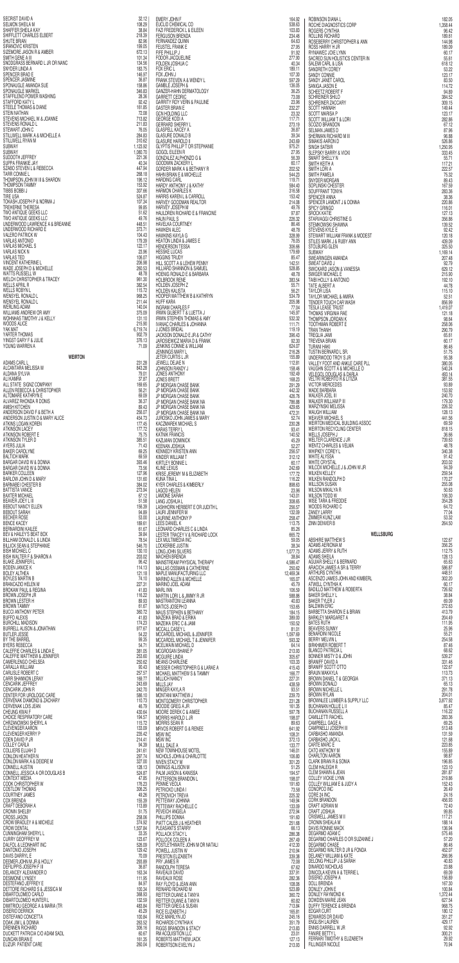| SECRIST DAVID A                                                                                                                                                                                                                                                                                                                                                               | 32.12            | EMERY JOHN F                                                                                                                                                                                                                                                                                                                                    | 164.92           |                                                                                                                                                                                   | 182.05             |
|-------------------------------------------------------------------------------------------------------------------------------------------------------------------------------------------------------------------------------------------------------------------------------------------------------------------------------------------------------------------------------|------------------|-------------------------------------------------------------------------------------------------------------------------------------------------------------------------------------------------------------------------------------------------------------------------------------------------------------------------------------------------|------------------|-----------------------------------------------------------------------------------------------------------------------------------------------------------------------------------|--------------------|
| <b>SELMON SHEILA M</b>                                                                                                                                                                                                                                                                                                                                                        | 108.29           | EUCLID CHEMICAL CO                                                                                                                                                                                                                                                                                                                              | 538.63           | SO CYNTHIA<br>SO CYNTHIA<br>SALLINS RICHARD<br>ROSEBERRY CHRISTOPHER & ANN<br>ROSE HARRY H JR<br>NOSS HARRY H JR<br>NOLLYNN<br>SUN HOLLSTICS CENTER IN<br>SUN HOLLSTICS CENTER IN | 1,358.44           |
| SHAFFER SHEILA KAY                                                                                                                                                                                                                                                                                                                                                            | 38.84            | <b>FAZI FREDERICK L &amp; EILEEN</b>                                                                                                                                                                                                                                                                                                            | 103.83           |                                                                                                                                                                                   | 96.42              |
| SHIFFLETT CHARLES ELBERT                                                                                                                                                                                                                                                                                                                                                      | 218.39           | <b>FERGUSON BRENDA</b>                                                                                                                                                                                                                                                                                                                          | 234.46           |                                                                                                                                                                                   | 189.61             |
| SHUTE BRIAN                                                                                                                                                                                                                                                                                                                                                                   | 82.96            | FERNANDEZ QUINN                                                                                                                                                                                                                                                                                                                                 | 64.63            |                                                                                                                                                                                   | 144.98             |
| SIRANOVIC KRISTEN                                                                                                                                                                                                                                                                                                                                                             | 199.05           | FEUSTEL FRANK E                                                                                                                                                                                                                                                                                                                                 | 27.95            |                                                                                                                                                                                   | 189.09             |
| SIZEMORE JASON R & AMBER<br>SMITH GENE A III                                                                                                                                                                                                                                                                                                                                  | 672.13           | FIFE PHILLIP J                                                                                                                                                                                                                                                                                                                                  | 91.92            |                                                                                                                                                                                   | 60.17              |
| SNODGRASS BERNARD L JR OR NANC                                                                                                                                                                                                                                                                                                                                                | 101.34<br>134.56 | FODOR JACQUELINE<br>FOLDEN JOSHUA C                                                                                                                                                                                                                                                                                                             | 277.90<br>40.34  |                                                                                                                                                                                   | 55.61<br>618.12    |
| SNYDER LINDA A                                                                                                                                                                                                                                                                                                                                                                | 183.75           | FOX ERIC L                                                                                                                                                                                                                                                                                                                                      | 189.11           |                                                                                                                                                                                   | 53.22              |
| SPENCER BRAD E                                                                                                                                                                                                                                                                                                                                                                | 146.97           | FOX JOHN J                                                                                                                                                                                                                                                                                                                                      | 107.30           |                                                                                                                                                                                   | 123.17             |
| SPENCER JASMINE                                                                                                                                                                                                                                                                                                                                                               | 36.87            | FRANK STEVEN A & WENDY L                                                                                                                                                                                                                                                                                                                        | 597.29           | SANIGA JASON E                                                                                                                                                                    | 83.50              |
| SPONAUGLE AMANDA SUE                                                                                                                                                                                                                                                                                                                                                          | 158.86           | <b>GAMBLE JOSEPH &amp;</b>                                                                                                                                                                                                                                                                                                                      | 136.05           |                                                                                                                                                                                   | 114.72             |
| SPONAUGLE MARKEL                                                                                                                                                                                                                                                                                                                                                              | 346.83           | GANZER-HAHN DERMATOLOGY                                                                                                                                                                                                                                                                                                                         | 36.25            | SCHEETZ ROBERT F                                                                                                                                                                  | 94.89              |
| STAFFILENO POWER WASHING                                                                                                                                                                                                                                                                                                                                                      | 28.36            | <b>GARRETT CEDRIC</b>                                                                                                                                                                                                                                                                                                                           | 73.08            | SCHREINER SHILO                                                                                                                                                                   | 384.52             |
| STAFFORD KATY L                                                                                                                                                                                                                                                                                                                                                               | 92.42            | <b>GARRITY ROY VERN &amp; PAULINE</b>                                                                                                                                                                                                                                                                                                           | 23.96            | <b>SCHREINER ZACCARY</b>                                                                                                                                                          | 309.15             |
| STEELE THOMAS & DIANE<br>STEIN NATHAN                                                                                                                                                                                                                                                                                                                                         | 161.85<br>72.08  | <b>GASTER BRIAN E</b><br><b>GCN HOLDING LLC</b>                                                                                                                                                                                                                                                                                                 | 232.27<br>23.32  | <b>SCOTT HANNAH</b><br>SCOTT MARISA P                                                                                                                                             | 149.44<br>123.17   |
| STEVENS MICHAEL W & JOANNE                                                                                                                                                                                                                                                                                                                                                    | 713.82           | <b>GEORGE KODI A</b>                                                                                                                                                                                                                                                                                                                            | 117.71           | <b>SCOTT WILLIAM T &amp; LORI</b>                                                                                                                                                 | 282.86             |
| STEVENS RONALD L                                                                                                                                                                                                                                                                                                                                                              | 211.83           | <b>GERRARD SHERRY L</b>                                                                                                                                                                                                                                                                                                                         | 273.19           | SCOZIO BRANDON                                                                                                                                                                    | 67.12              |
| STEWART JOHN C                                                                                                                                                                                                                                                                                                                                                                | 76.05            | <b>GLASPELL KACEY A</b>                                                                                                                                                                                                                                                                                                                         | 36.87            | SELMAN JAMES D                                                                                                                                                                    | 87.96              |
| STILLWELL MARK A & MICHELLE A<br>STILLWELL RYAN M                                                                                                                                                                                                                                                                                                                             | 284.83<br>310.62 | <b>GLASURE DONALD B</b><br><b>GLASURE HAROLD II</b>                                                                                                                                                                                                                                                                                             | 39.34<br>243.69  | SHERMAN RICHARD M III                                                                                                                                                             | 96.88              |
| SUBWAY                                                                                                                                                                                                                                                                                                                                                                        | 1,123.92         | GLYPTIS PHILLIP TOR STEPHANIE                                                                                                                                                                                                                                                                                                                   | 975.21           | SIMAKIS AARON D<br>SINGH SATBIR                                                                                                                                                   | 526.86<br>1,250.95 |
| SUBWAY                                                                                                                                                                                                                                                                                                                                                                        | 1,080.70         | <b>GOGOL EILEEN R</b>                                                                                                                                                                                                                                                                                                                           | 27.95            | SLEPSKY BARRY & VICKI                                                                                                                                                             | 333.45             |
| SUDDOTH JEFFREY                                                                                                                                                                                                                                                                                                                                                               | 221.36           | GONZALEZ ALPHONZO G &                                                                                                                                                                                                                                                                                                                           | 56.39            | SMART SHELLY N                                                                                                                                                                    | 55.71              |
| SUPPA FRANKIE JAY                                                                                                                                                                                                                                                                                                                                                             | 40.34            | GOODWIN ZACKERY L                                                                                                                                                                                                                                                                                                                               | 60.17            | SMITH KEITH A                                                                                                                                                                     | 117.21             |
| SZABO STEVEN L & REBECCA                                                                                                                                                                                                                                                                                                                                                      | 447.94           | GORDER MARK A & BETHANY R                                                                                                                                                                                                                                                                                                                       | 202.52           | SMITH LORI A                                                                                                                                                                      |                    |
| <b>TARR CONNIE L</b>                                                                                                                                                                                                                                                                                                                                                          | 268.18           | HAHN BRIAN E & MICHELLE                                                                                                                                                                                                                                                                                                                         | 544.23           | SMITH PAMELA                                                                                                                                                                      | 222.57<br>75.32    |
| THOMPSON JOHN W III & SHARON                                                                                                                                                                                                                                                                                                                                                  | 196.12           | <b>HARDING CARL</b>                                                                                                                                                                                                                                                                                                                             | 119.71           | SNYDER MORGAN                                                                                                                                                                     | 89.43              |
| THOMPSON TAMMY                                                                                                                                                                                                                                                                                                                                                                | 153.92           | HARDY ANTHONY J & KATHY                                                                                                                                                                                                                                                                                                                         | 584.40           | SOPLINSKI CHESTER                                                                                                                                                                 | 167.59             |
| TIBBS BOBBI J<br>TIRE USA                                                                                                                                                                                                                                                                                                                                                     | 307.66<br>524.87 | <b>HARMON CHARLES K</b><br>HARRIS KAREN L & CARROLL                                                                                                                                                                                                                                                                                             | 316.58           | SOUFFRANT TONYA                                                                                                                                                                   | 283.36             |
| TOKASH JOSEPH P & NORMA J                                                                                                                                                                                                                                                                                                                                                     | 107.34           | HARVEY GOODMAN REALTOR                                                                                                                                                                                                                                                                                                                          | 153.42<br>214.08 | SPENCER ANNA<br>SPENCER LAMONT J & DONNA                                                                                                                                          | 38.36<br>220.86    |
| TREHERNE THERESA                                                                                                                                                                                                                                                                                                                                                              | 99.85            | HARVEY JOSEPH M                                                                                                                                                                                                                                                                                                                                 | 49.76            | SPICY GRINGO                                                                                                                                                                      | 116.01             |
| TWO ANTIQUE GEEKS LLC                                                                                                                                                                                                                                                                                                                                                         | 51.62            | HAULDREN RICHARD E & FRANCINE                                                                                                                                                                                                                                                                                                                   | 97.87            | <b>SROCK KATIE</b>                                                                                                                                                                | 127.13             |
| TWO ANTIQUE GEEKS LLC                                                                                                                                                                                                                                                                                                                                                         | 49.76            | <b>HAUN PAUL S</b>                                                                                                                                                                                                                                                                                                                              | 226.32           | STARVAGGI CHRISTINE G                                                                                                                                                             | 356.86             |
| UNDERWOOD LAWRENCE A & BREANNE                                                                                                                                                                                                                                                                                                                                                | 448.51           | HAVELKA COURTNEY                                                                                                                                                                                                                                                                                                                                | 86.46            | STEMKOWSKI SHAWNA                                                                                                                                                                 | 139.52             |
| UNDERWOOD RICHARD E                                                                                                                                                                                                                                                                                                                                                           | 373.71           | <b>HAWKEN ALEC</b>                                                                                                                                                                                                                                                                                                                              | 48.78            | STEVENS KYLE E                                                                                                                                                                    | 92.42              |
| <b>VALERO PATRICK W</b>                                                                                                                                                                                                                                                                                                                                                       | 104.43           | HAWKINS KAYLA G                                                                                                                                                                                                                                                                                                                                 | 328.99           | STEWART WILLIAM FRANK & MODEST                                                                                                                                                    | 120.18             |
| <b>VARLAS ANTONIO</b>                                                                                                                                                                                                                                                                                                                                                         | 179.39           | HEATON LINDA & JAMES E                                                                                                                                                                                                                                                                                                                          | 76.05            | STILES MARK J & RUBY ANN                                                                                                                                                          | 439.09             |
| <b>VARLAS MICHAEL S</b>                                                                                                                                                                                                                                                                                                                                                       | 122.17           | HENDERSON TESSA                                                                                                                                                                                                                                                                                                                                 | 306.66           | STOLBURG GLEN                                                                                                                                                                     | 325.50             |
| <b>VARLAS NICK N</b>                                                                                                                                                                                                                                                                                                                                                          | 23.96            | <b>HESSKE LUCAS</b>                                                                                                                                                                                                                                                                                                                             | 179.69           | SUBWAY                                                                                                                                                                            | 1,169.14           |
| <b>VARLAS TED</b>                                                                                                                                                                                                                                                                                                                                                             | 106.07           | <b>HIGGINS TRUDY</b>                                                                                                                                                                                                                                                                                                                            | 85.47            | SWEARINGEN AMANDA                                                                                                                                                                 | 207.48             |
| <b>VINCENT KATHERINE L</b>                                                                                                                                                                                                                                                                                                                                                    | 206.98           | HILL SCOTT A & LEHEW PENNY                                                                                                                                                                                                                                                                                                                      | 142.51           | SWEAT DAVID J                                                                                                                                                                     | 92.79              |
| WADE JOSEPH D & MICHELLE                                                                                                                                                                                                                                                                                                                                                      | 260.53           | HILLIARD SHANNON & SAMUEL                                                                                                                                                                                                                                                                                                                       | 528.85           | SWICKARD JASON & VANESSA                                                                                                                                                          | 629.12             |
| WATTS RUSSELL W                                                                                                                                                                                                                                                                                                                                                               | 48.78            | HOENIG RONALD E & BARBARA                                                                                                                                                                                                                                                                                                                       | 48.78            | <b>SWIGER MICHAEL E</b>                                                                                                                                                           | 215.90             |
| RERT<br>MBER<br>LUR OR NANC<br>NUE<br>ASHING<br>NE<br>JOANNE<br>CHELLE A<br>SHARON<br>PRMAJ<br>LC<br>LC<br>LC<br>LE<br>LE<br>LE<br>LE<br>LE<br>FRARON<br>FRARON<br>FRARON<br>FRARON<br>E<br>E<br>FRARON<br>FRARON<br>E<br>E<br>FRARON<br>E<br>E<br>FRARON<br>E<br>FRARON<br>E<br>FRARON<br>E<br>E<br>E<br>FR<br><b>WELCH CHRISTOPHER &amp; TRACEY</b><br><b>WELLS APRIL R</b> | 961.30<br>382.54 | VENTIFICATION<br>1999<br>1999<br>1999<br>1999<br>1999<br>1999<br>1999<br>1999<br>1999<br>1999<br>1999<br>1999<br>1999<br>1999<br>1999<br>1999<br>1999<br>1999<br>1999<br>1999<br>1999<br>1999<br>1999<br>1999<br>1999<br>1999<br>1999<br>1999<br>1999<br>1999<br>1999<br>1999<br>1999<br>1999<br>199<br><b>HOLBROOK RENE</b><br>HOLDEN JOSEPH Z | 383.54<br>55.71  | TAIBI HOLLY & ANTONIO<br>TATE ALBERT A                                                                                                                                            | 192.10<br>44.78    |
| <b>WELLS ROBYN L</b>                                                                                                                                                                                                                                                                                                                                                          | 115.72<br>968.25 | <b>HOLDEN KALISTA</b><br>HOOPER MATTHEW B & KATHRYN                                                                                                                                                                                                                                                                                             | 56.21<br>534.79  | inna<br>& Modest<br>N<br>.SA<br><b>TAYLOR LISA</b><br>TAYLOR MICHAEL & AMIRA                                                                                                      | 115.10<br>52.51    |
| WENSYEL RONALD L<br>WENSYEL RONALD L                                                                                                                                                                                                                                                                                                                                          | 211.44           | <b>HUFF KARA</b>                                                                                                                                                                                                                                                                                                                                | 205.98           | TENDER TOUCH CAR WASH                                                                                                                                                             | 856.99             |
| <b>WERLING ADAM</b>                                                                                                                                                                                                                                                                                                                                                           | 140.04           | <b>INGRAM CHARLES F</b>                                                                                                                                                                                                                                                                                                                         | 77.04            | <b>TESLA LEASE TRUST</b>                                                                                                                                                          | 1,419.07           |
| WILLIAMS ANDREW OR AMY                                                                                                                                                                                                                                                                                                                                                        | 375.09           | IRWIN GILBERT T & LUETTA J                                                                                                                                                                                                                                                                                                                      | 145.97           | THOMAS VIRGINIA RAE                                                                                                                                                               | 121.18             |
| WOHNHAS TIMOTHY J & KELLY<br>WOODS ALICE                                                                                                                                                                                                                                                                                                                                      | 131.10<br>215.90 | <b>IRWIN STEPHEN THOMAS &amp; AMY</b><br><b>IVANAC CHARLES &amp; JOHANNA</b>                                                                                                                                                                                                                                                                    | 532.32<br>111.71 | THOMPSON JORDAN K<br><b>TOOTHMAN ROBERT E</b>                                                                                                                                     | 98.64<br>258.06    |
| YAK MAT                                                                                                                                                                                                                                                                                                                                                                       | 6,719.74         | J JONES BRIDAL                                                                                                                                                                                                                                                                                                                                  | 119.19           | TRAN THANH                                                                                                                                                                        | 290.79             |
| YARTER THOMAS                                                                                                                                                                                                                                                                                                                                                                 | 902.79           | JACKSON DONALD E JR & CATHY                                                                                                                                                                                                                                                                                                                     | 396.43           | <b>TREGLIA JAMI</b>                                                                                                                                                               | 65.61              |
| YINGST GARY F & JULIE                                                                                                                                                                                                                                                                                                                                                         | 376.13           | JAROSIEWICZ MARIA D & FRANK                                                                                                                                                                                                                                                                                                                     | 92.30            | TREVENA BRIAN                                                                                                                                                                     | 60.17              |
| YOUNG WARREN A                                                                                                                                                                                                                                                                                                                                                                | 71.09            | <b>JENKINS CONNIE &amp; WILLIAM</b>                                                                                                                                                                                                                                                                                                             | 624.07<br>216.26 | TURANI HAKI<br>TUSTIN BERNARD L SR.                                                                                                                                               | 86.46<br>51.75     |
| <b>WEIRTON</b>                                                                                                                                                                                                                                                                                                                                                                |                  | JENNINGS MARY L<br>JETER CURTIS L JR                                                                                                                                                                                                                                                                                                            | 155.89           |                                                                                                                                                                                   | 95,38              |
| ADAMS CARL L                                                                                                                                                                                                                                                                                                                                                                  | 231.28           | JEWELL DEJAE N                                                                                                                                                                                                                                                                                                                                  | 112.81           | <b>UNDERWOOD TROY S JR<br/>VALLEY FOOT AND ANKLE CARE PLL<br/>VALLEY FOOT AND ANKLE CARE PLL<br/>VAUGHN SCOTT A &amp; MICHELLE D<br/>VELTRI ROBERTO R &amp; LITIZIA</b>           | 380.05             |
| ALCANTARA MELISSA M                                                                                                                                                                                                                                                                                                                                                           | 843.28           | JOHNSON RANDY J                                                                                                                                                                                                                                                                                                                                 | 158.46           |                                                                                                                                                                                   | 540.24             |
| ALDANA SYLVIA<br>ALI KAMRA                                                                                                                                                                                                                                                                                                                                                    | 79.01<br>37.87   | JONES ANTHONY<br><b>JONES BRETT</b>                                                                                                                                                                                                                                                                                                             | 192.49<br>168.23 |                                                                                                                                                                                   | 493.14<br>381.55   |
| ALL STATE SIGNZ COMPANY                                                                                                                                                                                                                                                                                                                                                       | 169.65           | JP MORGAN CHASE BANK                                                                                                                                                                                                                                                                                                                            | 291.29           | <b>VICTOR MERCEDES</b>                                                                                                                                                            | 93.89              |
| ALLEN REBECCA & CHRISTOPHER                                                                                                                                                                                                                                                                                                                                                   | 56.21            | JP MORGAN CHASE BANK                                                                                                                                                                                                                                                                                                                            | 442.32           | WADE BARBARA                                                                                                                                                                      | 153.92             |
| ALTOMARE KATHRYN E                                                                                                                                                                                                                                                                                                                                                            | 69.09            | JP MORGAN CHASE BANK                                                                                                                                                                                                                                                                                                                            | 426.76           | <b>WALKER JOEL III</b>                                                                                                                                                            | 240.70             |
| ALVAREZ RHONDA R DONIS                                                                                                                                                                                                                                                                                                                                                        | 36.37            | JP MORGAN CHASE BANK NA                                                                                                                                                                                                                                                                                                                         | 786.88           | WALKER WILLIAM P III                                                                                                                                                              | 179.30             |
| <b>AMISH KITCHEN</b>                                                                                                                                                                                                                                                                                                                                                          | 89.43            | JP MORGAN CHASE BANK NA                                                                                                                                                                                                                                                                                                                         | 429.65           | WARZYNSKI MELISSA                                                                                                                                                                 | 226.32             |
| ANDERSON DAVID F & BETH A                                                                                                                                                                                                                                                                                                                                                     | 256.07           | JP MORGAN CHASE BANK NA                                                                                                                                                                                                                                                                                                                         | 472.31           | WAUGH WILLIAM                                                                                                                                                                     | 128.13             |
| ANDERSON JUSTIN D & MARY ALICE                                                                                                                                                                                                                                                                                                                                                | 454.73           | JUROSKO JOHN JAMES & MARY                                                                                                                                                                                                                                                                                                                       | 52.74            | <b>WEAVER MICHAEL S</b>                                                                                                                                                           | 441.56             |
| ATKINS LOGAN KOREN                                                                                                                                                                                                                                                                                                                                                            | 177.45           | KACZMAREK MICHAEL S                                                                                                                                                                                                                                                                                                                             | 230.28           | WEIRTON MEDICAL BUILDING ASSOC                                                                                                                                                    | 69.59              |
| <b>ATKINSON LACEY</b>                                                                                                                                                                                                                                                                                                                                                         | 177.72           | KARAS TERRY L                                                                                                                                                                                                                                                                                                                                   | 93.41            | WEIRTON RECYCLING CENTER                                                                                                                                                          | 818.15             |
| ATKINSON ROBERT E                                                                                                                                                                                                                                                                                                                                                             | 75.75            | <b>KATNIK FRANCIS</b>                                                                                                                                                                                                                                                                                                                           | 140.52           | WELLS JOSEPH J                                                                                                                                                                    | 36.66              |
| ATKINSON TYLER D                                                                                                                                                                                                                                                                                                                                                              | 385.51           | <b>KAZLMAN DOMINICK</b>                                                                                                                                                                                                                                                                                                                         | 45.29            | WELTER CLARENCE J JR                                                                                                                                                              | 739.63             |
| AYERS JULIA                                                                                                                                                                                                                                                                                                                                                                   | 71.43            | KEENAN JOSHUA                                                                                                                                                                                                                                                                                                                                   | 52.27            | <b>WENTZ CHARLES &amp; VELMA</b>                                                                                                                                                  | 48.78              |
| <b>BAKER CAROLYNE</b>                                                                                                                                                                                                                                                                                                                                                         | 69.25            | KENNEDY KRISTEN ANN                                                                                                                                                                                                                                                                                                                             | 256.57           | WHIPKEY COREY L                                                                                                                                                                   | 340.38             |
| <b>BALTICH MARK</b>                                                                                                                                                                                                                                                                                                                                                           | 69.59            | KINDER WILLIAM T                                                                                                                                                                                                                                                                                                                                | 312.12           | <b>WHITE ALYSSA</b>                                                                                                                                                               | 91.42              |
| BARGAR DAVID W & DONNA                                                                                                                                                                                                                                                                                                                                                        | 393.46           | KIRTLEY BONNIE L                                                                                                                                                                                                                                                                                                                                | 60.17            | <b>WHITE CRYSTAL</b>                                                                                                                                                              | 203.02             |
| BARGAR DAVID W & DONNA                                                                                                                                                                                                                                                                                                                                                        | 73.56            | <b>KLINE LEXUS</b>                                                                                                                                                                                                                                                                                                                              | 242.69           | WILCOX MICHELLE J & JOHN W JR                                                                                                                                                     | 94.39              |
| <b>BARKER COLLEEN</b>                                                                                                                                                                                                                                                                                                                                                         | 127.96           | KRISE JEREMY M & ELIZABETH                                                                                                                                                                                                                                                                                                                      | 177.72           | <b>WILKEN KELLEY</b>                                                                                                                                                              | 259.54             |
| BARLOW JOHN D & MARY                                                                                                                                                                                                                                                                                                                                                          | 131.60           | KUNA TINA L                                                                                                                                                                                                                                                                                                                                     | 116.22           | WILKEN RANDOLPH D                                                                                                                                                                 | 170.27             |
| <b>BARNABEI CHESTER B</b>                                                                                                                                                                                                                                                                                                                                                     | 384.02           | <b>KYER CHARLES &amp; KIMBERLY</b>                                                                                                                                                                                                                                                                                                              | 898.63           | <b>WILLSON SUSAN</b>                                                                                                                                                              | 255.08             |
| <b>BATTISTA VANCE</b>                                                                                                                                                                                                                                                                                                                                                         | 273.94           | <b>LAGOD HELEN</b>                                                                                                                                                                                                                                                                                                                              | 23.96            | WILSON MIKALYA R                                                                                                                                                                  | 50.63              |
| <b>BAXTER MICHAEL</b>                                                                                                                                                                                                                                                                                                                                                         | 67.12            | <b>LAMONE SARAH</b>                                                                                                                                                                                                                                                                                                                             | 143.01           | WILSON TODD W                                                                                                                                                                     | 106.30             |
| BEAVER JOEY L III                                                                                                                                                                                                                                                                                                                                                             | 51.58            | LANG JOSHUA L                                                                                                                                                                                                                                                                                                                                   | 308.65           | <b>WISE TARA &amp; FREDDIE</b>                                                                                                                                                    | 354.28             |
|                                                                                                                                                                                                                                                                                                                                                                               | 156.39           | LASHHORN HERBERT E OR JUDITH L                                                                                                                                                                                                                                                                                                                  | 256.57           | WOODS RICHARD C                                                                                                                                                                   | 64.72              |
|                                                                                                                                                                                                                                                                                                                                                                               |                  |                                                                                                                                                                                                                                                                                                                                                 |                  |                                                                                                                                                                                   |                    |
| BEBOUT NANCY ELLEN<br><b>BEBOUT SARAH</b>                                                                                                                                                                                                                                                                                                                                     | 94.89            | LAURI JENNIFER M                                                                                                                                                                                                                                                                                                                                | 132.09           | ZANEY LARRY                                                                                                                                                                       | 77.04              |
| BECHER ROSE                                                                                                                                                                                                                                                                                                                                                                   | 53.00            | LAURINE ANTHONY P                                                                                                                                                                                                                                                                                                                               | 258.47           | ZIMMER KUNZ LAW                                                                                                                                                                   | 53.32              |
| <b>BENCE KACEY</b>                                                                                                                                                                                                                                                                                                                                                            | 189.61           | LEES DANIEL K                                                                                                                                                                                                                                                                                                                                   | 113.75           | ZINN DENVER B                                                                                                                                                                     | 264.50             |
| <b>BERNARDINI KAILEE</b>                                                                                                                                                                                                                                                                                                                                                      | 61.67            |                                                                                                                                                                                                                                                                                                                                                 | 85.26            |                                                                                                                                                                                   |                    |
| BEV & HAILEY'S BEAT BOX                                                                                                                                                                                                                                                                                                                                                       | 39.84            | LEONARD CHARLES C & LINDA<br>LESTER TRACEY V & RICHARD LOCK                                                                                                                                                                                                                                                                                     | 665.72           | <b>WELLSBURG</b>                                                                                                                                                                  | 122.67             |
| BILLHAM DONALD L & LINDA                                                                                                                                                                                                                                                                                                                                                      | 78.54            | LEX MULTIMEDIA INC                                                                                                                                                                                                                                                                                                                              | 59.05            | ABSHIRE MATTHEW S                                                                                                                                                                 |                    |
| <b>BILLICK SEAN &amp; STEPHANIE</b>                                                                                                                                                                                                                                                                                                                                           | 546.70           | LOCKERBIE JUSTIN                                                                                                                                                                                                                                                                                                                                | 38.34            | ADAMS AERIONIA M                                                                                                                                                                  | 356.25             |
| <b>BISH MICHAEL C</b>                                                                                                                                                                                                                                                                                                                                                         | 130.10           | LONG JOHN SILVERS                                                                                                                                                                                                                                                                                                                               | 1,077.73         | ADAMS JERRY & RUTH                                                                                                                                                                | 112.75             |
| BISH WALTER F & SHARON A                                                                                                                                                                                                                                                                                                                                                      | 203.02           | <b>MACHEN BRENDA</b>                                                                                                                                                                                                                                                                                                                            | 38.84            | <b>ADAMS SHEILA</b>                                                                                                                                                               | 128.13             |
| <b>BLAKE JENNIFER L</b>                                                                                                                                                                                                                                                                                                                                                       | 96.42            | MAINSTREAM PHYSICAL THERAPY                                                                                                                                                                                                                                                                                                                     | 4,586.47         | AGUIAR SHELLY & BERNARD                                                                                                                                                           | 65.63              |
| <b>BODEN JANICE K</b>                                                                                                                                                                                                                                                                                                                                                         | 114.13           | MALLAS OSSMAN & CATHERINE                                                                                                                                                                                                                                                                                                                       | 250.62           | ARACICH JAMES A SR & TERRY                                                                                                                                                        | 586.87             |
| <b>BOLEY ALTHEA</b>                                                                                                                                                                                                                                                                                                                                                           | 121.18           | MAPLE MANUFACTURING LLC                                                                                                                                                                                                                                                                                                                         | 12,469.34        | ARTHURS CYNTHIA                                                                                                                                                                   | 448.51             |
| <b>BOYLES MARTIN B</b>                                                                                                                                                                                                                                                                                                                                                        | 74.10            | <b>MARINO ALLEN &amp; MCHELLE</b>                                                                                                                                                                                                                                                                                                               | 165.07           | ASCENZO JAMES JOHN AND KIMBERL                                                                                                                                                    | 302.20             |
| BRANCAZIO HELEN M                                                                                                                                                                                                                                                                                                                                                             | 227.31           | DITHL<br>}LOCK<br>}{APY<br>}E<br>}<br>MARINO JOEL ADAM                                                                                                                                                                                                                                                                                          | 45.79            | ATWELL CYNTHIA K<br><b>BADILLO MATTHEW &amp; ROBERTA</b>                                                                                                                          | 60.17<br>726.62    |
| <b>BROKAW PAUL &amp; REGINA</b><br><b>BROWN JOSEPH JR</b>                                                                                                                                                                                                                                                                                                                     | 41.83<br>116.22  |                                                                                                                                                                                                                                                                                                                                                 | 106.59<br>588.86 | <b>BAKER SHELLY L</b>                                                                                                                                                             | 38.84              |
| <b>BROWN LESTER H</b>                                                                                                                                                                                                                                                                                                                                                         | 89.93            |                                                                                                                                                                                                                                                                                                                                                 | 40.83            | <b>BAKER TYLER J</b>                                                                                                                                                              | 69.09              |
| <b>BROWN TAMMY</b>                                                                                                                                                                                                                                                                                                                                                            | 61.67            |                                                                                                                                                                                                                                                                                                                                                 | 153.65           | <b>BALDWIN ERIC</b>                                                                                                                                                               | 372.63             |
| <b>BUCCI ANTHONY PETER</b>                                                                                                                                                                                                                                                                                                                                                    | 360.72           |                                                                                                                                                                                                                                                                                                                                                 | 184.15           | BARBETTA SHARON E & BRIAN                                                                                                                                                         | 413.79             |
| <b>BUFFO ALEXIS</b>                                                                                                                                                                                                                                                                                                                                                           | 41.83            |                                                                                                                                                                                                                                                                                                                                                 | 389.00           | BARKLEY MARGARET A                                                                                                                                                                | 204.49             |
| <b>BURCHILL MADISON</b>                                                                                                                                                                                                                                                                                                                                                       | 174.23           |                                                                                                                                                                                                                                                                                                                                                 | 150.52           | <b>BATES RUTH</b>                                                                                                                                                                 | 111.95             |
| <b>BURRELL ALISON &amp; JONATHAN</b>                                                                                                                                                                                                                                                                                                                                          | 977.67           |                                                                                                                                                                                                                                                                                                                                                 | 81.01            | <b>BEAVERS SUNNY</b>                                                                                                                                                              | 25.96              |
| <b>BUTLER JESSE</b>                                                                                                                                                                                                                                                                                                                                                           | 54.22            |                                                                                                                                                                                                                                                                                                                                                 | 1,097.69         | <b>BENARDINI NICOLE</b>                                                                                                                                                           | 55.21              |
| BY THE BARREL                                                                                                                                                                                                                                                                                                                                                                 | 99.35            |                                                                                                                                                                                                                                                                                                                                                 | 593.32           | <b>BERRY MELVIN L</b>                                                                                                                                                             | 254.58             |
| <b>BYERS REBECCA</b>                                                                                                                                                                                                                                                                                                                                                          | 54.71            |                                                                                                                                                                                                                                                                                                                                                 | 64.14            | <b>BIRKHIMER ROBERT T</b>                                                                                                                                                         | 87.46              |
| CALEFFIE CHARLES & LINDA E                                                                                                                                                                                                                                                                                                                                                    | 381.05           |                                                                                                                                                                                                                                                                                                                                                 | 213.93           | <b>BLANCO PATRICIA L</b>                                                                                                                                                          | 68.62              |
| CALEFFIE MATTHEW & JENNIFER                                                                                                                                                                                                                                                                                                                                                   | 253.60           |                                                                                                                                                                                                                                                                                                                                                 | 305.67           | BONNER MISTY D & JOHN                                                                                                                                                             | 539.27             |
| CAMERLENGO CHELSEA                                                                                                                                                                                                                                                                                                                                                            | 250.62           |                                                                                                                                                                                                                                                                                                                                                 | 103.33           | <b>BRANIFF DAVID A</b>                                                                                                                                                            | 331.46             |
| CARALLA WILLIAM                                                                                                                                                                                                                                                                                                                                                               | 90.43            |                                                                                                                                                                                                                                                                                                                                                 | 415.43           | BRANIFF SCOTT OTTO                                                                                                                                                                | 122.67             |
| CARLISLE ROBERT C                                                                                                                                                                                                                                                                                                                                                             | 257.57           |                                                                                                                                                                                                                                                                                                                                                 | 166.77           | <b>BRAUN MAKAYLA</b>                                                                                                                                                              | 113.73             |
| CARR SHANNON LERAY                                                                                                                                                                                                                                                                                                                                                            | 169.77           |                                                                                                                                                                                                                                                                                                                                                 | 227.31           | BROWN DANIEL T & GEORGIA                                                                                                                                                          | 371.13             |
| <b>CENCARIK JEFFREY</b>                                                                                                                                                                                                                                                                                                                                                       | 243.69           |                                                                                                                                                                                                                                                                                                                                                 | 438.59           | <b>BROWN DONALD</b>                                                                                                                                                               | 65.13              |
| <b>CENCARIK JOHN R</b>                                                                                                                                                                                                                                                                                                                                                        | 242.70           |                                                                                                                                                                                                                                                                                                                                                 | 93.51            | <b>BROWN NICHELLE L</b>                                                                                                                                                           | 291.78             |
| CENTER FOR UROLOGIC CARE                                                                                                                                                                                                                                                                                                                                                      | 586.10           |                                                                                                                                                                                                                                                                                                                                                 | 239.70           | <b>BROWN RYLAN</b>                                                                                                                                                                | 204.01             |
| <b>CERVENAK DIAMOND &amp; ZACHARY</b>                                                                                                                                                                                                                                                                                                                                         | 110.73           |                                                                                                                                                                                                                                                                                                                                                 | 231.28           | BROWNLEE LUMBER & SUPPLY LLC                                                                                                                                                      | 3,877.92           |
| CERVENAK LOIS JEAN                                                                                                                                                                                                                                                                                                                                                            | 46.79            |                                                                                                                                                                                                                                                                                                                                                 | 161.35           | <b>BUCHANAN HOLLIE L II</b>                                                                                                                                                       | 85.47              |
| CHEUNG KWAI F                                                                                                                                                                                                                                                                                                                                                                 | 430.64           |                                                                                                                                                                                                                                                                                                                                                 | 597.78           | <b>BUCHANAN RUSSELL A</b>                                                                                                                                                         | 116.22             |
| CHOICE RESPIRATORY CARE                                                                                                                                                                                                                                                                                                                                                       | 194.57           |                                                                                                                                                                                                                                                                                                                                                 | 198.07           | CAMILLETTI RACHEL                                                                                                                                                                 | 283.36             |
| CHRZANOWSKI SHERYL A                                                                                                                                                                                                                                                                                                                                                          | 115.72           |                                                                                                                                                                                                                                                                                                                                                 | 89.63            | CAMPBELL GAGE A                                                                                                                                                                   | 69.25              |
| <b>CLEVENGER AARON</b>                                                                                                                                                                                                                                                                                                                                                        | 133.09           |                                                                                                                                                                                                                                                                                                                                                 | 641.92           | CAMPINELLI JOSEPH III                                                                                                                                                             | 513.48             |
|                                                                                                                                                                                                                                                                                                                                                                               | 235.42           |                                                                                                                                                                                                                                                                                                                                                 | 108.31           | CARBASHO AMANDA<br>CARBASHO JACK L                                                                                                                                                | 131.59<br>121.68   |
| <b>CLEVENGER KERRY P<br/>COEN DAVID P JR</b><br><b>COLLEY CARLA</b>                                                                                                                                                                                                                                                                                                           | 214.41<br>94.39  |                                                                                                                                                                                                                                                                                                                                                 | 372.13<br>133.77 | FORGIA<br>CARTE MARC E                                                                                                                                                            | 223.85             |
| COLLIERS ELIJAH D                                                                                                                                                                                                                                                                                                                                                             | 241.61           |                                                                                                                                                                                                                                                                                                                                                 | 146.01           | CATO ANTHONY M                                                                                                                                                                    | 155.89             |
| CONLON HEATHER N                                                                                                                                                                                                                                                                                                                                                              | 297.74           |                                                                                                                                                                                                                                                                                                                                                 | 106.80           | <b>CHARLTON AARON</b>                                                                                                                                                             | 98.87              |
| CONLON MARK A & DEIDRE M                                                                                                                                                                                                                                                                                                                                                      | 327.00           |                                                                                                                                                                                                                                                                                                                                                 | 301.20           | <b>CLARK BRIAN R &amp; SONIA</b>                                                                                                                                                  | 196.85             |
| CONNELL AUSTIN                                                                                                                                                                                                                                                                                                                                                                | 128.13           |                                                                                                                                                                                                                                                                                                                                                 | 51.25            | <b>CLEM HALEIGH R</b>                                                                                                                                                             | 123.10             |
| CONNELL JESSICA A OR DOUGLAS B                                                                                                                                                                                                                                                                                                                                                | 524.87           |                                                                                                                                                                                                                                                                                                                                                 | 194.57           | <b>CLEM SHAWN &amp; JEAN</b>                                                                                                                                                      | 281.87             |
| <b>CONTEXT MEDIA</b>                                                                                                                                                                                                                                                                                                                                                          | 47.85            |                                                                                                                                                                                                                                                                                                                                                 | 198.07           | <b>COLLEY VICKIE LYNN</b>                                                                                                                                                         | 219.86             |
| COOK CHRISTOPHER W                                                                                                                                                                                                                                                                                                                                                            | 176.23           |                                                                                                                                                                                                                                                                                                                                                 | 191.60           | COLLEY WILLIAM E & JUDY A                                                                                                                                                         | 152.43             |
| <b>COSTLOW THOMAS</b>                                                                                                                                                                                                                                                                                                                                                         | 306.25           |                                                                                                                                                                                                                                                                                                                                                 | 73.58            | CONOPCO INC                                                                                                                                                                       | 26.49              |
| COURTNEY JAMES                                                                                                                                                                                                                                                                                                                                                                | 49.26            |                                                                                                                                                                                                                                                                                                                                                 | 225.32           | CORE 24 INC                                                                                                                                                                       | 24.16              |
| <b>COX BRENDA</b>                                                                                                                                                                                                                                                                                                                                                             | 155.39           |                                                                                                                                                                                                                                                                                                                                                 | 149.94           | CORK BRANDON                                                                                                                                                                      | 456.93             |
| CRAFT DEBORAH A                                                                                                                                                                                                                                                                                                                                                               | 113.89           |                                                                                                                                                                                                                                                                                                                                                 | 133.09           | CRAFT ADRIAN M                                                                                                                                                                    | 72.40              |
| <b>CRONIN SHELBY</b>                                                                                                                                                                                                                                                                                                                                                          | 51.75            |                                                                                                                                                                                                                                                                                                                                                 | 272.94           | CRAFT JOSHUA                                                                                                                                                                      | 99.85              |
| <b>CROSS JASON</b>                                                                                                                                                                                                                                                                                                                                                            | 258.06           |                                                                                                                                                                                                                                                                                                                                                 | 191.60           | CRISWELL JAMES M II                                                                                                                                                               | 117.21             |
| CROW BRADLEY A & MICHELE                                                                                                                                                                                                                                                                                                                                                      | 374.92           |                                                                                                                                                                                                                                                                                                                                                 | 251.68           | <b>CRONIN SHEALA M</b>                                                                                                                                                            | 188.14             |
| <b>CROW DENTAL</b>                                                                                                                                                                                                                                                                                                                                                            | 1,507.84         |                                                                                                                                                                                                                                                                                                                                                 | 66.13            | DAVIS RONNIE MACK                                                                                                                                                                 | 136.94             |
| <b>CUNNINGHAM SHERYL L</b>                                                                                                                                                                                                                                                                                                                                                    | 33.35            |                                                                                                                                                                                                                                                                                                                                                 | 286.38           | DEGARMO ADAM C                                                                                                                                                                    | 575.46             |
| <b>CURRY GEOFFREY M</b>                                                                                                                                                                                                                                                                                                                                                       | 123.67           |                                                                                                                                                                                                                                                                                                                                                 | 267.49           | DEGARMO CHARLES O OR SUZANNE J                                                                                                                                                    | 57.20              |
| DALFOL & LEONHART INC                                                                                                                                                                                                                                                                                                                                                         | 526.09           |                                                                                                                                                                                                                                                                                                                                                 | 412.30           | <b>DEGARMO CHASE</b>                                                                                                                                                              | 86.46              |
| DANTONIO JOSEPH                                                                                                                                                                                                                                                                                                                                                               | 129.42           |                                                                                                                                                                                                                                                                                                                                                 | 210.94           | DEGARMO WALTER D JR & FONDA                                                                                                                                                       | 452.07             |
| DAVIS DARRYL E                                                                                                                                                                                                                                                                                                                                                                | 70.09            |                                                                                                                                                                                                                                                                                                                                                 | 339.38           | DELANEY WILLIAM & KATE                                                                                                                                                            | 266.96             |
| DEEMER JOHN M JR & HOLLY<br><b>DEFILIPPIS JOSEPH F III</b>                                                                                                                                                                                                                                                                                                                    | 293.89<br>36.87  |                                                                                                                                                                                                                                                                                                                                                 | 72.08<br>67.62   | DELONG PHILLIP J & SARAH<br><b>DINARDO NICHOLAS</b>                                                                                                                               | 40.83<br>23.88     |
| DELANCEY ALEXANDER D<br><b>DESIMONE LYNSEY</b>                                                                                                                                                                                                                                                                                                                                | 163.34<br>111.95 | RAVEAUX DAVID                                                                                                                                                                                                                                                                                                                                   | 337.91           | DINICOLA KEVIN A & TERRIE L<br>DISERIO JOSEPH A                                                                                                                                   | 69.09<br>156.89    |
| DESTEFANO JEFFREY E                                                                                                                                                                                                                                                                                                                                                           | 84.97            | MALAS USSNOWN & WHEMINING MATERIAL<br>MAPLE MANUFACTURING LIC<br>MARINO ALLEN MUCHELLE<br>MARINO ALLEN MUCHELLE<br>MARINO ALLEN ADMINISTRATIVITY AND MATERIAL SUMMY RUR<br>MATERIAN MORT CRUSHED AND MANUFACTURING<br>MATERIA DRIVING AND SETTIN<br>RAVEAUX ROSE<br>RAY FLOYD & JEAN ANN                                                        | 282.36<br>108.06 | DOLL BRENDA                                                                                                                                                                       | 167.30             |
| DETTORE RICHARD S & JESSICA M                                                                                                                                                                                                                                                                                                                                                 | 100.34           | REINARD RICHARD M                                                                                                                                                                                                                                                                                                                               | 523.89           | DONLEY JOHN E                                                                                                                                                                     | 100.84             |
| DIBARTOLOMEO CARLO                                                                                                                                                                                                                                                                                                                                                            | 368.93           | <b>REITTER DUANE &amp; TANYA</b>                                                                                                                                                                                                                                                                                                                | 360.72           | DONLEY RAYMOND K                                                                                                                                                                  | 1,372.44           |
| DIBARTOLOMEO HUNTER L                                                                                                                                                                                                                                                                                                                                                         | 132.59           | <b>REITTER DUANE &amp; TANYA</b>                                                                                                                                                                                                                                                                                                                | 60.82            | DOWDEN MARIE JEAN<br><b>DUFFY TERENCE &amp; BRENDA</b>                                                                                                                            | 627.54<br>968.75   |
| DIMITRIOU GEORGE A & MARIA (TR<br><b>DISERIO DERRICK</b>                                                                                                                                                                                                                                                                                                                      | 483.84<br>45.29  | REITTER GREG & SUSAN<br>RICE ELIZABETH J                                                                                                                                                                                                                                                                                                        | 713.84<br>165.81 | <b>EDGAR CURT</b>                                                                                                                                                                 | 180.12             |
| DISTEFANO CONCETTA                                                                                                                                                                                                                                                                                                                                                            | 100.84           | RICE MARILYN JO                                                                                                                                                                                                                                                                                                                                 | 245.16           | EDWARDS DR DAVID                                                                                                                                                                  | 351.27             |
| DOAK JIM L & DONNA                                                                                                                                                                                                                                                                                                                                                            | 263.52           | RICHARDS CYNTHIA K                                                                                                                                                                                                                                                                                                                              | 351.79           | <b>ENGLISH LAUREN</b>                                                                                                                                                             | 429.17             |
| <b>DRENNEN RICHARD</b>                                                                                                                                                                                                                                                                                                                                                        | 306.16           | <b>RIGGS BRANDON &amp; STACY</b>                                                                                                                                                                                                                                                                                                                | 213.83           | ENNIS DARRELL W JR                                                                                                                                                                | 92.92              |
| DUCKETT PATRICIA C/O ADAM SADL                                                                                                                                                                                                                                                                                                                                                | 60.67            | <b>RM ACQUISITION LLC</b>                                                                                                                                                                                                                                                                                                                       | 23.01            | <b>FANIRE BETTY L</b>                                                                                                                                                             | 300.21             |
| <b>DUNCAN BRIAN E</b>                                                                                                                                                                                                                                                                                                                                                         | 161.35           | ROBERTS MATTHEW JACK                                                                                                                                                                                                                                                                                                                            | 127.13           | FERRARI TIMOTHY & ELIZABETH                                                                                                                                                       | 29.92              |
| ELIZUR PATIENT CARE                                                                                                                                                                                                                                                                                                                                                           | 260.04           | ROBERTSON EVELYN J                                                                                                                                                                                                                                                                                                                              | 213.93           | <b>FILLINGER NICOLE</b>                                                                                                                                                           | 70.94              |

| SECRIST DAVID A<br>SELMON SHEILA M                                                                                                                                                                                                                                                                                                                                                                                                                                                                                                                                                                                                                                                                                                                                                                                                                                                                                                                        | 32.12<br>108.29                | EMERY JOHN F<br>EUCLID CHEMICAL CO                                                                                                                                                                                                                                                                                                                                                                     | 164.92<br>538.63              | ROBINSON DIANA L<br>ROCHE DIAGNOSTICS CORP                                                                                                                                                                                                                                      | 182.05<br>1,358.44                |
|-----------------------------------------------------------------------------------------------------------------------------------------------------------------------------------------------------------------------------------------------------------------------------------------------------------------------------------------------------------------------------------------------------------------------------------------------------------------------------------------------------------------------------------------------------------------------------------------------------------------------------------------------------------------------------------------------------------------------------------------------------------------------------------------------------------------------------------------------------------------------------------------------------------------------------------------------------------|--------------------------------|--------------------------------------------------------------------------------------------------------------------------------------------------------------------------------------------------------------------------------------------------------------------------------------------------------------------------------------------------------------------------------------------------------|-------------------------------|---------------------------------------------------------------------------------------------------------------------------------------------------------------------------------------------------------------------------------------------------------------------------------|-----------------------------------|
| SHAFFER SHEILA KAY<br>SHIFFLETT CHARLES ELBERT                                                                                                                                                                                                                                                                                                                                                                                                                                                                                                                                                                                                                                                                                                                                                                                                                                                                                                            | 38.84<br>218.39                | FAZI FREDERICK L & EILEEN<br>FERGUSON BRENDA                                                                                                                                                                                                                                                                                                                                                           | 103.83<br>234.46              | ROGERS CYNTHIA<br>ROLLINS RICHARD                                                                                                                                                                                                                                               | 96.42<br>189.61                   |
| SHUTE BRIAN<br>SIRANOVIC KRISTEN                                                                                                                                                                                                                                                                                                                                                                                                                                                                                                                                                                                                                                                                                                                                                                                                                                                                                                                          | 82.96<br>199.05                | FERNANDEZ QUINN<br>FEUSTEL FRANK E                                                                                                                                                                                                                                                                                                                                                                     | 64.63<br>27.95                | ROSEBERRY CHRISTOPHER & ANN<br>ROSS HARRY H JR                                                                                                                                                                                                                                  | 144.98<br>189.09                  |
| SIZEMORE JASON R & AMBER<br>SMITH GENE A III                                                                                                                                                                                                                                                                                                                                                                                                                                                                                                                                                                                                                                                                                                                                                                                                                                                                                                              | 672.13<br>101.34               | FIFE PHILLIP J<br>FODOR JACQUELINE                                                                                                                                                                                                                                                                                                                                                                     | 91.92<br>277.90               | RYNIAWEC JOIE LYNN<br>SACRED SUN HOLISTICS CENTER IN                                                                                                                                                                                                                            | 60.17<br>55.61                    |
| SNODGRASS BERNARD L JR OR NANC                                                                                                                                                                                                                                                                                                                                                                                                                                                                                                                                                                                                                                                                                                                                                                                                                                                                                                                            | 134.56<br>183.75               | FOLDEN JOSHUA C<br>FOX ERIC L                                                                                                                                                                                                                                                                                                                                                                          | 40.34<br>189.11               | SALEMI CARL & LISA<br>SANDRETH COREY                                                                                                                                                                                                                                            | 618.12<br>53.22                   |
| SNYDER LINDA A<br>SPENCER BRAD E<br>SPENCER JASMINE                                                                                                                                                                                                                                                                                                                                                                                                                                                                                                                                                                                                                                                                                                                                                                                                                                                                                                       | 146.97<br>36.87                | FOX JOHN J<br>FRANK STEVEN A & WENDY L                                                                                                                                                                                                                                                                                                                                                                 | 107.30<br>597.29              | SANDY CONNIE<br>SANDY JANET CAROL                                                                                                                                                                                                                                               | 123.17<br>83,50                   |
| SPONAUGLE AMANDA SUE<br>SPONAUGLE MARKEL                                                                                                                                                                                                                                                                                                                                                                                                                                                                                                                                                                                                                                                                                                                                                                                                                                                                                                                  | 158.86<br>346.83               | GAMBLE JOSEPH & GAMBLE JOSEPH &                                                                                                                                                                                                                                                                                                                                                                        | 136.05<br>36.25               | SANIGA JASON E<br>SCHEETZ ROBERT F                                                                                                                                                                                                                                              | 114.72<br>94.89                   |
| STAFFILENO POWER WASHING<br>STAFFORD KATY L                                                                                                                                                                                                                                                                                                                                                                                                                                                                                                                                                                                                                                                                                                                                                                                                                                                                                                               | 28.36<br>92.42                 | <b>GARRETT CEDRIC</b><br><b>GARRITY ROY VERN &amp; PAULINE</b>                                                                                                                                                                                                                                                                                                                                         | 73.08<br>23.96                | <b>SCHREINER SHILO</b><br>SCHREINER ZACCARY                                                                                                                                                                                                                                     | 384.52<br>309.15                  |
| STEELE THOMAS & DIANE<br>STEIN NATHAN                                                                                                                                                                                                                                                                                                                                                                                                                                                                                                                                                                                                                                                                                                                                                                                                                                                                                                                     | 161.85<br>72.08                | <b>GASTER BRIAN E</b><br>GCN HOLDING LLC                                                                                                                                                                                                                                                                                                                                                               | 232.27<br>23.32               | <b>SCOTT HANNAH</b><br>SCOTT MARISA P                                                                                                                                                                                                                                           | 149.44<br>123.17                  |
| STEVENS MICHAEL W & JOANNE<br>STEVENS RONALD L                                                                                                                                                                                                                                                                                                                                                                                                                                                                                                                                                                                                                                                                                                                                                                                                                                                                                                            | 713.82<br>211.83               | <b>GEORGE KODI A</b><br><b>GERRARD SHERRY L</b>                                                                                                                                                                                                                                                                                                                                                        | 117.71<br>273.19              | SCOTT WILLIAM T & LORI<br>SCOZIO BRANDON                                                                                                                                                                                                                                        | 282.86<br>67.12                   |
| STEWART JOHN C<br>STILLWELL MARK A & MICHELLE A<br>STILLWELL RYAN M                                                                                                                                                                                                                                                                                                                                                                                                                                                                                                                                                                                                                                                                                                                                                                                                                                                                                       | 76.05<br>284.83                | <b>GLASPELL KACEY A</b><br><b>GLASURE DONALD B</b>                                                                                                                                                                                                                                                                                                                                                     | 36.87<br>39.34                | SELMAN JAMES D<br>SHERMAN RICHARD M III                                                                                                                                                                                                                                         | 87.96<br>96.88                    |
| SUBWAY<br>SUBWAY                                                                                                                                                                                                                                                                                                                                                                                                                                                                                                                                                                                                                                                                                                                                                                                                                                                                                                                                          | 310.62<br>1,123.92<br>1,080.70 | <b>GLASURE HAROLD II</b><br><b>GLYPTIS PHILLIP T OR STEPHANIE</b>                                                                                                                                                                                                                                                                                                                                      | 243.69<br>975.21              | SIMAKIS AARON D<br>SINGH SATBIR                                                                                                                                                                                                                                                 | 526.86<br>1,250.95                |
| SUDDOTH JEFFREY<br>SUPPA FRANKIE JAY                                                                                                                                                                                                                                                                                                                                                                                                                                                                                                                                                                                                                                                                                                                                                                                                                                                                                                                      | 221.36<br>40.34                | <b>GOGOL EILEEN R</b><br>GONZALEZ ALPHONZO G &<br><b>GOODWIN ZACKERY L</b>                                                                                                                                                                                                                                                                                                                             | 27.95<br>56.39                | <b>SLEPSKY BARRY &amp; VICKI</b><br>SMART SHELLY N<br>SMITH KEITH A                                                                                                                                                                                                             | 333.45<br>55.71                   |
| SZABO STEVEN L & REBECCA<br>TARR CONNIE L                                                                                                                                                                                                                                                                                                                                                                                                                                                                                                                                                                                                                                                                                                                                                                                                                                                                                                                 | 447.94<br>268.18               | GORDER MARK A & BETHANY R<br>HAHN BRIAN E & MICHELLE                                                                                                                                                                                                                                                                                                                                                   | 60.17<br>202.52<br>544.23     | SMITH LORI A<br>SMITH PAMELA                                                                                                                                                                                                                                                    | 117.21<br>222.57                  |
| THOMPSON JOHN W III & SHARON<br>THOMPSON TAMMY                                                                                                                                                                                                                                                                                                                                                                                                                                                                                                                                                                                                                                                                                                                                                                                                                                                                                                            | 196.12<br>153.92               | <b>HARDING CARL</b><br>HARDY ANTHONY J & KATHY                                                                                                                                                                                                                                                                                                                                                         | 119.71<br>584.40              | SNYDER MORGAN<br>SOPLINSKI CHESTER                                                                                                                                                                                                                                              | 75.32<br>89.43<br>167.59          |
| TIBBS BOBBI J<br>TIRE USA                                                                                                                                                                                                                                                                                                                                                                                                                                                                                                                                                                                                                                                                                                                                                                                                                                                                                                                                 | 307.66<br>524.87               | <b>HARMON CHARLES K</b><br>HARRIS KAREN L & CARROLL                                                                                                                                                                                                                                                                                                                                                    | 316.58<br>153.42              | SOUFFRANT TONYA<br>SPENCER ANNA                                                                                                                                                                                                                                                 | 283.36<br>38.36                   |
| TOKASH JOSEPH P & NORMA J                                                                                                                                                                                                                                                                                                                                                                                                                                                                                                                                                                                                                                                                                                                                                                                                                                                                                                                                 | 107.34<br>99.85                | HARVEY GOODMAN REALTOR<br>HARVEY JOSEPH M                                                                                                                                                                                                                                                                                                                                                              | 214.08<br>49.76               | SPENCER LAMONT J & DONNA<br>SPICY GRINGO                                                                                                                                                                                                                                        | 220.86<br>116.01                  |
| TREHERNE THERESA<br>TWO ANTIQUE GEEKS LLC                                                                                                                                                                                                                                                                                                                                                                                                                                                                                                                                                                                                                                                                                                                                                                                                                                                                                                                 | 51.62<br>49.76                 | HAULDREN RICHARD E & FRANCINE<br><b>HAUN PAUL S</b>                                                                                                                                                                                                                                                                                                                                                    | 97.87<br>226.32               | <b>SROCK KATIE</b><br>STARVAGGI CHRISTINE G                                                                                                                                                                                                                                     | 127.13<br>356.86                  |
| TWO ANTIQUE GEEKS LLC<br>UNDERWOOD LAWRENCE A & BREANNE<br>UNDERWOOD RICHARD E                                                                                                                                                                                                                                                                                                                                                                                                                                                                                                                                                                                                                                                                                                                                                                                                                                                                            | 448.51<br>373.71               | HAVELKA COURTNEY<br><b>HAWKEN ALEC</b>                                                                                                                                                                                                                                                                                                                                                                 | 86.46<br>48.78                | STEMKOWSKI SHAWNA<br>STEVENS KYLE E                                                                                                                                                                                                                                             | 139.52<br>92.42                   |
| <b>VALERO PATRICK W</b><br>VARLAS ANTONIO                                                                                                                                                                                                                                                                                                                                                                                                                                                                                                                                                                                                                                                                                                                                                                                                                                                                                                                 | 104.43<br>179.39               | HAWKINS KAYLA G<br>HEATON LINDA & JAMES E                                                                                                                                                                                                                                                                                                                                                              | 328.99<br>76.05               | STEWART WILLIAM FRANK & MODEST<br>STILES MARK J & RUBY ANN                                                                                                                                                                                                                      | 120.18<br>439.09                  |
| VARLAS MICHAEL S<br><b>VARLAS NICK N</b>                                                                                                                                                                                                                                                                                                                                                                                                                                                                                                                                                                                                                                                                                                                                                                                                                                                                                                                  | 122.17<br>23.96                | <b>HENDERSON TESSA</b><br><b>HESSKE LUCAS</b>                                                                                                                                                                                                                                                                                                                                                          | 306.66<br>179.69              | STOLBURG GLEN<br>SUBWAY                                                                                                                                                                                                                                                         | 325.50<br>1,169.14                |
| <b>VARLAS TED</b><br><b>VINCENT KATHERINE L</b>                                                                                                                                                                                                                                                                                                                                                                                                                                                                                                                                                                                                                                                                                                                                                                                                                                                                                                           | 106.07<br>206.98               | <b>HIGGINS TRUDY</b><br>HILL SCOTT A & LEHEW PENNY                                                                                                                                                                                                                                                                                                                                                     | 85.47<br>142.51               | SWEARINGEN AMANDA<br>SWEAT DAVID J                                                                                                                                                                                                                                              | 207.48<br>92.79                   |
| WADE JOSEPH D & MICHELLE<br>WATTS RUSSELL W                                                                                                                                                                                                                                                                                                                                                                                                                                                                                                                                                                                                                                                                                                                                                                                                                                                                                                               | 260.53<br>48.78                | HILLIARD SHANNON & SAMUEL<br>HOENIG RONALD E & BARBARA                                                                                                                                                                                                                                                                                                                                                 | 528.85<br>48.78               | SWICKARD JASON & VANESSA<br>SWIGER MICHAEL E                                                                                                                                                                                                                                    | 629.12<br>215.90                  |
| SERT<br>MBER<br>JR OR NANC<br>JE<br>SHING<br>IE<br>JOANNE<br>ICHELLE A<br>3ECCA<br>& SHARON<br>IORMA J<br>LLC<br>UCE A & BREANNE<br>DE<br>L<br>LLC<br>UCE A BREANNE<br>DE<br>PLE A<br>DE<br>PLE A<br>REARON<br>DE<br>PLE A<br>PLE A<br>PLE A<br>PLE A<br>PLE A<br>PLE A<br>PLE A<br>PLE A<br><br>WELCH CHRISTOPHER & TRACEY<br><b>WELLS APRIL R</b>                                                                                                                                                                                                                                                                                                                                                                                                                                                                                                                                                                                                       | 961.30<br>382.54               | PROPYL<br>FOLOGY<br>FAULINE<br>STEPHANIE<br>G &<br>FHANY R<br>-LLE<br>ATHY<br>ROLL<br>ALTOR<br>& FRANCINE<br>& FRANCINE<br>DE PENNY<br>ROLL<br>ALTOR<br>& FRANCINE<br>REARANCINE<br>REARANCINE<br>REARANCINE<br>REARANCINE<br>HOLBROOK RENE<br>HOLBROOK RENE<br>HOLDEN JOSEPH Z                                                                                                                        | 383.54<br>55.71               | TAIBI HOLLY & ANTONIO<br>TATE ALBERT A                                                                                                                                                                                                                                          | 192.10<br>44.78                   |
| <b>WELLS ROBYN L</b><br>WENSYEL RONALD L                                                                                                                                                                                                                                                                                                                                                                                                                                                                                                                                                                                                                                                                                                                                                                                                                                                                                                                  | 115.72<br>968.25               | HOLDEN KALISTA<br>HOOPER MATTHEW B & KATHRYN                                                                                                                                                                                                                                                                                                                                                           | 56.21<br>534.79               | ONNA<br>}<br>K & MODEST<br>NN<br>:SSA<br>:<br><b>TAYLOR LISA</b><br>TAYLOR MICHAEL & AMIRA                                                                                                                                                                                      | 115.10<br>52.51                   |
| WENSYEL RONALD L<br>WERLING ADAM<br>WILLIAMS ANDREW OR AMY                                                                                                                                                                                                                                                                                                                                                                                                                                                                                                                                                                                                                                                                                                                                                                                                                                                                                                | 211.44<br>140.04<br>375.09     | <b>HUFF KARA</b><br><b>INGRAM CHARLES F</b>                                                                                                                                                                                                                                                                                                                                                            | 205.98<br>77.04               | TENDER TOUCH CAR WASH<br>TESLA LEASE TRUST                                                                                                                                                                                                                                      | 856.99<br>1,419.07                |
| WOHNHAS TIMOTHY J & KELLY<br>WOODS ALICE                                                                                                                                                                                                                                                                                                                                                                                                                                                                                                                                                                                                                                                                                                                                                                                                                                                                                                                  | 131.10<br>215.90               | IRWIN GILBERT T & LUETTA J<br><b>IRWIN STEPHEN THOMAS &amp; AMY</b><br><b>IVANAC CHARLES &amp; JOHANNA</b>                                                                                                                                                                                                                                                                                             | 145.97<br>532.32<br>111.71    | THOMAS VIRGINIA RAE<br>THOMPSON JORDAN K<br>TOOTHMAN ROBERT E                                                                                                                                                                                                                   | 121.18<br>98.64<br>258.06         |
| YAK MAT<br>YARTER THOMAS                                                                                                                                                                                                                                                                                                                                                                                                                                                                                                                                                                                                                                                                                                                                                                                                                                                                                                                                  | 6,719.74<br>902.79             | J JONES BRIDAL<br>JACKSON DONALD E JR & CATHY                                                                                                                                                                                                                                                                                                                                                          | 119.19<br>396.43              | TRAN THANH<br><b>TREGLIA JAMI</b>                                                                                                                                                                                                                                               | 290.79<br>65.61                   |
| YINGST GARY F & JULIE<br>YOUNG WARREN A                                                                                                                                                                                                                                                                                                                                                                                                                                                                                                                                                                                                                                                                                                                                                                                                                                                                                                                   | 376.13<br>71.09                | JAROSIEWICZ MARIA D & FRANK<br>JENKINS CONNIE & WILLIAM                                                                                                                                                                                                                                                                                                                                                | 92.30<br>624.07               | TREVENA BRIAN<br><b>TURANI HAKI</b>                                                                                                                                                                                                                                             | 60.17<br>86.46                    |
| <b>WEIRTON</b>                                                                                                                                                                                                                                                                                                                                                                                                                                                                                                                                                                                                                                                                                                                                                                                                                                                                                                                                            |                                | JENNINGS MARY L<br>JETER CURTIS L JR                                                                                                                                                                                                                                                                                                                                                                   | 216.26<br>155.89              | TUSTIN BERNARD L SR.<br>UNDERWOOD TROY S JR                                                                                                                                                                                                                                     | 51.75<br>95.38                    |
|                                                                                                                                                                                                                                                                                                                                                                                                                                                                                                                                                                                                                                                                                                                                                                                                                                                                                                                                                           |                                | JEWELL DEJAE N<br>JOHNSON RANDY J                                                                                                                                                                                                                                                                                                                                                                      | 112.81<br>158.46              | VALLEY FOOT AND ANKLE CARE PLL                                                                                                                                                                                                                                                  | 380.05<br>540.24                  |
|                                                                                                                                                                                                                                                                                                                                                                                                                                                                                                                                                                                                                                                                                                                                                                                                                                                                                                                                                           |                                | JONES ANTHONY<br>JONES BRETT                                                                                                                                                                                                                                                                                                                                                                           | 192.49<br>168.23              | VAUGHN SCOTT A & MICHELLE D<br>VELEGOL DOUGLAS & DARLA<br>VELTRI ROBERTO R & LITIZIA                                                                                                                                                                                            | 493.14<br>381.55                  |
|                                                                                                                                                                                                                                                                                                                                                                                                                                                                                                                                                                                                                                                                                                                                                                                                                                                                                                                                                           |                                | JP MORGAN CHASE BANK<br>JP MORGAN CHASE BANK                                                                                                                                                                                                                                                                                                                                                           | 291.29<br>442.32              | VICTOR MERCEDES<br>WADE BARBARA                                                                                                                                                                                                                                                 | 93.89<br>153.92                   |
|                                                                                                                                                                                                                                                                                                                                                                                                                                                                                                                                                                                                                                                                                                                                                                                                                                                                                                                                                           |                                | JP MORGAN CHASE BANK<br>JP MORGAN CHASE BANK NA                                                                                                                                                                                                                                                                                                                                                        | 426.76<br>786.88              | <b>WALKER JOEL III</b><br>WALKER WILLIAM P III                                                                                                                                                                                                                                  | 240.70<br>179.30                  |
|                                                                                                                                                                                                                                                                                                                                                                                                                                                                                                                                                                                                                                                                                                                                                                                                                                                                                                                                                           |                                | JP MORGAN CHASE BANK NA<br>JP MORGAN CHASE BANK NA                                                                                                                                                                                                                                                                                                                                                     | 429.65<br>472.31              | WARZYNSKI MELISSA<br>WAUGH WILLIAM                                                                                                                                                                                                                                              | 226.32<br>128.13                  |
|                                                                                                                                                                                                                                                                                                                                                                                                                                                                                                                                                                                                                                                                                                                                                                                                                                                                                                                                                           |                                | JUROSKO JOHN JAMES & MARY<br>KACZMAREK MICHAEL S                                                                                                                                                                                                                                                                                                                                                       | 52.74<br>230.28               | <b>WEAVER MICHAEL S</b><br>WEIRTON MEDICAL BUILDING ASSOC                                                                                                                                                                                                                       | 441.56<br>69.59                   |
|                                                                                                                                                                                                                                                                                                                                                                                                                                                                                                                                                                                                                                                                                                                                                                                                                                                                                                                                                           |                                | KARAS TERRY L<br><b>KATNIK FRANCIS</b>                                                                                                                                                                                                                                                                                                                                                                 | 93.41<br>140.52               | WEIRTON RECYCLING CENTER<br>WELLS JOSEPH J                                                                                                                                                                                                                                      | 818.15<br>36.66                   |
|                                                                                                                                                                                                                                                                                                                                                                                                                                                                                                                                                                                                                                                                                                                                                                                                                                                                                                                                                           |                                | <b>KAZLMAN DOMINICK</b><br><b>KEENAN JOSHUA</b>                                                                                                                                                                                                                                                                                                                                                        | 45.29<br>52.27                | WELTER CLARENCE J JR<br>WENTZ CHARLES & VELMA                                                                                                                                                                                                                                   | 739.63<br>48.78                   |
|                                                                                                                                                                                                                                                                                                                                                                                                                                                                                                                                                                                                                                                                                                                                                                                                                                                                                                                                                           |                                | KENNEDY KRISTEN ANN<br>KINDER WILLIAM T                                                                                                                                                                                                                                                                                                                                                                | 256.57<br>312.12              | WHIPKEY COREY L<br><b>WHITE ALYSSA</b>                                                                                                                                                                                                                                          | 340.38<br>91.42                   |
|                                                                                                                                                                                                                                                                                                                                                                                                                                                                                                                                                                                                                                                                                                                                                                                                                                                                                                                                                           |                                | KIRTLEY BONNIE L<br><b>KLINE LEXUS</b>                                                                                                                                                                                                                                                                                                                                                                 | 60.17<br>242.69               | <b>WHITE CRYSTAL</b><br>WILCOX MICHELLE J & JOHN W JR<br><b>WILKEN KELLEY</b>                                                                                                                                                                                                   | 203.02<br>94.39<br>259.54         |
|                                                                                                                                                                                                                                                                                                                                                                                                                                                                                                                                                                                                                                                                                                                                                                                                                                                                                                                                                           |                                | KRISE JEREMY M & ELIZABETH<br><b>KUNA TINA L</b>                                                                                                                                                                                                                                                                                                                                                       | 177.72<br>116.22              | WILKEN RANDOLPH D                                                                                                                                                                                                                                                               | 170.27                            |
|                                                                                                                                                                                                                                                                                                                                                                                                                                                                                                                                                                                                                                                                                                                                                                                                                                                                                                                                                           |                                |                                                                                                                                                                                                                                                                                                                                                                                                        |                               |                                                                                                                                                                                                                                                                                 |                                   |
|                                                                                                                                                                                                                                                                                                                                                                                                                                                                                                                                                                                                                                                                                                                                                                                                                                                                                                                                                           |                                | KYER CHARLES & KIMBERLY<br><b>LAGOD HELEN</b>                                                                                                                                                                                                                                                                                                                                                          | 898.63<br>23.96               | <b>WILLSON SUSAN</b><br>WILSON MIKALYA R                                                                                                                                                                                                                                        | 255.08<br>50.63                   |
|                                                                                                                                                                                                                                                                                                                                                                                                                                                                                                                                                                                                                                                                                                                                                                                                                                                                                                                                                           |                                | <b>LAMONE SARAH</b><br>LANG JOSHUA L                                                                                                                                                                                                                                                                                                                                                                   | 143.01<br>308.65              | WILSON TODD W<br><b>WISE TARA &amp; FREDDIE</b>                                                                                                                                                                                                                                 | 106.30<br>354.28                  |
|                                                                                                                                                                                                                                                                                                                                                                                                                                                                                                                                                                                                                                                                                                                                                                                                                                                                                                                                                           | 94.89                          | LASHHORN HERBERT E OR JUDITH L<br>LAURI JENNIFER M                                                                                                                                                                                                                                                                                                                                                     | 256.57<br>132.09              | WOODS RICHARD C<br><b>ZANEY LARRY</b>                                                                                                                                                                                                                                           | 64.72<br>77.04                    |
| <b>BENCE KACEY</b>                                                                                                                                                                                                                                                                                                                                                                                                                                                                                                                                                                                                                                                                                                                                                                                                                                                                                                                                        | 53.00<br>189.61                | <b>LAURINE ANTHONY P</b><br>LEES DANIEL K                                                                                                                                                                                                                                                                                                                                                              | 258.47<br>113.75              | CARE PLL<br>:LLE D<br>iLA<br>2IA<br>NG ASSOC<br>TTER<br>+<br>ZIMMER KUNZ LAW<br>ZINN DENVER B                                                                                                                                                                                   | 53.32<br>264.50                   |
| BERNARDINI KAILEE                                                                                                                                                                                                                                                                                                                                                                                                                                                                                                                                                                                                                                                                                                                                                                                                                                                                                                                                         | 61.67<br>39.84                 | LEONARD CHARLES C & LINDA<br>LESTER TRACEY V & RICHARD LOCK                                                                                                                                                                                                                                                                                                                                            | 85.26<br>665.72               | <b>WELLSBURG</b>                                                                                                                                                                                                                                                                | 122.67                            |
|                                                                                                                                                                                                                                                                                                                                                                                                                                                                                                                                                                                                                                                                                                                                                                                                                                                                                                                                                           | 78.54<br>546.70                | LEX MULTIMEDIA INC<br><b>LOCKERBIE JUSTIN</b>                                                                                                                                                                                                                                                                                                                                                          | 59.05<br>38.34                | ABSHIRE MATTHEW S<br>ADAMS AERIONIA M<br>ADAMS JERRY & RUTH                                                                                                                                                                                                                     | 356.25<br>112.75                  |
|                                                                                                                                                                                                                                                                                                                                                                                                                                                                                                                                                                                                                                                                                                                                                                                                                                                                                                                                                           | 130.10<br>203.02<br>96.42      | LONG JOHN SILVERS<br><b>MACHEN BRENDA</b><br>MAINSTREAM PHYSICAL THERAPY                                                                                                                                                                                                                                                                                                                               | 1,077.73<br>38.84<br>4,586.47 | <b>ADAMS SHEILA</b><br>AGUIAR SHELLY & BERNARD                                                                                                                                                                                                                                  | 128.13<br>65.63                   |
|                                                                                                                                                                                                                                                                                                                                                                                                                                                                                                                                                                                                                                                                                                                                                                                                                                                                                                                                                           | 114.13<br>121.18               | MALLAS OSSMAN & CATHERINE<br>MALLAS OSSMAN & CATHERINE                                                                                                                                                                                                                                                                                                                                                 | 250.62<br>12,469.34           | ARACICH JAMES A SR & TERRY<br>ARTHURS CYNTHIA                                                                                                                                                                                                                                   | 586.87<br>448.51                  |
|                                                                                                                                                                                                                                                                                                                                                                                                                                                                                                                                                                                                                                                                                                                                                                                                                                                                                                                                                           | 74.10<br>227.31                | UETTA J<br>MAS & AMY<br>OHANNA<br>P & CATHY<br>ILLIAM<br>ILLIAM<br>ILLIAM<br>NNK<br>NNK<br>WK NA<br>& WARY<br>S<br>BETH<br>H<br>H Y<br>P HOUDITH L<br>BETH<br>H Y<br>Y<br>NNA & MARY<br>S<br>P H Y<br>P H Y<br>P H Y<br>P H Y<br>P H Y<br>P H Y<br>P H Y<br>P H Y<br>P H Y<br>P H Y<br>P H Y<br>P H Y<br>P H Y<br>P H Y<br>P H Y<br>P H Y<br><br><b>MARINO ALLEN &amp; MCHELLE</b><br>MARINO JOEL ADAM | 165.07<br>45.79               | ASCENZO JAMES JOHN AND KIMBERL<br>ATWELL CYNTHIA K                                                                                                                                                                                                                              | 302.20<br>60.17                   |
|                                                                                                                                                                                                                                                                                                                                                                                                                                                                                                                                                                                                                                                                                                                                                                                                                                                                                                                                                           | 41.83<br>116.22                |                                                                                                                                                                                                                                                                                                                                                                                                        | 106.59<br>588.86              |                                                                                                                                                                                                                                                                                 | 726.62<br>38.84                   |
|                                                                                                                                                                                                                                                                                                                                                                                                                                                                                                                                                                                                                                                                                                                                                                                                                                                                                                                                                           | 89.93<br>61.67                 |                                                                                                                                                                                                                                                                                                                                                                                                        | 40.83<br>153.65               |                                                                                                                                                                                                                                                                                 | 69.09<br>372.63                   |
|                                                                                                                                                                                                                                                                                                                                                                                                                                                                                                                                                                                                                                                                                                                                                                                                                                                                                                                                                           | 360.72<br>41.83                |                                                                                                                                                                                                                                                                                                                                                                                                        | 184.15<br>389.00              |                                                                                                                                                                                                                                                                                 | 413.79<br>204.49                  |
|                                                                                                                                                                                                                                                                                                                                                                                                                                                                                                                                                                                                                                                                                                                                                                                                                                                                                                                                                           | 174.23<br>977.67               |                                                                                                                                                                                                                                                                                                                                                                                                        | 150.52<br>81.01               |                                                                                                                                                                                                                                                                                 | 111.95<br>25.96                   |
|                                                                                                                                                                                                                                                                                                                                                                                                                                                                                                                                                                                                                                                                                                                                                                                                                                                                                                                                                           | 54.22<br>99.35<br>54.71        |                                                                                                                                                                                                                                                                                                                                                                                                        | 1,097.69<br>593.32<br>64.14   |                                                                                                                                                                                                                                                                                 | 55.21<br>254.58<br>87.46          |
|                                                                                                                                                                                                                                                                                                                                                                                                                                                                                                                                                                                                                                                                                                                                                                                                                                                                                                                                                           | 381.05<br>253.60               |                                                                                                                                                                                                                                                                                                                                                                                                        | 213.93<br>305.67              |                                                                                                                                                                                                                                                                                 | 68.62<br>539.27                   |
|                                                                                                                                                                                                                                                                                                                                                                                                                                                                                                                                                                                                                                                                                                                                                                                                                                                                                                                                                           | 250.62<br>90.43                |                                                                                                                                                                                                                                                                                                                                                                                                        | 103.33<br>415.43              |                                                                                                                                                                                                                                                                                 | 331.46<br>122.67                  |
|                                                                                                                                                                                                                                                                                                                                                                                                                                                                                                                                                                                                                                                                                                                                                                                                                                                                                                                                                           | 257.57<br>169.77               |                                                                                                                                                                                                                                                                                                                                                                                                        | 166.77<br>227.31              |                                                                                                                                                                                                                                                                                 | 113.73<br>371.13                  |
|                                                                                                                                                                                                                                                                                                                                                                                                                                                                                                                                                                                                                                                                                                                                                                                                                                                                                                                                                           | 243.69<br>242.70               |                                                                                                                                                                                                                                                                                                                                                                                                        | 438.59<br>93.51               |                                                                                                                                                                                                                                                                                 | 65.13<br>291.78                   |
|                                                                                                                                                                                                                                                                                                                                                                                                                                                                                                                                                                                                                                                                                                                                                                                                                                                                                                                                                           | 586.10<br>110.73               |                                                                                                                                                                                                                                                                                                                                                                                                        | 239.70<br>231.28              |                                                                                                                                                                                                                                                                                 | 204.01<br>3,877.92                |
|                                                                                                                                                                                                                                                                                                                                                                                                                                                                                                                                                                                                                                                                                                                                                                                                                                                                                                                                                           | 46.79<br>430.64                |                                                                                                                                                                                                                                                                                                                                                                                                        | 161.35<br>597.78              |                                                                                                                                                                                                                                                                                 | 85.47<br>116.22                   |
|                                                                                                                                                                                                                                                                                                                                                                                                                                                                                                                                                                                                                                                                                                                                                                                                                                                                                                                                                           | 194.57<br>115.72               |                                                                                                                                                                                                                                                                                                                                                                                                        | 198.07<br>89.63               |                                                                                                                                                                                                                                                                                 | 283.36<br>69.25                   |
|                                                                                                                                                                                                                                                                                                                                                                                                                                                                                                                                                                                                                                                                                                                                                                                                                                                                                                                                                           | 133.09<br>235.42<br>214.41     |                                                                                                                                                                                                                                                                                                                                                                                                        | 641.92<br>108.31              |                                                                                                                                                                                                                                                                                 | 513.48<br>131.59<br>121.68        |
|                                                                                                                                                                                                                                                                                                                                                                                                                                                                                                                                                                                                                                                                                                                                                                                                                                                                                                                                                           | 94.39<br>241.61                |                                                                                                                                                                                                                                                                                                                                                                                                        | 372.13<br>133.77<br>146.01    |                                                                                                                                                                                                                                                                                 | 223.85<br>155.89                  |
|                                                                                                                                                                                                                                                                                                                                                                                                                                                                                                                                                                                                                                                                                                                                                                                                                                                                                                                                                           | 297.74<br>327.00               |                                                                                                                                                                                                                                                                                                                                                                                                        | 106.80<br>301.20              |                                                                                                                                                                                                                                                                                 | 98.87<br>196.85                   |
|                                                                                                                                                                                                                                                                                                                                                                                                                                                                                                                                                                                                                                                                                                                                                                                                                                                                                                                                                           | 128.13<br>524.87               |                                                                                                                                                                                                                                                                                                                                                                                                        | 51.25<br>194.57               |                                                                                                                                                                                                                                                                                 | 123.10<br>281.87                  |
|                                                                                                                                                                                                                                                                                                                                                                                                                                                                                                                                                                                                                                                                                                                                                                                                                                                                                                                                                           | 47.85<br>176.23                |                                                                                                                                                                                                                                                                                                                                                                                                        | 198.07<br>191.60              |                                                                                                                                                                                                                                                                                 | 219.86<br>152.43                  |
|                                                                                                                                                                                                                                                                                                                                                                                                                                                                                                                                                                                                                                                                                                                                                                                                                                                                                                                                                           | 306.25<br>49.26                |                                                                                                                                                                                                                                                                                                                                                                                                        | 73.58<br>225.32               |                                                                                                                                                                                                                                                                                 | 26.49<br>24.16                    |
|                                                                                                                                                                                                                                                                                                                                                                                                                                                                                                                                                                                                                                                                                                                                                                                                                                                                                                                                                           | 155.39<br>113.89               |                                                                                                                                                                                                                                                                                                                                                                                                        | 149.94<br>133.09              |                                                                                                                                                                                                                                                                                 | 456.93<br>72.40                   |
|                                                                                                                                                                                                                                                                                                                                                                                                                                                                                                                                                                                                                                                                                                                                                                                                                                                                                                                                                           | 51.75<br>258.06                |                                                                                                                                                                                                                                                                                                                                                                                                        | 272.94<br>191.60              |                                                                                                                                                                                                                                                                                 | 99.85<br>117.21                   |
|                                                                                                                                                                                                                                                                                                                                                                                                                                                                                                                                                                                                                                                                                                                                                                                                                                                                                                                                                           | 374.92<br>1,507.84<br>33.35    |                                                                                                                                                                                                                                                                                                                                                                                                        | 251.68<br>66.13               |                                                                                                                                                                                                                                                                                 | 188.14<br>136.94<br>575.46        |
|                                                                                                                                                                                                                                                                                                                                                                                                                                                                                                                                                                                                                                                                                                                                                                                                                                                                                                                                                           | 123.67<br>526.09               |                                                                                                                                                                                                                                                                                                                                                                                                        | 286.38<br>267.49<br>412.30    |                                                                                                                                                                                                                                                                                 | 57.20<br>86.46                    |
|                                                                                                                                                                                                                                                                                                                                                                                                                                                                                                                                                                                                                                                                                                                                                                                                                                                                                                                                                           | 129.42<br>70.09                |                                                                                                                                                                                                                                                                                                                                                                                                        | 210.94<br>339.38              |                                                                                                                                                                                                                                                                                 | 452.07<br>266.96                  |
|                                                                                                                                                                                                                                                                                                                                                                                                                                                                                                                                                                                                                                                                                                                                                                                                                                                                                                                                                           | 293.89<br>36.87                |                                                                                                                                                                                                                                                                                                                                                                                                        | 72.08<br>67.62                |                                                                                                                                                                                                                                                                                 | 40.83<br>23,88                    |
|                                                                                                                                                                                                                                                                                                                                                                                                                                                                                                                                                                                                                                                                                                                                                                                                                                                                                                                                                           | 163.34<br>111.95               | RAVEAUX ROSE                                                                                                                                                                                                                                                                                                                                                                                           | 337.91<br>282.36              | <b>DISERIO JOSEPH A</b>                                                                                                                                                                                                                                                         | 69.09<br>156.89                   |
|                                                                                                                                                                                                                                                                                                                                                                                                                                                                                                                                                                                                                                                                                                                                                                                                                                                                                                                                                           | 84.97<br>100.34                | MAPLE MANUFACTURING LICENSIN<br>MARINO ALLENA MOHELLEC<br>MARINO ALLENA MOHELLEC<br>MARINO ALLENA MOHELLE JUMMY RIV<br>MARINO ALLENA BEHICAN<br>MARINO SUSSEMENTO ALLENA BEHICANY<br>MARISSING REPUSA BEHICANY<br>MARISSING REPUSA BEHICAN<br>MICZALI<br>RAY FLOYD & JEAN ANN<br>REINARD RICHARD M                                                                                                     | 108.06<br>523.89              | ARTHURS CONTINUATION<br>ANGELICAN MANUFACTURE DE ANONCERA<br>ANGELICANTINA KONTERNANO KMBERI<br>ANGELICANTINA ROBERTA<br>BARETA SHARCI NATURAL<br>BARETA SHARCI NA SHARCI NA SHEKARETA<br>BARETA SHARCI NA SHARCI NA SHARCI NA SHARCI NA SHARCI<br>DOLL BRENDA<br>DONLEY JOHN E | 167.30<br>100.84                  |
| WEIRTON<br>NUCANTARA<br>NUCANTARA<br>NUCANTARA<br>NEL SIGNIZ COMPANY<br>NEL STATHENNE<br>NEL SIGNIZ COMPANY<br>NEL STATHENNE<br>NUCANTAR POSITION<br>NUCANTAR POSITION<br>NUCANTARY<br>NUCANTARY<br>NUCANTARY<br>NUCANTARY<br>NUCANTARY<br>NUCANTARY<br>NUCAN<br>BEBOUT SARAH<br>BEV & HAILEY'S BEAT BOX<br>BILLHAM DONALD L & LINDA<br><b>BILLICK SEAN &amp; STEPHANIE</b><br><b>BISH MICHAEL C</b><br>BISH WALTER F & SHARON A<br><b>BLAKE JENNIFER L</b><br><b>BODEN JANICE K</b><br><b>BOLEY ALTHEA</b><br><b>BOYLES MARTIN B</b><br><b>BRANCAZIO HELEN M</b><br>BUCK TALITIES<br>DOVES MARTIN B<br>BROKOZO HELEM<br>BROKOZO HELEM<br>BROKAW PAUL & REGINA<br>BROKAW PAUL & REGINA<br>BROWN ISSEPH JR<br>BROWN ISSEPH JR<br>BROWN TAMAY<br>BROWN TAMAY<br>BROWN TAMAY<br>BROWN TAMAY<br>BUCK ALLESSE<br>BUFFORESSES<br>BUFF<br>DESIMONE LYNSEY<br>DESTEFANO JEFFREY E<br>DETTORE RICHARD S & JESSICA M<br>DIBARTOLOMEO CARLO<br>DIBARTOLOMEO HUNTER L | 368.93<br>132.59               | REITTER DUANE & TANYA<br>REITTER DUANE & TANYA                                                                                                                                                                                                                                                                                                                                                         | 360.72<br>60.82               | DONLEY RAYMOND K<br>DOWDEN MARIE JEAN                                                                                                                                                                                                                                           | 1,372.44<br>627.54                |
| DIMITRIOU GEORGE A & MARIA (TR<br><b>DISERIO DERRICK</b>                                                                                                                                                                                                                                                                                                                                                                                                                                                                                                                                                                                                                                                                                                                                                                                                                                                                                                  | 483.84<br>45.29                | REITTER GREG & SUSAN<br>RICE ELIZABETH J                                                                                                                                                                                                                                                                                                                                                               | 713.84<br>165.81              | <b>DUFFY TERENCE &amp; BRENDA</b><br><b>EDGAR CURT</b>                                                                                                                                                                                                                          | 968.75<br>180.12                  |
| DISTEFANO CONCETTA<br>DOAK JIM L & DONNA                                                                                                                                                                                                                                                                                                                                                                                                                                                                                                                                                                                                                                                                                                                                                                                                                                                                                                                  | 100.84<br>263.52               | RICE MARILYN JO<br>RICHARDS CYNTHIA K                                                                                                                                                                                                                                                                                                                                                                  | 245.16<br>351.79              | EDWARDS DR DAVID<br><b>ENGLISH LAUREN</b>                                                                                                                                                                                                                                       | 351.27<br>429.17                  |
| <b>DRENNEN RICHARD</b><br>DUCKETT PATRICIA C/O ADAM SADL<br><b>DUNCAN BRIAN E</b>                                                                                                                                                                                                                                                                                                                                                                                                                                                                                                                                                                                                                                                                                                                                                                                                                                                                         | 306.16<br>60.67<br>161.35      | RIGGS BRANDON & STACY<br>RM ACQUISITION LLC<br>ROBERTS MATTHEW JACK                                                                                                                                                                                                                                                                                                                                    | 213.83<br>23.01<br>127.13     | ENNIS DARRELL W JR<br><b>FANIRE BETTY L</b><br>FERRARI TIMOTHY & ELIZABETH                                                                                                                                                                                                      | 92.92<br>300.21<br>29.92<br>70.94 |

| SECRIST DAVID A<br>SELMON SHEILA M<br>SHAFFER SHEILA KAY                                                                                                                                                                                                                                                                | 32.12<br>108.29<br>38.84            | EMERY JOHN F<br>EUCLID CHEMICAL CO<br><b>FAZI FREDERICK L &amp; EILEEN</b>                                                                                                                                                                                      | 164.92<br>538.63<br>103.83          | ROBINSON DIANA L<br>ROCHE DIAGNOSTICS CORP<br>ROGERS CYNTHIA                                                                                                                                                         | 182.05<br>1,358.44<br>96.42         |
|-------------------------------------------------------------------------------------------------------------------------------------------------------------------------------------------------------------------------------------------------------------------------------------------------------------------------|-------------------------------------|-----------------------------------------------------------------------------------------------------------------------------------------------------------------------------------------------------------------------------------------------------------------|-------------------------------------|----------------------------------------------------------------------------------------------------------------------------------------------------------------------------------------------------------------------|-------------------------------------|
| SHIFFLETT CHARLES ELBERT<br>SHUTE BRIAN<br>SIRANOVIC KRISTEN                                                                                                                                                                                                                                                            | 218.39<br>82.96<br>199.05           | SYL<br>JOGY<br>ULINE<br>EPHANIE<br>&<br>ANY R<br>JL<br>JLL<br>JUL<br>TOR<br>FRANCINE<br>:<br>:<br>:<br>:<br>HANNY<br>WUEL<br>ANARA<br><b>FERGUSON BRENDA</b><br>FERNANDEZ QUINN<br><b>FEUSTEL FRANK E</b>                                                       | 234.46<br>64.63<br>27.95            | ROLLINS RICHARD<br>ROSEBERRY CHRISTOPHER & ANN<br>ROSS HARRY H JR                                                                                                                                                    | 189.61<br>144.98<br>189.09          |
| SIZEMORE JASON R & AMBER<br>SMITH GENE A III<br>SNODGRASS BERNARD L JR OR NANC                                                                                                                                                                                                                                          | 672.13<br>101.34<br>134.56          | FIFE PHILLIP J<br>FODOR JACQUELINE<br>FOLDEN JOSHUA C                                                                                                                                                                                                           | 91.92<br>277.90<br>40.34            | RYNIAWEC JOIE LYNN<br>SACRED SUN HOLISTICS CENTER IN<br>SALEMI CARL & LISA                                                                                                                                           | 60.17<br>55.61<br>618.12            |
| SNYDER LINDA A<br>SPENCER BRAD E<br>SPENCER JASMINE                                                                                                                                                                                                                                                                     | 183.75<br>146.97<br>36.87           | FOX ERIC L<br>FOX JOHN J<br>FRANK STEVEN A & WENDY L                                                                                                                                                                                                            | 189.11<br>107.30<br>597.29          | SANDRETH COREY<br><b>SANDY CONNIE</b><br>SANDY JANET CAROL                                                                                                                                                           | 53.22<br>123.17<br>83.50            |
| SPONAUGLE AMANDA SUE<br>SPONAUGLE MARKEL<br>STAFFILENO POWER WASHING                                                                                                                                                                                                                                                    | 158.86<br>346.83<br>28.36           | GAMBLE JOSEPH & GAMBLE JOSEPH &<br><b>GARRETT CEDRIC</b>                                                                                                                                                                                                        | 136.05<br>36.25<br>73.08            | SANIGA JASON E<br>SCHEETZ ROBERT F<br>SCHREINER SHILO                                                                                                                                                                | 114.72<br>94.89<br>384.52           |
| STAFFORD KATY L<br>STEELE THOMAS & DIANE<br><b>STEIN NATHAN</b>                                                                                                                                                                                                                                                         | 92.42<br>161.85<br>72.08            | <b>GARRITY ROY VERN &amp; PAULINE</b><br>GASTER BRIAN E<br><b>GCN HOLDING LLC</b>                                                                                                                                                                               | 23.96<br>232.27<br>23.32            | SCHREINER ZACCARY<br><b>SCOTT HANNAH</b><br><b>SCOTT MARISA P</b>                                                                                                                                                    | 309.15<br>149.44<br>123.17          |
| STEVENS MICHAEL W & JOANNE<br>STEVENS RONALD L<br>STEWART JOHN C                                                                                                                                                                                                                                                        | 713.82<br>211.83<br>76.05           | <b>GEORGE KODI A</b><br><b>GERRARD SHERRY L</b><br><b>GLASPELL KACEY A</b>                                                                                                                                                                                      | 117.71<br>273.19<br>36.87           | <b>SCOTT WILLIAM T &amp; LORI</b><br>SCOZIO BRANDON<br><b>SELMAN JAMES D</b>                                                                                                                                         | 282.86<br>67.12<br>87.96            |
| STILLWELL MARK A & MICHELLE A<br>STILLWELL RYAN M<br><b>SUBWAY</b>                                                                                                                                                                                                                                                      | 284.83<br>310.62<br>1,123.92        | <b>GLASURE DONALD B</b><br><b>GLASURE HAROLD II</b><br><b>GLYPTIS PHILLIP T OR STEPHANIE</b>                                                                                                                                                                    | 39.34<br>243.69<br>975.21           | SHERMAN RICHARD M III<br>SIMAKIS AARON D<br><b>SINGH SATBIR</b>                                                                                                                                                      | 96,88<br>526.86<br>1,250.95         |
| <b>SUBWAY</b><br>SUDDOTH JEFFREY<br>SUPPA FRANKIE JAY                                                                                                                                                                                                                                                                   | 1,080.70<br>221.36<br>40.34         | <b>GOGOL EILEEN R</b><br>GONZALEZ ALPHONZO G &<br>GOODWIN ZACKERY L                                                                                                                                                                                             | 27.95<br>56.39<br>60.17             | <b>SLEPSKY BARRY &amp; VICKI</b><br>SMART SHELLY N<br>SMITH KEITH A                                                                                                                                                  | 333.45<br>55.71<br>117.21           |
| SZABO STEVEN L & REBECCA<br>TARR CONNIE L<br>THOMPSON JOHN W III & SHARON                                                                                                                                                                                                                                               | 447.94<br>268.18<br>196.12          | GORDER MARK A & BETHANY R<br>HAHN BRIAN E & MICHELLE<br><b>HARDING CARL</b>                                                                                                                                                                                     | 202.52<br>544.23<br>119.71          | SMITH LORI A<br>SMITH PAMELA<br>SNYDER MORGAN                                                                                                                                                                        | 222.57<br>75.32<br>89.43            |
| THOMPSON TAMMY<br>TIBBS BOBBI J<br>TIRE USA                                                                                                                                                                                                                                                                             | 153.92<br>307.66<br>524.87          | HARDY ANTHONY J & KATHY<br><b>HARMON CHARLES K</b><br>HARRIS KAREN L & CARROLL                                                                                                                                                                                  | 584.40<br>316.58<br>153.42          | la<br>!<br>MODEST<br>}<br>SSA<br>H<br>SOPLINSKI CHESTER<br>SOUFFRANT TONYA<br>SPENCER ANNA                                                                                                                           | 167.59<br>283.36<br>38.36           |
| TOKASH JOSEPH P & NORMA J<br>TREHERNE THERESA<br>TWO ANTIQUE GEEKS LLC                                                                                                                                                                                                                                                  | 107.34<br>99.85<br>51.62            | HARVEY GOODMAN REALTOR<br>HARVEY JOSEPH M<br>HAULDREN RICHARD E & FRANCINE                                                                                                                                                                                      | 214.08<br>49.76<br>97.87            | SPENCER LAMONT J & DONNA<br>SPICY GRINGO<br><b>SROCK KATIE</b>                                                                                                                                                       | 220.86<br>116.01<br>127.13          |
| TWO ANTIQUE GEEKS LLC<br>UNDERWOOD LAWRENCE A & BREANNE<br>UNDERWOOD RICHARD E                                                                                                                                                                                                                                          | 49.76<br>448.51<br>373.71           | <b>HAUN PAUL S</b><br>HAVELKA COURTNEY<br><b>HAWKEN ALEC</b>                                                                                                                                                                                                    | 226.32<br>86.46<br>48.78            | STARVAGGI CHRISTINE G<br>STEMKOWSKI SHAWNA<br>STEVENS KYLE E                                                                                                                                                         | 356.86<br>139.52<br>92.42           |
| <b>VALERO PATRICK W</b><br>VARLAS ANTONIO<br>VARLAS MICHAEL S                                                                                                                                                                                                                                                           | 104.43<br>179.39<br>122.17          | HAWKINS KAYLA G<br>HEATON LINDA & JAMES E<br><b>HENDERSON TESSA</b>                                                                                                                                                                                             | 328.99<br>76.05<br>306.66           | STEWART WILLIAM FRANK & MODEST<br>STILES MARK J & RUBY ANN<br>STOLBURG GLEN                                                                                                                                          | 120.18<br>439.09<br>325.50          |
| <b>VARLAS NICK N</b><br><b>VARLAS TED</b><br><b>VINCENT KATHERINE L</b>                                                                                                                                                                                                                                                 | 23.96<br>106.07<br>206.98           | HESSKE LUCAS<br><b>HIGGINS TRUDY</b>                                                                                                                                                                                                                            | 179.69<br>85.47                     | SUBWAY<br>SWEARINGEN AMANDA                                                                                                                                                                                          | 1,169.14<br>207.48                  |
| WADE JOSEPH D & MICHELLE<br><b>WATTS RUSSELL W</b>                                                                                                                                                                                                                                                                      | 260.53<br>48.78                     | HILL SCOTT A & LEHEW PENNY<br>HILLIARD SHANNON & SAMUEL<br>HOENIG RONALD E & BARBARA                                                                                                                                                                            | 142.51<br>528.85<br>48.78           | SWEAT DAVID J<br>SWICKARD JASON & VANESSA<br>SWIGER MICHAEL E                                                                                                                                                        | 92.79<br>629.12<br>215.90           |
| WELCH CHRISTOPHER & TRACEY<br><b>WELLS APRIL R</b><br><b>WELLS ROBYN L</b>                                                                                                                                                                                                                                              | 961.30<br>382.54<br>115.72          | HOLBROOK RENE<br>HOLDEN JOSEPH Z<br><b>HOLDEN KALISTA</b>                                                                                                                                                                                                       | 383.54<br>55.71<br>56.21            | TAIBI HOLLY & ANTONIO<br>TATE ALBERT A<br><b>TAYLOR LISA</b>                                                                                                                                                         | 192.10<br>44.78<br>115.10           |
| WENSYEL RONALD L<br>WENSYEL RONALD L<br>WERLING ADAM                                                                                                                                                                                                                                                                    | 968.25<br>211.44<br>140.04          | HOOPER MATTHEW B & KATHRYN                                                                                                                                                                                                                                      | 534.79<br>205.98<br>77.04           | TAYLOR MICHAEL & AMIRA<br>TENDER TOUCH CAR WASH<br><b>TESLA LEASE TRUST</b>                                                                                                                                          | 52.51<br>856.99<br>1,419.07         |
| WILLIAMS ANDREW OR AMY<br>WOHNHAS TIMOTHY J & KELLY<br>WOODS ALICE                                                                                                                                                                                                                                                      | 375.09<br>131.10<br>215.90          |                                                                                                                                                                                                                                                                 | 145.97<br>532.32<br>111.71          | THOMAS VIRGINIA RAE<br>THOMPSON JORDAN K<br>TOOTHMAN ROBERT E                                                                                                                                                        | 121.18<br>98.64<br>258.06           |
| YAK MAT<br>YARTER THOMAS<br>YINGST GARY F & JULIE                                                                                                                                                                                                                                                                       | 6,719.74<br>902.79<br>376.13        |                                                                                                                                                                                                                                                                 | 119.19<br>396.43<br>92.30           | <b>TRAN THANH</b><br><b>TREGLIA JAMI</b><br>TREVENA BRIAN                                                                                                                                                            | 290.79<br>65.61<br>60.17            |
| YOUNG WARREN A                                                                                                                                                                                                                                                                                                          | 71.09                               |                                                                                                                                                                                                                                                                 | 624.07<br>216.26<br>155.89          | <b>TURANI HAKI</b><br>TUSTIN BERNARD L SR.                                                                                                                                                                           | 86.46<br>51.75<br>95,38             |
|                                                                                                                                                                                                                                                                                                                         |                                     |                                                                                                                                                                                                                                                                 | 112.81<br>158.46<br>192.49          | UNDERWOOD TROY S JR<br>VALLEY FOOT AND ANKLE CARE PLL<br>VAUGHN SCOTT A & MICHELLE D                                                                                                                                 | 380.05<br>540.24                    |
|                                                                                                                                                                                                                                                                                                                         |                                     |                                                                                                                                                                                                                                                                 | 168.23<br>291.29<br>442.32          | VELEGOL DOUGLAS & DARLA<br>VELEGOL DOUGLAS & DARLA<br>VELTRI ROBERTO R & LITIZIA<br>VICTOR MERCEDES<br>WADE BARBARA                                                                                                  | 493.14<br>381.55<br>93,89<br>153.92 |
|                                                                                                                                                                                                                                                                                                                         |                                     |                                                                                                                                                                                                                                                                 | 426.76<br>786.88                    | <b>WALKER JOEL III</b><br>WALKER WILLIAM P III                                                                                                                                                                       | 240.70<br>179.30                    |
|                                                                                                                                                                                                                                                                                                                         |                                     |                                                                                                                                                                                                                                                                 | 429.65<br>472.31<br>52.74           | WARZYNSKI MELISSA<br>WAUGH WILLIAM<br><b>WEAVER MICHAEL S</b>                                                                                                                                                        | 226.32<br>128.13<br>441.56          |
|                                                                                                                                                                                                                                                                                                                         |                                     |                                                                                                                                                                                                                                                                 | 230.28<br>93.41<br>140.52           | WEIRTON MEDICAL BUILDING ASSOC<br>WEIRTON RECYCLING CENTER<br>WELLS JOSEPH J                                                                                                                                         | 69.59<br>818.15<br>36.66            |
|                                                                                                                                                                                                                                                                                                                         |                                     |                                                                                                                                                                                                                                                                 | 45.29<br>52.27<br>256.57            | WELTER CLARENCE J JR<br>WENTZ CHARLES & VELMA<br>WHIPKEY COREY L                                                                                                                                                     | 739.63<br>48.78<br>340.38           |
|                                                                                                                                                                                                                                                                                                                         |                                     |                                                                                                                                                                                                                                                                 | 312.12<br>60.17<br>242.69           | <b>WHITE ALYSSA</b><br><b>WHITE CRYSTAL</b><br>WILCOX MICHELLE J & JOHN W JR                                                                                                                                         | 91.42<br>203.02<br>94.39            |
|                                                                                                                                                                                                                                                                                                                         |                                     |                                                                                                                                                                                                                                                                 | 177.72<br>116.22<br>898.63          | <b>WILKEN KELLEY</b><br>WILKEN RANDOLPH D<br><b>WILLSON SUSAN</b>                                                                                                                                                    | 259.54<br>170.27<br>255.08          |
|                                                                                                                                                                                                                                                                                                                         |                                     |                                                                                                                                                                                                                                                                 | 23.96                               | WILSON MIKALYA R                                                                                                                                                                                                     | 50.63                               |
|                                                                                                                                                                                                                                                                                                                         |                                     |                                                                                                                                                                                                                                                                 | 143.01                              | WILSON TODD W                                                                                                                                                                                                        | 106.30                              |
|                                                                                                                                                                                                                                                                                                                         |                                     |                                                                                                                                                                                                                                                                 | 308.65<br>256.57<br>132.09          | <b>WISE TARA &amp; FREDDIE</b><br>WOODS RICHARD C<br>ZANEY LARRY                                                                                                                                                     | 354.28<br>64.72<br>77.04            |
|                                                                                                                                                                                                                                                                                                                         |                                     |                                                                                                                                                                                                                                                                 | 258.47<br>113.75<br>85.26           | R<br>HE CARE PLL<br>JARLA<br>JARLA<br>JUNG ASSOC<br>LDING ASSOC<br>ENTER<br>R<br>MA<br>MA<br>OHN W JR<br>ZIMMER KUNZ LAW<br>ZINN DENVER B                                                                            | 53.32<br>264.50                     |
|                                                                                                                                                                                                                                                                                                                         |                                     |                                                                                                                                                                                                                                                                 | 665.72<br>59.05<br>38.34            | ABSHIRE MATTHEW S<br>ADAMS AERIONIA M                                                                                                                                                                                | 122.67<br>356.25                    |
| BISH WALTER F & SHARON A                                                                                                                                                                                                                                                                                                | 203.02<br>96.42                     |                                                                                                                                                                                                                                                                 | 1,077.73<br>38.84                   | ADAMS JERRY & RUTH<br><b>ADAMS SHEILA</b><br>AGUIAR SHELLY & BERNARD                                                                                                                                                 | 112.75<br>128.13<br>65.63           |
| ADAMS CARLL<br>I VERTON<br>I CAMERO MARINE SCAN<br>I SAME STATE SIGN<br>STATE SIGN CONNEANY<br>THE SECAL & CHIRISTOPHER<br>THE SECAL & CHIRISTOPHER<br>THE SECAL ANDRES TO THE SAME ON THE SAME OF THE SAME ONLY THE SAME OF THE SAME ONLY T<br><b>BLAKE JENNIFER L</b><br><b>BODEN JANICE K</b><br><b>BOLEY ALTHEA</b> | 114.13<br>121.18                    |                                                                                                                                                                                                                                                                 | 4,586.47<br>250.62<br>12,469.34     | ARACICH JAMES A SR & TERRY<br>ARTHURS CYNTHIA                                                                                                                                                                        | 586.87<br>448.51                    |
| <b>BOYLES MARTIN B</b><br>BRANCAZIO HELEN M<br><b>BROKAW PAUL &amp; REGINA</b>                                                                                                                                                                                                                                          | 74.10<br>227.31<br>41.83            |                                                                                                                                                                                                                                                                 | 165.07<br>45.79<br>106.59           | ASCENZO JAMES JOHN AND KIMBERL<br>ATWELL CYNTHIA K<br><b>BADILLO MATTHEW &amp; ROBERTA</b>                                                                                                                           | 302.20<br>60.17<br>726.62           |
| BROWN JOSEPH JR<br><b>BROWN TAMMY</b>                                                                                                                                                                                                                                                                                   | 116.22<br>89.93<br>61.67            |                                                                                                                                                                                                                                                                 | 588.86<br>40.83<br>153.65           | $WSS$<br>WELLSBL<br><b>BAKER SHELLY L</b><br><b>BAKER TYLER J</b><br><b>BALDWIN ERIC</b>                                                                                                                             | 38.84<br>69.09<br>372.63            |
| <b>BUCCI ANTHONY PETER</b><br><b>BUFFO ALEXIS</b><br><b>BURCHILL MADISON</b>                                                                                                                                                                                                                                            | 360.72<br>41.83<br>174.23           |                                                                                                                                                                                                                                                                 | 184.15<br>389.00<br>150.52          | BARBETTA SHARON E & BRIAN<br><b>BARKLEY MARGARET A</b><br><b>BATES RUTH</b>                                                                                                                                          | 413.79<br>204.49<br>111.95          |
| <b>BURRELL ALISON &amp; JONATHAN</b><br><b>BUTLER JESSE</b><br>BY THE BARREL                                                                                                                                                                                                                                            | 977.67<br>54.22<br>99.35            |                                                                                                                                                                                                                                                                 | 81.01<br>1,097.69<br>593.32         | <b>BEAVERS SUNNY</b><br><b>BENARDINI NICOLE</b><br><b>BERRY MELVIN L</b>                                                                                                                                             | 25.96<br>55.21<br>254.58            |
| BYERS REBECCA<br>CALEFFIE CHARLES & LINDA E<br>CALEFFIE MATTHEW & JENNIFER                                                                                                                                                                                                                                              | 54.71<br>381.05<br>253.60           |                                                                                                                                                                                                                                                                 | 64.14<br>213.93<br>305.67           | <b>BIRKHIMER ROBERT T</b><br><b>BLANCO PATRICIA L</b><br>BONNER MISTY D & JOHN                                                                                                                                       | 87.46<br>68.62<br>539.27            |
| CAMERLENGO CHELSEA<br>CARALLA WILLIAM<br>CARLISLE ROBERT C                                                                                                                                                                                                                                                              | 250.62<br>90.43<br>257.57           |                                                                                                                                                                                                                                                                 | 103.33<br>415.43<br>166.77          | <b>BRANIFF DAVID A</b><br>BRANIFF SCOTT OTTO<br><b>BRAUN MAKAYLA</b>                                                                                                                                                 | 331.46<br>122.67<br>113.73          |
| CARR SHANNON LERAY<br>CENCARIK JEFFREY<br>CENCARIK JOHN R                                                                                                                                                                                                                                                               | 169.77<br>243.69<br>242.70          |                                                                                                                                                                                                                                                                 | 227.31<br>438.59<br>93.51           | BROWN DANIEL T & GEORGIA<br><b>BROWN DONALD</b><br><b>BROWN NICHELLE L</b>                                                                                                                                           | 371.13<br>65.13<br>291.78           |
| CENTER FOR UROLOGIC CARE<br>CERVENAK DIAMOND & ZACHARY                                                                                                                                                                                                                                                                  | 586.10<br>110.73<br>46.79           |                                                                                                                                                                                                                                                                 | 239.70<br>231.28<br>161.35          | <b>BROWN RYLAN</b><br>BROWNLEE LUMBER & SUPPLY LLC<br><b>BUCHANAN HOLLIE L II</b>                                                                                                                                    | 204.01<br>3,877.92<br>85.47         |
|                                                                                                                                                                                                                                                                                                                         | 430.64<br>194.57<br>115.72          |                                                                                                                                                                                                                                                                 | 597.78<br>198.07                    | <b>BUCHANAN RUSSELL A</b><br>CAMILLETTI RACHEL                                                                                                                                                                       | 116.22<br>283.36<br>69.25           |
| CERVENAK LOIS JEAN<br>CHOICE RESPIRATORY CARE<br>CHRZANOWSKI SHERYL A<br>CLEVENGER AARON<br>CLEVENGER KERRY P                                                                                                                                                                                                           | 133.09<br>235.42                    |                                                                                                                                                                                                                                                                 | 89.63<br>641.92<br>108.31           | CAMPBELL GAGE A<br>CAMPINELLI JOSEPH III<br>CARBASHO AMANDA                                                                                                                                                          | 513.48<br>131.59                    |
| COEN DAVID P JR<br>COLLEY CARLA<br>COLLIERS ELIJAH D                                                                                                                                                                                                                                                                    | 214.41<br>94.39<br>241.61           |                                                                                                                                                                                                                                                                 | 372.13<br>133.77<br>146.01          | IN<br>IRGIA<br>UPPLY LLC<br>CARBASHO JACK L<br>CARTE MARC E<br>CATO ANTHONY M                                                                                                                                        | 121.68<br>223.85<br>155.89          |
| <b>CONLON HEATHER N</b><br>CONLON MARK A & DEIDRE M<br>CONNELL AUSTIN                                                                                                                                                                                                                                                   | 297.74<br>327.00<br>128.13          |                                                                                                                                                                                                                                                                 | 106.80<br>301.20<br>51.25           | <b>CHARLTON AARON</b><br>CLARK BRIAN R & SONIA<br><b>CLEM HALEIGH R</b>                                                                                                                                              | 98.87<br>196.85<br>123.10           |
| CONNELL JESSICA A OR DOUGLAS B<br><b>CONTEXT MEDIA</b><br>COOK CHRISTOPHER W                                                                                                                                                                                                                                            | 524.87<br>47.85<br>176.23           |                                                                                                                                                                                                                                                                 | 194.57<br>198.07<br>191.60          | <b>CLEM SHAWN &amp; JEAN</b><br><b>COLLEY VICKIE LYNN</b><br>COLLEY WILLIAM E & JUDY A                                                                                                                               | 281.87<br>219.86<br>152.43          |
| COSTLOW THOMAS<br>COURTNEY JAMES<br>COX BRENDA                                                                                                                                                                                                                                                                          | 306.25<br>49.26<br>155.39           |                                                                                                                                                                                                                                                                 | 73.58<br>225.32<br>149.94           | CONOPCO INC<br>CORE 24 INC<br><b>CORK BRANDON</b>                                                                                                                                                                    | 26.49<br>24.16<br>456.93            |
| CRAFT DEBORAH A<br><b>CRONIN SHELBY</b><br>CROSS JASON                                                                                                                                                                                                                                                                  | 113.89<br>51.75<br>258.06           |                                                                                                                                                                                                                                                                 | 133.09<br>272.94<br>191.60          | CRAFT ADRIAN M<br>CRAFT JOSHUA<br>CRISWELL JAMES M II                                                                                                                                                                | 72.40<br>99.85<br>117.21            |
| CROW BRADLEY A & MICHELE<br>CROW DENTAL<br>CUNNINGHAM SHERYL L                                                                                                                                                                                                                                                          | 374.92<br>1,507.84<br>33.35         |                                                                                                                                                                                                                                                                 | 251.68<br>66.13<br>286.38           | <b>CRONIN SHEALA M</b><br>DAVIS RONNIE MACK<br>DEGARMO ADAM C                                                                                                                                                        | 188.14<br>136.94<br>575.46          |
|                                                                                                                                                                                                                                                                                                                         | 123.67<br>526.09<br>129.42          |                                                                                                                                                                                                                                                                 | 267.49<br>412.30<br>210.94          | DEGARMO CHARLES O OR SUZANNE J<br>DEGARMO CHASE<br>DEGARMO WALTER D JR & FONDA                                                                                                                                       | 57.20<br>86.46<br>452.07            |
|                                                                                                                                                                                                                                                                                                                         | 70.09<br>293.89<br>36.87            |                                                                                                                                                                                                                                                                 | 339.38<br>72.08<br>67.62            | DELANEY WILLIAM & KATE<br>DELONG PHILLIP J & SARAH<br><b>DINARDO NICHOLAS</b>                                                                                                                                        | 266.96<br>40.83<br>23,88            |
| "GINA<br>"LINDA E<br>JENNIFER<br>A<br>CARE<br>"AGHARY<br>ARE<br>"AGHARY<br>ARE<br>M<br>UGLAS B<br>CURRY GEOFFREY M<br>DALFOL & LEONHART INC<br>DANTONIO JOSEPH<br>DAVIS DARRYL E<br>DEEMER JOHN M JR & HOLLY<br>DEFILIPPIS JOSEPH F III<br>DELANCEY ALEXANDER D<br>DESIMONE LYNSEY<br>DESTEFANO JEFFREY E               | 163.34<br>111.95<br>84.97           | HER FOR THE RESERVATION CONTROL IN A SUBMIT AND MANUFACTURES IN A SUBMIT AND CONTROL IN A SUBMIT AND CONTROL IN A SUBMIT AND CONTROL IN A SUBMIT AND CONTROL IN A SUBMIT AND CONTROL IN A SUBMIT AND CONTROL IN A SUBMIT AND C<br>RAVEAUX DAVID<br>RAVEAUX ROSE | 337.91<br>282.36<br>108.06          | NYM<br>NRON<br>R<br>R<br>JEAN<br>YNN<br>TEAN<br>YNN<br>TEAN<br>YNN<br>TEAN<br>YNN<br>YNN<br>YNN<br>YNN<br>YNN<br>YNDY A<br>YNDY A<br>YNDY A<br>DINICOLA KEVIN A & TERRIE L<br><b>DISERIO JOSEPH A</b><br>DOLL BRENDA | 69.09<br>156.89<br>167.30           |
| DETTORE RICHARD S & JESSICA M<br>DIBARTOLOMEO CARLO                                                                                                                                                                                                                                                                     | 100.34<br>368.93                    | RAY FLOYD & JEAN ANN<br>REINARD RICHARD M<br>REITTER DUANE & TANYA                                                                                                                                                                                              | 523.89<br>360.72                    | DONLEY JOHN E<br>DONLEY RAYMOND K                                                                                                                                                                                    | 100.84<br>1,372.44                  |
| DIBARTOLOMEO HUNTER L<br>DIMITRIOU GEORGE A & MARIA (TR<br><b>DISERIO DERRICK</b>                                                                                                                                                                                                                                       | 132.59<br>483.84<br>45.29           | REITTER DUANE & TANYA<br>REITTER GREG & SUSAN<br>RICE ELIZABETH J                                                                                                                                                                                               | 60.82<br>713.84<br>165.81           | DOWDEN MARIE JEAN<br><b>DUFFY TERENCE &amp; BRENDA</b><br><b>EDGAR CURT</b>                                                                                                                                          | 627.54<br>968.75<br>180.12          |
| DISTEFANO CONCETTA<br>DOAK JIM L & DONNA<br><b>DRENNEN RICHARD</b><br>DUCKETT PATRICIA C/O ADAM SADL                                                                                                                                                                                                                    | 100.84<br>263.52<br>306.16<br>60.67 | RICE MARILYN JO<br>RICHARDS CYNTHIA K<br>RIGGS BRANDON & STACY<br>RM ACQUISITION LLC                                                                                                                                                                            | 245.16<br>351.79<br>213.83<br>23.01 | EDWARDS DR DAVID<br><b>ENGLISH LAUREN</b><br>ENNIS DARRELL W JR<br><b>FANIRE BETTY L</b>                                                                                                                             | 351.27<br>429.17<br>92.92<br>300.21 |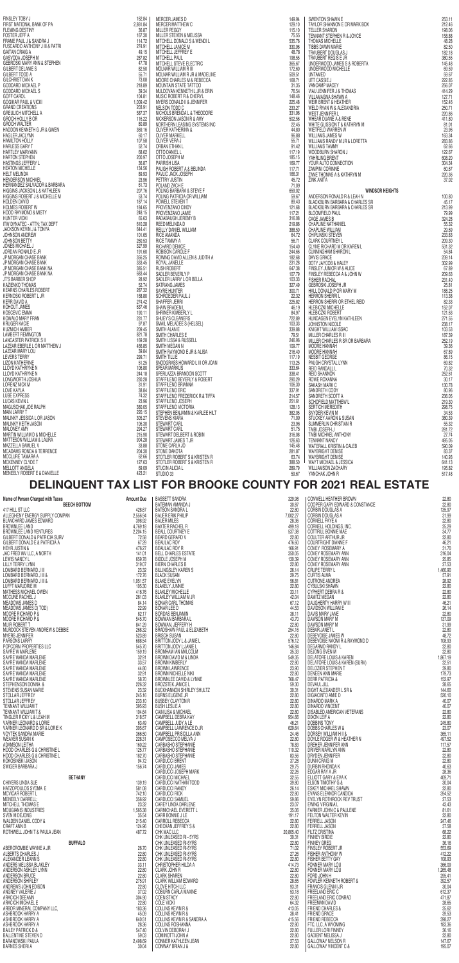|                                                                                                                                                                                                                                                           | 162.84   | MERCER JAMES D                                                                                                                                                                                                                                                               | 149.94 | SWENTON SHAWN E                                                                                                                                                                                                                                              | 253.11 |
|-----------------------------------------------------------------------------------------------------------------------------------------------------------------------------------------------------------------------------------------------------------|----------|------------------------------------------------------------------------------------------------------------------------------------------------------------------------------------------------------------------------------------------------------------------------------|--------|--------------------------------------------------------------------------------------------------------------------------------------------------------------------------------------------------------------------------------------------------------------|--------|
|                                                                                                                                                                                                                                                           | 2,861.84 | <b>MERCER MATTHEW C</b>                                                                                                                                                                                                                                                      | 129.10 |                                                                                                                                                                                                                                                              | 212.46 |
|                                                                                                                                                                                                                                                           | 36.87    | <b>MILLER PEGGY</b>                                                                                                                                                                                                                                                          | 115.10 |                                                                                                                                                                                                                                                              | 198.06 |
|                                                                                                                                                                                                                                                           |          |                                                                                                                                                                                                                                                                              |        |                                                                                                                                                                                                                                                              |        |
|                                                                                                                                                                                                                                                           | 167.30   | MILLER STEVEN & MELISSA                                                                                                                                                                                                                                                      | 75.55  |                                                                                                                                                                                                                                                              | 158.88 |
|                                                                                                                                                                                                                                                           | 114.72   | MITCHELL DONALD S & WENDI L                                                                                                                                                                                                                                                  | 535.76 |                                                                                                                                                                                                                                                              | 48.28  |
|                                                                                                                                                                                                                                                           | 274.91   | MITCHELL JANICE M                                                                                                                                                                                                                                                            | 330.96 |                                                                                                                                                                                                                                                              | 82.50  |
|                                                                                                                                                                                                                                                           |          |                                                                                                                                                                                                                                                                              |        |                                                                                                                                                                                                                                                              |        |
|                                                                                                                                                                                                                                                           | 49.15    | MITCHELL JEFFREY E                                                                                                                                                                                                                                                           | 48.78  |                                                                                                                                                                                                                                                              | 182.18 |
|                                                                                                                                                                                                                                                           | 287.82   | <b>MITCHELL PAUL</b>                                                                                                                                                                                                                                                         | 198.55 |                                                                                                                                                                                                                                                              | 380.55 |
|                                                                                                                                                                                                                                                           | 47.78    | MITCHELL STEVE ELECTRIC                                                                                                                                                                                                                                                      | 365.67 |                                                                                                                                                                                                                                                              | 145.48 |
|                                                                                                                                                                                                                                                           |          |                                                                                                                                                                                                                                                                              |        |                                                                                                                                                                                                                                                              |        |
|                                                                                                                                                                                                                                                           | 82.50    | MOLNAR WILLIAM R III                                                                                                                                                                                                                                                         | 172.60 |                                                                                                                                                                                                                                                              | 69.59  |
|                                                                                                                                                                                                                                                           | 55.71    | MOLNAR WILLIAM R JR & MADELINE                                                                                                                                                                                                                                               | 509.51 |                                                                                                                                                                                                                                                              | 59.67  |
|                                                                                                                                                                                                                                                           |          |                                                                                                                                                                                                                                                                              |        |                                                                                                                                                                                                                                                              |        |
|                                                                                                                                                                                                                                                           | 73.08    | MOORE CHARLES M & REBECCA                                                                                                                                                                                                                                                    | 168.71 |                                                                                                                                                                                                                                                              | 222.85 |
|                                                                                                                                                                                                                                                           | 218.89   | MOUNTAIN STATE TATTOO                                                                                                                                                                                                                                                        | 31.35  |                                                                                                                                                                                                                                                              | 256.07 |
|                                                                                                                                                                                                                                                           |          |                                                                                                                                                                                                                                                                              |        |                                                                                                                                                                                                                                                              |        |
|                                                                                                                                                                                                                                                           | 39.34    | MULDOVAN KENNETH L JR & ERIN                                                                                                                                                                                                                                                 | 76.54  |                                                                                                                                                                                                                                                              | 414.29 |
|                                                                                                                                                                                                                                                           | 104.81   | MUSIC ROBERT R & CHERYL                                                                                                                                                                                                                                                      | 148.46 |                                                                                                                                                                                                                                                              | 127.71 |
|                                                                                                                                                                                                                                                           | 1,009.42 | MYERS DONALD II & JENNIFER                                                                                                                                                                                                                                                   |        |                                                                                                                                                                                                                                                              |        |
|                                                                                                                                                                                                                                                           |          |                                                                                                                                                                                                                                                                              | 225.48 |                                                                                                                                                                                                                                                              | 152.46 |
|                                                                                                                                                                                                                                                           | 203.91   | NELSON TODD C                                                                                                                                                                                                                                                                | 233.27 |                                                                                                                                                                                                                                                              | 250.71 |
|                                                                                                                                                                                                                                                           | 587.37   | NICHOLS BRENDA L & THEODORE                                                                                                                                                                                                                                                  | 331.96 |                                                                                                                                                                                                                                                              | 220.86 |
|                                                                                                                                                                                                                                                           |          |                                                                                                                                                                                                                                                                              |        |                                                                                                                                                                                                                                                              |        |
|                                                                                                                                                                                                                                                           | 116.22   | NICKERSON JASON R & AMY                                                                                                                                                                                                                                                      | 502.56 |                                                                                                                                                                                                                                                              | 411.80 |
|                                                                                                                                                                                                                                                           | 80.89    | NORTHERN LEASING SYSTEMS INC                                                                                                                                                                                                                                                 | 22.45  |                                                                                                                                                                                                                                                              | 81.01  |
|                                                                                                                                                                                                                                                           | 369.16   | <b>OLIVER KATHERINA &amp;</b>                                                                                                                                                                                                                                                | 44.80  |                                                                                                                                                                                                                                                              | 23.96  |
|                                                                                                                                                                                                                                                           |          |                                                                                                                                                                                                                                                                              |        |                                                                                                                                                                                                                                                              |        |
|                                                                                                                                                                                                                                                           | 60.17    | <b>OLIVER MARKELL</b>                                                                                                                                                                                                                                                        | 96.88  |                                                                                                                                                                                                                                                              | 163.34 |
|                                                                                                                                                                                                                                                           | 107.58   | OLIVER VERA J                                                                                                                                                                                                                                                                | 55.71  |                                                                                                                                                                                                                                                              | 283.86 |
|                                                                                                                                                                                                                                                           | 52.74    | ORBAN ETHAN L                                                                                                                                                                                                                                                                |        |                                                                                                                                                                                                                                                              |        |
|                                                                                                                                                                                                                                                           |          |                                                                                                                                                                                                                                                                              | 91.42  |                                                                                                                                                                                                                                                              | 62.66  |
|                                                                                                                                                                                                                                                           | 68.62    | OTTO DANIEL L                                                                                                                                                                                                                                                                | 117.19 |                                                                                                                                                                                                                                                              | 122.67 |
|                                                                                                                                                                                                                                                           | 200.97   | OTTO JOSEPH M                                                                                                                                                                                                                                                                | 185.15 |                                                                                                                                                                                                                                                              | 608.20 |
|                                                                                                                                                                                                                                                           |          |                                                                                                                                                                                                                                                                              |        |                                                                                                                                                                                                                                                              |        |
|                                                                                                                                                                                                                                                           | 36.87    | PARRISH LISA                                                                                                                                                                                                                                                                 | 169.77 |                                                                                                                                                                                                                                                              | 304.34 |
|                                                                                                                                                                                                                                                           | 134.56   | PAUGH ROBERT A & BELINDA                                                                                                                                                                                                                                                     | 117.71 |                                                                                                                                                                                                                                                              | 60.67  |
|                                                                                                                                                                                                                                                           | 89.93    | PAVLIC JACK JOSEPH                                                                                                                                                                                                                                                           | 166.31 |                                                                                                                                                                                                                                                              | 220.36 |
|                                                                                                                                                                                                                                                           |          |                                                                                                                                                                                                                                                                              |        |                                                                                                                                                                                                                                                              |        |
|                                                                                                                                                                                                                                                           | 23.96    | PETTRY JUSTIN                                                                                                                                                                                                                                                                | 45.72  | SWENTON SHAWNE<br>TAYLOR SHANNON E OR MARK BOX<br>TELLER SHARNON E OR MARK BOX<br>TELLER SHARON<br>TENNANT STEPHEN R & JOYCE<br>THOMAS MICHELLE<br>TIBBS DAWN MARIE<br>TRAUBERT DOUGLAS J<br>UNDERWOOD JAMES S & ROBERTA<br>UNDERWOOD JAMES S & ROBERTA<br>U | 37.02  |
|                                                                                                                                                                                                                                                           | 61.73    | POLAND ZACH E                                                                                                                                                                                                                                                                | 71.09  |                                                                                                                                                                                                                                                              |        |
|                                                                                                                                                                                                                                                           | 207.76   | POLING BARBARA & STEVE F                                                                                                                                                                                                                                                     |        |                                                                                                                                                                                                                                                              |        |
|                                                                                                                                                                                                                                                           |          |                                                                                                                                                                                                                                                                              | 659.02 | <b>WINDSOR HEIGHTS</b>                                                                                                                                                                                                                                       |        |
|                                                                                                                                                                                                                                                           | 53.74    | POLING PATRICIA OR WILLIAM                                                                                                                                                                                                                                                   | 59.67  | ANDERSON RONALD R & LEAH N                                                                                                                                                                                                                                   | 100.80 |
|                                                                                                                                                                                                                                                           | 187.14   | POWELL STEVEN T                                                                                                                                                                                                                                                              | 89.43  | BLACKBURN BARBARA & CHARLES SR                                                                                                                                                                                                                               | 45.17  |
|                                                                                                                                                                                                                                                           |          |                                                                                                                                                                                                                                                                              |        |                                                                                                                                                                                                                                                              |        |
|                                                                                                                                                                                                                                                           | 184.65   | PROVENZANO CINDY                                                                                                                                                                                                                                                             | 121.68 | <b>BLACKBURN BARBARA &amp; CHARLES SR</b>                                                                                                                                                                                                                    | 213.99 |
|                                                                                                                                                                                                                                                           | 248.15   | PROVENZANO JAMIE                                                                                                                                                                                                                                                             | 117.21 | <b>BLOOMFIELD PAUL</b>                                                                                                                                                                                                                                       | 79.99  |
|                                                                                                                                                                                                                                                           | 65.63    | RADABAUGH JEREMY B                                                                                                                                                                                                                                                           | 316.08 | CAGE JAMES B                                                                                                                                                                                                                                                 | 324.28 |
|                                                                                                                                                                                                                                                           |          |                                                                                                                                                                                                                                                                              |        |                                                                                                                                                                                                                                                              |        |
|                                                                                                                                                                                                                                                           | 610.28   | REED MELINDA D                                                                                                                                                                                                                                                               | 219.86 | CHAPLINE NATHANIEL                                                                                                                                                                                                                                           | 55.32  |
|                                                                                                                                                                                                                                                           | 644.41   | REILLY DANIEL WILLIAM                                                                                                                                                                                                                                                        | 388.50 | CHAPLINE WILLIAM                                                                                                                                                                                                                                             | 29.69  |
|                                                                                                                                                                                                                                                           |          |                                                                                                                                                                                                                                                                              |        |                                                                                                                                                                                                                                                              |        |
|                                                                                                                                                                                                                                                           | 101.65   | <b>RICE AMANDA</b>                                                                                                                                                                                                                                                           | 64.72  | CHIPLINSKI STEVEN                                                                                                                                                                                                                                            | 233.83 |
|                                                                                                                                                                                                                                                           | 260.53   | RICE TAMMY A                                                                                                                                                                                                                                                                 | 56.71  | <b>CLARK COURTNEY L</b>                                                                                                                                                                                                                                      | 209.30 |
|                                                                                                                                                                                                                                                           | 327,99   | RICHARD DENICE                                                                                                                                                                                                                                                               | 154.40 | CLYNE RICHARD M OR KAREN L                                                                                                                                                                                                                                   | 531.32 |
|                                                                                                                                                                                                                                                           |          |                                                                                                                                                                                                                                                                              |        |                                                                                                                                                                                                                                                              |        |
|                                                                                                                                                                                                                                                           | 191.60   | ROBISON CAROLE F                                                                                                                                                                                                                                                             | 244.66 | <b>CUNNINGHAM SHARON L</b>                                                                                                                                                                                                                                   | 54.84  |
|                                                                                                                                                                                                                                                           |          | ROWING DAVID ALLEN & JUDITH A                                                                                                                                                                                                                                                | 182.68 | <b>DAVIS GRACE</b>                                                                                                                                                                                                                                           | 239.14 |
|                                                                                                                                                                                                                                                           |          |                                                                                                                                                                                                                                                                              |        |                                                                                                                                                                                                                                                              |        |
|                                                                                                                                                                                                                                                           | 356.25   |                                                                                                                                                                                                                                                                              |        |                                                                                                                                                                                                                                                              |        |
|                                                                                                                                                                                                                                                           | 333.45   | ROYAL JANELLE                                                                                                                                                                                                                                                                | 231.28 | DOTY JAYCOB & HALEY                                                                                                                                                                                                                                          | 302.99 |
|                                                                                                                                                                                                                                                           |          |                                                                                                                                                                                                                                                                              |        |                                                                                                                                                                                                                                                              |        |
|                                                                                                                                                                                                                                                           | 385.51   | RUSH ROBERT                                                                                                                                                                                                                                                                  | 647.38 | FINSLEY JUNIOR W & ALICE                                                                                                                                                                                                                                     | 67.89  |
|                                                                                                                                                                                                                                                           | 683.44   | SADLER BEVERLY P                                                                                                                                                                                                                                                             | 107.79 | FINSLEY REBECCA A & JOHN W                                                                                                                                                                                                                                   | 209.63 |
|                                                                                                                                                                                                                                                           | 28.92    | SADLER LARRY L OR BELLA                                                                                                                                                                                                                                                      | 103.33 | <b>FISHER RACHAL</b>                                                                                                                                                                                                                                         | 231.40 |
|                                                                                                                                                                                                                                                           |          |                                                                                                                                                                                                                                                                              |        |                                                                                                                                                                                                                                                              |        |
|                                                                                                                                                                                                                                                           | 52.74    | SATRANG JAMES                                                                                                                                                                                                                                                                | 327.49 | GEBROSKI JOSEPH JR                                                                                                                                                                                                                                           | 25.81  |
|                                                                                                                                                                                                                                                           | 287.32   | SAYRE HUNTER                                                                                                                                                                                                                                                                 | 300.71 | HALL DONALD P OR MARY M                                                                                                                                                                                                                                      | 188.25 |
|                                                                                                                                                                                                                                                           | 168.80   | SCHROEDER PAUL J                                                                                                                                                                                                                                                             | 22.32  |                                                                                                                                                                                                                                                              |        |
|                                                                                                                                                                                                                                                           |          | N<br>MELISSA<br>M<br>M<br>M M M M MADELINE<br>THE CETRIC<br>M & REBECCA<br>TATTOO<br>M & REBECCA<br>TATTOO<br>M & REBECA<br>X CHERYL<br>& JENNIFER<br>L & THE CODORE<br>IR & AMY<br>IG SYSTEMS INC<br>IR & AMY<br>V &<br>SYSTEMS INC<br>V &<br>SELINDA<br>H<br>Y TEVE F<br>T |        | <b>HERRON SHERRIL</b>                                                                                                                                                                                                                                        | 113.38 |
| KERR DAVID A                                                                                                                                                                                                                                              | 274.42   | SHAFFER JERRI                                                                                                                                                                                                                                                                | 225.82 | HERRON SHERRI OR ETHEL REID                                                                                                                                                                                                                                  | 82.33  |
| KOHOUT JAMES                                                                                                                                                                                                                                              | 637.46   | SHAW BRADEN L                                                                                                                                                                                                                                                                | 46.19  | <b>HLEBICZKI MICHELLE</b>                                                                                                                                                                                                                                    | 152.07 |
| KOSCEVIC EMMA                                                                                                                                                                                                                                             | 190.11   | SHRINER KIMBERLY L                                                                                                                                                                                                                                                           | 84.97  | <b>HLEBICZKI ROBERT</b>                                                                                                                                                                                                                                      | 121.63 |
| FINSLEY TOBY J<br>FIRST NATIONAL BANK OF PA<br>FLEMING DESTINY<br>FORTER JEEFF A<br>FONDACION AND MANUSAN SAMPONAL<br>FIRSULA 28 AND MANUSAN<br>FRAME PAUL 3 SAMPONAL<br>SAMPOS AUGUST AND MANUSAN STEPHEN<br>SAMPOS DODAR DANCELLA<br>SAMPOS DODAR DANCE |          |                                                                                                                                                                                                                                                                              |        |                                                                                                                                                                                                                                                              |        |
| KOWALO MARY FRAN                                                                                                                                                                                                                                          | 231.77   | SHUEY'S CLEANERS                                                                                                                                                                                                                                                             | 722.89 | HUNDAGEN EVELYN KATHLEEN                                                                                                                                                                                                                                     | 271.55 |
| KRUGER KACIE                                                                                                                                                                                                                                              | 97.87    | SMAIL MELADEE S (HELSEL)                                                                                                                                                                                                                                                     | 103.33 | JOHNSTON NICOLE                                                                                                                                                                                                                                              | 238.17 |
| KUZMICH AMBER                                                                                                                                                                                                                                             | 209.45   | SMITH ALAN E                                                                                                                                                                                                                                                                 | 339.88 |                                                                                                                                                                                                                                                              |        |
|                                                                                                                                                                                                                                                           |          |                                                                                                                                                                                                                                                                              |        | KNIGHT WILLIAM ISSAC                                                                                                                                                                                                                                         | 103.53 |
| LAMBERT REMINGTON                                                                                                                                                                                                                                         | 821.78   | SMITH CHARLES E                                                                                                                                                                                                                                                              | 79.51  | MILLER CHARLES R III                                                                                                                                                                                                                                         | 187.39 |
| LANCASTER PATRICK S II                                                                                                                                                                                                                                    | 169.28   | <b>SMITH LISSA &amp; RUSSELL</b>                                                                                                                                                                                                                                             | 246.96 | MILLER CHARLES R SR OR BARBARA                                                                                                                                                                                                                               | 252.19 |
| LAZEAR EBERLE L OR MATTHEW J                                                                                                                                                                                                                              | 466.85   |                                                                                                                                                                                                                                                                              |        |                                                                                                                                                                                                                                                              |        |
|                                                                                                                                                                                                                                                           |          | SMITH MEGAN N                                                                                                                                                                                                                                                                | 109.77 | <b>MOORE HANNAH</b>                                                                                                                                                                                                                                          | 39,36  |
| LAZEAR MARY LOU                                                                                                                                                                                                                                           | 39.84    | SMITH RAYMOND E JR & ALISA                                                                                                                                                                                                                                                   | 216.40 | <b>MOORE HANNAH</b>                                                                                                                                                                                                                                          | 67.89  |
| LEVERS TERRY                                                                                                                                                                                                                                              | 299.71   | <b>SMITH TILLIE</b>                                                                                                                                                                                                                                                          | 117.19 | NESBIT GEORGE                                                                                                                                                                                                                                                | 86.15  |
|                                                                                                                                                                                                                                                           |          |                                                                                                                                                                                                                                                                              |        |                                                                                                                                                                                                                                                              |        |
| LIZON KATHERINE                                                                                                                                                                                                                                           | 51.25    | SNODGRASS HOWARD L III OR JOAN                                                                                                                                                                                                                                               | 113.25 | PAUGH CRYSTAL LYNN                                                                                                                                                                                                                                           | 69.82  |
| LLOYD KATHRYNE N                                                                                                                                                                                                                                          | 106.80   | <b>SPEAR MARKUS</b>                                                                                                                                                                                                                                                          | 333.64 | REID RANDALL L                                                                                                                                                                                                                                               | 70.32  |
| LLOYD KATHRYNE N                                                                                                                                                                                                                                          | 244.18   | SPERLAZZA BRANDON SCOTT                                                                                                                                                                                                                                                      | 338.41 | <b>REID SHANNON</b>                                                                                                                                                                                                                                          | 252.61 |
|                                                                                                                                                                                                                                                           |          |                                                                                                                                                                                                                                                                              |        |                                                                                                                                                                                                                                                              |        |
| LONGWORTH JOSHUA                                                                                                                                                                                                                                          | 230.28   | STAFFILENO BEVERLY & ROBERT                                                                                                                                                                                                                                                  | 290.29 | ROWE ROXANNA                                                                                                                                                                                                                                                 | 30.17  |
| LORENZ NICK M                                                                                                                                                                                                                                             | 31.91    | STAFFILENO BRIANNA                                                                                                                                                                                                                                                           | 106.30 | SAKASH MARK C                                                                                                                                                                                                                                                | 130.78 |
| LOVE KAYLA                                                                                                                                                                                                                                                | 38.84    | STAFFILENO ERIC                                                                                                                                                                                                                                                              |        | SANDRETH CODY                                                                                                                                                                                                                                                | 80.96  |
|                                                                                                                                                                                                                                                           |          |                                                                                                                                                                                                                                                                              | 337.91 |                                                                                                                                                                                                                                                              |        |
| LUBE EXPRESS                                                                                                                                                                                                                                              | 74.32    | STAFFILENO FREDERICK R & TIFFA                                                                                                                                                                                                                                               | 214.57 | SANDRETH SCOTT A                                                                                                                                                                                                                                             | 236.05 |
| LUCAS KEVIN L                                                                                                                                                                                                                                             | 23.96    | STAFFILENO JOSEPH                                                                                                                                                                                                                                                            | 251.61 | <b>SCHOFIELD MATTHEW L</b>                                                                                                                                                                                                                                   | 219.30 |
|                                                                                                                                                                                                                                                           |          |                                                                                                                                                                                                                                                                              |        |                                                                                                                                                                                                                                                              |        |
| MAGUSCHAK JOE RALPH                                                                                                                                                                                                                                       | 380.05   | STAFFILENO VICTORIA                                                                                                                                                                                                                                                          | 128.13 | SERTICH MEREDITH                                                                                                                                                                                                                                             | 298.75 |
| <b>MAIN LARRY T</b>                                                                                                                                                                                                                                       | 220.15   | STEPHEN BENJAMIN & KARLEE HILT                                                                                                                                                                                                                                               | 382.05 | SNYDER KEVIN M                                                                                                                                                                                                                                               | 34.53  |
| MALINKY JESSICA L OR JASON                                                                                                                                                                                                                                | 305.27   | <b>STEVENS KIARA</b>                                                                                                                                                                                                                                                         | 71.09  | <b>STUCKEY AARON &amp; SUSAN</b>                                                                                                                                                                                                                             |        |
|                                                                                                                                                                                                                                                           |          |                                                                                                                                                                                                                                                                              |        |                                                                                                                                                                                                                                                              | 380.39 |
| MALINKY KEITH JASON                                                                                                                                                                                                                                       | 106.30   | STEWART CARL                                                                                                                                                                                                                                                                 | 23.96  | SUMMERLIN CHRISTIAN R                                                                                                                                                                                                                                        | 55.32  |
| MALONEY AMY                                                                                                                                                                                                                                               | 294.27   | STEWART CARL                                                                                                                                                                                                                                                                 | 51.75  | TAIBI JOSEPH J                                                                                                                                                                                                                                               | 281.72 |
|                                                                                                                                                                                                                                                           |          |                                                                                                                                                                                                                                                                              |        |                                                                                                                                                                                                                                                              |        |
| MARTIN WILLIAM D & MICHELLE                                                                                                                                                                                                                               | 215.90   | STEWART DELBERT & ROBIN                                                                                                                                                                                                                                                      | 316.08 | TAIBI MICHAEL ANTHONY                                                                                                                                                                                                                                        | 27.74  |
| MATTESON WILLIAM & LAURA                                                                                                                                                                                                                                  | 904.28   | STEWART JAMES T JR                                                                                                                                                                                                                                                           | 126.63 | <b>TENNANT NANCY</b>                                                                                                                                                                                                                                         | 495.05 |
| MAZZELLA SAMUEL V                                                                                                                                                                                                                                         | 33,88    | STONE CARLA JO                                                                                                                                                                                                                                                               | 145.48 | WATERALL KRISTIN & CALEB                                                                                                                                                                                                                                     | 590.09 |
|                                                                                                                                                                                                                                                           |          |                                                                                                                                                                                                                                                                              |        |                                                                                                                                                                                                                                                              |        |
| MCADAMS RONDA & TERRENCE                                                                                                                                                                                                                                  | 204.30   | STONE DAKOTA                                                                                                                                                                                                                                                                 | 281.87 | <b>WAYBRIGHT DENISE</b>                                                                                                                                                                                                                                      | 83.37  |
| MCCLURE TAMARA A                                                                                                                                                                                                                                          | 62.66    | STOTLER ROBERT S & KRISTEN R                                                                                                                                                                                                                                                 | 63.74  | <b>WAYBRIGHT DENISE</b>                                                                                                                                                                                                                                      | 140.93 |
| MCKENNEY CLYDE T                                                                                                                                                                                                                                          | 127.63   | STOTLER ROBERT S & KRISTEN R                                                                                                                                                                                                                                                 | 388.50 | WAYT MICHAEL & JESSICA                                                                                                                                                                                                                                       | 641.13 |
|                                                                                                                                                                                                                                                           |          |                                                                                                                                                                                                                                                                              |        |                                                                                                                                                                                                                                                              |        |
| MELLOTT ANGELA                                                                                                                                                                                                                                            | 69.09    | <b>STUCIN ALICIA L</b>                                                                                                                                                                                                                                                       | 289.79 | <b>WILLIAMSON ZACHARY</b>                                                                                                                                                                                                                                    | 195.82 |
| MENEELY ROBERT E & DANIELLE                                                                                                                                                                                                                               | 423.21   | STUDIO 33                                                                                                                                                                                                                                                                    | 59.67  | YANCHAK JOHN R                                                                                                                                                                                                                                               | 517.48 |

## **DELINQUENT TAX LIST FOR BROOKE COUNTY FOR 2021 REAL ESTATE**

|                                                                                                                                                                                                                                            |                  | <b>BASSETT SANDRA</b>                                                                 | 329.98             | CONWELL HEATHER BROWN                                                                                               | 22.80              |
|--------------------------------------------------------------------------------------------------------------------------------------------------------------------------------------------------------------------------------------------|------------------|---------------------------------------------------------------------------------------|--------------------|---------------------------------------------------------------------------------------------------------------------|--------------------|
|                                                                                                                                                                                                                                            |                  | <b>BATEMAN AMANDA J</b>                                                               | 30.87              | COOPER GARY EDWARD & CONSTANCE                                                                                      | 22.80              |
|                                                                                                                                                                                                                                            |                  | <b>BATSON SANDRA L</b><br><b>BAUER ERIK PHILIP</b>                                    | 22,80<br>7,002.27  | <b>CORBIN DOUGLAS A</b><br>CORBIN DOUGLAS A                                                                         | 135.97<br>31.99    |
|                                                                                                                                                                                                                                            |                  | <b>BAUER MILES</b>                                                                    | 28.36              | CORNELL FAYE A                                                                                                      | 22.80              |
|                                                                                                                                                                                                                                            |                  | <b>BAXTER RACHEL R</b><br><b>BEALL COURTNEY E</b>                                     | 499.18<br>537.38   | CORNELL HOLDINGS, INC.                                                                                              | 25.29<br>34.77     |
|                                                                                                                                                                                                                                            |                  | BEARD GERARD V                                                                        | 22.80              | COTTRILL BONNIE MAE<br>COULTER ARTHUR JR                                                                            | 22,80              |
|                                                                                                                                                                                                                                            |                  | <b>BEAULAC ROY</b><br><b>BEAULAC ROY R</b>                                            | 476.60<br>166.91   | <b>COURTRIGHT DIANNE F</b><br>COVEY ROSEMARY A                                                                      | 46.21<br>31.70     |
|                                                                                                                                                                                                                                            |                  | <b>BELL CHARLES ESTATE</b>                                                            | 350.05             | COVEY ROSEMARY ANN                                                                                                  | 316.04             |
|                                                                                                                                                                                                                                            |                  | <b>BIDDLE JOSEPH M</b><br><b>BIERN CHARLES B</b>                                      | 130.39<br>22,80    | COVEY ROSEMARY ANN<br>COVEY ROSEMARY ANN<br>CRUPE TERRY L                                                           | 25.85              |
|                                                                                                                                                                                                                                            |                  | <b>BILLINGSLEY KAREN S</b>                                                            | 26.14              |                                                                                                                     | 27.53<br>1,460.90  |
|                                                                                                                                                                                                                                            |                  | <b>BLACK SUSAN</b><br><b>BLAKE EVELYN</b>                                             | 29.75<br>56.81     | <b>CURTIS ALMA</b><br><b>CUTRONE ANDREA</b>                                                                         | 57.91<br>28.92     |
|                                                                                                                                                                                                                                            |                  | <b>BLAKELY JUNNIE</b>                                                                 | 22.80              | CYBULSKI SHAWN                                                                                                      | 22.80              |
|                                                                                                                                                                                                                                            |                  | <b>BLAKLEY MICHELLE</b><br>BLAKLEY WILLIAM M JR                                       | 33.11<br>42.04     | CYPHERT DEBRA R &<br>DAMITZ MEGAN                                                                                   | 22.80<br>22,80     |
|                                                                                                                                                                                                                                            |                  | <b>BONAR CARL THOMAS</b>                                                              | 67.12              | DAUGHERTY HARRY W III                                                                                               | 46.21              |
|                                                                                                                                                                                                                                            |                  | <b>BONAR LEE D</b><br><b>BORDAS BENJAMIN</b>                                          | 44.53<br>38.11     | DAVIDSON WILLIAM E<br>DAVIS MARY JANE                                                                               | 26.14<br>22.80     |
|                                                                                                                                                                                                                                            |                  | <b>BOWMAN BARBARA L</b>                                                               | 43.70              | DAWSON MARY M                                                                                                       | 137.09             |
|                                                                                                                                                                                                                                            |                  | BOWMAN, JEFFERY H<br>BRADSHAW PAUL & ELIZABETH                                        | 22,80<br>254.16    | <b>DAWSON MARY M</b><br>DEBAR JANET L                                                                               | 31.99<br>22.80     |
| Name of Person Charged with Taxes<br>477 HILL ST LLC (ADMON) RECHARGES SUPPLY COMPAN<br>477 HILL ST LLC<br>BLANCHAPC INNERS SUPPLY COMPAN<br>BLANCHAPC INNERS SUPPLY COMPAN<br>BLANCHAPC INNERS SUPPLY COMPAN<br>SURGE ENTIRE AND VENTURES |                  | <b>BRISCH SUSAN</b>                                                                   | 22.80              | DEBEVOISE JAMES W                                                                                                   | 48.72              |
|                                                                                                                                                                                                                                            |                  | BRITTON JODY L & JANIE L<br>BRITTON JODY L; JANIE L                                   | 576.12<br>146.84   | DEBEVOISE NAOMI R & RAYMOND D<br><b>DEGARMO RANDY L</b>                                                             | 108.93<br>22.80    |
|                                                                                                                                                                                                                                            |                  | TH<br>LTZ<br>LTZ<br>BROMHAM IAN MALCOLM<br>BROWN DAVID M & LINDA                      | 35.33              | M III<br>& RAYMOND D<br>\REN (SURV)<br>;R &<br>/FTERANS<br>& THER N<br>\<br>DEJONG SVEN M<br>DELATORE LOUIS & KAREN | 22.80<br>1,867.19  |
|                                                                                                                                                                                                                                            |                  | <b>BROWN KIMBERLY</b>                                                                 | 549.35<br>22,80    | DELATORE LOUIS & KAREN (SURV)                                                                                       | 22.51              |
|                                                                                                                                                                                                                                            |                  | <b>BROWN LAWRENCE</b>                                                                 | 23.90              | DELOZIER STEPHEN T                                                                                                  | 39.80              |
|                                                                                                                                                                                                                                            |                  | <b>BROWN NICHELLE NIKI</b><br><b>BROWNLEE DAVID &amp; LYNNE<br/>BROZSTEK JANICE L</b> | 22.80<br>768.47    | <b>DENEEN ANN MARIE</b><br><b>DERR PATRICIA &amp;</b>                                                               | 179.73<br>152.97   |
|                                                                                                                                                                                                                                            |                  | <b>BUCKHANNON SHIRLEY SHULTZ</b>                                                      | 59.30              | <b>DEVAUL JILL</b><br>DIGHT ALEXANDER L SR &                                                                        | 28.65<br>144.60    |
|                                                                                                                                                                                                                                            |                  | <b>BURNS EUGENE JR</b>                                                                | 30.31<br>22.80     | DIGIACINTO AMIE D                                                                                                   | 520.10             |
|                                                                                                                                                                                                                                            |                  | <b>BUSBEY CLAYTON R</b><br><b>BUSH LESLIE A</b>                                       | 22.80              | DINARDO MARK A<br><b>DINARDO VINCENT</b>                                                                            | 40.07<br>40.07     |
|                                                                                                                                                                                                                                            |                  | CAIN LISA & MICHAEL                                                                   | 22.80<br>22.80     | DISABLED AMERICAN VETERANS                                                                                          | 22.80              |
|                                                                                                                                                                                                                                            |                  | CAMPBELL DEBRA KAY<br>CAMPBELL JUDY A LE                                              | 954.66             | DIXON LEIF A<br><b>DOBBINS TONY</b>                                                                                 | 22.80<br>245.80    |
|                                                                                                                                                                                                                                            |                  | CAMPBELL LAWRENCE D JR                                                                | 46.21<br>629.64    | DOBBS CHARLES W &                                                                                                   | 23.07              |
|                                                                                                                                                                                                                                            |                  | CAMPBELL PRISCILLA ANN<br>CAMPOSECCO MELVA J                                          | 24.46<br>22,80     | DORSEY WILLIAM H II &<br>DOYLE ROGER W & HEATHER N                                                                  | 365.11<br>497.52   |
|                                                                                                                                                                                                                                            |                  | CARBASHO STEPHANIE                                                                    | 78.83              | DREHER JENNIFER ANN                                                                                                 | 117.57             |
|                                                                                                                                                                                                                                            |                  | CARBASHO STEPHANIE<br>CARBASHO STEPHANIE                                              | 110.32<br>83.56    | DRIVER MARILYN ANN                                                                                                  | 22.80<br>22.80     |
|                                                                                                                                                                                                                                            |                  | <b>CARDUCCI BRENT</b>                                                                 | 37.28              | DRYDEN JENNIFER                                                                                                     | 22.80              |
|                                                                                                                                                                                                                                            |                  | CARDUCCI JAMES<br>CARDUCCI JOSEPH MARK                                                | 29.75<br>32.26     | <b>DURBIN RHONDAK</b><br>EDGAR RAY A JR                                                                             | 40.63<br>28.36     |
| <b>BETHANY</b>                                                                                                                                                                                                                             |                  | CARDUCCI MICHAEL                                                                      | 32.55              | ELLIOTT GARY & EVA K                                                                                                | 409.71             |
| CHIVERS LINDA SUE<br>HATZOPOULOS SYDMA E                                                                                                                                                                                                   | 139.19<br>581.08 | CARDUCCI NATHAN TODD<br><b>CARDUCCI RANDY</b>                                         | 39.80<br>26.14     | ELSON TIMOTHY G &<br>ESKEY MICHAEL SHAWN                                                                            | 30.04<br>22.80     |
| <b>MCVICAR ROBERT L</b>                                                                                                                                                                                                                    | 742.10           | <b>CARDUCCI RICK</b>                                                                  | 22,80              | EVANS ELEANOR CANDIDA                                                                                               | 394.52             |
| MENEELY DARRELL;<br>MITCHELL THOMAS E                                                                                                                                                                                                      | 356.92<br>23.32  | <b>CARDUCCI SAMUEL</b><br>CAREY LINDA DARLENE                                         | 59.86<br>23.07     | EVELYN ROTHROCK REV TRUST<br>EWING VIRGINIA L                                                                       | 27.53<br>43.43     |
| MOUGIANIS INDUSTRIES                                                                                                                                                                                                                       | 1,565.38         | CARMICHAEL EVERETT L                                                                  | 35.06              | FARMER JOHN C & PAULENE                                                                                             | 81.61              |
| SVEN M DEJONG<br><b>WALDEN DANIEL CODY &amp;</b>                                                                                                                                                                                           | 35.54<br>215.40  | CARR BONNIE J LE<br>CARROLL REBECCA                                                   | 191.17<br>22.80    | FELTON WALTER KEVIN<br>FERRELL JASON                                                                                | 22.80<br>247.46    |
| <b>CRAFT ANN B</b>                                                                                                                                                                                                                         | 124.96           | CHECKAN JEFFREY S &                                                                   | 22.80              | <b>FERRELL JASON</b>                                                                                                | 37.58              |
| ROTHWELL JOHN T & PAULA JEAN                                                                                                                                                                                                               | 487.72           | CHK MAC LLC<br>CHK UNLEASED RI - 5YRS                                                 | 20,805.40<br>30.31 | <b>FILTZ CRISTINA</b><br><b>FINNEY BIRDIE</b>                                                                       | 68.22<br>22.80     |
| <b>BUFFALO</b>                                                                                                                                                                                                                             |                  | CHK UNLEASED RI-5YRS                                                                  | 22.80              | <b>FINNEY GREG</b>                                                                                                  | 36.16              |
| ABERCROMBIE WAYNE A JR<br>ALBERTS CHARLES J                                                                                                                                                                                                | 26.70<br>22.80   | CHK UNLEASED RI-5YRS<br>CHK UNLEASED RI-5YRS                                          | 71.02<br>27.26     | FINSLEY ROBERT JR<br>FISHER ANTHONY W                                                                               | 553.69<br>412.22   |
| ALEXANDER LEANN S                                                                                                                                                                                                                          | 22.80            | CHK UNLEASED RI-5YRS                                                                  | 22.80              | FISHER BETTY GAY                                                                                                    | 108.93             |
| ANDERS MELISSA BLAKLEY<br>ANDERSON ASHLEY LYNN                                                                                                                                                                                             | 33.11<br>22.80   | CHRISTOPHER HILDA A<br>CLARK JOHN R                                                   | 414.73<br>22.80    | FONNER MARY LOU<br>FONNER MARY LOU                                                                                  | 366.09<br>1,265.48 |
| ANDERSON BRUCE                                                                                                                                                                                                                             | 22.80            | <b>CLARK SHAREN</b>                                                                   | 22.80              | FORD JOHN H                                                                                                         | 295.41             |
| ANDERSON SHIRLEY<br>ANDREWS JOHN EDISON                                                                                                                                                                                                    | 275.91<br>22.80  | <b>CLARK WILLIAM EDWARD</b><br><b>CLOVE HITCH LLC</b>                                 | 28.65<br>93.31     | FOWLER KENNETH ROBERT &<br>FRANCIS GLENN I JR                                                                       | 392.57<br>30.04    |
| ANGNEY VALERIE J                                                                                                                                                                                                                           | 37.02            | <b>COBURN CARLA MAXINE</b>                                                            | 53.18              | FREELAND ERIC C                                                                                                     | 612.37             |
| ARACICH DEEANN<br><b>ARACICH MICHAEL E</b>                                                                                                                                                                                                 | 304.90<br>22.80  | <b>COEN STACY</b><br><b>COLE VICKI</b>                                                | 22.80<br>64.32     | FREELAND ERIC CONRAD<br>FREEMAN DAVID                                                                               | 471.87<br>28.65    |
| ARBOR MINERAL COMPANY LLC,                                                                                                                                                                                                                 | 183.36           | <b>COLLINS KEVIN R &amp;</b>                                                          | 413.05             | <b>FRIEND CHARLES &amp;</b>                                                                                         | 35.62              |
| ASHBROOK HARRY A<br>ASHBROOK HARRY A                                                                                                                                                                                                       | 45.09<br>640.51  | <b>COLLINS KEVIN R &amp;</b><br>COLLINS KEVIN R & SANDRA A                            | 38.41<br>415.56    | FRIEND GRACE<br><b>FRIEND REBECCA</b>                                                                               | 39.53<br>398.27    |
| ASHBROOK HARRY A                                                                                                                                                                                                                           | 28.36            | <b>COLLINS ROSHANNA</b>                                                               | 22.80              | FTC, LLC, A WYOMING                                                                                                 | 183.36             |
| <b>BAILEY PATRICK D &amp;</b><br>BALLENTINE STEVEN D                                                                                                                                                                                       | 547.40<br>59.03  | COLVIN DEBORAH J<br>COMINOTTI JOHN A                                                  | 22.80<br>22.80     | FULLER LORI FINNEY<br><b>GADIENT MELISSA J</b>                                                                      | 36.16<br>22.80     |
| <b>BARANOWSKI PAULA</b>                                                                                                                                                                                                                    | 2,498.69         | CONNER KATHLEEN JEAN                                                                  | 27.53              | <b>GALLOWAY NELSON R</b>                                                                                            | 147.67             |
| <b>BARNES SHERI A</b>                                                                                                                                                                                                                      | 30.04            | CONWAY BRIAN J &                                                                      | 22.80              | <b>GALLOWAY VINCENT C &amp;</b>                                                                                     | 195.07             |

| 57.91<br>28.92                     |    |
|------------------------------------|----|
|                                    |    |
| 22.80<br>22.80                     |    |
| 22.80<br>46.21                     |    |
| 26.14                              |    |
| 22.80                              |    |
| 37.09<br>1<br>31.99                |    |
| 22.80                              |    |
| 48.72<br>108.93                    |    |
| 22.80                              |    |
| 22.80                              |    |
| 1,867.19                           |    |
| $\frac{22.51}{22.22}$<br>39.80     |    |
| 179.73                             |    |
| 52.97<br>28.65                     |    |
| 144.60                             |    |
| 520.10                             |    |
| 40.07<br>40.07                     |    |
| .<br>22.80                         |    |
| 22.80                              |    |
| 245.80<br>23.07                    |    |
| 365.11                             |    |
| 497.52<br>117.57<br>22.80          |    |
|                                    |    |
| 22.80                              |    |
| 22.80<br>40.63                     |    |
| 28.36                              |    |
| 409.71                             |    |
| 30.04<br>22.80                     |    |
| 394.52                             |    |
| 27.5                               |    |
| 43.43<br>81.61                     |    |
|                                    |    |
| 22.80<br>247.46<br>247.58<br>68.22 |    |
|                                    |    |
| 22.80                              |    |
| .<br>36.16<br>553.69               |    |
| 412.22                             |    |
| 100<br>.93                         |    |
| 366.09<br>1,265.48                 |    |
| 295.41                             |    |
| 392.57                             |    |
| 30.04                              |    |
| 612.37<br>471.87                   |    |
| 28.65<br>35.62                     |    |
| 39.53                              |    |
| 398.27                             |    |
| 183.<br>36.16                      | 36 |
|                                    |    |
| 22.80<br>147.67                    |    |
| 195.07                             |    |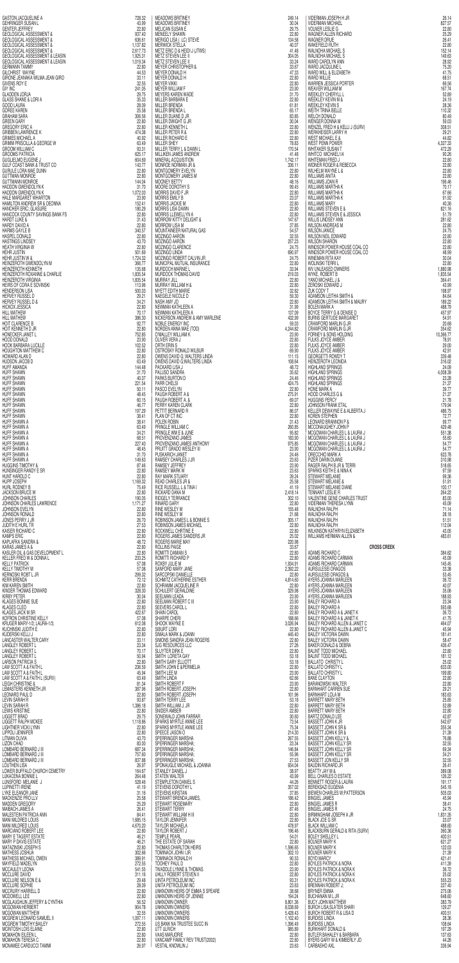|                                                                                                                                                                                                                                                                                                                                                   | 728.32                           | <b>MEADOWS BRITINEY</b>                                                                                                                                                                                                                                                                                                            | 249.14                      | VIDERMAN JOSEPH H JR                                                                                                                                                                                                                                                                            | 26.14                      |
|---------------------------------------------------------------------------------------------------------------------------------------------------------------------------------------------------------------------------------------------------------------------------------------------------------------------------------------------------|----------------------------------|------------------------------------------------------------------------------------------------------------------------------------------------------------------------------------------------------------------------------------------------------------------------------------------------------------------------------------|-----------------------------|-------------------------------------------------------------------------------------------------------------------------------------------------------------------------------------------------------------------------------------------------------------------------------------------------|----------------------------|
| GEHRINGER SUSAN L<br><b>GENTER JEFFREY</b>                                                                                                                                                                                                                                                                                                        | 43.99<br>22,80                   | <b>MEADOWS BRITINEY</b><br>MELICAN SUSAN E                                                                                                                                                                                                                                                                                         | 30.04<br>29.75              | <b>VIDERMAN MICHAEL</b><br><b>VOLNER LESLIE G</b>                                                                                                                                                                                                                                               | 827.57<br>22.80            |
| GEOLOGICAL ASSESSMENT &<br>GEOLOGICAL ASSESSMENT &<br>GEOLOGICAL ASSESSMENT &                                                                                                                                                                                                                                                                     | 937.40<br>636.61                 | MENEELY SHAWN<br>MERIGO LISA ( LC) STEVE<br>MERWICK STELLA                                                                                                                                                                                                                                                                         | 22.80<br>134.58<br>40.07    | WAGNER ALLEN RICHARD<br><b>WAGNER DRUE</b><br>WAKEFIELD RUTH                                                                                                                                                                                                                                    | 25.29<br>26.41<br>22.80    |
| <b>GEOLOGICAL ASSESSMENT &amp;</b>                                                                                                                                                                                                                                                                                                                | 1,137.82<br>2,617.73<br>1,925.31 | METZ ERIC D & HEIDI J (JTWS)<br>METZ STEVEN LEE II                                                                                                                                                                                                                                                                                 | 41.48<br>304.05             | WALNOHA MICHAEL S<br>WALNOHA MICHAEL S                                                                                                                                                                                                                                                          | 152.14<br>149.63           |
| GEOLOGICAL ASSESSMENT & LEASIN<br>GEOLOGICAL ASSESSMENT & LEASIN                                                                                                                                                                                                                                                                                  | 1,019.34<br>22.80                | METZ STEVEN LEE II<br><b>MEYER CHRISTOPHER &amp;</b>                                                                                                                                                                                                                                                                               | 33.24<br>33.67              | WARD CAROLYN ANN<br>WARD JACQULINE L                                                                                                                                                                                                                                                            | 28.92<br>75.20             |
| GERMANN TAMMY<br>GILCHRIST WAYNE<br>GIRONE JEANAKA WILMA JEAN GIRO                                                                                                                                                                                                                                                                                | 44.53<br>33.11                   | MEYER DONALD H<br><b>MEYER DONALD H</b>                                                                                                                                                                                                                                                                                            | 47.33<br>22.80              | WARD WILL & ELIZABETH<br><b>WARD WILLIE</b>                                                                                                                                                                                                                                                     | 41.75<br>68.51             |
| <b>GIVENS ROY E</b><br><b>GIY INC</b>                                                                                                                                                                                                                                                                                                             | 32.55<br>241.05                  | <b>MEYER VIKKI</b><br><b>MEYER WILLIAM F</b>                                                                                                                                                                                                                                                                                       | 22,80<br>23.90              | WARREN JESSICA PORTER<br>WEAVER WILLIAM M                                                                                                                                                                                                                                                       | 66.56<br>167.74            |
| <b>GLADDEN JORJA</b><br><b>GLASS SHANE &amp; LORI A</b>                                                                                                                                                                                                                                                                                           | 29.75<br>35.33<br>28.09          | MEYERS KAREN WADE<br>MILLER BARBARA E<br><b>MILLER BRENDA</b>                                                                                                                                                                                                                                                                      | 31.70<br>22.80<br>61.81     | SURV)<br>WEEKLEY CHERYLL L<br><b>WEEKLEY KEVIN M &amp;</b><br>WEEKLEY KEVIN S                                                                                                                                                                                                                   | 52.89<br>24.19<br>28.36    |
| GOOD LAURA<br>GOREE KAREN<br>GRAHAM SARA                                                                                                                                                                                                                                                                                                          | 25.58<br>306.56                  | MILLER BRENDA L<br>MILLER DUANE D JR                                                                                                                                                                                                                                                                                               | 65.17<br>83.85              | WEITH TRINA BELLE<br>WELCH DONALD                                                                                                                                                                                                                                                               | 110.32<br>80.49            |
| <b>GREEN GARY</b><br><b>GREGORY ERIC A</b>                                                                                                                                                                                                                                                                                                        | 22,80<br>22.80                   | MILLER DWIGHT G JR<br>MILLER KENNETH L                                                                                                                                                                                                                                                                                             | 30.04<br>22.80              | WENGER DONNA M<br>WENZEL FRED H & KELLI J (SURV)                                                                                                                                                                                                                                                | 59.03<br>308.51            |
| <b>GRIBBEN LAWRENCE K</b><br><b>GRIMES MICHAEL A</b>                                                                                                                                                                                                                                                                                              | 474.38<br>40.92                  | MILLER PETER R &<br><b>MILLER RICHARD E</b>                                                                                                                                                                                                                                                                                        | 22.80<br>22,80              | WERKHEISER LARRY H<br><b>WEST MICHAEL E &amp;</b>                                                                                                                                                                                                                                               | 29.21<br>44.82             |
| <b>GRIMM PRISCILLA &amp; GEORGE W</b><br><b>GROOM WILLIAM C</b>                                                                                                                                                                                                                                                                                   | 63.49<br>93.31                   | <b>MILLER SHEY</b><br>MILLER TERRY L & DAWN L                                                                                                                                                                                                                                                                                      | 78.83<br>170.54             | WEST PENN POWER<br>WHITAKER SUSAN T                                                                                                                                                                                                                                                             | 4,327.33<br>472.29         |
| <b>GROOMS PATRICIA</b><br><b>GUGLIELMO EUGENE J</b>                                                                                                                                                                                                                                                                                               | 625.17<br>604.69                 | MILLIKEN JAMES ANDREW<br>MINERAL ACQUISITION                                                                                                                                                                                                                                                                                       | 41.48<br>1,742.17           | WHITCO MICHAEL1/4<br>WHITEMAN FRED J                                                                                                                                                                                                                                                            | 90.26<br>22.80             |
| GULF COAST BANK & TRUST CO<br>GURULE LORA MAE DUNN                                                                                                                                                                                                                                                                                                | 143.77<br>22.80                  | MONROE NORMAN JR &<br>MONTGOMERY EVELYN                                                                                                                                                                                                                                                                                            | 336.11<br>22.80             | <b>WIDNER ROGER &amp; REBECCA</b><br>WILHELM WAYNE L &                                                                                                                                                                                                                                          | 22.80<br>22,80             |
| <b>GUTTMAN MONROE</b><br><b>GUTTMANN MONROE</b><br>HADDON GWENDOLYN K                                                                                                                                                                                                                                                                             | 22.80<br>144.04<br>31.70         | MONTGOMERY JAMES M<br><b>MOONEY BETTY</b><br>MOORE DOROTHY S                                                                                                                                                                                                                                                                       | 22.80<br>48.16<br>99.45     | <b>WILLIAMS ANITA</b><br>WILLIAMS JOAN R<br>WILLIAMS MARTHA K                                                                                                                                                                                                                                   | 22.80<br>196.46<br>70.17   |
| HADDON GWENDOLYN K<br>HALE MARGARET WHARTON                                                                                                                                                                                                                                                                                                       | 1,072.03<br>23.90                | MORRIS DAVID F JR<br><b>MORRIS EMILY B</b>                                                                                                                                                                                                                                                                                         | 22.80<br>23.07              | WILLIAMS MARTHA K<br>WILLIAMS MARTHA K                                                                                                                                                                                                                                                          | 67.66<br>91.92             |
| HAMILTON ANDREW SR & DEONNA<br>HANCHER ERIC; GLASURE                                                                                                                                                                                                                                                                                              | 152.41<br>180.29                 | MORRIS JACKIE M<br><b>MORRIS LISA DAWN</b>                                                                                                                                                                                                                                                                                         | 22.80<br>22.80              | <b>WILLIAMS MARY</b><br><b>WILLIAMS STEVEN E &amp;</b>                                                                                                                                                                                                                                          | 40.36<br>821.16            |
| HANCOCK COUNTY SAVINGS BANK FS<br>HARDT LUKE &<br>HARDY DAVID A                                                                                                                                                                                                                                                                                   | 22,80<br>31.43                   | MORRIS LLEWELLYN A<br>MORROW KITTY DELIGHT &                                                                                                                                                                                                                                                                                       | 22.80<br>147.67             | WILLIAMS STEVEN E & JESSICA<br>WILLIS LINDSEY ANN                                                                                                                                                                                                                                               | 51.79<br>281.62            |
| HARMS GAYLE B                                                                                                                                                                                                                                                                                                                                     | 22.80<br>340.57                  | MORROW LISA M<br>MOUNTAINEER NATURAL GAS                                                                                                                                                                                                                                                                                           | 37.85<br>54.57              | <b>WILSON ANDREAS M</b><br><b>WILSON JANICE</b>                                                                                                                                                                                                                                                 | 22.80<br>24.75             |
| HASPEL DONALD<br><b>HASTINGS LINDSEY</b>                                                                                                                                                                                                                                                                                                          | 22,80<br>43.70                   | MOZINGO AARON<br>MOZINGO AARON                                                                                                                                                                                                                                                                                                     | 32.55<br>257.23             | WILSON NEIL EDWARD<br><b>WILSON SHARON</b>                                                                                                                                                                                                                                                      | 22.80<br>22.80             |
| <b>HEATH VIRGINIA W</b><br><b>HEHR JUSTIN</b><br>HEHR JUSTIN W &                                                                                                                                                                                                                                                                                  | 22.80<br>501.69<br>1,724.32      | MOZINGO CLARENCE<br>MOZINGO LINDA<br>MOZINGO ROBERT CALVIN JR                                                                                                                                                                                                                                                                      | 24.75<br>690.97<br>24.75    | WINDSOR POWER HOUSE COAL CO<br>WINDSOR POWER HOUSE COAL CO<br>WINEMAN RITA KAY                                                                                                                                                                                                                  | 22.80<br>48.99<br>30.04    |
| HEINZEROTH GWENDOLYN M<br>HEINZEROTH KENNETH                                                                                                                                                                                                                                                                                                      | 366.77<br>135.68                 | MUNICIPAL MUTUAL INSURANCE<br>MURDOCH MARNIE L                                                                                                                                                                                                                                                                                     | 22.80<br>33.94              | <b>WOLINSKI TERRI L</b><br>WV UNLEASED OWNERS                                                                                                                                                                                                                                                   | 22.80<br>1,880.98          |
| $\frac{1}{2}$<br>$\frac{1}{2}$ LEASIN<br>ANGIRO<br>ANGIRO<br>ANGIRO<br>NGE W<br>NGE W<br>NGE W<br>K<br>K<br>K<br>AVINGS BANK FS<br>JPE<br>AVINGS BANK FS<br>JPE<br>AVINGS BANK FS<br>UPE AVINGS BANK FS<br>UPE<br>SCHARLIE<br>SCHARLIE<br>SCHARLIE<br>SCHARLIE<br>SCHARLIE<br>SCHAR<br>HEINZEROTH ROXANNE & CHARLIE<br><b>HEINZEROTH VIRGINIA</b> | 1,835.54<br>1,835.54             | MURDOCK THOMAS DAVID<br>MURRAY JILL                                                                                                                                                                                                                                                                                                | 219.03<br>22.80             | WYKE, ROBERT B<br>YANO MICHAEL J &                                                                                                                                                                                                                                                              | 1,835.54<br>364.41         |
| HEIRS OF CORA E SOVINSKI<br><b>HENDERSON LISA</b>                                                                                                                                                                                                                                                                                                 | 113.96<br>500.03                 | MURRAY WILLIAM H &<br>MYETT EDITH MARIE                                                                                                                                                                                                                                                                                            | 22,80<br>32.82              | ZEROSKI EDWARD J<br>ZUK CODY T                                                                                                                                                                                                                                                                  | 43.99<br>198.97            |
| HERVEY RUSSEL D<br>HERVEY RUSSEL D &                                                                                                                                                                                                                                                                                                              | 29.21<br>34.21                   |                                                                                                                                                                                                                                                                                                                                    | 59.30<br>22.80              |                                                                                                                                                                                                                                                                                                 | 84.64<br>189.22            |
| HICKOX JESSICA<br><b>HILL MATHEW</b>                                                                                                                                                                                                                                                                                                              | 22,80<br>70.17                   |                                                                                                                                                                                                                                                                                                                                    | 31.99<br>137.09             |                                                                                                                                                                                                                                                                                                 | 488.79<br>457.97           |
| <b>HILL MATHEW</b><br>HOIT CLARENCE B                                                                                                                                                                                                                                                                                                             | 386.30<br>92.77<br>22.80         |                                                                                                                                                                                                                                                                                                                                    | 432.99<br>59.03<br>4,244.82 |                                                                                                                                                                                                                                                                                                 | 54.91<br>20.68<br>354.62   |
| HOIT KENNETH D JR<br>HONECKER JANET L<br>HOOD DONALD                                                                                                                                                                                                                                                                                              | 752.85<br>23.90                  |                                                                                                                                                                                                                                                                                                                                    | 23.90<br>22.80              |                                                                                                                                                                                                                                                                                                 | 10,366.77<br>78.91         |
| HOOK BARBARA LUCILLE<br>HOUGHTON MATTHEW C                                                                                                                                                                                                                                                                                                        | 102.52<br>22,80                  |                                                                                                                                                                                                                                                                                                                                    | 22.80<br>69.90              |                                                                                                                                                                                                                                                                                                 | 29.00<br>42.91             |
| HOWARD ALAN D                                                                                                                                                                                                                                                                                                                                     | 22.80<br>63.49                   |                                                                                                                                                                                                                                                                                                                                    | 111.15<br>108.64            |                                                                                                                                                                                                                                                                                                 | 339.48<br>316.02           |
| HOWARD ALAN D<br>HUDFF AMANDA<br>HUFF SHAWN<br>HUFF SHAWN<br>HUFF SHAWN<br>HUFF SHAWN<br>HUFF SHAWN<br>HUFF SHAWN<br>HUFF SHAWN<br>HUFF SHAWN<br>HUFF SHAWN<br>HUFF SHAWN<br>HUFF SHAWN                                                                                                                                                           | 144.48<br>31.70                  |                                                                                                                                                                                                                                                                                                                                    | 48.72<br>35.62              |                                                                                                                                                                                                                                                                                                 | 24.09<br>4,008.39          |
|                                                                                                                                                                                                                                                                                                                                                   | 40.07<br>221.54<br>50.11         |                                                                                                                                                                                                                                                                                                                                    | 24.46<br>424.75<br>22.80    |                                                                                                                                                                                                                                                                                                 | 23.28<br>21.37<br>39.77    |
|                                                                                                                                                                                                                                                                                                                                                   | 48.45<br>60.15                   |                                                                                                                                                                                                                                                                                                                                    | 275.91<br>69.07             |                                                                                                                                                                                                                                                                                                 | 21.37<br>21.78             |
|                                                                                                                                                                                                                                                                                                                                                   | 46.77<br>197.29                  |                                                                                                                                                                                                                                                                                                                                    | 22.80<br>86.07              |                                                                                                                                                                                                                                                                                                 | 179.94<br>486.75           |
|                                                                                                                                                                                                                                                                                                                                                   | 38.41<br>38.41                   |                                                                                                                                                                                                                                                                                                                                    | 22.80<br>31.43              |                                                                                                                                                                                                                                                                                                 | 72.77<br>99.77             |
| HUFF SHAWN A<br>HUFF SHAWN A<br>HUFF SHAWN A<br>HUFF SHAWN A<br>HUFF SHAWN A<br>HUFF SHAWN A<br>HUFF SHAWN A                                                                                                                                                                                                                                      | 63.49<br>34.21<br>68.51          |                                                                                                                                                                                                                                                                                                                                    | 260.85<br>95.82             |                                                                                                                                                                                                                                                                                                 | 429.48<br>551.38<br>55.60  |
|                                                                                                                                                                                                                                                                                                                                                   | 227.40<br>48.45                  |                                                                                                                                                                                                                                                                                                                                    | 183.90<br>975.85<br>23.90   |                                                                                                                                                                                                                                                                                                 | 54.77<br>54.77             |
| HUFF SHAWN A                                                                                                                                                                                                                                                                                                                                      | 31.70<br>149.63                  |                                                                                                                                                                                                                                                                                                                                    | 24.46<br>23.63              |                                                                                                                                                                                                                                                                                                 | 623.78<br>310.98           |
| <b>HUGGINS TIMOTHY &amp;</b><br>HUNSINGER RANDY E SR                                                                                                                                                                                                                                                                                              | 87.46<br>22,80                   |                                                                                                                                                                                                                                                                                                                                    | 23.90<br>23.63              |                                                                                                                                                                                                                                                                                                 | 518.65<br>97.59            |
| HUNT HAROLD C<br>HUPP JOSEPH                                                                                                                                                                                                                                                                                                                      | 22,80<br>1,169.32                |                                                                                                                                                                                                                                                                                                                                    | 39.24<br>25.58              |                                                                                                                                                                                                                                                                                                 | 99.36<br>51.91             |
| HURL RODNEY B<br>JACKSON BRUCE W<br>JOHNSON CHARLES                                                                                                                                                                                                                                                                                               | 75.49<br>22.80<br>190.05         |                                                                                                                                                                                                                                                                                                                                    | 41.19<br>2,418.14<br>302.10 |                                                                                                                                                                                                                                                                                                 | 100.17<br>264.22<br>83.00  |
| JOHNSON CHARLES LAWRENCE<br>JOHNSON EVELYN                                                                                                                                                                                                                                                                                                        | 1,171.27<br>22.80                |                                                                                                                                                                                                                                                                                                                                    | 22.80<br>155.48             |                                                                                                                                                                                                                                                                                                 | 45.09<br>71.14             |
| JOHNSON RONALD<br>JONES PERRY J JR                                                                                                                                                                                                                                                                                                                | 22.80                            |                                                                                                                                                                                                                                                                                                                                    | 21.68                       |                                                                                                                                                                                                                                                                                                 | 28.18                      |
|                                                                                                                                                                                                                                                                                                                                                   | 26.70                            |                                                                                                                                                                                                                                                                                                                                    | 305.17                      |                                                                                                                                                                                                                                                                                                 | 51.51                      |
| <b>JUDITH E HURL TR<br/>KAISER RICHARD C</b>                                                                                                                                                                                                                                                                                                      | 27.53<br>22,80                   |                                                                                                                                                                                                                                                                                                                                    | 22.80<br>22.80              |                                                                                                                                                                                                                                                                                                 | 112.04<br>43.05            |
| <b>KAMPS ERIC</b><br>KAPLAFKA SANDRA &                                                                                                                                                                                                                                                                                                            | 22,80<br>48.72                   |                                                                                                                                                                                                                                                                                                                                    | 25.02<br>220.98             |                                                                                                                                                                                                                                                                                                 | 483.61                     |
| KARAS JAMES A &<br>KASLER OIL & GAS DEVELOPMENT L                                                                                                                                                                                                                                                                                                 | 22,80<br>22,80<br>233.25         |                                                                                                                                                                                                                                                                                                                                    | 33.67<br>22,80<br>22,80     | 2 EROSYDEWN THE SAME MANUFACTION AND BRANCING THE SAME SOLON CONTRACT AND A DAMINON LETTILE SOLONGON LETTILE SOLONGON DETHAL SOLONGON MANUFACT CALCULATION AND REPORT CONTRACT CONTRACT CONTRACT CONTRACT CONTRACT CONTRACT CO<br><b>CROSS CREEK</b><br>ADAMS RICHARD C<br>ADAMS RICHARD CARMAN | 384.62<br>45.09            |
| KELLER FRED W & DONNA L<br>KELLY PATRICK<br>KELLY TIMOTHY M                                                                                                                                                                                                                                                                                       | 57.08<br>57.08                   |                                                                                                                                                                                                                                                                                                                                    | 1,934.91<br>2,392.22        | ADAMS RICHARD CARMAN<br>AURSULESEI DRAGOS                                                                                                                                                                                                                                                       | 145.45<br>33.38            |
| <b>KERNOSKI ROBT L JR</b><br><b>KERR BRENDA</b>                                                                                                                                                                                                                                                                                                   | 299.32<br>72.12                  |                                                                                                                                                                                                                                                                                                                                    | 22.80<br>4,814.60           | <b>AURSULESEI DRAGOS &amp;</b><br>AYERS JOANNA MARLEEN                                                                                                                                                                                                                                          | 53.45<br>36.72             |
| SR<br>WRENCE<br>'ELOPMENT L<br>INA L<br><b>KIM KAREN SMITH</b><br>KINDER THOMAS EDWARD                                                                                                                                                                                                                                                            | 22.80<br>328.30                  | MUHAN VILLIAM HA<br>MUHAN VILLIAM HA<br>MERET EDITH MARIE (MARIE MARIE MARIE MARIE MARIE MARIE MARIE MARIE MARIE MARIE MARIE MARIE MARIE MARIE MARIE MARIE MARIE MARIE MARIE MARIE MARIE MARIE MARIE MARIE MARIE MARIE MARIE MARIE M<br>SCHRAMM JACQUELINE R<br>SCHULERT GERALDINE                                                 | 22,80<br>329.98             | AYERS JOANNA MARLEEN                                                                                                                                                                                                                                                                            | 40.07<br>35.06             |
| <b>KIRBY PETER</b><br>KLAGES BONNIE SUE<br><b>KLAGES CLEO</b>                                                                                                                                                                                                                                                                                     | 30.04<br>22,80<br>22,80          | SEELMAN LEADA<br>SEELMAN ROBERT C III<br>SEEVERS CAROL L                                                                                                                                                                                                                                                                           | 23.90<br>23.90<br>22.80     |                                                                                                                                                                                                                                                                                                 | 188.93<br>23.34<br>593.68  |
| <b>KLAGES JACK M SR</b><br>KOFRON CHRISTINE KELLY                                                                                                                                                                                                                                                                                                 | 422.67<br>57.08                  | <b>SHAIN CAROL</b><br>SHARPE CHERI                                                                                                                                                                                                                                                                                                 | 22,80<br>188.66             | AYERS JOANNA MARLEEN<br>AYERS JOANNA MARLEEN<br>BAILEY RICHARD A<br>BAILEY RICHARD A<br>BAILEY RICHARD A & JANET K<br>BAILEY RICHARD A & JANET K                                                                                                                                                | 36.72<br>41.75             |
| KRUGER MARY-1/3; LAURA-1/3;                                                                                                                                                                                                                                                                                                                       | 612.08<br>22,80                  | SHOOK WAYNE E<br>SIBURT LORI                                                                                                                                                                                                                                                                                                       | 3,026.94<br>22,80           | BAILEY RICHARD ALLEN & JANET C<br>BAILEY RICHARD ALLEN & JANET C                                                                                                                                                                                                                                | 464.07<br>45.94            |
|                                                                                                                                                                                                                                                                                                                                                   | 22,80<br>33.11                   | SIMALA MARK & JOANN<br>SIMONS SANDRA JEAN ROGERS                                                                                                                                                                                                                                                                                   | 445.40<br>22,80             |                                                                                                                                                                                                                                                                                                 | 181.41<br>58.47            |
| KUCHINSKI JUDITH E<br>KUCHINSKI JUDITH E<br>KUDERSKI KELLI J<br>LANGASTER WALTER;CARY<br>LANGLEY ROBERT L                                                                                                                                                                                                                                         | 23.34<br>70.17<br>50.94          | SJG RESOURCES LLC<br>SLUYTER DIRK E<br>SMITH LORETA GAY                                                                                                                                                                                                                                                                            | 27.26<br>22,80<br>53.18     | <b>BAILEY VICTORIA DAWN<br/>BAILEY VICTORIA DAWN<br/>BAKER DONALD &amp; DEBRA</b><br><b>BALINT TODD MICHAEL</b><br><b>BALINT TODD MICHAEL</b>                                                                                                                                                   | 436.47<br>22,80<br>181.12  |
| <b>LARSON PATRICIA S</b>                                                                                                                                                                                                                                                                                                                          | 22,80<br>236.59                  | SMITH GARY ELLIOTT                                                                                                                                                                                                                                                                                                                 | 53.18<br>22.80              | <b>BALLATO CHRISTY L</b><br><b>BALLATO CHRISTY L</b>                                                                                                                                                                                                                                            | 25.02<br>633.00            |
| LANGLEY ROBERT L<br>LANGLEY ROBERT L<br>LAW SCOTT A & FAITH L<br>LAW SCOTT A & FAITH L                                                                                                                                                                                                                                                            | 45.94<br>63.49                   | SMITH JOHN E &PERMELIA<br>SMITH LEE M<br>SMITH LINDA                                                                                                                                                                                                                                                                               | 23,90<br>62.66              | <b>BALLATO CHRISTY L</b><br><b>BANE CLAYTON</b>                                                                                                                                                                                                                                                 | 199.80<br>22.80            |
| <b>LEMASTERS KENNETH JR</b>                                                                                                                                                                                                                                                                                                                       | 81.34<br>387.96                  | SMITH ROBERT F                                                                                                                                                                                                                                                                                                                     | 23.90<br>22,80              | <b>BARANOWSKI WALTER</b><br><b>BARNHART CARREN SUE</b>                                                                                                                                                                                                                                          | 22.80<br>29.21             |
| LAW SCOTT A & FAITH L (SURV)<br>LEIGH CHRISTINE &<br>LEONARD PAUL D<br>LEVIN SARAH R                                                                                                                                                                                                                                                              | 22,80<br>93.87<br>1,386.18       | SMITH ROBERT JOSEPH<br>SMITH ROBERT JOSEPH                                                                                                                                                                                                                                                                                         | 101.96<br>53.18<br>22.80    | <b>BARNHART LOLA M</b><br><b>BARRETT MARY BETH</b><br><b>BARRETT MARY BETH</b>                                                                                                                                                                                                                  | 183.63<br>25.85            |
| <b>LEVIN SARAH R<br/>LEVIN SARAH R<br/>LEWIS KRISTINE</b><br><b>LIGGETT BRAD</b>                                                                                                                                                                                                                                                                  | 22,80<br>29.75                   | SMITH TERRY LEE<br>SMITH WILLIAM J. JR<br>SNIDER AMBER<br>SONEWALD FOLLLET<br>SONEWALD JOHN FARRAR                                                                                                                                                                                                                                 | 22,80<br>30.60              | <b>BARRETT MARY BETH</b>                                                                                                                                                                                                                                                                        | 52.89<br>22.80<br>42.87    |
| LIGGETT RALPH MCKEE<br>LIGHTNER VICKI LYNN                                                                                                                                                                                                                                                                                                        | 1,118.86<br>22.80                | SPARKS MYRTLE ANNIE LEE<br>SPARKS MYRTLE ANNIE LEE                                                                                                                                                                                                                                                                                 | 73.54<br>75.34              | BARTZ DONALD LEE<br>BASSETT JOHN K JR<br><b>BASSETT JOHN K SR &amp;</b>                                                                                                                                                                                                                         | 542.67<br>355.34           |
| <b>LIPPOLI JENNIFER</b><br>LITMAN OLIVIA                                                                                                                                                                                                                                                                                                          | 22,80<br>43.70                   |                                                                                                                                                                                                                                                                                                                                    | 214.30<br>267.55            | <b>BASSETT JOHN K SR &amp;</b>                                                                                                                                                                                                                                                                  | 21.39<br>76.88             |
| LIZON CHAD<br>LOMBARD BERNARD J III                                                                                                                                                                                                                                                                                                               | 83.00<br>687.34                  |                                                                                                                                                                                                                                                                                                                                    | 23.34<br>146.84             | BASSETT JOHN KELLY &<br>BASSETT JOHN KELLY SR                                                                                                                                                                                                                                                   | 32.55<br>69.34             |
| LOMBARD BERNARD J III<br>LOMBARD BERNARD J III<br>LOUTHEN LISA                                                                                                                                                                                                                                                                                    | 757.60<br>837.88<br>26.97        | SPARES<br>SPEECE JASON<br>SPEERINGER MARSHA<br>SPERRINGER MARSHA;<br>SPERRINGER MARSHA;<br>SPERRINGER MARSHA;<br>SPERRINGER MARSHA;<br>SPERRINGER MARSHA;<br>SPERRINGER MARSHA;<br>SPERRINGER MARSHA;<br>SPERRINGER MARSHA;<br>SPONAUGLE MICHAEL & JOANNA                                                                          | 55.96<br>27.53<br>934.04    | BASSETT JOHN KELLY SR<br>BASSETT JOHN KELLY SR<br>BASSETT JON KELLY SR<br><b>BAUDIN RICHARD JR</b>                                                                                                                                                                                              | 34.21<br>32.55<br>26.41    |
| LOWER BUFFALO CHURCH CEMETRY<br>LUKACENA BONNIE L                                                                                                                                                                                                                                                                                                 | 164.67<br>264.48                 | STANLEY DANIEL J<br>STATEN WALTER                                                                                                                                                                                                                                                                                                  | 38.97<br>43.99              | BEATTY JAY M &                                                                                                                                                                                                                                                                                  | 389.08<br>126.22           |
| LUNSFORD MELANIE J                                                                                                                                                                                                                                                                                                                                | 528.46<br>41.19                  | STEMPLETON DANIEL S                                                                                                                                                                                                                                                                                                                | 44.26<br>357.02             | BELL CHARLES D ESTATE<br>BENNETT ROGER & LAURA                                                                                                                                                                                                                                                  | 191.17<br>545.18           |
| MACKENZIE PRO LLV                                                                                                                                                                                                                                                                                                                                 | 31.16<br>25.58<br>25.29          | STEVENS DOROTHY L<br>STEWART BRENDA; JAMES,<br>STEWART ROSEMARY                                                                                                                                                                                                                                                                    | 37.85<br>186.42<br>22,80    | BEREKSAZI EUGENIA<br>BIEWEN CHARLES W;PATTERSON<br><b>BINGIEL JAMES</b><br><b>BINGIEL JAMES R</b>                                                                                                                                                                                               | 505.03<br>45.94<br>38.41   |
| <b>LUPINETTI IRENE<br/>LYKE ELEANOR JANE</b><br>MADDEN GREGORY<br>MAIBACH JAMES A<br>MALESTEIN PATRICIA ANN                                                                                                                                                                                                                                       | 26.41<br>84.41                   | STEWART TERRY<br>STEWART WILLIAM H III                                                                                                                                                                                                                                                                                             | 87.46<br>22.80              | <b>BINGIEL JAMES R</b><br>BIRMINGHAM JOSEPH A JR                                                                                                                                                                                                                                                | 24.75<br>1,831.35          |
| MANI MILDRED LOUIS<br>MANI MILDRED LOUIS                                                                                                                                                                                                                                                                                                          | 1,685.15<br>4,670.20             | <b>TAYLOR JENNIFER</b>                                                                                                                                                                                                                                                                                                             | 22,80<br>478.97             | <b>BLACK JOE G SR</b>                                                                                                                                                                                                                                                                           | 23.07<br>488.60            |
| MARCIANO ROBERT LEE<br>MARY E TAGERT ESTATE                                                                                                                                                                                                                                                                                                       | 22.80<br>46.21                   | TAYLOR MICHAELA<br>TAYLOR ROBERT J<br><b>TEMPLE PEARL</b>                                                                                                                                                                                                                                                                          | 196.46<br>54.01             | BLACK WILLIAM C<br>BLACKBURN GERALD & RITA (SURV)<br><b>BOLEY SHELLEY L</b>                                                                                                                                                                                                                     | 360.36<br>400.51           |
| MARY P DAVIS ESTATE                                                                                                                                                                                                                                                                                                                               | 46.21<br>22,80<br>302.66         | THE ESTATE OF SARAH<br>THOMAS CHARLTON HEIRS                                                                                                                                                                                                                                                                                       | 22.80<br>1,596.65<br>302.10 | <b>BOLNER MARY K</b><br><b>BOLNER MARY K</b><br><b>BOLNER MARY K</b>                                                                                                                                                                                                                            | 621.27<br>122.03<br>21.39  |
| MATAZINSKI JOSEPH S<br>MATHESS JOSHUA<br>MATHESS MICHAEL OWEN<br>MAYFIELD MADELYN                                                                                                                                                                                                                                                                 | 389.91<br>272.55                 | TOMINACK JOHN I JR<br>TOMINACK RONALD H<br>TOOHEY PAUL D                                                                                                                                                                                                                                                                           | 90.53<br>22.80              | SON<br>SURV)<br><b>BOYD MARCY</b><br><b>BOYLES PATRICK &amp; NORA</b>                                                                                                                                                                                                                           | 421.41<br>411.39           |
| MCCAULEY LEONA<br>MCCLURE DAVID                                                                                                                                                                                                                                                                                                                   | 541.55<br>311.16                 | THER<br>R<br>THER<br>THERE<br>THERE<br>THERE<br>THERE<br>SINGLE<br>SINGLE<br>SINGLE<br>SINGLE<br>SINGLE<br>THERE<br>ANNIFICATION<br>ANNES<br>THERE ASSEMANT<br>THERE ASSEMANT<br>THERE ASSEMANT<br>THERE ASSEMENT PRINCIPLY<br>THERE<br>THERE<br>THERE<br>THERE<br>THERE<br>TH<br>TWADDLE LYNNE & THOMAS<br>UHLLY ROBERT STEVEN II | 23.90<br>22.80              | <b>BOYLES PATRICK &amp; NORA K</b><br><b>BOYLES PATRICK &amp; NORA K</b>                                                                                                                                                                                                                        | 36.72<br>25.02             |
| MCCLURE NELSON E &<br>MCCLURE SOPHIE                                                                                                                                                                                                                                                                                                              | 29.48<br>28.09                   | UINTA PETROLEUM INC<br>UNITA PETROLEUM INC                                                                                                                                                                                                                                                                                         | 93.31<br>23.63              | <b>BOYLES PATRICK &amp; NORA K</b><br><b>BRENNAN ROBERT J;</b>                                                                                                                                                                                                                                  | 555.23<br>227.40           |
| <b>MCCRURY HARRELL D</b><br><b>MCDOWELL LEE</b><br>MCGLAUGHLIN JEFFERY & CYNTHIA                                                                                                                                                                                                                                                                  | 22,80<br>22,80<br>56.52          | UNKNOWN HEIRS OF EMMA S SPEARE<br>UNKNOWN HEIRS OF JENNIE<br>UNKNOWN OWNER                                                                                                                                                                                                                                                         | 38.68<br>194.24<br>8,801.36 | <b>BRYNER EMMA</b><br><b>BUCHANAN M L JR</b><br><b>BUCY JOHN MATTHEW</b>                                                                                                                                                                                                                        | 275.06<br>648.60<br>383.79 |
| MCGOWAN HERBERT<br><b>MCGOWAN MATTHEW</b>                                                                                                                                                                                                                                                                                                         | 904.78<br>32.55                  | UNKNOWN OWNERS<br>UNKNOWN OWNERS                                                                                                                                                                                                                                                                                                   | 8,038.69<br>5,428.43        | <b>BURCH LISA; SLATER SHARI</b><br><b>BURCH ROBERT R &amp; LISA D</b>                                                                                                                                                                                                                           | 129.27<br>400.51           |
| MCGREW LEONARD SAMUEL II<br>MCGREW TIMOTHY; BAILEY                                                                                                                                                                                                                                                                                                | 1,097.11<br>272.55               | UNKNOWN OWNERS<br>US BANK NA TRUSTEE SUCC IN                                                                                                                                                                                                                                                                                       | 1,102.40<br>1,396.49        | <b>BURDISS LINDA</b><br><b>BURDISS LINDA</b>                                                                                                                                                                                                                                                    | 28.36<br>108.64            |
| MCINTOSH LOIS ELAINE<br><b>MCMAHON EILEEN L</b><br>MCMAHON TERESA C                                                                                                                                                                                                                                                                               | 22,80<br>22,80<br>22,80          | UTT ULRICH<br><b>VAAS MARJORIE</b><br>VANCAMP FAMILY REV TRUST(2002)                                                                                                                                                                                                                                                               | 985.89<br>22.80<br>22,80    | <b>BURKHART DONALD &amp;</b><br><b>BUTLER BAHALEY &amp; BARBARA</b><br>BYERS GARY W & KIMBERLY JO                                                                                                                                                                                               | 197.29<br>137.63<br>44.26  |

| <b>GASTON JACQUELINE A</b>                                                                                                                               | 728.32                        | <b>MEADOWS BRITINEY</b>                                                     | 249.14                     | I VIDERMAN JOSEPH H JR                                                                                                               | 26.14                      |
|----------------------------------------------------------------------------------------------------------------------------------------------------------|-------------------------------|-----------------------------------------------------------------------------|----------------------------|--------------------------------------------------------------------------------------------------------------------------------------|----------------------------|
| GEHRINGER SUSAN L                                                                                                                                        | 43.99                         | <b>MEADOWS BRITINEY</b>                                                     | 30.04                      | <b>VIDERMAN MICHAEL</b>                                                                                                              | 827.57                     |
| <b>GENTER JEFFREY</b>                                                                                                                                    | 22.80                         | MELICAN SUSAN E                                                             | 29.75                      | <b>VOLNER LESLIE G</b>                                                                                                               | 22.80                      |
| <b>GEOLOGICAL ASSESSMENT &amp;</b>                                                                                                                       | 937.40                        | MENEELY SHAWN                                                               | 22.80                      | WAGNER ALLEN RICHARD                                                                                                                 | 25.29                      |
| <b>GEOLOGICAL ASSESSMENT &amp;</b>                                                                                                                       | 636.61                        | MERIGO LISA ( LC) STEVE                                                     | 134.58                     | WAGNER DRUE                                                                                                                          | 26.41                      |
| GEOLOGICAL ASSESSMENT &<br>GEOLOGICAL ASSESSMENT &<br>GEOLOGICAL ASSESSMENT & LEASIN<br>GEOLOGICAL ASSESSMENT & LEASIN<br>GEOLOGICAL ASSESSMENT & LEASIN | 1,137.82                      | <b>MERWICK STELLA</b>                                                       | 40.07                      | WAKEFIELD RUTH                                                                                                                       | 22.80                      |
|                                                                                                                                                          | 2,617.73                      | METZ ERIC D & HEIDI J (JTWS)                                                | 41.48                      | WALNOHA MICHAEL S                                                                                                                    | 152.14                     |
|                                                                                                                                                          | 1,925.31                      | METZ STEVEN LEE II                                                          | 304.05                     | WALNOHA MICHAEL S                                                                                                                    | 149.63                     |
|                                                                                                                                                          | 1,019.34                      | METZ STEVEN LEE II                                                          | 33.24                      | WARD CAROLYN ANN                                                                                                                     | 28.92                      |
| <b>GERMANN TAMMY</b>                                                                                                                                     | 22.80                         | <b>MEYER CHRISTOPHER &amp;</b>                                              | 33.67                      | WARD JACQULINE L                                                                                                                     | 75.20                      |
| <b>GILCHRIST WAYNE</b>                                                                                                                                   | 44.53                         | MEYER DONALD H                                                              | 47,33                      | WARD WILL & ELIZABETH                                                                                                                | 41.75                      |
| GIRONE JEANAKA WILMA JEAN GIRO                                                                                                                           | 33.11                         | MEYER DONALD H                                                              | 22.80                      | <b>WARD WILLIE</b>                                                                                                                   | 68.51                      |
| <b>GIVENS ROY E</b>                                                                                                                                      | 32.55                         | <b>MEYER VIKKI</b>                                                          | 22.80                      | WARREN JESSICA PORTER                                                                                                                | 66.56                      |
| <b>GIY INC</b>                                                                                                                                           | 241.05<br>29.75               | MEYER WILLIAM F<br>MEYERS KAREN WADE                                        | 23.90<br>31.70             | WEAVER WILLIAM M<br><b>WEEKLEY CHERYLL L</b>                                                                                         | 167.74                     |
| <b>GLADDEN JORJA<br/>GLASS SHANE &amp; LORI A</b>                                                                                                        | 35.33                         | MILLER BARBARA E                                                            | 22.80                      | <b>WEEKLEY KEVIN M &amp;</b>                                                                                                         | 52.89<br>24.19             |
| <b>GOOD LAURA</b>                                                                                                                                        | 28.09                         | MILLER BRENDA                                                               | 61.81                      | WEEKLEY KEVIN S                                                                                                                      | 28.36                      |
| <b>GOREE KAREN</b>                                                                                                                                       | 25.58                         | MILLER BRENDA L                                                             | 65.17                      | WEITH TRINA BELLE                                                                                                                    | 110.32                     |
| <b>GRAHAM SARA</b>                                                                                                                                       | 306.56                        | MILLER DUANE D JR                                                           | 83.85                      | WELCH DONALD                                                                                                                         | 80.49                      |
| <b>GREEN GARY</b>                                                                                                                                        | 22.80                         | MILLER DWIGHT G JR                                                          | 30.04                      | WENGER DONNA M                                                                                                                       | 59.03                      |
| <b>GREGORY ERIC A</b>                                                                                                                                    | 22,80                         | MILLER KENNETH L                                                            | 22.80                      |                                                                                                                                      | 308.51                     |
| <b>GRIBBEN LAWRENCE K</b>                                                                                                                                | 474.38                        | MILLER PETER R &                                                            | 22.80                      | WENZEL FRED H & KELLI J (SURV)<br>WERKHEISER LARRY H<br>WEST MICHAEL E &                                                             | 29.21                      |
| <b>GRIMES MICHAEL A</b>                                                                                                                                  | 40.92                         | <b>MILLER RICHARD E</b>                                                     | 22.80                      |                                                                                                                                      | 44.82                      |
| <b>GRIMM PRISCILLA &amp; GEORGE W</b>                                                                                                                    | 63.49                         | <b>MILLER SHEY</b>                                                          | 78.83                      | WEST PENN POWER                                                                                                                      | 4,327.33                   |
|                                                                                                                                                          | 93.31                         | MILLER TERRY L & DAWN L                                                     | 170.54                     | WHITAKER SUSAN T                                                                                                                     | 472.29                     |
| <b>GROOM WILLIAM C<br/>GROOMS PATRICIA</b>                                                                                                               | 625.17                        | MILLIKEN JAMES ANDREW                                                       | 41.48                      | WHITCO MICHAEL1/4                                                                                                                    | 90.26                      |
| <b>GUGLIELMO EUGENE J</b>                                                                                                                                | 604.69                        | MINERAL ACQUISITION                                                         | 1,742.17                   | WHITEMAN FRED J                                                                                                                      | 22.80                      |
| GULF COAST BANK & TRUST CO                                                                                                                               | 143.77                        | MONROE NORMAN JR &                                                          | 336.11                     | WIDNER ROGER & REBECCA                                                                                                               | 22.80                      |
| <b>GURULE LORA MAE DUNN</b>                                                                                                                              | 22.80                         | MONTGOMERY EVELYN                                                           | 22.80                      | WILHELM WAYNE L &                                                                                                                    | 22.80                      |
| <b>GUTTMAN MONROE</b>                                                                                                                                    | 22.80                         | MONTGOMERY JAMES M                                                          | 22.80                      | WILLIAMS ANITA                                                                                                                       | 22.80                      |
| <b>GUTTMANN MONROE</b>                                                                                                                                   | 144.04                        | MOONEY BETTY                                                                | 48.16                      | WILLIAMS JOAN R                                                                                                                      | 196.46                     |
| HADDON GWENDOLYN K                                                                                                                                       | 31.70                         | MOORE DOROTHY S                                                             | 99.45                      | <b>WILLIAMS MARTHA K</b>                                                                                                             | 70.17                      |
| HADDON GWENDOLYN K                                                                                                                                       | 1,072.03                      | MORRIS DAVID F JR                                                           | 22.80                      | WILLIAMS MARTHA K                                                                                                                    | 67.66                      |
| HALE MARGARET WHARTON<br>HAMILTON ANDREW SR & DEONNA                                                                                                     | 23.90                         | MORRIS EMILY B                                                              | 23.07                      | WILLIAMS MARTHA K                                                                                                                    | 91.92                      |
|                                                                                                                                                          | 152.41                        | MORRIS JACKIE M                                                             | 22.80                      | <b>WILLIAMS MARY</b>                                                                                                                 | 40.36                      |
| HANCHER ERIC; GLASURE                                                                                                                                    | 180.29                        | MORRIS LISA DAWN                                                            | 22.80                      | <b>WILLIAMS STEVEN E &amp;</b>                                                                                                       | 821.16                     |
| HANCOCK COUNTY SAVINGS BANK FS                                                                                                                           | 22.80                         | MORRIS LLEWELLYN A                                                          | 22.80                      | <b>WILLIAMS STEVEN E &amp; JESSICA</b>                                                                                               | 51.79                      |
| <b>HARDT LUKE &amp;</b>                                                                                                                                  | 31.43                         | <b>MORROW KITTY DELIGHT &amp;</b>                                           | 147.67                     | WILLIS LINDSEY ANN                                                                                                                   | 281.62                     |
| HARDY DAVID A                                                                                                                                            | 22.80                         | MORROW LISA M                                                               | 37,85                      | <b>WILSON ANDREAS M</b>                                                                                                              | 22.80                      |
| <b>HARMS GAYLE B</b>                                                                                                                                     | 340.57                        | MOUNTAINEER NATURAL GAS                                                     | 54.57                      | <b>WILSON JANICE</b>                                                                                                                 | 24.75                      |
| HASPEL DONALD                                                                                                                                            | 22.80                         | MOZINGO AARON                                                               | 32.55                      |                                                                                                                                      | 22.80                      |
| HASTINGS LINDSEY                                                                                                                                         | 43.70                         | MOZINGO AARON                                                               | 257.23                     | WILSON NEIL EDWARD<br>WILSON SHARON                                                                                                  | 22,80                      |
| <b>HEATH VIRGINIA W</b>                                                                                                                                  | 22.80                         | MOZINGO CLARENCE                                                            | 24.75                      | WINDSOR POWER HOUSE COAL CO                                                                                                          | 22.80                      |
| HEHR JUSTIN                                                                                                                                              | 501.69                        | MOZINGO LINDA                                                               | 690.97                     | WINDSOR POWER HOUSE COAL CO                                                                                                          | 48.99                      |
| HEHR JUSTIN W &                                                                                                                                          | 1,724.32                      | MOZINGO ROBERT CALVIN JR                                                    | 24.75                      | WINEMAN RITA KAY                                                                                                                     | 30.04                      |
| HEINZEROTH GWENDOLYN M                                                                                                                                   | 366.77                        | MUNICIPAL MUTUAL INSURANCE                                                  | 22.80                      | <b>WOLINSKI TERRI L</b>                                                                                                              | 22.80                      |
| <b>HEINZEROTH KENNETH</b>                                                                                                                                | 135.68                        | MURDOCH MARNIE L                                                            | 33.94                      | WV UNLEASED OWNERS                                                                                                                   | 1,880.98                   |
| HEINZEROTH ROXANNE & CHARLIE<br>HEINZEROTH VIRGINIA                                                                                                      | 1,835.54<br>1,835.54          | E<br>TWS)<br>IR<br>IR<br>.NCE<br>MURDOCK THOMAS DAVID<br><b>MURRAY JILL</b> | 219.03<br>22,80            | WYKE, ROBERT B<br>YANO MICHAEL J &                                                                                                   | 1,835.54<br>364.41         |
| HEIRS OF CORA E SOVINSKI                                                                                                                                 | 113.96                        | MURRAY WILLIAM H &                                                          | 22.80                      | ZEROSKI EDWARD J                                                                                                                     | 43.99                      |
| <b>HENDERSON LISA</b>                                                                                                                                    | 500.03                        |                                                                             | 32.82                      | <b>ZUK CODY T</b>                                                                                                                    | 198.97                     |
| HERVEY RUSSEL D                                                                                                                                          | 29.21<br>34.21                |                                                                             | 59.30<br>22.80             | ADAMSON LEITHA SMITH &<br>ADAMSON LEITHA SMITH & MAURY                                                                               | 84.64<br>189.22            |
| HERVEY RUSSEL D &<br>HICKOX JESSICA<br>HILL MATHEW                                                                                                       | 22.80<br>70.17                |                                                                             | 31.99<br>137.09            | <b>BOLEN MARK A</b><br>BOYCE TERRY G & DENISE D<br>BURNS GERTUDE MARGARET                                                            | 488.79<br>457.97           |
| <b>HILL MATHEW</b><br>HOIT CLARENCE B                                                                                                                    | 386.30<br>92.77               |                                                                             | 432.99<br>59.03            | CRAWFORD MARLIN G JR                                                                                                                 | 54.91<br>20.68             |
| HOIT KENNETH D JR<br>HONECKER JANET L                                                                                                                    | 22.80<br>752.85               |                                                                             | 4,244.82<br>23.90          |                                                                                                                                      | 354.62<br>10,366.77        |
| HOOD DONALD                                                                                                                                              | 23.90                         |                                                                             | 22,80                      |                                                                                                                                      | 78.91                      |
| HOOK BARBARA LUCILLE                                                                                                                                     | 102.52                        |                                                                             | 22,80                      | CRAWFORD MARLIN GUR<br>FORNEY & SONS HOLDING<br>FULKS JOYCE AMBER<br>FULKS JOYCE AMBER<br>FULKS JOYCE AMBER<br>FULKS JOYCE AMBER     | 29.00                      |
| HOUGHTON MATTHEW C<br>HOWARD ALAN D                                                                                                                      | 22.80<br>22.80                |                                                                             | 69.90<br>111.15            | <b>GEORGETTI ROWDY T</b>                                                                                                             | 42.91<br>339.48            |
| HUDSON JACOB D<br>HUFF AMANDA<br>HUFF SHAWN                                                                                                              | 63.49<br>144.48               |                                                                             | 108.64<br>48.72            | HEINZEROTH LEONIDA<br><b>HIGHLAND SPRINGS</b>                                                                                        | 316.02<br>24.09            |
|                                                                                                                                                          | 31.70<br>40.07                |                                                                             | 35.62<br>24.46             | <b>HIGHLAND SPRINGS</b><br><b>HIGHLAND SPRINGS</b>                                                                                   | 4,008.39<br>23.28          |
| HUFF SHAWN<br>HUFF SHAWN<br>HUFF SHAWN                                                                                                                   | 221.54<br>50.11               |                                                                             | 424.75<br>22,80            | HIGHLAND SPRINGS<br><b>HONE MARK A</b>                                                                                               | 21.37<br>39.77             |
| <b>HUFF SHAWN</b>                                                                                                                                        | 48.45                         |                                                                             | 275.91                     | HOOD CHARLES G &                                                                                                                     | 21.37                      |
| HUFF SHAWN                                                                                                                                               | 60.15                         |                                                                             | 69.07                      | <b>HUGGINS PERCY</b>                                                                                                                 | 21.78                      |
| HUFF SHAWN<br>HUFF SHAWN                                                                                                                                 | 46.77<br>197.29               |                                                                             | 22.80<br>86.07             | JOHNSON FRANK ETAL<br>KELLER DEWAYNE E & ALBERTA J                                                                                   | 179.94<br>486.75           |
| HUFF SHAWN<br>HUFF SHAWN A                                                                                                                               | 38.41<br>38.41                |                                                                             | 22.80<br>31.43             | KOREN STEPHEN<br>LEONARD BRANNON P &                                                                                                 | 72.77<br>99.77             |
| HUFF SHAWN A<br>HUFF SHAWN A                                                                                                                             | 63.49<br>34.21                |                                                                             | 260.85<br>95.82            | MCCONAUGHEY JOHN P<br>MCGOWAN CHARLES L & LAURA J                                                                                    | 429.48<br>551.38           |
| HUFF SHAWN A                                                                                                                                             | 68.51                         |                                                                             | 183.90                     | MCGOWAN CHARLES L & LAURA J                                                                                                          | 55.60                      |
| HUFF SHAWN A<br>HUFF SHAWN A                                                                                                                             | 227.40                        |                                                                             | 975.85                     | MCGOWAN CHARLES L & LAURA J<br>MCGOWAN CHARLES L & LAURA J                                                                           | 54.77                      |
| HUFF SHAWN A                                                                                                                                             | 48.45<br>31.70                |                                                                             | 23.90<br>24.46             | ORECCHIO MARK A                                                                                                                      | 54.77<br>623.78            |
| <b>HUGGINS TIMOTHY &amp;</b>                                                                                                                             | 149.63<br>87.46               |                                                                             | 23.63<br>23.90             | RAGER RALPH B JR & TERRI<br>SPARKS KEITH E & NINA K                                                                                  | 310.98<br>518.65           |
| HUNSINGER RANDY E SR<br>HUNT HAROLD C                                                                                                                    | 22.80<br>22.80                |                                                                             | 23.63<br>39.24             | STEWART MELANIE                                                                                                                      | 97.59<br>99,36             |
| HUPP JOSEPH<br>HURL RODNEY B<br>JACKSON BRUCE W                                                                                                          | 1,169.32<br>75.49<br>22,80    |                                                                             | 25.58<br>41.19<br>2,418.14 | STEWART MELANIE DIANE<br>TENNANT LESLIE R                                                                                            | 51.91<br>100.17<br>264.22  |
| JOHNSON CHARLES                                                                                                                                          | 190.05<br>1,171.27            |                                                                             | 302.10<br>22.80            | VALENTINE GENE CHARLES TRUST<br><b>VIDERMAN THERESA LYNN</b>                                                                         | 83.00<br>45.09             |
| JOHNSON CHARLES LAWRENCE<br>JOHNSON EVELYN                                                                                                               | 22,80<br>22.80                |                                                                             | 155.48<br>21.68            | WALNOHA RALPH<br>WALNOHA RALPH                                                                                                       | 71.14<br>28.18             |
| JOHNSON RONALD<br>JONES PERRY J JR<br>JUDITH E HURL TR<br>KAISER RICHARD C                                                                               | 26.70<br>27.53                |                                                                             | 305.17<br>22.80            | WALNOHA RALPH<br>WALNOHA RALPH                                                                                                       | 51.51<br>112.04            |
| <b>KAMPS ERIC</b>                                                                                                                                        | 22.80<br>22.80                |                                                                             | 22,80<br>25.02             | WILKINSON KATHRYN ELIZABETH<br>WILLIAMS HERMAN ALLEN &                                                                               | 43.05<br>483.61            |
| SR<br>AWRENCE<br>/ELOPMENT L<br>/NA L<br>KAPLAFKA SANDRA &<br>KARAS JAMES A &                                                                            | 48.72<br>22.80                |                                                                             | 220.98<br>33.67            | <b>CROSS CREEK</b>                                                                                                                   |                            |
| KASLER OIL & GAS DEVELOPMENT L                                                                                                                           | 22.80<br>233.25               |                                                                             | 22.80<br>22.80             | ADAMS RICHARD C<br>ADAMS RICHARD CARMAN                                                                                              | 384.62<br>45.09            |
| KELLER FRED W & DONNA L<br>KELLY PATRICK                                                                                                                 | 57.08                         |                                                                             | 1,934.91                   | ADAMS RICHARD CARMAN                                                                                                                 | 145.45                     |
| <b>KELLY TIMOTHY M</b>                                                                                                                                   | 57.08                         |                                                                             | 2,392.22                   | AURSULESEI DRAGOS                                                                                                                    | 33,38                      |
| <b>KERNOSKI ROBT L JR</b>                                                                                                                                | 299.32                        | SCHMITZ CATHERINE ESTHER                                                    | 22,80                      | <b>AURSULESEI DRAGOS &amp;</b>                                                                                                       | 53.45                      |
| <b>KERR BRENDA</b>                                                                                                                                       | 72.12                         |                                                                             | 4,814.60                   | AYERS JOANNA MARLEEN                                                                                                                 | 36.72                      |
| KIM KAREN SMITH                                                                                                                                          | 22.80                         | SCHRAMM JACQUELINE R                                                        | 22.80                      | AYERS JOANNA MARLEEN                                                                                                                 | 40.07                      |
| KINDER THOMAS EDWARD                                                                                                                                     | 328.30                        | SCHULERT GERALDINE                                                          | 329.98                     | AYERS JOANNA MARLEEN                                                                                                                 | 35.06                      |
| <b>KIRBY PETER</b><br><b>KLAGES BONNIE SUE</b>                                                                                                           | 30.04<br>22.80                | SEELMAN LEADA<br>SEELMAN ROBERT C III                                       | 23.90<br>23.90             | AYERS JOANNA MARLEEN<br>BAILEY RICHARD A                                                                                             | 188.93<br>23.34            |
| <b>KLAGES CLEO</b>                                                                                                                                       | 22,80                         | SEEVERS CAROL L                                                             | 22.80                      | <b>BAILEY RICHARD A</b>                                                                                                              | 593.68                     |
| <b>KLAGES JACK M SR</b>                                                                                                                                  | 422.67                        | SHAIN CAROL                                                                 | 22.80                      | BAILEY RICHARD A & JANET K                                                                                                           | 36.72                      |
| KOFRON CHRISTINE KELLY                                                                                                                                   | 57.08                         | SHARPE CHERI                                                                | 188.66                     | BAILEY RICHARD A & JANET K                                                                                                           | 41.75                      |
| KRUGER MARY-1/3; LAURA-1/3;                                                                                                                              | 612.08                        | SHOOK WAYNE E                                                               | 3,026.94                   | BAILEY RICHARD ALLEN & JANET C                                                                                                       | 464.07                     |
| KUCHINSKI JUDITH E                                                                                                                                       | 22.80                         | <b>SIBURT LORI</b>                                                          | 22.80                      | BAILEY RICHARD ALLEN & JANET C                                                                                                       | 45.94                      |
| KUDERSKI KELLI J<br>LANCASTER WALTER;CARY                                                                                                                | 22.80                         | SIMALA MARK & JOANN                                                         | 445.40                     | <b>BAILEY VICTORIA DAWN</b>                                                                                                          | 181.41                     |
| LANGLEY ROBERT L                                                                                                                                         | 33.11                         | SIMONS SANDRA JEAN ROGERS                                                   | 22,80                      | <b>BAILEY VICTORIA DAWN</b>                                                                                                          | 58.47                      |
|                                                                                                                                                          | 23.34                         | SJG RESOURCES LLC                                                           | 27.26                      | BAKER DONALD & DEBRA                                                                                                                 | 436.47                     |
| <b>LANGLEY ROBERT L</b>                                                                                                                                  | 70.17                         | SLUYTER DIRK E                                                              | 22.80                      | <b>BALINT TODD MICHAEL</b>                                                                                                           | 22.80                      |
|                                                                                                                                                          | 50.94                         | SMITH LORETA GAY                                                            | 53.18                      | BALINT TODD MICHAEL                                                                                                                  | 181.12                     |
| <b>LARSON PATRICIA S</b><br>LAW SCOTT A & FAITH L<br>LAW SCOTT A & FAITH L                                                                               | 22.80<br>236.59<br>45.94      | SMITH GARY ELLIOTT<br>SMITH JOHN E & PERMELIA<br>SMITH LEE M                | 53.18<br>22.80<br>23.90    | <b>BALLATO CHRISTY L</b><br><b>BALLATO CHRISTY L</b><br><b>BALLATO CHRISTY L</b>                                                     | 25.02<br>633.00<br>199.80  |
| LAW SCOTT A & FAITH L (SURV)                                                                                                                             | 63.49                         | SMITH LINDA                                                                 | 62.66                      | <b>BANE CLAYTON</b>                                                                                                                  | 22,80                      |
| LEIGH CHRISTINE &                                                                                                                                        | 81.34                         | SMITH ROBERT F                                                              | 23.90                      | <b>BARANOWSKI WALTER</b>                                                                                                             | 22.80                      |
| LEMASTERS KENNETH JR                                                                                                                                     | 387.96                        | SMITH ROBERT JOSEPH                                                         | 22.80                      | <b>BARNHART CARREN SUE</b>                                                                                                           | 29.21                      |
| LEONARD PAUL D                                                                                                                                           | 22.80                         | SMITH ROBERT JOSEPH                                                         | 101.96                     | <b>BARNHART LOLA M</b>                                                                                                               | 183.63                     |
| <b>LEVIN SARAH R</b>                                                                                                                                     | 93.87                         | SMITH TERRY LEE                                                             | 53.18                      | <b>BARRETT MARY BETH</b>                                                                                                             | 25.85                      |
| LEVIN SARAH R                                                                                                                                            | 1,386.18                      | SMITH WILLIAM J. JR                                                         | 22.80                      | <b>BARRETT MARY BETH</b>                                                                                                             | 52.89                      |
| LEWIS KRISTINE                                                                                                                                           | 22.80                         | SNIDER AMBER                                                                | 22.80                      | <b>BARRETT MARY BETH</b>                                                                                                             | 22.80                      |
| <b>LIGGETT BRAD</b>                                                                                                                                      | 29.75                         | SONEWALD JOHN FARRAR                                                        | 30.60                      | BARTZ DONALD LEE                                                                                                                     | 42.87                      |
| LIGGETT RALPH MCKEE<br>LIGHTNER VICKI LYNN                                                                                                               | 1,118.86<br>22.80             | SPARKS MYRTLE ANNIE LEE<br>SPARKS MYRTLE ANNIE LEE                          | 73.54<br>75.34             | <b>BASSETT JOHN K JR<br/>BASSETT JOHN K JR<br/>BASSETT JOHN K SR &amp;</b>                                                           | 542.67<br>355.34           |
| LIPPOLI JENNIFER                                                                                                                                         | 22.80                         | SPEECE JASON O                                                              | 214.30                     | BASSETT JOHN K SR &<br>BASSETT JOHN K ELLY &                                                                                         | 21.39                      |
| LITMAN OLIVIA                                                                                                                                            | 43.70                         | SPERRINGER MARSHA                                                           | 267.55                     |                                                                                                                                      | 76.88                      |
| <b>LIZON CHAD</b>                                                                                                                                        | 83.00                         | SPERRINGER MARSHA;                                                          | 23.34                      | BASSETT JOHN KELLY SR                                                                                                                | 32.55                      |
| LOMBARD BERNARD J III                                                                                                                                    | 687.34                        | SPERRINGER MARSHA;                                                          | 146.84                     | <b>BASSETT JOHN KELLY SR</b>                                                                                                         | 69.34                      |
| LOMBARD BERNARD J III                                                                                                                                    | 757.60                        | SPERRINGER MARSHA;                                                          | 55,96                      | BASSETT JOHN KELLY SR                                                                                                                | 34.21                      |
| LOMBARD BERNARD J III                                                                                                                                    | 837.88                        | SPERRINGER MARSHA;                                                          | 27.53                      | BASSETT JON KELLY SR                                                                                                                 | 32.55                      |
| <b>LOUTHEN LISA</b>                                                                                                                                      | 26.97                         | SPONAUGLE MICHAEL & JOANNA                                                  | 934.04                     | <b>BAUDIN RICHARD JR</b>                                                                                                             | 26.41                      |
| LOWER BUFFALO CHURCH CEMETRY                                                                                                                             | 164.67                        | STANLEY DANIEL J                                                            | 38.97                      | BEATTY JAY M &                                                                                                                       | 389.08                     |
| LUKACENA BONNIE L<br>LUNSFORD MELANIE J                                                                                                                  | 264.48                        | STATEN WALTER                                                               | 43.99                      | BELL CHARLES D ESTATE                                                                                                                | 126.22                     |
|                                                                                                                                                          | 528.46                        | STEMPLETON DANIEL S                                                         | 44.26                      | <b>BENNETT ROGER &amp; LAURA</b>                                                                                                     | 191.17                     |
| LUPINETTI IRENE                                                                                                                                          | 41.19                         | STEVENS DOROTHY L                                                           | 357.02                     | BEREKSAZI EUGENIA                                                                                                                    | 545.18                     |
| LYKE ELEANOR JANE                                                                                                                                        | 31.16                         | STEVENS KIRSTAN                                                             | 37.85                      | <b>BIEWEN CHARLES W; PATTERSON</b>                                                                                                   | 505.03                     |
| $\frac{y}{4}-1/3$ ;<br>$\frac{y}{x}$<br>URV)<br>EMETRY<br>MACKENZIE PRO LLV<br>MADDEN GREGORY                                                            | 25.58<br>25.29                | STEWART BRENDA; JAMES,<br>STEWART ROSEMARY                                  | 186.42<br>22.80            | $\begin{array}{c} \n 3 \\  1 \\  2 \\  3 \\  4\n \end{array}$<br>ERSON<br>4 (SURV)<br><b>BINGIEL JAMES</b><br><b>BINGIEL JAMES R</b> | 45.94<br>38.41             |
| MAIBACH JAMES A<br>MALESTEIN PATRICIA ANN                                                                                                                | 26.41<br>84.41                | STEWART TERRY<br>STEWART WILLIAM H III                                      | 87.46<br>22.80             | <b>BINGIEL JAMES R</b><br><b>BIRMINGHAM JOSEPH A JR</b>                                                                              | 24.75<br>1,831.35<br>23.07 |
| MANI MILDRED LOUIS<br>MANI MILDRED LOUIS<br>MARCIANO ROBERT LEE                                                                                          | 1,685.15<br>4,670.20<br>22,80 | TAYLOR JENNIFER<br><b>TAYLOR MICHAELA</b><br>TAYLOR ROBERT J                | 22.80<br>478.97<br>196.46  | <b>BLACK JOE G SR</b><br><b>BLACK WILLIAM C</b><br>BLACKBURN GERALD & RITA (SURV)                                                    | 488.60<br>360.36           |
| MARY E TAGERT ESTATE                                                                                                                                     | 46.21                         | <b>TEMPLE PEARL</b>                                                         | 54.01                      | <b>BOLEY SHELLEY L</b>                                                                                                               | 400.51                     |
| MARY P DAVIS ESTATE                                                                                                                                      | 46.21                         | THE ESTATE OF SARAH                                                         | 22.80                      | <b>BOLNER MARY K</b>                                                                                                                 | 621.27                     |
| MATAZINSKI JOSEPH S                                                                                                                                      | 22.80                         | THOMAS CHARLTON HEIRS                                                       | 1,596.65                   | <b>BOLNER MARY K</b>                                                                                                                 | 122.03                     |
| MATHESS JOSHUA                                                                                                                                           | 302.66                        | TOMINACK JOHN I JR                                                          | 302.10                     | <b>BOLNER MARY K</b>                                                                                                                 | 21.39                      |
| MATHESS MICHAEL OWEN                                                                                                                                     | 389.91                        | TOMINACK RONALD H                                                           | 90.53                      | <b>BOYD MARCY</b>                                                                                                                    | 421.41                     |
| MAYFIELD MADELYN                                                                                                                                         | 272.55                        | TOOHEY PAUL D                                                               | 22.80                      | <b>BOYLES PATRICK &amp; NORA</b>                                                                                                     | 411.39                     |
| MCCAULEY LEONA                                                                                                                                           | 541.55                        | TWADDLE LYNNE & THOMAS                                                      | 23.90                      | <b>BOYLES PATRICK &amp; NORA K</b>                                                                                                   | 36.72                      |
| MCCLURE DAVID                                                                                                                                            | 311.16                        | UHLLY ROBERT STEVEN II                                                      | 22.80                      | <b>BOYLES PATRICK &amp; NORA K</b>                                                                                                   | 25.02                      |
| MCCLURE NELSON E &                                                                                                                                       | 29.48                         | <b>UINTA PETROLEUM INC</b>                                                  | 93.31                      | <b>BOYLES PATRICK &amp; NORA K</b>                                                                                                   | 555.23                     |
| MCCLURE SOPHIE                                                                                                                                           | 28.09                         | UNITA PETROLEUM INC                                                         | 23.63                      | <b>BRENNAN ROBERT J;</b>                                                                                                             | 227.40                     |
| MCCRURY HARRELL D                                                                                                                                        | 22.80                         | UNKNOWN HEIRS OF EMMA S SPEARE                                              | 38.68                      | <b>BRYNER EMMA</b>                                                                                                                   | 275.06                     |
| MCDOWELL LEE                                                                                                                                             | 22.80                         | UNKNOWN HEIRS OF JENNIE                                                     | 194.24                     | <b>BUCHANAN M L JR</b>                                                                                                               | 648.60                     |
| MCGLAUGHLIN JEFFERY & CYNTHIA                                                                                                                            | 56.52                         | UNKNOWN OWNER                                                               | 8,801.36                   | <b>BUCY JOHN MATTHEW</b>                                                                                                             | 383.79                     |
| <b>MCGOWAN HERBERT</b>                                                                                                                                   | 904.78                        | UNKNOWN OWNERS                                                              | 8,038.69                   | <b>BURCH LISA: SLATER SHARI</b>                                                                                                      | 129.27                     |
| MCGOWAN MATTHEW                                                                                                                                          | 32.55                         | UNKNOWN OWNERS                                                              | 5,428.43                   | <b>BURCH ROBERT R &amp; LISA D</b>                                                                                                   | 400.51                     |
| MCGREW LEONARD SAMUEL II                                                                                                                                 | 1,097.11                      | UNKNOWN OWNERS                                                              | 1,102.40                   | <b>BURDISS LINDA</b>                                                                                                                 | 28.36                      |
| <b>MCGREW TIMOTHY:BAILEY</b>                                                                                                                             | 272.55                        | US BANK NA TRUSTEE SUCC IN                                                  | 1,396.49                   | <b>BURDISS LINDA</b>                                                                                                                 | 108.64                     |
| MCINTOSH LOIS ELAINE                                                                                                                                     | 22,80                         | UTT ULRICH                                                                  | 985.89                     | <b>BURKHART DONALD &amp;</b>                                                                                                         | 197.29                     |
|                                                                                                                                                          |                               |                                                                             |                            |                                                                                                                                      | 137.63                     |
| MCMAHON EILEEN L<br><b>MCMAHON TERESA C</b><br>MCNAMEE CARDUCCI TAMMI                                                                                    | 22,80<br>22,80<br>26.97       | VAAS MARJORIE<br>VANCAMP FAMILY REV TRUST(2002)<br><b>VESTAL KNOWLIN J</b>  | 22,80<br>22,80<br>23.63    | BUTLER BAHALEY & BARBARA<br>BYERS GARY W & KIMBERLY JO<br><b>CARBASHO AXL</b>                                                        | 44.26<br>336.94            |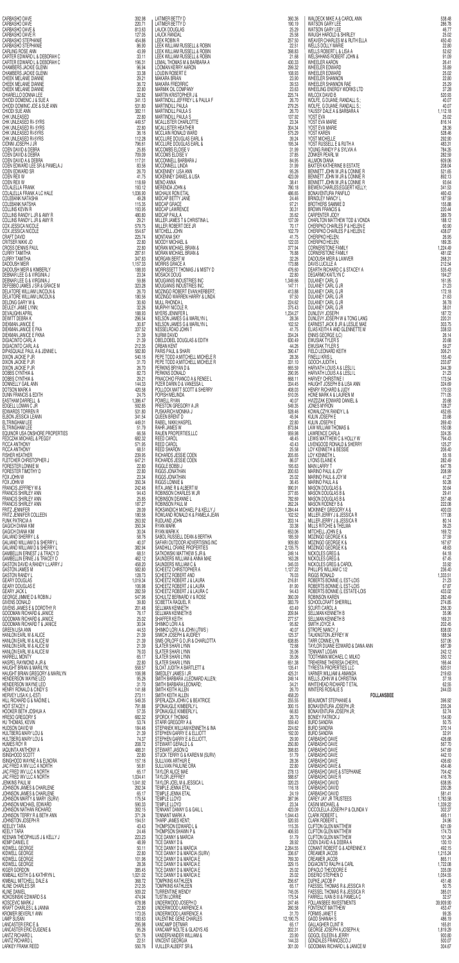| CARBASHO DAVE<br>CARBASHO DAVE                                                                                                                                                                                                                                                                                                                | 392.98<br>220.71             | LATIMER BETTY D<br>LATIMER BETTY D                                                                                                                                                                                                               | 360.36<br>190.19            | WALDECK MIKE A & CAROL ANN                                                                                                                                                                                                                             | 538.48<br>286.78             |
|-----------------------------------------------------------------------------------------------------------------------------------------------------------------------------------------------------------------------------------------------------------------------------------------------------------------------------------------------|------------------------------|--------------------------------------------------------------------------------------------------------------------------------------------------------------------------------------------------------------------------------------------------|-----------------------------|--------------------------------------------------------------------------------------------------------------------------------------------------------------------------------------------------------------------------------------------------------|------------------------------|
| CARBASHO DAVE &<br>CARBASHO DAVE R                                                                                                                                                                                                                                                                                                            | 813.63<br>127.05             | <b>LAUCK DOUGLAS</b><br><b>LAUCK RANDAL</b>                                                                                                                                                                                                      | 25.29<br>25.58              |                                                                                                                                                                                                                                                        | 46.77<br>25.02               |
| CARBASHO STEPHANIE<br>CARBASHO STEPHANIE<br>CARLING ROSE ANN                                                                                                                                                                                                                                                                                  | 454.86<br>86.90              | <b>LEEK ROBIN R</b><br>LEEK WILLIAM RUSSELL & ROBIN                                                                                                                                                                                              | 257.50<br>22.51             |                                                                                                                                                                                                                                                        | 450.40<br>22.80              |
| $\begin{array}{ccc}\n & \circ & \circ & \\  & \circ & \circ & \\  & \circ & \circ & \circ \\  & \circ & \circ & \circ \\  & \circ & \circ & \circ \\  & \circ & \circ & \circ \\  & \circ & \circ & \circ \\  & \circ & \circ & \circ \\  & \circ & \circ & \circ\n\end{array}$<br>CARTER EDWARD L & DEBORAH C<br>CARTER EDWARD L & DEBORAH C | 43.99<br>33.11<br>196.31     | LEEK WILLIAM RUSSELL & ROBIN<br>LEEK WILLIAM RUSSELL & ROBIN                                                                                                                                                                                     | 398.83<br>21.68<br>430.33   | WALDECK MIKE A & CAROL ANN<br>WATSON GARY LEE<br>WATSON GARY LEE<br>WANTON ARAY LEE<br>WAUGH HAROLD & SHIRLEY<br>WATSON GARY LEE<br>WALDER FORMED & SHIRLEY<br>WELLS FORGET I & UNIT IN ELSA A<br>WELLS FOR ARROR TO A UNIT IN THE UNIT OF WATER DRIVI | 52.62<br>91.09<br>26.41      |
| <b>CHAMBERS JACKIE GLENN<br/>CHAMBERS JACKIE GLENN</b>                                                                                                                                                                                                                                                                                        | 96.94<br>33.38               | LEMAL THOMAS M & BARBARA A<br>LOOMAN KERRY AARON<br>LOUDIN ROBERT E                                                                                                                                                                              | 299.32<br>108.93            |                                                                                                                                                                                                                                                        | 35.89<br>25.02               |
| CHEEK MELANIE DIANNE                                                                                                                                                                                                                                                                                                                          | 29.21<br>36.72               | <b>MAKARA BRIAN</b><br><b>MAKARA FREDRRIC</b>                                                                                                                                                                                                    | 23.90<br>39.53              |                                                                                                                                                                                                                                                        | 22.80<br>25.29               |
| CHEEK MELANIE DIANNE<br>CHIARELLO DONNA LEE                                                                                                                                                                                                                                                                                                   | 22.80<br>32.82               | MARMIK OIL COMPANY<br>MARTIN KRISTOPHER J &                                                                                                                                                                                                      | 23.63<br>225.74             |                                                                                                                                                                                                                                                        | 37.28<br>520.93              |
| CHIODI DOMENIC J & SUE A<br>CHIODI DOMINIC JOE & SUE ANN<br>CHIODI SUE ANN                                                                                                                                                                                                                                                                    | 341.13<br>531.80<br>382.11   | MARTINDILL JEFFREY L & PAULA F<br>MARTINDILL PAULA<br>MARTINDILL PAULA S                                                                                                                                                                         | 26.70<br>279.25<br>26.70    |                                                                                                                                                                                                                                                        | 40.07<br>40.07<br>1,112.18   |
| <b>CHK UNLEASED</b><br>CHK UNLEASED RI-5YRS                                                                                                                                                                                                                                                                                                   | 22.80<br>449.57              | MARTINDILL PAULA S<br>MCALLISTER CHARLOTTE                                                                                                                                                                                                       | 137.92<br>23.34             |                                                                                                                                                                                                                                                        | 25.02<br>816.14              |
| CHK UNLEASED RI-5YRS                                                                                                                                                                                                                                                                                                                          | 22.80<br>36.16               | MCALLISTER HEATHER<br>MCCLAIN RONALD WARD                                                                                                                                                                                                        | 304.34<br>575.29            |                                                                                                                                                                                                                                                        | 28.36<br>528.46              |
| CHK UNLEASED RI-5YRS<br>CHK UNLEASED RI-5YRS<br>CIONNI JOSEPH J JR<br>COEN DAVID & DEBRA                                                                                                                                                                                                                                                      | 112.28<br>796.61             | MCCLURE DOUGLAS EARL &<br>MCCLURE DOUGLAS EARL &                                                                                                                                                                                                 | 39.24<br>195.34             |                                                                                                                                                                                                                                                        | 292.90<br>483.31             |
| COEN DAVID & DEBRA<br>COEN DAVID A & DEBRA                                                                                                                                                                                                                                                                                                    | 25.85<br>709.09              | MCCOMBS ELOISE V<br>MCCOMBS ELOISE V<br>MCCONNELL BARBARA J                                                                                                                                                                                      | 31.99<br>37.85<br>84.95     |                                                                                                                                                                                                                                                        | 784.35<br>282.59<br>609.06   |
| COEN EDWARD LEE SR & PAMELA J                                                                                                                                                                                                                                                                                                                 | 117.01<br>83.56<br>26.70     | MCCONNELL LINDA<br>MCKENNEY LISA ANN                                                                                                                                                                                                             | 31.99<br>95.26              |                                                                                                                                                                                                                                                        | 208.04<br>521.65             |
| <b>COEN EDWARD SR<br/>COEN REX W<br/>COEN REX W</b>                                                                                                                                                                                                                                                                                           | 41.75<br>118.69              | MCKENNEY DANIEL & LISA<br><b>MENO ANNA</b>                                                                                                                                                                                                       | 423.09<br>38.41             |                                                                                                                                                                                                                                                        | 892.13<br>93.64              |
| COLALELLA FRANK<br>COLALELLA FRANK A LC HALE                                                                                                                                                                                                                                                                                                  | 193.12<br>1,036.90           | MERENDA JOHN &<br>MICHAUX RON ETAL                                                                                                                                                                                                               | 780.18<br>486.65            |                                                                                                                                                                                                                                                        | 341.53<br>460.43             |
| COLEBANK NATASHA<br><b>COLEBANK NATSHA</b>                                                                                                                                                                                                                                                                                                    | 49.28<br>115.35<br>193.95    | MIDCAP BETTY JANE<br>MIDCAP GRACE<br>MIDCAP LAWRENCE                                                                                                                                                                                             | 24.46<br>97.21<br>30.31     |                                                                                                                                                                                                                                                        | 187.59<br>155.88<br>220.44   |
| COLLINS REVIN R<br>COLLINS RANDY L JR & AMY R<br>COLLINS RANDY L JR & AMY R<br>COX JESSICA NICOLE<br>COX JESSICA NICOLE<br>COX JESSICA NICOLE                                                                                                                                                                                                 | 480.80<br>29.21              | MIDCAP PAUL A                                                                                                                                                                                                                                    | 35.62<br>137.09             |                                                                                                                                                                                                                                                        | 389.79<br>188.12             |
|                                                                                                                                                                                                                                                                                                                                               | 579.75<br>554.67             | MILLER JAMES T & CHRISTINA L<br>MILLER ROBERT DEE JR<br>MITCHELL JOHN                                                                                                                                                                            | 70.17<br>102.79             |                                                                                                                                                                                                                                                        | 60.90<br>438.07              |
| CRAFT DAVID<br>CRITSER NIKKI JO                                                                                                                                                                                                                                                                                                               | 225.74<br>22.80              | <b>MONTANA SKY</b><br><b>MOODY MICHAEL &amp;</b>                                                                                                                                                                                                 | 41.75<br>122.03             |                                                                                                                                                                                                                                                        | 26.95<br>189.35              |
| CROSS DENNIS PAUL<br><b>CURRY TAMITHA</b><br>CURRY TAMITHA                                                                                                                                                                                                                                                                                    | 22,80<br>287.61<br>347.83    | MORAN MICHAEL BRIAN &<br>MORAN MICHAEL BRIAN &<br><b>MORGAN BERT M</b>                                                                                                                                                                           | 377.94<br>76.88<br>32.26    |                                                                                                                                                                                                                                                        | 1,224.49<br>481.02<br>268.31 |
| DADOUSH MEIR<br>DADOUSH MEIR & KIMBERLY                                                                                                                                                                                                                                                                                                       | 1,157.33<br>188.93           | <b>MORRIS GRACE A</b><br>MORRISSETT THOMAS J & MISTY D                                                                                                                                                                                           | 173.88<br>476.60            |                                                                                                                                                                                                                                                        | 212.54<br>535.43             |
| DEBNAR LEE G & VIRGINIA J<br>DEBNAR LEE G & VIRGINIA J                                                                                                                                                                                                                                                                                        | 23,34<br>59.86               | MOSACK DOUG<br>MOUGIANIS INDUSTRIES INC                                                                                                                                                                                                          | 22.80<br>1,349.66           |                                                                                                                                                                                                                                                        | 194.27<br>161.95             |
| DEFEBBO JAMES J SR & GRACE M<br><b>DELATORE WILLIAM LINCOLN &amp;</b>                                                                                                                                                                                                                                                                         | 323.28<br>26.70              | MOUGIANIS INDUSTRIES INC.<br>MOUGIANIS INDUSTRIES INC.<br>MOZINGO ROBERT EVAN;HERBERT;                                                                                                                                                           | 147.11<br>413.88            |                                                                                                                                                                                                                                                        | 21.23<br>172.18              |
| DELATORE WILLIAM LINCOLN &<br>DELONG GARY W &                                                                                                                                                                                                                                                                                                 | 180.56<br>30.60<br>32.26     |                                                                                                                                                                                                                                                  |                             | DULANEY CARL G JR<br>DULANEY CARL G JR<br>DULANEY CARL G JR                                                                                                                                                                                            | 21.63<br>36.78<br>38.01      |
| DEULEY JAMIE LYNN;<br>DEVAUGHN APRIL<br>DEWITT DEBRA K                                                                                                                                                                                                                                                                                        | 188.93<br>296.54             |                                                                                                                                                                                                                                                  |                             | DUNLEVY JOSEPH<br>DUNLEVY JOSEPH W & TONG LANG                                                                                                                                                                                                         | 187.72<br>220.31             |
| DIEKMAN JANICE E<br>DIEKMAN JANICE E FKA<br>DIEKMAN JANICE E FKNA                                                                                                                                                                                                                                                                             | 30.87<br>337.52              |                                                                                                                                                                                                                                                  |                             | EARNEST JACK B JR & LESLIE MAE                                                                                                                                                                                                                         | 303.75<br>338.53             |
| <b>DIGIACINTO CARL A</b>                                                                                                                                                                                                                                                                                                                      | 21.39<br>21.39               |                                                                                                                                                                                                                                                  |                             | ELIAS KEITH A AND GLENNETTE M<br>ELIAS KEITH A AND GLENNETTE M<br>ENNIS GEORGE (LC)<br>EWUSIAK TYLER S                                                                                                                                                 | 26.14<br>20.68               |
| DIGIACINTO CARL A &<br>DIPASQUALE PAUL A & JENNIE L<br>DIXON JACKIE P JR                                                                                                                                                                                                                                                                      | 212.35<br>582.80<br>540.16   | ER MORE IN A SAMARIN MARK PROPERTY.<br>THE RING COMMUNISHED AND MARK CONTINUES IN A SAMARIN MARK CONTINUES IN A SAMARIN MARK CONTINUES IN A SAMARIN MARK CONTINUES IN A SAMARIN MARK CONTINUES IN A SAMARIN MARK CONTINUES IN A                  |                             | EWUSIAK TYLER S<br>FIELD LEONARD KEITH<br><b>FINELLI KRISL</b>                                                                                                                                                                                         | 59.27<br>306.21<br>155.40    |
| DIXON JACKIE P JR<br>DIXON JACKIE P JR<br>DOBBS CYNTHIA &<br>DOBBS CYNTHIA &                                                                                                                                                                                                                                                                  | 31.70<br>26.70               |                                                                                                                                                                                                                                                  |                             | GOOCH JUDITH L<br>HARVATH LOUIS A & LESLI L<br>HARVATH LOUIS A & LESLI L                                                                                                                                                                               | 233.87<br>344.39             |
|                                                                                                                                                                                                                                                                                                                                               | 82.73<br>29.21               |                                                                                                                                                                                                                                                  |                             | <b>HARVEY CHRISTINE I</b>                                                                                                                                                                                                                              | 21.23<br>173.54              |
| DONNELLY GAIL ANN<br>DOTSON MARK A                                                                                                                                                                                                                                                                                                            | 144.33<br>420.58<br>24.75    |                                                                                                                                                                                                                                                  |                             | HAUGHT JOSEPH B & LISA ANN<br>HENRY RICHARD & JUDY                                                                                                                                                                                                     | 324.69<br>170.53             |
| DUNN FRANCIS & EDITH<br>EASTHAM DARRELL &<br>EDGELL LOMAN C JR                                                                                                                                                                                                                                                                                | 1,386.47<br>592.85           |                                                                                                                                                                                                                                                  |                             | HONE MARK A & LAUREN M<br>HVIZDZAK EDWARD DANIEL &<br>JONES MYRON                                                                                                                                                                                      | 771.05<br>20.68<br>128.27    |
| EDWARDS TORREN R<br>ELBON JESSICA LEANN                                                                                                                                                                                                                                                                                                       | 531.80<br>341.54             |                                                                                                                                                                                                                                                  |                             | KOWALCZYK RANDY L &<br>KULIN JOSEPH E                                                                                                                                                                                                                  | 452.65<br>23.68              |
| ELTRINGHAM LEE<br>ELTRINGHAM LEE<br>EQUINOR USA ONSHORE PROPERTIES                                                                                                                                                                                                                                                                            | 449.01<br>51.79              |                                                                                                                                                                                                                                                  |                             | KULIN JOSEPH E<br>LAW WILLIAM THOMAS &                                                                                                                                                                                                                 | 269.40<br>150.08             |
| FEDCZAK MICHAEL & PEGGY<br>FICCA ANTHONY                                                                                                                                                                                                                                                                                                      | 66.56<br>682.32<br>571.95    |                                                                                                                                                                                                                                                  |                             | LAWRENCE CARLA<br>LEWIS MATTHEW C & HOLLY W<br>LIVENGOOD RONALD & SHERRY                                                                                                                                                                               | 324.35<br>794.43             |
| FICCA ANTHONY<br>FISHER HEATHER                                                                                                                                                                                                                                                                                                               | 68.51<br>239.95              |                                                                                                                                                                                                                                                  |                             | LOY KENNETH & BESSIE<br>LOY KENNETH L                                                                                                                                                                                                                  | 125.27<br>206.40<br>55.18    |
| FLETCHER CHRISTOPHER J<br>FORESTER LONNIE M                                                                                                                                                                                                                                                                                                   | 647.21<br>22.80              |                                                                                                                                                                                                                                                  |                             | LYONS ELAINE K<br><b>MAIN LARRY T</b>                                                                                                                                                                                                                  | 282.49<br>647.78             |
| FORESTER TIMOTHY D<br>FOX JOHN W                                                                                                                                                                                                                                                                                                              | 22,80<br>23.34               |                                                                                                                                                                                                                                                  |                             | <b>MARINO PAUL &amp; JOY</b><br>MARINO PAUL & JOY M                                                                                                                                                                                                    | 208.99<br>41.27              |
| FOX JOHN W<br>FRANCIS JEFFREY W &<br><b>FRANCIS SHIRLEY ANN</b>                                                                                                                                                                                                                                                                               | 350.34<br>242.46<br>94.43    |                                                                                                                                                                                                                                                  |                             | <b>MARINO PAUL A &amp;</b><br><b>MASON DOUGLAS &amp;</b><br><b>MASON DOUGLAS B &amp;</b>                                                                                                                                                               | 50.28<br>30.64<br>29.41      |
| FRANCIS SHIRLEY ANN                                                                                                                                                                                                                                                                                                                           | 25.85<br>187.27              |                                                                                                                                                                                                                                                  |                             | <b>MASON DOUGLAS B &amp;</b><br>MASON RODNEY B &                                                                                                                                                                                                       | 357.48<br>222.08             |
|                                                                                                                                                                                                                                                                                                                                               | 28.09<br>180.56              |                                                                                                                                                                                                                                                  |                             | MCKINNEY GREGORY A &<br>MILLER JERRY J & JESSICA R                                                                                                                                                                                                     | 400.03<br>177.08             |
| FRANCIS SHIRLEY ANN<br>FRITZ JENNIFER<br>FRITZ JENNIFER COLLEEN<br>FUNK PATRICIA A<br>GAGICH DIANA KIM<br>GAGICH DIANA KIM                                                                                                                                                                                                                    | 263.92<br>350.34             |                                                                                                                                                                                                                                                  |                             | MILLER JERRY J & JESSICA R<br>MILLS RITCHIE & THELMA                                                                                                                                                                                                   | 80.14<br>36.23               |
| <b>GAGICH DIANA KIM</b><br><b>GALIANO SHERRY L &amp;</b><br>GALIANO WILLIAM D & SHERRY L                                                                                                                                                                                                                                                      | 30.04<br>58.76<br>40.07      |                                                                                                                                                                                                                                                  |                             | MITCHELL JOHN E &<br>MOZINGO GEORGE K &                                                                                                                                                                                                                | 169.72<br>37.59<br>167.67    |
| GALIANO WILLIAM D & SHERRY L<br>GAMBELLIN ERNEST J & TRACY D                                                                                                                                                                                                                                                                                  | 382.94<br>68.51              |                                                                                                                                                                                                                                                  |                             | MOZINGO GEORGE K &<br>MOZINGO GEORGE K &<br>NICKOLES GREG &                                                                                                                                                                                            | 48.63<br>64.18               |
| GAMBELLIN ERNIE J & TRACEY D<br>GASTON DAVID A; RANDY L; LARRY J<br>GASTON JAMES M                                                                                                                                                                                                                                                            | 462.12<br>458.20             |                                                                                                                                                                                                                                                  |                             | NICKOLES GREG &<br>NICKOLES GREG & CAROL                                                                                                                                                                                                               | 67.45<br>33.92               |
| <b>GASTON RANDY L</b>                                                                                                                                                                                                                                                                                                                         | 582.80<br>128.73             |                                                                                                                                                                                                                                                  |                             | PHILLIPS WILLIAM C 1/2<br><b>RIGGS RONALD</b>                                                                                                                                                                                                          | 236.40<br>1,333.51           |
| <b>GEARY DOUGLAS</b><br><b>GEARY DOUGLAS E</b><br><b>GEARY JACK L</b>                                                                                                                                                                                                                                                                         | 1,019.34<br>106.98<br>282.59 |                                                                                                                                                                                                                                                  | 94.43                       | ROBERTS BONNIE (LEST-LOIS<br>ROBERTS BONNIE (LEST-LOIS<br>ROBERTS BONNIE (LEST-LOIS                                                                                                                                                                    | 21.23<br>67.87<br>433.02     |
| GEORGE JIMMIE D & ROBIN J<br>GIVENS DONALD                                                                                                                                                                                                                                                                                                    | 547.96<br>39,80              |                                                                                                                                                                                                                                                  | 360.09<br>383.79            | <b>ROBINSON KAREN</b><br>SCHOOLCRAFT SHERRILL                                                                                                                                                                                                          | 282.49<br>274.85             |
| GIVENS JAMES E & DOROTHY R<br>GOODMAN RICHARD & JANICE                                                                                                                                                                                                                                                                                        | 201.48<br>76.17              |                                                                                                                                                                                                                                                  | 63.49<br>209.84             | SCURTI CAROL A<br>SELLMAN KENNETH B                                                                                                                                                                                                                    | 256.30<br>35.96              |
| GOODMAN RICHARD & JANICE<br>GOODMAN RICHARD T & JANICE                                                                                                                                                                                                                                                                                        | 25.02<br>30.04               |                                                                                                                                                                                                                                                  | 277.57<br>95.82             | SELLMAN KENNETH B<br>SMITH JOYCE A                                                                                                                                                                                                                     | 169.31<br>202.45             |
| GREEN LISA ANN<br>HANLON EARL W & ALICE<br>HANLON EARL W & ALICE M                                                                                                                                                                                                                                                                            | 44.53<br>21.39<br>21.39      |                                                                                                                                                                                                                                                  | 40.07<br>125.37<br>638.85   | STROPE NANCY J<br>TALKINGTON JEFREY W<br>TARR CONNIE LYN                                                                                                                                                                                               | 838.00<br>188.54<br>537.06   |
| HANLON EARL W & ALICE M<br>HANLON EARL W & ALICE M<br>HARRELL MONTY                                                                                                                                                                                                                                                                           | 21.39<br>76.03               |                                                                                                                                                                                                                                                  | 72.68<br>35.06              | TAYLOR DUANE EDWARD & DANA ANN<br>TENNANT LOGAN                                                                                                                                                                                                        | 687.39<br>242.12             |
| HASPEL RAYMOND A JR &                                                                                                                                                                                                                                                                                                                         | 65.17<br>22.80               |                                                                                                                                                                                                                                                  | 35.06<br>651.38             | TOOTHMAN MICHAEL C; MILKO<br>TREHERNE THERESA CHERYL                                                                                                                                                                                                   | 350.12<br>166.44             |
| HAUGHT BRIAN & MARILYN;<br>HAUGHT BRIAN GREGORY & MARILYN                                                                                                                                                                                                                                                                                     | 558.57<br>106.98<br>95.26    |                                                                                                                                                                                                                                                  | 135.41<br>425.31<br>249.14  | TYRESTA PROPERTIES LLC<br>VARNER WILLIAM & AMANDA<br>WELLS JOHN W & CHRISTINA                                                                                                                                                                          | 620.51<br>219.63<br>37.18    |
| HENDERSON WAYNE LEO                                                                                                                                                                                                                                                                                                                           | 31.70<br>141.68              |                                                                                                                                                                                                                                                  | 34.21<br>26.70              | WHITEHEAD RICHARD T ETAL<br>WINTERS ROSALIE S                                                                                                                                                                                                          | 62.55<br>244.03              |
| HENRY RONALD & CINDY S<br>HERVEY LISA K (L-EST)<br>HILL RICHARD G & NADINE L                                                                                                                                                                                                                                                                  | 273.11<br>549.35             |                                                                                                                                                                                                                                                  | 458.20<br>255.55            | <b>FOLLANSBEE</b><br><b>BEAUMONT STEPHANIE &amp;</b>                                                                                                                                                                                                   | 396.92                       |
| HOIT STACEY J<br>HOOKER BETH JOSHUA A<br>HRESO GREGORY S                                                                                                                                                                                                                                                                                      | 791.88<br>57.35<br>682.32    |                                                                                                                                                                                                                                                  | 300.15<br>66.83<br>26.70    | <b>BONAVENTURA JOSEPH JR:</b><br>BONAVENTURA JOSEPH JR;<br><b>BONIEY PATRICK J</b>                                                                                                                                                                     | 235.24<br>52.74<br>154.90    |
| HU THOMAS, KEVIN<br>HUDSON DAVID W                                                                                                                                                                                                                                                                                                            | 53.74<br>184.46              |                                                                                                                                                                                                                                                  | 559.40<br>224.62            | <b>BURD SANDRA</b><br><b>BURD SANDRA</b>                                                                                                                                                                                                               | 50.75<br>370.14              |
| HULTBERG MARY LOU &<br>HULTBERG MARY LOU &                                                                                                                                                                                                                                                                                                    | 21.39<br>74.37               |                                                                                                                                                                                                                                                  | 192.00<br>29.90             | <b>BURD SANDRA</b><br>CARBASHO DAVE                                                                                                                                                                                                                    | 32.91<br>426.68              |
| HUMES ROY R<br><b>IAQUINTA ANTHONY A</b>                                                                                                                                                                                                                                                                                                      | 208.72<br>488.31             |                                                                                                                                                                                                                                                  | 250.80<br>398.83            | CARBASHO DAVE<br>CARBASHO DAVE                                                                                                                                                                                                                         | 567.70<br>547.69             |
| ISINGHOOD SCOTT<br>ISINGHOOD WAYNE A & ELNORA<br>JAC FRED A WV LLC A NORTH                                                                                                                                                                                                                                                                    | 22.80<br>157.16<br>56.81     |                                                                                                                                                                                                                                                  | 51.79<br>28.36<br>22.80     | CARBASHO DAVE<br>CARBASHO DAVE<br>CARBASHO DAVE &                                                                                                                                                                                                      | 442.10<br>436.60<br>454.46   |
| JAC FRED WV LLC A NORTH<br>JAC FRED WV LLC A NORTH                                                                                                                                                                                                                                                                                            | 65.17<br>1,034.41            |                                                                                                                                                                                                                                                  | 278.13<br>588.67            | CARBASHO DAVE & STEPHANIE<br>CARBASHO DAVE R                                                                                                                                                                                                           | 704.42<br>416.76             |
| JENKINS PAUL M<br>JOHNSON JAMES & CHARLENE                                                                                                                                                                                                                                                                                                    | 1,041.92<br>292.34           |                                                                                                                                                                                                                                                  | 320.23<br>116.18            | CARBASHO DAVID<br>CARBASHO DAVID                                                                                                                                                                                                                       | 638.95<br>230.28             |
| JOHNSON JAMES & CHARLENE<br>JOHNSON MARTY & MARY (SURV)                                                                                                                                                                                                                                                                                       | 65.17<br>175.54              |                                                                                                                                                                                                                                                  | 24.19<br>387.96             | CARBASHO DAVID<br>CAREY JAY JR TRUSTEES                                                                                                                                                                                                                | 581.41<br>1,783.58           |
| JOHNSON MICHAEL EDWARD<br>JOHNSON NATHAN RICHARD;<br>JOHNSON TERRY R & BETH ANN                                                                                                                                                                                                                                                               | 590.33<br>392.15<br>371.24   |                                                                                                                                                                                                                                                  | 23.34<br>423.09<br>1,044.43 | <b>CASINI MICHAEL &amp;</b><br>CICCOLELLA JOSEPH P & OLINDA V<br><b>CLARK ROBERT L</b>                                                                                                                                                                 | 1,339.22<br>302.37<br>495.11 |
| JOHNSTON JOSEPH R                                                                                                                                                                                                                                                                                                                             | 194.51<br>43.43              | SCHEEZ CHRISIO MERINA RANDI MARIA SAN ARASI SOMETZI ARABI SUNTEN SAN ARASI SCHEEZ ROBERT AR LAUTA<br>SCHEEZ ROBERT AR LAUTA<br>SCHEEZ ROBERT AR LAUTA<br>SCHEEZ ROBERT AR LAUTA<br>SCHEEZ ROBERT AR LAUTA<br>SELUARA INCHER SELUARA RENNER<br>SE | 520.93<br>115.35            | <b>CLARK ROBERT L</b><br>CLIFTON GLEN MATTHEW                                                                                                                                                                                                          | 24.96<br>621.09              |
| <b>KEELY TARA</b><br>KEENAN THEOPHILUS J & KELLY J                                                                                                                                                                                                                                                                                            | 24.46<br>223.23              |                                                                                                                                                                                                                                                  | 406.93<br>51.79             | <b>CLIFTON GLEN MATTHEW</b><br><b>CLIFTON GLEN MATTHEW</b>                                                                                                                                                                                             | 174.73<br>101.34             |
| <b>KEMP DANIEL E</b><br>KIDWELL GEORGE<br>KIDWELL GEORGE                                                                                                                                                                                                                                                                                      | 48.99<br>50.11<br>22.80      |                                                                                                                                                                                                                                                  | 28.92<br>2,264.55<br>336.67 | COEN DAVID A & DEBRA A<br>CONANT ROBERT G & ADRENNE X<br>CREAMER JACOB                                                                                                                                                                                 | 130.10<br>492.15<br>1,215.24 |
| KIDWELL GEORGE<br>KIDWELL GEORGE                                                                                                                                                                                                                                                                                                              | 101.96<br>28.36              |                                                                                                                                                                                                                                                  | 769.30<br>329.15            | <b>CREAMER JACOB</b><br><b>DIGIACINTO RALPH &amp; CARL</b>                                                                                                                                                                                             | 865.11<br>1,722.08           |
| KIGER GORDON<br>KIMBALL KEITH G & KATHRYN L                                                                                                                                                                                                                                                                                                   | 385.45<br>1,021.02           | TICE DANNY D & MARCIA E                                                                                                                                                                                                                          | 25.02<br>25.02              | DIPAOLO THEODORE E<br>DISERIO STEPHEN D                                                                                                                                                                                                                | 335.09<br>1,054.55           |
| KIMBALL MITCHELL DALE &<br>KLINE CHARLES SR                                                                                                                                                                                                                                                                                                   | 368.72<br>212.35             | TOMPKINS KATHLEEN<br>TOMPKINS KATHLEEN                                                                                                                                                                                                           | 256.67<br>65.17             | DUPKE JACOB P<br>FAESSEL THOMAS R & JESSICA R                                                                                                                                                                                                          | 451.48<br>50.75              |
| <b>KLINE DANIEL</b><br>KOKOSINSKI EDWARD S &<br>KOSCEVIC MARK J                                                                                                                                                                                                                                                                               | 509.22<br>474.94<br>678.98   | TURRENTINE WENDY<br><b>TUSTIN LORRIE</b><br>UNDERWOOD JOSEPH D                                                                                                                                                                                   | 745.05<br>175.54<br>247.46  | <b>FAESSEL THOMAS R &amp; JESSICA R</b><br>FARRELL IVAN B III & PAMELA C<br>FOLLANSBEE INVESTMENTS                                                                                                                                                     | 385.01<br>32.57<br>39,909.90 |
| KRAFT CHARLES L & JANNA<br>KROMER BEVERLY ANN                                                                                                                                                                                                                                                                                                 | 22,80<br>173.05              | UNDERWOOD LAWRENCE A<br>UNDERWOOD LAWRENCE A                                                                                                                                                                                                     | 260.58<br>31.70             | <b>FONTENOT MATTHEW</b><br><b>FORMIS JANET E</b>                                                                                                                                                                                                       | 453.47<br>99.35              |
| <b>LAMP SUSAN</b><br>LANCASTER ERIC E &                                                                                                                                                                                                                                                                                                       | 183.63<br>295.98             | <b>VALENTINE GENE CHARLES</b><br>VANCAMP DETMAR                                                                                                                                                                                                  | 12,190.75<br>65.17          | <b>GADD SHANAH S</b><br><b>GALLAGHER CLINT R</b>                                                                                                                                                                                                       | 486.19<br>165.81             |
| LANCASTER ERIC EUGENE &<br><b>LANTZ RICHARD L</b>                                                                                                                                                                                                                                                                                             | 95.26<br>521.76              | VANCAMP NOLTE & GLADYS AS<br>VANDERVANDER WILLIAM &                                                                                                                                                                                              | 202.31<br>23.90             | GEORGE JOSEPH A: JOSEPH A:<br><b>GOGOL EILEEN &amp; JERRY</b>                                                                                                                                                                                          | 1,819.29<br>900.80           |
| <b>LANTZ RICHARD L</b><br><b>LARKEY FRANK REED</b>                                                                                                                                                                                                                                                                                            | 22.51<br>550.76              | <b>VINCENT GEORGIA</b><br>VUILLER ALBERT SR &                                                                                                                                                                                                    | 144.33<br>301.00            | <b>GONZALES FRANCISCO J</b><br>GOODMAN RICHARD L & JANICE M                                                                                                                                                                                            | 500.07<br>304.67             |

| CARBASHO DAVE<br>CARBASHO DAVE                                                                                                                                                                                                                                                  | 392.98<br>220.71   | LATIMER BETTY D<br>LATIMER BETTY D                                                                                                                                                                                                                                                                                     | 360.36<br>190.19   | WALDECK MIKE A & CAROL ANN<br>WATSON GARY LEE                                                                                                                                                                                                                                                                               | 538.48<br>286.78     |
|---------------------------------------------------------------------------------------------------------------------------------------------------------------------------------------------------------------------------------------------------------------------------------|--------------------|------------------------------------------------------------------------------------------------------------------------------------------------------------------------------------------------------------------------------------------------------------------------------------------------------------------------|--------------------|-----------------------------------------------------------------------------------------------------------------------------------------------------------------------------------------------------------------------------------------------------------------------------------------------------------------------------|----------------------|
| CARBASHO DAVE &<br>CARBASHO DAVE R                                                                                                                                                                                                                                              | 813.63<br>127.05   | <b>LAUCK DOUGLAS</b><br><b>LAUCK RANDAL</b>                                                                                                                                                                                                                                                                            | 25.29<br>25.58     | WATSON GARY LEE<br>WAUGH HAROLD & SHIRLEY                                                                                                                                                                                                                                                                                   | 46.77<br>25.02       |
| CARBASHO STEPHANIE                                                                                                                                                                                                                                                              | 454.86             | LEEK ROBIN R                                                                                                                                                                                                                                                                                                           | 257.50             | WEAVER CHARLES M & RUTH ELLA                                                                                                                                                                                                                                                                                                | 450.40               |
| CARBASHO STEPHANIE<br>CARLING ROSE ANN                                                                                                                                                                                                                                          | 86.90<br>43.99     | LEEK WILLIAM RUSSELL & ROBIN<br>LEEK WILLIAM RUSSELL & ROBIN                                                                                                                                                                                                                                                           | 22.51<br>398.83    | <b>WELLS DOLLY MARIE</b><br>WELLS ROBERT L & LISA A<br>WELLS ROBERT L & LISA A                                                                                                                                                                                                                                              | 22.80<br>52.62       |
| CARTER EDWARD L & DEBORAH C<br>CARTER EDWARD L & DEBORAH C                                                                                                                                                                                                                      | 33.11<br>196.31    | LEEK WILLIAM RUSSELL & ROBIN<br>LEMAL THOMAS M & BARBARA A                                                                                                                                                                                                                                                             | 21.68<br>430.33    | <b>WHEELER AARON</b>                                                                                                                                                                                                                                                                                                        | 91.09<br>26.41       |
| CHAMBERS JACKIE GLENN                                                                                                                                                                                                                                                           | 96.94              | <b>LOOMAN KERRY AARON</b>                                                                                                                                                                                                                                                                                              | 299.32             | WHEELER EDWARD                                                                                                                                                                                                                                                                                                              | 35,89                |
| CHAMBERS JACKIE GLENN<br>CHEEK MELANIE DIANNE<br>CHEEK MELANIE DIANNE                                                                                                                                                                                                           | 33.38<br>29.21     | MAKARA BRIAN                                                                                                                                                                                                                                                                                                           | 108.93<br>23.90    | WHEELER EDWARD<br>WHEELER SHANNON                                                                                                                                                                                                                                                                                           | 25.02<br>22.80       |
| CHEEK MELANIE DIANNE                                                                                                                                                                                                                                                            | 36.72<br>22,80     | <b>MAKARA FREDRRIC</b><br>MARMIK OIL COMPANY                                                                                                                                                                                                                                                                           | 39.53<br>23.63     | WHEELER SHANNON RAE<br>WHEELING ENERGY WORKS LTD                                                                                                                                                                                                                                                                            | 25.29<br>37.28       |
| CHIARELLO DONNA LEE                                                                                                                                                                                                                                                             | 32.82              | MARTIN KRISTOPHER J &                                                                                                                                                                                                                                                                                                  | 225.74             | <b>WILCOX DAVID B</b>                                                                                                                                                                                                                                                                                                       | 520.93               |
| CHIODI DOMENIC J & SUE A<br>CHIODI DOMINIC JOE & SUE ANN                                                                                                                                                                                                                        | 341.13<br>531.80   | MARTINDILL JEFFREY L & PAULA F<br>MARTINDILL PAULA                                                                                                                                                                                                                                                                     | 26.70<br>279.25    | WOLFE, G DUANE; RANDALL S.;<br>WOLFE, G DUANE; RANDALL S.;                                                                                                                                                                                                                                                                  | 40.07<br>40.07       |
| CHIODI SUE ANN                                                                                                                                                                                                                                                                  | 382.11<br>22.80    | MARTINDILL PAULA S<br>MARTINDILL PAULA S                                                                                                                                                                                                                                                                               | 26.70<br>137.92    | YAUSSY DALE A & BARBARA A<br>YOST EVA                                                                                                                                                                                                                                                                                       | 1,112.18<br>25.02    |
| <b>CHK UNLEASED</b><br>CHK UNLEASED RI-5YRS<br>CHK UNLEASED RI-5YRS                                                                                                                                                                                                             | 449.57<br>22.80    | MCALLISTER CHARLOTTE<br>MCALLISTER HEATHER                                                                                                                                                                                                                                                                             | 23.34<br>304.34    | YOST EVA MARIE<br>YOST EVA MARIE                                                                                                                                                                                                                                                                                            | 816.14<br>28.36      |
| CHK UNLEASED RI-5YRS                                                                                                                                                                                                                                                            | 36.16              | MCCLAIN RONALD WARD                                                                                                                                                                                                                                                                                                    | 575.29             | YOST KAREN                                                                                                                                                                                                                                                                                                                  | 528.46               |
| CHK UNLEASED RI-5YRS<br>CIONNI JOSEPH J JR                                                                                                                                                                                                                                      | 112.28<br>796.61   | MCCLURE DOUGLAS EARL &<br>MCCLURE DOUGLAS EARL &                                                                                                                                                                                                                                                                       | 39.24<br>195.34    | YOST MICHELLE<br>YOST RUSSELL E & RUTH A                                                                                                                                                                                                                                                                                    | 292.90<br>483.31     |
| COEN DAVID & DEBRA<br>COEN DAVID & DEBRA                                                                                                                                                                                                                                        | 25.85<br>709.09    | MCCOMBS ELOISE V<br><b>MCCOMS ELOISE V</b>                                                                                                                                                                                                                                                                             | 31.99<br>37.85     | YOUNG RANDY P & SYLVIA A<br>ZONKER PEARL M                                                                                                                                                                                                                                                                                  | 784.35<br>282.59     |
| COEN DAVID A & DEBRA                                                                                                                                                                                                                                                            | 117.01             | MCCONNELL BARBARA J                                                                                                                                                                                                                                                                                                    | 84.95              | <b>ALLMON DIANA</b>                                                                                                                                                                                                                                                                                                         | 609.06               |
| COEN EDWARD LEE SR & PAMELA J<br>COEN EDWARD SR                                                                                                                                                                                                                                 | 83.56<br>26.70     | MCCONNELL LINDA<br>MCKENNEY LISA ANN                                                                                                                                                                                                                                                                                   | 31.99<br>95.26     | BAXTER KATHERINE B ESTATE<br>BENNETT JOHN W JR & CONNIE R                                                                                                                                                                                                                                                                   | 208.04<br>521.65     |
| COEN REX W<br>COEN REX W                                                                                                                                                                                                                                                        | 41.75<br>118.69    | <b>MCKENNEY DANIEL &amp; LISA</b><br><b>MENO ANNA</b>                                                                                                                                                                                                                                                                  | 423.09<br>38.41    | BENNETT JOHN W JR & CONNIE R<br>BENNETT JOHN W JR & CONNIE R                                                                                                                                                                                                                                                                | 892.13<br>93.64      |
| COLALELLA FRANK                                                                                                                                                                                                                                                                 | 193.12             | MERENDA JOHN &                                                                                                                                                                                                                                                                                                         | 780.18             | BIEWEN CHARLES;EGGERT KELLY;<br>BONAVENTURA PANFILO                                                                                                                                                                                                                                                                         | 341.53               |
| COLALELLA FRANK A LC HALE<br>COLEBANK NATASHA                                                                                                                                                                                                                                   | 1,036.90<br>49.28  | MICHAUX RON ETAL<br>MIDCAP BETTY JANE                                                                                                                                                                                                                                                                                  | 486.65<br>24.46    | <b>BRINDLEY NANCY L</b>                                                                                                                                                                                                                                                                                                     | 460.43<br>187.59     |
| <b>COLEBANK NATSHA</b><br>COLLINS KEVIN R                                                                                                                                                                                                                                       | 115.35<br>193.95   | MIDCAP GRACE<br>MIDCAP LAWRENCE                                                                                                                                                                                                                                                                                        | 97.21<br>30.31     | BROTHERS SAMMIE D<br><b>BROWN FRANCIS &amp;</b>                                                                                                                                                                                                                                                                             | 155.88<br>220.44     |
| COLLINS RANDY L JR & AMY R<br>COLLINS RANDY L JR & AMY R                                                                                                                                                                                                                        | 480.80<br>29.21    | <b>MIDCAP PAUL A</b><br>MILLER JAMES T & CHRISTINA L                                                                                                                                                                                                                                                                   | 35.62<br>137.09    | CARPENTER JODY<br>CHARLTON MATTHEW TOD & VONDA                                                                                                                                                                                                                                                                              | 389.79<br>188.12     |
|                                                                                                                                                                                                                                                                                 | 579.75             | MILLER ROBERT DEE JR                                                                                                                                                                                                                                                                                                   | 70.17              | CHERIPKO CHARLES P & HELEN E                                                                                                                                                                                                                                                                                                | 60.90                |
| COX JESSICA NICOLE<br>COX JESSICA NICOLE<br>CRAFT DAVID                                                                                                                                                                                                                         | 554.67<br>225.74   | MITCHELL JOHN<br><b>MONTANA SKY</b>                                                                                                                                                                                                                                                                                    | 102.79<br>41.75    | CHERIPKO CHARLES P & HELEN E<br>CHERIPKO HELEN;                                                                                                                                                                                                                                                                             | 438.07<br>26.95      |
| CRITSER NIKKI JO<br>CROSS DENNIS PAUL                                                                                                                                                                                                                                           | 22.80<br>22.80     | MOODY MICHAEL &<br><b>MORAN MICHAEL BRIAN &amp;</b>                                                                                                                                                                                                                                                                    | 122.03<br>377.94   | CHERIPKO HELEN;<br>CORNERSTONE FAMILY                                                                                                                                                                                                                                                                                       | 189.35<br>1,224.49   |
| <b>CURRY TAMITHA</b>                                                                                                                                                                                                                                                            | 287.61             | MORAN MICHAEL BRIAN &                                                                                                                                                                                                                                                                                                  | 76.88              | CORNERSTONE FAMILY                                                                                                                                                                                                                                                                                                          | 481.02               |
| <b>CURRY TAMITHA</b><br><b>DADOUSH MEIR</b>                                                                                                                                                                                                                                     | 347.83<br>1,157.33 | <b>MORGAN BERT M</b><br><b>MORRIS GRACE A</b>                                                                                                                                                                                                                                                                          | 32.26<br>173.88    | DADOUSH MEIR & LAWVER<br>DAVIS LUCILLE A                                                                                                                                                                                                                                                                                    | 268.31<br>212.54     |
| DADOUSH MEIR & KIMBERLY<br>DEBNAR LEE G & VIRGINIA J                                                                                                                                                                                                                            | 188.93<br>23,34    | D<br>SSELL & ROBIN<br>SSELL & ROBIN<br>SSELL & ROBIN<br>SSELL & ROBIN<br>RA & RARD<br>E<br>CANY<br>TER J &<br>PANY<br>TER J & PAULA F<br>TRE TER J & PAULA F<br>TRE TER J & PAULA F<br>TA S<br>SEARL &<br>T<br>RA J<br>TRISTINA L<br>TRISTINA L<br>TRISTINA L<br>TRIST<br>MORRISSETT THOMAS J & MISTY D<br>MOSACK DOUG | 476.60<br>22.80    | HRIEY<br>18 RUTH ELLA<br>ISA A<br>TJOHN &<br>IRAE<br>NODALL S.;<br>ANDALL S.;<br>ANDALL S.;<br>ANDALL S.;<br>ANDALL S.;<br>ARBARA A<br>THE A & CONNER<br>TR & CONNER<br>TR & CONNER<br>TR & CONNER<br>TR & CONNER<br>TGGERT KELLY;<br>VFILO<br>: D<br>ID<br>: D<br>NTOD<br>DEARTH RICHARD C & STACEY A<br>DEGARMO KAITLYN C | 535.43<br>194.27     |
| DEBNAR LEE G & VIRGINIA J<br>DEFEBBO JAMES J SR & GRACE M                                                                                                                                                                                                                       | 59.86<br>323.28    | MOUGIANIS INDUSTRIES INC<br>MOUGIANIS INDUSTRIES INC.                                                                                                                                                                                                                                                                  | 1,349.66<br>147.11 | <b>DULANEY CARL G</b><br>DULANEY CARL G JR                                                                                                                                                                                                                                                                                  | 161.95<br>21.23      |
| <b>DELATORE WILLIAM LINCOLN &amp;</b>                                                                                                                                                                                                                                           | 26.70              | MOZINGO ROBERT EVAN: HERBERT;                                                                                                                                                                                                                                                                                          | 413.88             | DULANEY CARL G JR                                                                                                                                                                                                                                                                                                           | 172.18               |
| <b>DELATORE WILLIAM LINCOLN &amp;</b><br><b>DELONG GARY W &amp;</b>                                                                                                                                                                                                             | 180.56<br>30.60    |                                                                                                                                                                                                                                                                                                                        | 97.50<br>224.62    | DULANEY CARL G JR<br>DULANEY CARL G JR                                                                                                                                                                                                                                                                                      | 21.63<br>36.78       |
| \<br>\<br>\EPROPERTIES<br>HEPROPERTIES<br>EGGY<br>ERJ<br>HERRY L<br>HERRY L<br>TRACY D<br>RACEY D<br>RACEY D<br>Y L;LARRY J<br>DEULEY JAMIE LYNN;<br>DEVAUGHN APRIL                                                                                                             | 32.26<br>188.93    |                                                                                                                                                                                                                                                                                                                        | 375.43<br>1,234.27 | DULANEY CARL G JR<br><b>DUNLEVY JOSEPH</b>                                                                                                                                                                                                                                                                                  | 38.01<br>187.72      |
| DEWITT DEBRAK                                                                                                                                                                                                                                                                   | 296.54             |                                                                                                                                                                                                                                                                                                                        | 28.36              | DUNLEVY JOSEPH W & TONG LANG                                                                                                                                                                                                                                                                                                | 220.31               |
| <b>DIEKMAN JANICE E</b><br>DIEKMAN JANICE E FKA                                                                                                                                                                                                                                 | 30.87<br>337.52    |                                                                                                                                                                                                                                                                                                                        | 102.52<br>41.75    | EARNEST JACK B JR & LESLIE MAE<br>ELIAS KEITH A AND GLENNETTE M                                                                                                                                                                                                                                                             | 303.75<br>338.53     |
| DIEKMAN JANICE E FKNA<br>DIGIACINTO CARL A                                                                                                                                                                                                                                      | 21.39<br>21.39     |                                                                                                                                                                                                                                                                                                                        | 334.24<br>630.49   | ENNIS GEORGE (LC)<br>EWUSIAK TYLER'S                                                                                                                                                                                                                                                                                        | 26.14<br>20.68       |
| <b>DIGIACINTO CARL A &amp;</b>                                                                                                                                                                                                                                                  | 212.35             |                                                                                                                                                                                                                                                                                                                        | 44.26              | <b>EWUSIAK TYLER S</b>                                                                                                                                                                                                                                                                                                      | 59.27                |
| DIPASQUALE PAUL A & JENNIE L                                                                                                                                                                                                                                                    | 582.80<br>540.16   |                                                                                                                                                                                                                                                                                                                        | 390.47<br>28.36    | FIELD LEONARD KEITH<br><b>FINELLI KRISL</b><br>$\begin{array}{c}\n 11 \\  \times 11 \\  \hline\n 12 \\  \hline\n 13\n \end{array}$                                                                                                                                                                                          | 306.21<br>155.40     |
| DIXON JACKIE P JR<br>DIXON JACKIE P JR                                                                                                                                                                                                                                          | 31.70<br>26.70     |                                                                                                                                                                                                                                                                                                                        | 331.10<br>665.59   | <b>GOOCH JUDITH L</b>                                                                                                                                                                                                                                                                                                       | 233.87<br>344.39     |
| DIXON JACKIE P JR<br>DOBBS CYNTHIA &                                                                                                                                                                                                                                            | 82.73              |                                                                                                                                                                                                                                                                                                                        | 290.95             | HARVATH LOUIS A & LESLI L<br>HARVATH LOUIS A & LESLI L                                                                                                                                                                                                                                                                      | 21.23                |
| DOBBS CYNTHIA &<br>DONNELLY GAIL ANN                                                                                                                                                                                                                                            | 29.21<br>144.33    |                                                                                                                                                                                                                                                                                                                        | 668.11<br>334.45   | HARVEY CHRISTINE I<br>HAUGHT JOSEPH B & LISA ANN                                                                                                                                                                                                                                                                            | 173.54<br>324.69     |
| <b>DOTSON MARK A</b><br>DUNN FRANCIS & EDITH                                                                                                                                                                                                                                    | 420.58<br>24.75    |                                                                                                                                                                                                                                                                                                                        | 408.03<br>510.05   | HENRY RICHARD & JUDY<br>HONE MARK A & LAUREN M                                                                                                                                                                                                                                                                              | 170.53<br>771.05     |
| EASTHAM DARRELL &                                                                                                                                                                                                                                                               | 1,386.47           |                                                                                                                                                                                                                                                                                                                        | 40.07              | HVIZDZAK EDWARD DANIEL &                                                                                                                                                                                                                                                                                                    | 20.68                |
| EDGELL LOMAN C JR<br>EDWARDS TORREN R                                                                                                                                                                                                                                           | 592.85<br>531.80   |                                                                                                                                                                                                                                                                                                                        | 549.35<br>528.46   | JONES MYRON<br>KOWALCZYK RANDY L &                                                                                                                                                                                                                                                                                          | 128.27<br>452.65     |
| ELBON JESSICA LEANN                                                                                                                                                                                                                                                             | 341.54<br>449.01   |                                                                                                                                                                                                                                                                                                                        | 45.94<br>22,80     | KULIN JOSEPH E<br>KULIN JOSEPH E                                                                                                                                                                                                                                                                                            | 23.68<br>269.40      |
| ELTRINGHAM LEE                                                                                                                                                                                                                                                                  | 51.79              |                                                                                                                                                                                                                                                                                                                        | 873.84             | LAW WILLIAM THOMAS &                                                                                                                                                                                                                                                                                                        | 150.08               |
| EQUINOR USA ONSHORE PROPERTIES<br>FEDCZAK MICHAEL & PEGGY<br>FICCA ANTHONY                                                                                                                                                                                                      | 66.56<br>682.32    |                                                                                                                                                                                                                                                                                                                        | 959.98<br>48.45    | LAWRENCE CARLA<br>LEWIS MATTHEW C & HOLLY W                                                                                                                                                                                                                                                                                 | 324.35<br>794.43     |
|                                                                                                                                                                                                                                                                                 | 571.95<br>68.51    |                                                                                                                                                                                                                                                                                                                        | 43.43<br>25.58     | LIVENGOOD RONALD & SHERRY<br>LOY KENNETH & BESSIE                                                                                                                                                                                                                                                                           | 125.27<br>206.40     |
| FICCA ANTHONY<br>FISHER HEATHER                                                                                                                                                                                                                                                 | 239.95<br>647.21   |                                                                                                                                                                                                                                                                                                                        | 205.65<br>86.07    | LOY KENNETH L<br>LYONS ELAINE K                                                                                                                                                                                                                                                                                             | 55.18<br>282.49      |
| FLETCHER CHRISTOPHER J<br>FORESTER LONNIE M                                                                                                                                                                                                                                     | 22.80              |                                                                                                                                                                                                                                                                                                                        | 195.63             | <b>MAIN LARRY T</b>                                                                                                                                                                                                                                                                                                         | 647.78               |
| FORESTER TIMOTHY D<br>FOX JOHN W                                                                                                                                                                                                                                                | 22.80<br>23.34     |                                                                                                                                                                                                                                                                                                                        | 200.63<br>25.02    | MARINO PAUL & JOY<br>MARINO PAUL & JOY M                                                                                                                                                                                                                                                                                    | 208.99<br>$-41.27$   |
| FOX JOHN W<br>FRANCIS JEFFREY W &                                                                                                                                                                                                                                               | 350.34<br>242.46   |                                                                                                                                                                                                                                                                                                                        | 36.45<br>990.91    | MARINO PAUL A &<br><b>MASON DOUGLAS &amp;</b>                                                                                                                                                                                                                                                                               | 50.28<br>30.64       |
| FRANCIS SHIRLEY ANN                                                                                                                                                                                                                                                             | 94.43              |                                                                                                                                                                                                                                                                                                                        | 377.65             | MASON DOUGLAS B &                                                                                                                                                                                                                                                                                                           | 29.41                |
| FRANCIS SHIRLEY ANN<br>FRANCIS SHIRLEY ANN                                                                                                                                                                                                                                      | 25.85<br>187.27    |                                                                                                                                                                                                                                                                                                                        | 782.69<br>262.24   | <b>MASON DOUGLAS B &amp;</b><br>MASON RODNEY B &                                                                                                                                                                                                                                                                            | 357.48<br>222.08     |
| FRITZ JENNIFER<br>FRITZ JENNIFER COLLEEN                                                                                                                                                                                                                                        | 28.09<br>180.56    |                                                                                                                                                                                                                                                                                                                        | 1,284.44<br>102.52 | <b>MCKINNEY GREGORY A &amp;</b><br>MILLER JERRY J & JESSICA R                                                                                                                                                                                                                                                               | 400.03<br>177.08     |
| FUNK PATRICIA A                                                                                                                                                                                                                                                                 | 263.92             |                                                                                                                                                                                                                                                                                                                        | 203.14             | MILLER JERRY J & JESSICA R                                                                                                                                                                                                                                                                                                  | 80.14                |
| <b>GAGICH DIANA KIM</b><br><b>GAGICH DIANA KIM</b>                                                                                                                                                                                                                              | 350.34<br>30.04    |                                                                                                                                                                                                                                                                                                                        | 33.38<br>653.06    | MILLS RITCHIE & THELMA<br>MITCHELL JOHN E &                                                                                                                                                                                                                                                                                 | 36.23<br>169.72      |
| GALIANO SHERRY L &<br>GALIANO WILLIAM D & SHERRY L                                                                                                                                                                                                                              | 58.76<br>40.07     |                                                                                                                                                                                                                                                                                                                        | 185.59<br>909.80   | MOZINGO GEORGE K &<br>MOZINGO GEORGE K &                                                                                                                                                                                                                                                                                    | 37.59<br>167.67      |
| GALIANO WILLIAM D & SHERRY L<br>GAMBELLIN ERNEST J & TRACY D                                                                                                                                                                                                                    | 382.94<br>68.51    |                                                                                                                                                                                                                                                                                                                        | 2,135.75<br>249.14 | MOZINGO GEORGE K &<br><b>NICKOLES GREG &amp;</b>                                                                                                                                                                                                                                                                            | 48.63<br>64.18       |
| GAMBELLIN ERNIE J & TRACEY D                                                                                                                                                                                                                                                    | 462.12             |                                                                                                                                                                                                                                                                                                                        | 163.28             | NICKOLES GREG &                                                                                                                                                                                                                                                                                                             | 67.45                |
| GASTON DAVID A; RANDY L; LARRY J<br><b>GASTON JAMES M</b>                                                                                                                                                                                                                       | 458.20<br>582.80   |                                                                                                                                                                                                                                                                                                                        | 345.03<br>1,127.22 | NICKOLES GREG & CAROL<br>PHILLIPS WILLIAM C 1/2                                                                                                                                                                                                                                                                             | 33.92<br>236.40      |
| <b>GASTON RANDY L</b><br><b>GEARY DOUGLAS</b>                                                                                                                                                                                                                                   | 128.73<br>1,019.34 |                                                                                                                                                                                                                                                                                                                        | 76.03<br>216.81    | <b>RIGGS RONALD</b>                                                                                                                                                                                                                                                                                                         | 1,333.51<br>21.23    |
| <b>GEARY DOUGLAS E</b>                                                                                                                                                                                                                                                          | 106.98             |                                                                                                                                                                                                                                                                                                                        | 81.90              |                                                                                                                                                                                                                                                                                                                             | 67.87                |
| GEARY JACK L<br>GEORGE JIMMIE D & ROBIN J                                                                                                                                                                                                                                       | 282.59<br>547.96   |                                                                                                                                                                                                                                                                                                                        | 94.43<br>360.09    | HOBERTS BONNIE (L EST-LOIS<br>ROBERTS BONNIE (L EST-LOIS<br>ROBERTS BONNIE (L ESTATE-LOIS<br>ROBINSON KAREN<br>ROBINSON KAREN                                                                                                                                                                                               | 433.02<br>282.49     |
| GIVENS DONALD<br>GIVENS JAMES E & DOROTHY R                                                                                                                                                                                                                                     | 39.80<br>201.48    |                                                                                                                                                                                                                                                                                                                        | 383.79<br>63.49    | SCHOOLCRAFT SHERRILL<br>SCURTI CAROL A                                                                                                                                                                                                                                                                                      | 274.85<br>256.30     |
|                                                                                                                                                                                                                                                                                 | 76.17              |                                                                                                                                                                                                                                                                                                                        | 209.84             | SELLMAN KENNETH B<br>SELLMAN KENNETH B                                                                                                                                                                                                                                                                                      | 35.96                |
| GOODMAN RICHARD & JANICE<br>GOODMAN RICHARD & JANICE<br>GOODMAN RICHARD T & JANICE                                                                                                                                                                                              | 25.02<br>30.04     |                                                                                                                                                                                                                                                                                                                        | 277.57<br>95.82    | SMITH JOYCE A                                                                                                                                                                                                                                                                                                               | 169.31<br>202.45     |
| <b>GREEN LISA ANN</b><br>HANLON EARL W & ALICE                                                                                                                                                                                                                                  | 44.53<br>21.39     |                                                                                                                                                                                                                                                                                                                        | 40.07<br>125.37    | STROPE NANCY J<br>TALKINGTON JEFREY W                                                                                                                                                                                                                                                                                       | 838.00<br>188.54     |
| HANLON EARL WA ALICE M<br>HANLON EARL WA ALICE M<br>HANLON EARL WA ALICE M<br>HANLON EARL WA ALICE M<br>HARRELL MONTY                                                                                                                                                           | 21.39<br>21.39     |                                                                                                                                                                                                                                                                                                                        | 638.85<br>72.68    | TARR CONNIE LYN<br>TAYLOR DUANE EDWARD & DANA ANN                                                                                                                                                                                                                                                                           | 537.06<br>687.39     |
|                                                                                                                                                                                                                                                                                 | 76.03              |                                                                                                                                                                                                                                                                                                                        | 35.06<br>35.06     | TENNANT LOGAN<br>TOOTHMAN MICHAEL C; MILKO                                                                                                                                                                                                                                                                                  | 242.12<br>350.12     |
| HASPEL RAYMOND A JR &                                                                                                                                                                                                                                                           | 65.17<br>22.80     |                                                                                                                                                                                                                                                                                                                        | 651.38             | TREHERNE THERESA CHERYL                                                                                                                                                                                                                                                                                                     | 166.44               |
| HAUGHT BRIAN & MARILYN;<br>HAUGHT BRIAN GREGORY & MARILYN                                                                                                                                                                                                                       | 558.57<br>106.98   |                                                                                                                                                                                                                                                                                                                        | 135.41<br>425.31   | TYRESTA PROPERTIES LLC<br>VARNER WILLIAM & AMANDA                                                                                                                                                                                                                                                                           | 620.51<br>219.63     |
| HENDERSON WAYNE LEO<br>HENDERSON WAYNE LEO                                                                                                                                                                                                                                      | 95.26<br>31.70     |                                                                                                                                                                                                                                                                                                                        | 249.14<br>34.21    | WELLS JOHN W & CHRISTINA<br>WHITEHEAD RICHARD T ETAL<br>WINTERS ROSALIE S                                                                                                                                                                                                                                                   | 37.18<br>62.55       |
|                                                                                                                                                                                                                                                                                 | 141.68<br>273.11   |                                                                                                                                                                                                                                                                                                                        | 26.70<br>458.20    | <b>FOLLANSBEE</b>                                                                                                                                                                                                                                                                                                           | 244.03               |
| HENRY RONALD & CINDY S<br>HERVEY LISA K (L-EST)<br>HILL RICHARD G & NADINE L<br>HOIT STACEY J                                                                                                                                                                                   | 549.35             |                                                                                                                                                                                                                                                                                                                        | 255.55             | <b>BEAUMONT STEPHANIE &amp;</b>                                                                                                                                                                                                                                                                                             | 396.92               |
| HOOKER BETH JOSHUA A                                                                                                                                                                                                                                                            | 791.88<br>57.35    |                                                                                                                                                                                                                                                                                                                        | 300.15<br>66.83    | <b>BONAVENTURA JOSEPH JR:</b><br><b>BONAVENTURA JOSEPH JR;</b>                                                                                                                                                                                                                                                              | 235.24<br>52.74      |
| HRESO GREGORY S                                                                                                                                                                                                                                                                 | 682.32<br>53.74    |                                                                                                                                                                                                                                                                                                                        | 26.70<br>559.40    | <b>BONIEY PATRICK J</b>                                                                                                                                                                                                                                                                                                     | 154.90<br>50.75      |
| HU THOMAS, KEVIN<br>HUDSON DAVID W<br>HULTBERG MARY LOU &<br>HULTBERG MARY LOU &                                                                                                                                                                                                | 184.46             |                                                                                                                                                                                                                                                                                                                        | 224.62             | <b>BURD SANDRA</b><br>BURD SANDRA<br><b>BURD SANDRA</b>                                                                                                                                                                                                                                                                     | 370.14               |
|                                                                                                                                                                                                                                                                                 | 21.39<br>74.37     |                                                                                                                                                                                                                                                                                                                        | 192.00<br>29.90    | CARBASHO DAVE                                                                                                                                                                                                                                                                                                               | 32.91<br>426.68      |
| HUMES ROY R<br><b>IAQUINTA ANTHONY A</b>                                                                                                                                                                                                                                        | 208.72<br>488.31   |                                                                                                                                                                                                                                                                                                                        | 250.80<br>398.83   | CARBASHO DAVE<br>CARBASHO DAVE                                                                                                                                                                                                                                                                                              | 567.70<br>547.69     |
| ISINGHOOD SCOTT<br>ISINGHOOD WAYNE A & ELNORA<br>JAC FRED A WV LLC A NORTH<br>JAC FRED WV LLC A NORTH                                                                                                                                                                           | 22.80<br>157.16    |                                                                                                                                                                                                                                                                                                                        | 51.79<br>28.36     | CARBASHO DAVE                                                                                                                                                                                                                                                                                                               | 442.10<br>436.60     |
|                                                                                                                                                                                                                                                                                 | 56.81              |                                                                                                                                                                                                                                                                                                                        | 22.80              | CARBASHO DAVE<br>CARBASHO DAVE &                                                                                                                                                                                                                                                                                            | 454.46               |
| JAC FRED WV LLC A NORTH<br>JENKINS PAUL M                                                                                                                                                                                                                                       | 65.17<br>1,034.41  |                                                                                                                                                                                                                                                                                                                        | 278.13<br>588.67   | CARBASHO DAVE & STEPHANIE<br>CARBASHO DAVE R                                                                                                                                                                                                                                                                                | 704.42<br>416.76     |
| JOHNSON JAMES & CHARLENE                                                                                                                                                                                                                                                        | 1,041.92<br>292.34 |                                                                                                                                                                                                                                                                                                                        | 320.23<br>116.18   | CARBASHO DAVID<br>CARBASHO DAVID                                                                                                                                                                                                                                                                                            | 638.95<br>230.28     |
| $R$<br>ARILYN<br>3A<br>13A<br>I,Y J<br>I,Y J<br>I<br>JOHNSON JAMES & CHARLENE<br>JOHNSON JAMES & CHARLENE<br>JOHNSON MARTY & MARY (SURV)<br>JOHNSON MCHAEL EDWARD<br>JOHNSON TERRY R & BETH ANN<br>JOHNSON TERRY R & BETH ANN<br>JOHNSON TERRY R & BETH ANN<br>JOHNSON JOSEPH R | 65.17              | VOLUME RESERVATION (EST. 2002)<br>VOLUME RESERVATION CONTINUES IN A SUBMIT RESERVATION CONTINUES IN A SUBMIT RESERVATION (EST. 2003)<br>CONTINUES IN A SUBMIT RESERVATION CONTINUES IN A SUBMIT RESERVATION CONTINUES IN A SUBMIT                                                                                      | 24.19              | CARBASHO DAVID                                                                                                                                                                                                                                                                                                              | 581.41               |
|                                                                                                                                                                                                                                                                                 | 175.54<br>590.33   |                                                                                                                                                                                                                                                                                                                        | 387.96<br>23.34    | CAREY JAY JR TRUSTEES<br><b>CASINI MICHAEL &amp;</b>                                                                                                                                                                                                                                                                        | 1,783.58<br>1,339.22 |
|                                                                                                                                                                                                                                                                                 | 392.15<br>371.24   |                                                                                                                                                                                                                                                                                                                        | 423.09<br>1,044.43 | CICCOLELLA JOSEPH P & OLINDA V<br><b>CLARK ROBERT L</b>                                                                                                                                                                                                                                                                     | 302.37<br>495.11     |
|                                                                                                                                                                                                                                                                                 | 194.51             |                                                                                                                                                                                                                                                                                                                        | 520.93             | <b>CLARK ROBERT L</b>                                                                                                                                                                                                                                                                                                       | 24.96                |
| <b>KEELEY TARA</b><br><b>KEELY TARA</b>                                                                                                                                                                                                                                         | 43.43<br>24.46     |                                                                                                                                                                                                                                                                                                                        | 115.35<br>406.93   | CLIFTON GLEN MATTHEW<br><b>CLIFTON GLEN MATTHEW<br/>CLIFTON GLEN MATTHEW</b>                                                                                                                                                                                                                                                | 621.09<br>174.73     |
| KEENAN THEOPHILUS J & KELLY J<br><b>KEMP DANIEL E</b>                                                                                                                                                                                                                           | 223.23<br>48.99    |                                                                                                                                                                                                                                                                                                                        | 51.79<br>28.92     | COEN DAVID A & DEBRA A                                                                                                                                                                                                                                                                                                      | 101.34<br>130.10     |
| KIDWELL GEORGE<br>KIDWELL GEORGE                                                                                                                                                                                                                                                | 50.11<br>22.80     |                                                                                                                                                                                                                                                                                                                        | 2,264.55<br>336.67 | CONANT ROBERT G & ADRENNE X<br><b>CREAMER JACOB</b>                                                                                                                                                                                                                                                                         | 492.15<br>1,215.24   |
| KIDWELL GEORGE                                                                                                                                                                                                                                                                  | 101.96             |                                                                                                                                                                                                                                                                                                                        | 769.30             | <b>CREAMER JACOB</b>                                                                                                                                                                                                                                                                                                        | 865.11               |
| KIDWELL GEORGE<br>KIGER GORDON                                                                                                                                                                                                                                                  | 28,36<br>385.45    | TICE DANNY D & MARCIA E                                                                                                                                                                                                                                                                                                | 329.15<br>25.02    | DIGIACINTO RALPH & CARL<br>DIPAOLO THEODORE E                                                                                                                                                                                                                                                                               | 1,722.08<br>335.09   |
| KIMBALL KEITH G & KATHRYN L<br>KIMBALL MITCHELL DALE &                                                                                                                                                                                                                          | 1,021.02<br>368.72 | TICE DANNY D & MARCIA E<br><b>TOMPKINS KATHLEEN</b>                                                                                                                                                                                                                                                                    | 25.02<br>256.67    | DISERIO STEPHEN D<br>DUPKE JACOB P                                                                                                                                                                                                                                                                                          | 1,054.55<br>451.48   |
| <b>KLINE CHARLES SR</b>                                                                                                                                                                                                                                                         | 212.35             | <b>TOMPKINS KATHLEEN</b>                                                                                                                                                                                                                                                                                               | 65.17              | FAESSEL THOMAS R & JESSICA R                                                                                                                                                                                                                                                                                                | 50.75                |
| <b>KLINE DANIEL</b><br>KOKOSINSKI EDWARD S &                                                                                                                                                                                                                                    | 509.22<br>474.94   | <b>TURRENTINE WENDY</b><br><b>TUSTIN LORRIE</b>                                                                                                                                                                                                                                                                        | 745.05<br>175.54   | FAESSEL THOMAS R & JESSICA R<br>FARRELL IVAN B III & PAMELA C                                                                                                                                                                                                                                                               | 385.01<br>32.57      |
| KOSCEVIC MARK J<br>KRAFT CHARLES L & JANNA                                                                                                                                                                                                                                      | 678.98<br>22.80    | UNDERWOOD JOSEPH D<br>UNDERWOOD LAWRENCE A                                                                                                                                                                                                                                                                             | 247.46<br>260.58   | FOLLANSBEE INVESTMENTS<br><b>FONTENOT MATTHEW</b>                                                                                                                                                                                                                                                                           | 39,909.90<br>453.47  |
| <b>KROMER BEVERLY ANN</b><br><b>LAMP SUSAN</b>                                                                                                                                                                                                                                  | 173.05<br>183.63   | UNDERWOOD LAWRENCE A<br>VALENTINE GENE CHARLES                                                                                                                                                                                                                                                                         | 31.70<br>12,190.75 | <b>FORMIS JANET E</b><br><b>GADD SHANAH S</b>                                                                                                                                                                                                                                                                               | 99.35<br>486.19      |
| LANCASTER ERIC E &                                                                                                                                                                                                                                                              | 295.98             | VANCAMP DETMAR                                                                                                                                                                                                                                                                                                         | 65.17              | <b>GALLAGHER CLINT R</b>                                                                                                                                                                                                                                                                                                    | 165.81               |
| LANCASTER ERIC EUGENE &<br><b>LANTZ RICHARD L</b>                                                                                                                                                                                                                               | 95.26<br>521.76    | VANCAMP NOLTE & GLADYS AS<br>VANDERVANDER WILLIAM &                                                                                                                                                                                                                                                                    | 202.31<br>23.90    | GEORGE JOSEPH A; JOSEPH A;<br><b>GOGOL EILEEN &amp; JERRY</b>                                                                                                                                                                                                                                                               | 1,819.29<br>900.80   |
| <b>LANTZ RICHARD L</b><br><b>LARKEY FRANK REED</b>                                                                                                                                                                                                                              | 22.51<br>550.76    | VINCENT GEORGIA<br>VUILLER ALBERT SR &                                                                                                                                                                                                                                                                                 | 144.33<br>301.00   | GONZALES FRANCISCO J<br>GOODMAN RICHARD L & JANICE M                                                                                                                                                                                                                                                                        | 500.07<br>304.67     |

| CARBASHO DAVE                                                                                                                                                                                                                                          | 392.98                         | LATIMER BETTY D                                                                                                                                                                                                                                                                                                                    | 360.36                       | WALDECK MIKE A & CAROL ANN                                                                                                                                                                                                                                                                                                                                                                                                                                                                                                                                                     | 538.48                       |
|--------------------------------------------------------------------------------------------------------------------------------------------------------------------------------------------------------------------------------------------------------|--------------------------------|------------------------------------------------------------------------------------------------------------------------------------------------------------------------------------------------------------------------------------------------------------------------------------------------------------------------------------|------------------------------|--------------------------------------------------------------------------------------------------------------------------------------------------------------------------------------------------------------------------------------------------------------------------------------------------------------------------------------------------------------------------------------------------------------------------------------------------------------------------------------------------------------------------------------------------------------------------------|------------------------------|
| CARBASHO DAVE<br>CARBASHO DAVE &                                                                                                                                                                                                                       | 220.71<br>813.63               | D<br>SSELL & ROBIN<br>SSELL & ROBIN<br>SSELL & ROBIN<br>SSELL & ROBIN<br>SSELL & ROBIN<br>HARD<br>4ARON<br>4ARON<br>4ARON<br>TETJ &<br>TETJ &<br>TETJ &<br>TETJ &<br>TETJ &<br>TETJ &<br>TETT THE<br>NARD<br>SEARL &<br>V<br>NRAJ<br>NRAJ<br>V<br>NRAJ<br>NRAJ<br>NRAJ<br>V<br>NRAJ<br><br>LATIMER BETTY D<br><b>LAUCK DOUGLAS</b> | 190.19<br>25.29              | <b>WATSON GARY LEE</b><br>HRIEY<br>& RUTH ELLA<br>ISA A<br>ISA A<br>ISA A<br>WORKS LTD<br>WORKS LTD<br>ANDALL S.;<br>ANDALL S.;<br>ANDALL S.;<br>ARBARA A<br>TRITH A<br>SYLVIA A<br>E B CONNIE R<br>IR & CONNIE R<br>IR & CONNIE R<br>IR & CONNIE R<br>IR & CONNIE R<br>IS A CONNIE R<br>IS A<br>WATSON GARY LEE                                                                                                                                                                                                                                                               | 286.78<br>46.77              |
| CARBASHO DAVE R<br>CARBASHO STEPHANIE<br>CARBASHO STEPHANIE                                                                                                                                                                                            | 127.05<br>454.86<br>86.90      | <b>LAUCK RANDAL</b><br><b>LEEK ROBIN R</b><br>LEEK WILLIAM RUSSELL & ROBIN                                                                                                                                                                                                                                                         | 25.58<br>257.50<br>22.51     | WAUGH HAROLD & SHIRLEY<br>WEAVER CHARLES M & RUTH ELLA                                                                                                                                                                                                                                                                                                                                                                                                                                                                                                                         | 25.02<br>450.40<br>22.80     |
| CARLING ROSE ANN<br>CARTER EDWARD L & DEBORAH C                                                                                                                                                                                                        | 43.99<br>33.11                 | LEEK WILLIAM RUSSELL & ROBIN<br>LEEK WILLIAM RUSSELL & ROBIN                                                                                                                                                                                                                                                                       | 398.83<br>21.68              | WELLS DOLLY MARIE<br>WELLS ROBERT L & LISA A<br>WELSHHANS ROBERT JOHN &                                                                                                                                                                                                                                                                                                                                                                                                                                                                                                        | 52.62<br>91.09               |
| CARTER EDWARD L & DEBORAH C<br><b>CHAMBERS JACKIE GLENN<br/>CHAMBERS JACKIE GLENN</b>                                                                                                                                                                  | 196.31<br>96.94                | LEMAL THOMAS M & BARBARA A<br><b>LOOMAN KERRY AARON</b><br>LOOMAN KERRY AARON                                                                                                                                                                                                                                                      | 430.33<br>299.32             | WHEELER AARON<br>WHEELER EDWARD                                                                                                                                                                                                                                                                                                                                                                                                                                                                                                                                                | 26.41<br>35.89               |
| CHEEK MELANIE DIANNE                                                                                                                                                                                                                                   | 33.38<br>29.21                 | <b>MAKARA BRIAN</b>                                                                                                                                                                                                                                                                                                                | 108.93<br>23.90              | WHEELER EDWARD<br>WHEELER SHANNON<br>WHEELER SHANNON RAE                                                                                                                                                                                                                                                                                                                                                                                                                                                                                                                       | 25.02<br>22.80               |
| CHEEK MELANIE DIANNE<br>CHEEK MELANIE DIANNE                                                                                                                                                                                                           | 36.72<br>22.80                 | <b>MAKARA FREDRRIC</b><br>MARMIK OIL COMPANY                                                                                                                                                                                                                                                                                       | 39.53<br>23.63               | WHEELING ENERGY WORKS LTD                                                                                                                                                                                                                                                                                                                                                                                                                                                                                                                                                      | 25.29<br>37.28               |
| CHIARELLO DONNA LEE<br>CHIODI DOMENIC J & SUE A                                                                                                                                                                                                        | 32.82<br>341.13<br>531.80      | MARTIN KRISTOPHER J &<br>MARTINDILL JEFFREY L & PAULA F<br>MARTINDILL PAULA                                                                                                                                                                                                                                                        | 225.74<br>26.70<br>279.25    | <b>WILCOX DAVID B</b><br>WOLFE, G DUANE; RANDALL S.;<br>WOLFE, G DUANE; RANDALL S.;                                                                                                                                                                                                                                                                                                                                                                                                                                                                                            | 520.93<br>40.07<br>40.07     |
| CHIODI DOMINIC JOE & SUE ANN<br>CHIODI SUE ANN                                                                                                                                                                                                         | 382.11<br>22,80                | MARTINDILL PAULA S<br><b>MARTINDILL PAULA S</b>                                                                                                                                                                                                                                                                                    | 26.70<br>137.92              | YAUSSY DALE A & BARBARA A<br>YOST EVA                                                                                                                                                                                                                                                                                                                                                                                                                                                                                                                                          | 1,112.18<br>25.02            |
| <b>CHK UNLEASED</b><br>CHK UNLEASED RI-5YRS<br>CHK UNLEASED RI-5YRS                                                                                                                                                                                    | 449.57<br>22.80                | MCALLISTER CHARLOTTE<br>MCALLISTER HEATHER                                                                                                                                                                                                                                                                                         | 23.34<br>304.34              | YOST EVA MARIE<br>YOST EVA MARIE                                                                                                                                                                                                                                                                                                                                                                                                                                                                                                                                               | 816.14<br>28.36              |
| CHK UNLEASED RI-5YRS                                                                                                                                                                                                                                   | 36.16<br>112.28                | MCCLAIN RONALD WARD<br>MCCLURE DOUGLAS EARL &                                                                                                                                                                                                                                                                                      | 575.29<br>39.24              | YOST KAREN<br>YOST MICHELLE                                                                                                                                                                                                                                                                                                                                                                                                                                                                                                                                                    | 528.46<br>292.90             |
| CHK UNLEASED RI-5YRS<br>CIONNI JOSEPH J JR<br>COEN DAVID & DEBRA                                                                                                                                                                                       | 796.61<br>25.85                | MCCLURE DOUGLAS EARL &<br>MCCOMBS ELOISE V                                                                                                                                                                                                                                                                                         | 195.34<br>31.99              | YOST RUSSELL E & RUTH A<br>YOUNG RANDY P & SYLVIA A                                                                                                                                                                                                                                                                                                                                                                                                                                                                                                                            | 483.31<br>784.35             |
| COEN DAVID & DEBRA<br>COEN DAVID A & DEBRA<br>COEN EDWARD LEE SR & PAMELA J                                                                                                                                                                            | 709.09<br>117.01<br>83.56      | <b>MCCOMS ELOISE V</b><br>MCCONNELL BARBARA J                                                                                                                                                                                                                                                                                      | 37.85<br>84.95<br>31.99      | <b>ZONKER PEARL M</b><br><b>ALLMON DIANA</b><br>BAXTER KATHERINE B ESTATE                                                                                                                                                                                                                                                                                                                                                                                                                                                                                                      | 282.59<br>609.06             |
| COEN EDWARD SR<br>COEN REX W<br>COEN REX W                                                                                                                                                                                                             | 26.70<br>41.75                 | MCCONNELL LINDA<br>MCKENNEY LISA ANN<br>MCKENNEY DANIEL & LISA                                                                                                                                                                                                                                                                     | 95.26<br>423.09              | BENNETT JOHN W JR & CONNIE R                                                                                                                                                                                                                                                                                                                                                                                                                                                                                                                                                   | 208.04<br>521.65<br>892.13   |
| COLALELLA FRANK                                                                                                                                                                                                                                        | 118.69<br>193.12               | <b>MENO ANNA</b><br>MERENDA JOHN &                                                                                                                                                                                                                                                                                                 | 38.41<br>780.18              | BENNETT JOHN W JR & CONNIE R<br>BENNETT JOHN W JR & CONNIE R<br>BIEWEN CHARLES;EGGERT KELLY;                                                                                                                                                                                                                                                                                                                                                                                                                                                                                   | 93.64<br>341.53              |
| <b>COLALELLA FRANK A LC HALE</b><br>COLEBANK NATASHA                                                                                                                                                                                                   | 1,036.90<br>49.28              | MICHAUX RON ETAL<br>MIDCAP BETTY JANE                                                                                                                                                                                                                                                                                              | 486.65<br>24.46              | BONAVENTURA PÁNFILO<br>BRINDLEY NANCY L                                                                                                                                                                                                                                                                                                                                                                                                                                                                                                                                        | 460.43<br>187.59             |
| <b>COLEBANK NATSHA</b><br><b>COLLINS KEVIN R</b>                                                                                                                                                                                                       | 115.35<br>193.95               | MIDCAP GRACE<br>MIDCAP LAWRENCE                                                                                                                                                                                                                                                                                                    | 97.21<br>30.31               | <b>BROTHERS SAMMIE D</b><br><b>BROWN FRANCIS &amp;</b>                                                                                                                                                                                                                                                                                                                                                                                                                                                                                                                         | 155.88<br>220.44             |
| COLLINS RANDY L JR & AMY R<br>COLLINS RANDY L JR & AMY R<br>COX JESSICA NICOLE                                                                                                                                                                         | 480.80<br>29.21<br>579.75      | <b>MIDCAP PAUL A</b><br>MILLER JAMES T & CHRISTINA L<br>MILLER ROBERT DEE JR                                                                                                                                                                                                                                                       | 35.62<br>137.09<br>70.17     | CARPENTER JODY<br>CHARLTON MATTHEW TOD & VONDA<br>CHERIPKO CHARLES P & HELEN E                                                                                                                                                                                                                                                                                                                                                                                                                                                                                                 | 389.79<br>188.12<br>60.90    |
| COX JESSICA NICOLE<br><b>CRAFT DAVID</b>                                                                                                                                                                                                               | 554.67<br>225.74               | MITCHELL JOHN<br><b>MONTANA SKY</b>                                                                                                                                                                                                                                                                                                | 102.79<br>41.75              | CHERIPKO CHARLES P & HELEN E<br>CHERIPKO HELEN;                                                                                                                                                                                                                                                                                                                                                                                                                                                                                                                                | 438.07<br>26.95              |
| CRITSER NIKKI JO<br>CROSS DENNIS PAUL                                                                                                                                                                                                                  | 22.80<br>22,80                 | <b>MOODY MICHAEL &amp;</b><br>MORAN MICHAEL BRIAN &                                                                                                                                                                                                                                                                                | 122.03<br>377.94             | CHERIPKO HELEN;<br><b>CORNERSTONE FÁMILY</b>                                                                                                                                                                                                                                                                                                                                                                                                                                                                                                                                   | 189.35<br>1,224.49           |
| <b>CURRY TAMITHA</b><br>CURRY TAMITHA                                                                                                                                                                                                                  | 287.61<br>347.83               | MORAN MICHAEL BRIAN &<br>MORGAN BERT M                                                                                                                                                                                                                                                                                             | 76.88<br>32.26               | CORNERSTONE FAMILY<br>DADOUSH MEIR & LAWVER                                                                                                                                                                                                                                                                                                                                                                                                                                                                                                                                    | 481.02<br>268.31             |
| <b>DADOUSH MEIR</b><br>DADOUSH MEIR & KIMBERLY                                                                                                                                                                                                         | 1,157.33<br>188.93             | MORRIS GRACE A<br>MORRISSETT THOMAS J & MISTY D                                                                                                                                                                                                                                                                                    | 173.88<br>476.60             | <b>DAVIS LUCILLE A</b><br>DEARTH RICHARD C & STACEY A                                                                                                                                                                                                                                                                                                                                                                                                                                                                                                                          | 212.54<br>535.43             |
| DEBNAR LEE G & VIRGINIA J<br>DEBNAR LEE G & VIRGINIA J<br>DEFEBBO JAMES J SR & GRACE M                                                                                                                                                                 | 23,34<br>59.86<br>323.28       | MOSACK DOUG<br>MOUGIANIS INDUSTRIES INC<br>MOUGIANIS INDUSTRIES INC.                                                                                                                                                                                                                                                               | 22.80<br>1,349.66<br>147.11  | DEGARMO KAITLYN C<br>DULANEY CARL G<br>DULANEY CARL G JR                                                                                                                                                                                                                                                                                                                                                                                                                                                                                                                       | 194.27<br>161.95<br>21.23    |
| <b>DELATORE WILLIAM LINCOLN &amp;</b>                                                                                                                                                                                                                  | 26.70<br>180.56                | MOZINGO ROBERT EVAN; HERBERT;                                                                                                                                                                                                                                                                                                      | 413.88<br>97.50              | DULANEY CARL G JR<br>DULANEY CARL G JR                                                                                                                                                                                                                                                                                                                                                                                                                                                                                                                                         | 172.18<br>21.63              |
| DELATORE WILLIAM LINCOLN &<br>DELONG GARY W &                                                                                                                                                                                                          | 30.60<br>32.26                 |                                                                                                                                                                                                                                                                                                                                    | 224.62<br>375.43             | <b>DULANEY CARL G JR</b><br>DULANEY CARL G JR                                                                                                                                                                                                                                                                                                                                                                                                                                                                                                                                  | 36.78<br>38.01               |
| DEULEY JAMIE LYNN;<br>DEVAUGHN APRIL<br><b>DEWITT DEBRAK</b>                                                                                                                                                                                           | 188.93<br>296.54               |                                                                                                                                                                                                                                                                                                                                    | 1,234.27<br>28.36            | DUNLEVY JOSEPH<br>DUNLEVY JOSEPH W & TONG LANG                                                                                                                                                                                                                                                                                                                                                                                                                                                                                                                                 | 187.72<br>220.31             |
| <b>DIEKMAN JANICE E</b><br>DIEKMAN JANICE E FKA<br>DIEKMAN JANICE E FKNA                                                                                                                                                                               | 30.87<br>337.52                |                                                                                                                                                                                                                                                                                                                                    | 102.52<br>41.75              | EARNEST JACK B JR & LESLIE MAE<br>ELIAS KEITH A AND GLENNETTE M<br>ENNIS GEORGE (LC)                                                                                                                                                                                                                                                                                                                                                                                                                                                                                           | 303.75<br>338.53             |
| <b>DIGIACINTO CARL A</b>                                                                                                                                                                                                                               | 21.39<br>21.39                 |                                                                                                                                                                                                                                                                                                                                    | 334.24<br>630.49<br>44.26    | <b>EWUSIAK TYLER'S</b>                                                                                                                                                                                                                                                                                                                                                                                                                                                                                                                                                         | 26.14<br>20.68               |
| DIGIACINTO CARL A &<br>DIPASQUALE PAUL A & JENNIE L<br>DIXON JACKIE P JR                                                                                                                                                                               | 212.35<br>582.80<br>540.16     |                                                                                                                                                                                                                                                                                                                                    | 390.47<br>28.36              | EWUSIAK TYLER S<br>FIELD LEONARD KEITH<br><b>FINELLI KRIS L</b>                                                                                                                                                                                                                                                                                                                                                                                                                                                                                                                | 59.27<br>306.21<br>155.40    |
|                                                                                                                                                                                                                                                        | 31.70<br>26.70                 |                                                                                                                                                                                                                                                                                                                                    | 331.10<br>665.59             | <b>GOOCH JUDITH L</b>                                                                                                                                                                                                                                                                                                                                                                                                                                                                                                                                                          | 233.87<br>344.39             |
| DIXON JACKIE P JR<br>DIXON JACKIE P JR<br>DOBBS CYNTHIA &<br>DOBBS CYNTHIA &                                                                                                                                                                           |                                |                                                                                                                                                                                                                                                                                                                                    | 290.95<br>668.11             | HARVATH LOUIS A & LESLI L<br>HARVATH LOUIS A & LESLI L<br>HARVEY CHRISTINE I                                                                                                                                                                                                                                                                                                                                                                                                                                                                                                   | 21.23<br>173.54              |
|                                                                                                                                                                                                                                                        |                                |                                                                                                                                                                                                                                                                                                                                    | 334.45<br>408.03             | HAUGHT JOSEPH B & LISA ANN<br>HENRY RICHARD & JUDY                                                                                                                                                                                                                                                                                                                                                                                                                                                                                                                             | 324.69<br>170.53             |
|                                                                                                                                                                                                                                                        |                                |                                                                                                                                                                                                                                                                                                                                    | 510.05<br>40.07              | HONE MARK A & LAUREN M<br>HVIZDZAK EDWARD DANIEL &<br>JONES MYRON                                                                                                                                                                                                                                                                                                                                                                                                                                                                                                              | 771.05<br>20.68              |
|                                                                                                                                                                                                                                                        |                                |                                                                                                                                                                                                                                                                                                                                    | 549.35<br>528.46<br>45.94    | KOWALCZYK RANDY L &<br>KULIN JOSEPH E                                                                                                                                                                                                                                                                                                                                                                                                                                                                                                                                          | 128.27<br>452.65<br>23.68    |
|                                                                                                                                                                                                                                                        |                                |                                                                                                                                                                                                                                                                                                                                    | 22,80<br>873.84              | KULIN JOSEPH E<br>LAW WILLIAM THOMAS &                                                                                                                                                                                                                                                                                                                                                                                                                                                                                                                                         | 269.40<br>150.08             |
|                                                                                                                                                                                                                                                        |                                |                                                                                                                                                                                                                                                                                                                                    | 959.98<br>48.45              | LAWRENCE CARLA<br>LEWIS MATTHEW C & HOLLY W                                                                                                                                                                                                                                                                                                                                                                                                                                                                                                                                    | 324.35<br>794.43             |
|                                                                                                                                                                                                                                                        |                                |                                                                                                                                                                                                                                                                                                                                    | 43.43<br>25.58               | LIVENGOOD RONALD & SHERRY<br>LOY KENNETH & BESSIE                                                                                                                                                                                                                                                                                                                                                                                                                                                                                                                              | 125.27<br>206.40             |
|                                                                                                                                                                                                                                                        |                                |                                                                                                                                                                                                                                                                                                                                    | 205.65<br>86.07              | LOY KENNETH L<br>LYONS ELAINE K                                                                                                                                                                                                                                                                                                                                                                                                                                                                                                                                                | 55.18<br>282.49              |
| VOIDS CYNTHIA &<br>DONNELLY GAIL ANN<br>TONNELLY GAIL ANN<br>TRIAN DREATLE A<br>TRIANGE A EDITH<br>TRIANGE A EDITH<br>TRIANGE CORRENT R<br>TRIANGE A EDITH<br>TRIANGE A EDITH<br>TRIANGE A EDITH<br>TRIANGE A EDITH<br>TRIANGE A EDITH<br>TRIANGE A ED |                                |                                                                                                                                                                                                                                                                                                                                    | 195.63<br>200.63<br>25.02    | IL<br>A ANN<br>M<br>.EL &<br>VILY W<br>HERRY<br><b>MAIN LARRY T</b><br>MARINO PAUL & JOY<br>MARINO PAUL & JOY M                                                                                                                                                                                                                                                                                                                                                                                                                                                                | 647.78<br>208.99<br>41.27    |
|                                                                                                                                                                                                                                                        |                                |                                                                                                                                                                                                                                                                                                                                    | 36.45<br>990.91              | MARINO PAUL A &<br><b>MASON DOUGLAS &amp;</b>                                                                                                                                                                                                                                                                                                                                                                                                                                                                                                                                  | 50.28<br>30.64               |
|                                                                                                                                                                                                                                                        |                                |                                                                                                                                                                                                                                                                                                                                    | 377.65<br>782.69             | <b>MASON DOUGLAS B &amp;</b><br><b>MASON DOUGLAS B &amp;</b>                                                                                                                                                                                                                                                                                                                                                                                                                                                                                                                   | 29.41<br>357.48              |
|                                                                                                                                                                                                                                                        |                                |                                                                                                                                                                                                                                                                                                                                    | 262.24<br>1,284.44           | MASON RODNEY B &<br>MCKINNEY GREGORY A &                                                                                                                                                                                                                                                                                                                                                                                                                                                                                                                                       | 222.08<br>400.03             |
|                                                                                                                                                                                                                                                        |                                |                                                                                                                                                                                                                                                                                                                                    | 102.52<br>203.14             | MILLER JERRY J & JESSICA R<br>MILLER JERRY J & JESSICA R                                                                                                                                                                                                                                                                                                                                                                                                                                                                                                                       | 177.08<br>80.14              |
|                                                                                                                                                                                                                                                        |                                |                                                                                                                                                                                                                                                                                                                                    | 33.38<br>653.06              | MILLS RITCHIE & THELMA<br>MITCHELL JOHN E &                                                                                                                                                                                                                                                                                                                                                                                                                                                                                                                                    | 36.23<br>169.72              |
|                                                                                                                                                                                                                                                        |                                |                                                                                                                                                                                                                                                                                                                                    | 185.59<br>909.80<br>2,135.75 | MOZINGO GEORGE K &<br>MOZINGO GEORGE K &<br>MOZINGO GEORGE K &                                                                                                                                                                                                                                                                                                                                                                                                                                                                                                                 | 37.59<br>167.67<br>48.63     |
|                                                                                                                                                                                                                                                        |                                |                                                                                                                                                                                                                                                                                                                                    | 249.14<br>163.28             | NICKOLES GREG &<br>NICKOLES GREG &                                                                                                                                                                                                                                                                                                                                                                                                                                                                                                                                             | 64.18<br>67.45               |
|                                                                                                                                                                                                                                                        |                                |                                                                                                                                                                                                                                                                                                                                    | 345.03<br>1,127.22           | NICKOLES GREG & CAROL<br>PHILLIPS WILLIAM C 1/2                                                                                                                                                                                                                                                                                                                                                                                                                                                                                                                                | 33.92<br>236.40              |
| <b>GASTON RANDY L</b><br><b>GEARY DOUGLAS</b>                                                                                                                                                                                                          | 128.73<br>1,019.34             |                                                                                                                                                                                                                                                                                                                                    | 76.03<br>216.81              | <b>RIGGS RONALD</b><br>ROBERTS BONNIE (L EST-LOIS                                                                                                                                                                                                                                                                                                                                                                                                                                                                                                                              | 1,333.51<br>21.23            |
| <b>GEARY DOUGLAS E</b><br>GEARY JACK L<br>GEARY JACK L<br>GEORGE JIMMIE D & ROBIN J                                                                                                                                                                    | 106.98<br>282.59               |                                                                                                                                                                                                                                                                                                                                    | 81.90<br>94.43               | ROBERTS BONNIE (L EST-LOIS<br>ROBERTS BONNIE (L ESTATE-LOIS                                                                                                                                                                                                                                                                                                                                                                                                                                                                                                                    | 67.87<br>433.02              |
| <b>GIVENS DONALD</b><br>GIVENS JAMES E & DOROTHY R                                                                                                                                                                                                     | 547.96<br>39,80<br>201.48      |                                                                                                                                                                                                                                                                                                                                    | 360.09<br>383.79<br>63.49    | <b>ROBINSON KAREN</b><br>SCHOOLCRAFT SHERRILL<br><b>SCURTI CAROL A</b>                                                                                                                                                                                                                                                                                                                                                                                                                                                                                                         | 282.49<br>274.85<br>256.30   |
| GOODMAN RICHARD & JANICE                                                                                                                                                                                                                               | 76.17<br>25.02                 |                                                                                                                                                                                                                                                                                                                                    | 209.84<br>277.57             | SELLMAN KENNETH B                                                                                                                                                                                                                                                                                                                                                                                                                                                                                                                                                              | 35.96<br>169.31              |
| GOODMAN RICHARD & JANICE<br>GOODMAN RICHARD T & JANICE                                                                                                                                                                                                 | 30.04<br>44.53                 |                                                                                                                                                                                                                                                                                                                                    | 95.82<br>40.07               | SELLMAN KENNETH B<br>SMITH JOYCE A                                                                                                                                                                                                                                                                                                                                                                                                                                                                                                                                             | 202.45<br>838.00             |
| GREEN LISA ANN<br>HANLON EARL W & ALICE<br>HANLON EARL W & ALICE M                                                                                                                                                                                     | 21.39<br>21.39                 |                                                                                                                                                                                                                                                                                                                                    | 125.37<br>638.85             | STROPE NANCY J<br>TALKINGTON JEFREY W<br>TARR CONNIE LYN                                                                                                                                                                                                                                                                                                                                                                                                                                                                                                                       | 188.54<br>537.06             |
| HANLON EARL W & ALICE M<br>HANLON EARL W & ALICE M                                                                                                                                                                                                     | 21.39<br>76.03                 |                                                                                                                                                                                                                                                                                                                                    | 72.68<br>35.06               | TAYLOR DUANE EDWARD & DANA ANN<br>TENNANT LOGAN                                                                                                                                                                                                                                                                                                                                                                                                                                                                                                                                | 687.39<br>242.12             |
| HARRELL MONTY<br>HASPEL RAYMOND A JR &<br>HAUGHT BRIAN & MARILYN;                                                                                                                                                                                      | 65.17<br>22.80<br>558.57       |                                                                                                                                                                                                                                                                                                                                    | 35.06<br>651.38<br>135.41    | TOOTHMAN MICHAEL C; MILKO<br>TREHERNE THERESA CHERYL<br>TYRESTA PROPERTIES LLC                                                                                                                                                                                                                                                                                                                                                                                                                                                                                                 | 350.12<br>166.44<br>620.51   |
| HAUGHT BRIAN GREGORY & MARILYN                                                                                                                                                                                                                         | 106.98<br>95.26                |                                                                                                                                                                                                                                                                                                                                    | 425.31<br>249.14             | $\begin{array}{c}\n\text{DANA AND} \\ \text{Damp} \\ \text{Damp} \\ \text{Damp} \\ \text{Damp} \\ \text{Damp} \\ \text{Damp} \\ \text{Damp} \\ \text{Damp} \\ \text{Damp} \\ \text{Damp} \\ \text{Damp} \\ \text{Damp} \\ \text{Damp} \\ \text{Damp} \\ \text{Damp} \\ \text{Damp} \\ \text{Damp} \\ \text{Damp} \\ \text{Damp} \\ \text{Damp} \\ \text{Damp} \\ \text{Damp} \\ \text{Damp} \\ \text{Damp} \\ \text{Damp} \\ \text{Damp} \\ \text{Damp} \\ \text{Damp} \\ \text{Damp} \\ \$<br>VARNER WILLIAM & AMANDA<br>WELLS JOHN W & CHRISTINA<br>WHITEHEAD RICHARD T ETAL | 219.63<br>37.18              |
| HENDERSON WAYNE LEO<br>HENRY RONALD & CINDY S                                                                                                                                                                                                          | 31.70<br>141.68                |                                                                                                                                                                                                                                                                                                                                    | 34.21<br>26.70               | WINTERS ROSALIE S                                                                                                                                                                                                                                                                                                                                                                                                                                                                                                                                                              | 62.55<br>244.03              |
| HERVEY LISA K (L-EST)<br>HILL RICHARD G & NADINE L                                                                                                                                                                                                     | 273.11<br>549.35               |                                                                                                                                                                                                                                                                                                                                    | 458.20<br>255.55             | <b>FOLLANSBEE</b><br><b>BEAUMONT STEPHANIE &amp;</b>                                                                                                                                                                                                                                                                                                                                                                                                                                                                                                                           | 396.92                       |
| HOIT STACEY J<br>HOOKER BETH JOSHUA A<br>HRESO GREGORY S<br>HU THOMAS, KEVIN                                                                                                                                                                           | 791.88<br>57.35<br>682.32      | <b>NORMAL MANAGEMENT AND A SUBMISSION CONTINUES AND ANOTHER CONTINUES AND ARREST AND A SUBMISSION CONTINUES AND A SUBMISSION CONTINUES AND A SUBMISSION CONTINUES AND A SUBMISSION CONTINUES AND A SUBMISSION CONTINUES AND A S</b>                                                                                                | 300.15<br>66.83<br>26.70     | <b>BONAVENTURA JOSEPH JR:</b><br>BONAVENTURA JOSEPH JR;<br><b>BONIEY PATRICK J</b>                                                                                                                                                                                                                                                                                                                                                                                                                                                                                             | 235.24<br>52.74<br>154.90    |
| HUDSON DAVID W                                                                                                                                                                                                                                         | 53.74<br>184.46                |                                                                                                                                                                                                                                                                                                                                    | 559.40<br>224.62             | <b>BURD SANDRA</b><br><b>BURD SANDRA</b>                                                                                                                                                                                                                                                                                                                                                                                                                                                                                                                                       | 50.75<br>370.14              |
| HULTBERG MARY LOU &                                                                                                                                                                                                                                    | 21.39<br>74.37                 |                                                                                                                                                                                                                                                                                                                                    | 192.00<br>29.90              | <b>BURD SANDRA</b><br>CARBASHO DAVE                                                                                                                                                                                                                                                                                                                                                                                                                                                                                                                                            | 32.91<br>426.68              |
| HULTBERG MARY LOU &<br>IAQUINTA ANTHONY A                                                                                                                                                                                                              | 208.72<br>488.31               |                                                                                                                                                                                                                                                                                                                                    | 250.80<br>398.83             | CARBASHO DAVE<br>CARBASHO DAVE                                                                                                                                                                                                                                                                                                                                                                                                                                                                                                                                                 | 567.70<br>547.69             |
| ISINGHOOD SCOTT<br>ISINGHOOD WAYNE A & ELNORA                                                                                                                                                                                                          | 22.80<br>157.16                |                                                                                                                                                                                                                                                                                                                                    | 51.79<br>28.36               | CARBASHO DAVE<br>CARBASHO DAVE                                                                                                                                                                                                                                                                                                                                                                                                                                                                                                                                                 | 442.10<br>436.60             |
| JAC FRED A WV LLC A NORTH<br>JAC FRED WV LLC A NORTH<br>JAC FRED WV LLC A NORTH                                                                                                                                                                        | 56.81<br>65.17                 |                                                                                                                                                                                                                                                                                                                                    | 22.80<br>278.13<br>588.67    | CARBASHO DAVE &<br>CARBASHO DAVE & STEPHANIE<br>CARBASHO DAVE R                                                                                                                                                                                                                                                                                                                                                                                                                                                                                                                | 454.46<br>704.42             |
| JENKINS PAUL M<br>JOHNSON JAMES & CHARLENE<br>JOHNSON JAMES & CHARLENE<br>JOHNSON MARTY & MARY (SURV)<br>JOHNSON MICHAEL EDWARD                                                                                                                        | 1,034.41<br>1,041.92<br>292.34 |                                                                                                                                                                                                                                                                                                                                    | 320.23<br>116.18             | CARBASHO DAVID<br>CARBASHO DAVID                                                                                                                                                                                                                                                                                                                                                                                                                                                                                                                                               | 416.76<br>638.95<br>230.28   |
|                                                                                                                                                                                                                                                        | 65.17<br>175.54                |                                                                                                                                                                                                                                                                                                                                    | 24.19<br>387.96              | CARBASHO DAVID<br>CAREY JAY JR TRUSTEES                                                                                                                                                                                                                                                                                                                                                                                                                                                                                                                                        | 581.41<br>1,783.58           |
|                                                                                                                                                                                                                                                        | 590.33<br>392.15               |                                                                                                                                                                                                                                                                                                                                    | 23.34<br>423.09              | <b>CASINI MICHAEL &amp;</b><br>CICCOLELLA JOSEPH P & OLINDA V                                                                                                                                                                                                                                                                                                                                                                                                                                                                                                                  | 1,339.22<br>302.37           |
| JOHNSON NATHAN RICHARD;<br>JOHNSON TERRY R & BETH ANN<br>JOHNSTON JOSEPH R<br>KEELEY TARA                                                                                                                                                              | 371.24<br>194.51               |                                                                                                                                                                                                                                                                                                                                    | 1,044.43<br>520.93           | <b>CLARK ROBERT L</b><br><b>CLARK ROBERT L</b>                                                                                                                                                                                                                                                                                                                                                                                                                                                                                                                                 | 495.11<br>24.96              |
| <b>KEELY TARA</b><br>KEENAN THEOPHILUS J & KELLY J                                                                                                                                                                                                     | 43.43<br>24.46<br>223.23       |                                                                                                                                                                                                                                                                                                                                    | 115.35<br>406.93<br>51.79    | <b>CLIFTON GLEN MATTHEW</b><br>CLIFTON GLEN MATTHEW<br>CLIFTON GLEN MATTHEW                                                                                                                                                                                                                                                                                                                                                                                                                                                                                                    | 621.09<br>174.73<br>101.34   |
| <b>KEMP DANIEL E</b>                                                                                                                                                                                                                                   | 48.99<br>50.11                 |                                                                                                                                                                                                                                                                                                                                    | 28.92<br>2,264.55            | COEN DAVID A & DEBRA A<br>CONANT ROBERT G & ADRENNE X                                                                                                                                                                                                                                                                                                                                                                                                                                                                                                                          | 130.10<br>492.15             |
| KIDWELL GEORGE<br>KIDWELL GEORGE<br>KIDWELL GEORGE                                                                                                                                                                                                     | 22.80<br>101.96                |                                                                                                                                                                                                                                                                                                                                    | 336.67<br>769.30             | <b>CREAMER JACOB</b><br><b>CREAMER JACOB</b>                                                                                                                                                                                                                                                                                                                                                                                                                                                                                                                                   | 1,215.24<br>865.11           |
| KIDWELL GEORGE<br>KIGER GORDON                                                                                                                                                                                                                         | 28.36<br>385.45                | TICE DANNY D & MARCIA E                                                                                                                                                                                                                                                                                                            | 329.15<br>25.02              | <b>DIGIACINTO RALPH &amp; CARL</b><br>DIPAOLO THEODORE E                                                                                                                                                                                                                                                                                                                                                                                                                                                                                                                       | 1,722.08<br>335.09           |
| KIMBALL KEITH G & KATHRYN L<br>KIMBALL MITCHELL DALE &                                                                                                                                                                                                 | 1,021.02<br>368.72             | TICE DANNY D & MARCIA E<br><b>TOMPKINS KATHLEEN</b>                                                                                                                                                                                                                                                                                | 25.02<br>256.67              | DISERIO STEPHEN D<br>DUPKE JACOB P                                                                                                                                                                                                                                                                                                                                                                                                                                                                                                                                             | 1,054.55<br>451.48           |
| KLINE CHARLES SR<br><b>KLINE DANIEL</b><br>KOKOSINSKI EDWARD S &                                                                                                                                                                                       | 212.35<br>509.22<br>474.94     | TOMPKINS KATHLEEN<br>TURRENTINE WENDY                                                                                                                                                                                                                                                                                              | 65.17<br>745.05<br>175.54    | FAESSEL THOMAS R & JESSICA R<br><b>FAESSEL THOMAS R &amp; JESSICA R</b><br>FARRELL IVAN B III & PAMELA C                                                                                                                                                                                                                                                                                                                                                                                                                                                                       | 50.75<br>385.01<br>32.57     |
| <b>KOSCEVIC MARK J</b><br>KRAFT CHARLES L & JANNA                                                                                                                                                                                                      | 678.98<br>22,80                | <b>TUSTIN LORRIE</b><br>UNDERWOOD JOSEPH D<br>UNDERWOOD LAWRENCE A                                                                                                                                                                                                                                                                 | 247.46<br>260.58             | FOLLANSBEE INVESTMENTS<br><b>FONTENOT MATTHEW</b>                                                                                                                                                                                                                                                                                                                                                                                                                                                                                                                              | 39,909.90<br>453.47          |
| KROMER BEVERLY ANN<br><b>LAMP SUSAN</b>                                                                                                                                                                                                                | 173.05                         | UNDERWOOD LAWRENCE A                                                                                                                                                                                                                                                                                                               | 31.70                        | <b>FORMIS JANET E</b>                                                                                                                                                                                                                                                                                                                                                                                                                                                                                                                                                          | 99.35<br>486.19              |
| LANCASTER ERIC E &                                                                                                                                                                                                                                     | 183.63                         | VALENTINE GENE CHARLES                                                                                                                                                                                                                                                                                                             | 12,190.75                    | <b>GADD SHANAH S</b>                                                                                                                                                                                                                                                                                                                                                                                                                                                                                                                                                           |                              |
| LANCASTER ERIC EUGENE &<br>LANTZ RICHARD L                                                                                                                                                                                                             | 295.98<br>95.26<br>521.76      | VANCAMP DETMAR<br>VANCAMP NOLTE & GLADYS AS<br>VANDERVANDER WILLIAM &                                                                                                                                                                                                                                                              | 65.17<br>202.31<br>23.90     | <b>GALLAGHER CLINT R</b><br>GEORGE JOSEPH A; JOSEPH A;<br><b>GOGOL EILEEN &amp; JERRY</b>                                                                                                                                                                                                                                                                                                                                                                                                                                                                                      | 165.81<br>1,819.29<br>900.80 |